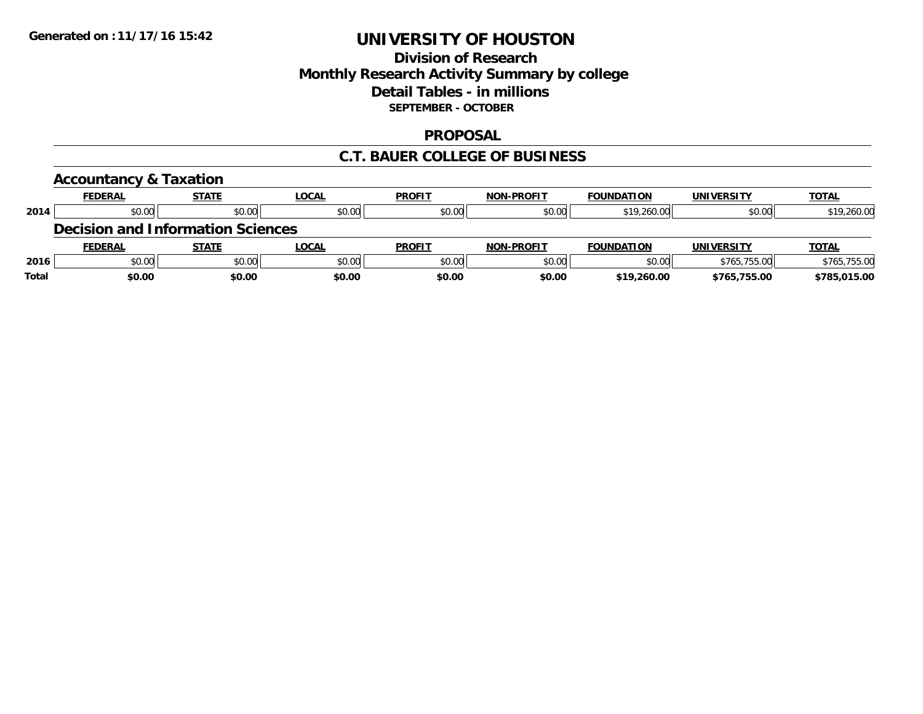## **Division of Research Monthly Research Activity Summary by college Detail Tables - in millions SEPTEMBER - OCTOBER**

#### **PROPOSAL**

#### **C.T. BAUER COLLEGE OF BUSINESS**

|       | <b>Accountancy &amp; Taxation</b>        |              |              |               |                   |                   |                   |              |
|-------|------------------------------------------|--------------|--------------|---------------|-------------------|-------------------|-------------------|--------------|
|       | <b>FEDERAL</b>                           | <b>STATE</b> | <b>LOCAL</b> | <b>PROFIT</b> | <b>NON-PROFIT</b> | <b>FOUNDATION</b> | <b>UNIVERSITY</b> | <b>TOTAL</b> |
| 2014  | \$0.00                                   | \$0.00       | \$0.00       | \$0.00        | \$0.00            | \$19,260.00       | \$0.00            | \$19,260.00  |
|       | <b>Decision and Information Sciences</b> |              |              |               |                   |                   |                   |              |
|       | <b>FEDERAL</b>                           | <b>STATE</b> | LOCAL        | <b>PROFIT</b> | <b>NON-PROFIT</b> | <b>FOUNDATION</b> | <b>UNIVERSITY</b> | <b>TOTAL</b> |
| 2016  | \$0.00                                   | \$0.00       | \$0.00       | \$0.00        | \$0.00            | \$0.00            | \$765,755.00      | \$765,755.00 |
| Total | \$0.00                                   | \$0.00       | \$0.00       | \$0.00        | \$0.00            | \$19,260.00       | \$765,755.00      | \$785,015.00 |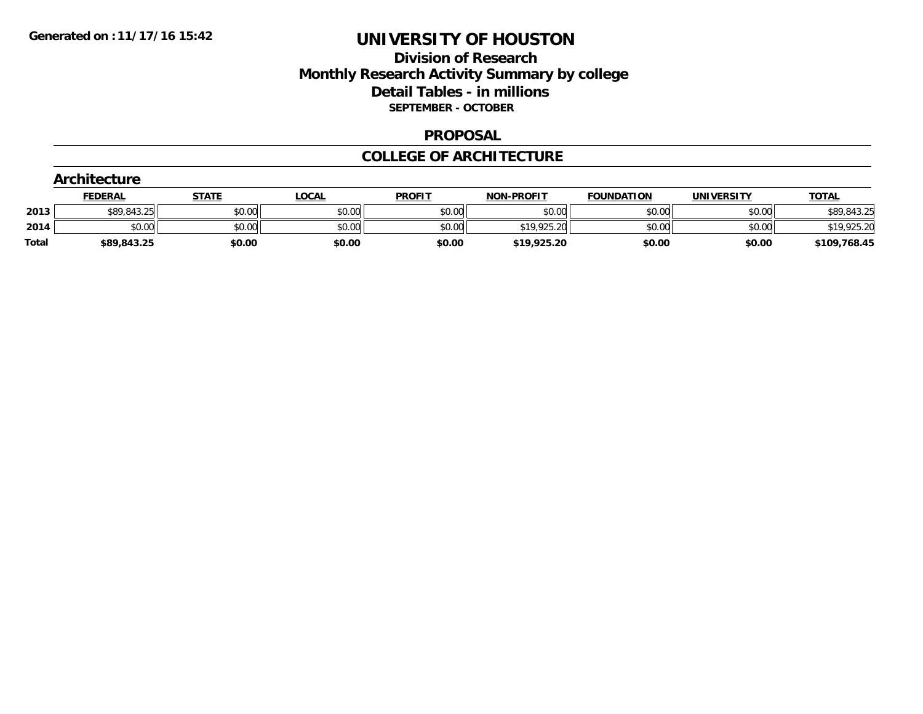## **Division of Research Monthly Research Activity Summary by college Detail Tables - in millions SEPTEMBER - OCTOBER**

#### **PROPOSAL**

#### **COLLEGE OF ARCHITECTURE**

|       | Architecture   |              |              |               |                   |                   |                   |              |  |  |  |
|-------|----------------|--------------|--------------|---------------|-------------------|-------------------|-------------------|--------------|--|--|--|
|       | <b>FEDERAL</b> | <b>STATE</b> | <u>LOCAL</u> | <b>PROFIT</b> | <b>NON-PROFIT</b> | <b>FOUNDATION</b> | <b>UNIVERSITY</b> | <b>TOTAL</b> |  |  |  |
| 2013  | \$89,843.25    | \$0.00       | \$0.00       | \$0.00        | \$0.00            | \$0.00            | \$0.00            | \$89,843.25  |  |  |  |
| 2014  | \$0.00         | \$0.00       | \$0.00       | \$0.00        | \$19,925.20       | \$0.00            | \$0.00            | \$19,925.20  |  |  |  |
| Total | \$89,843.25    | \$0.00       | \$0.00       | \$0.00        | \$19,925.20       | \$0.00            | \$0.00            | \$109,768.45 |  |  |  |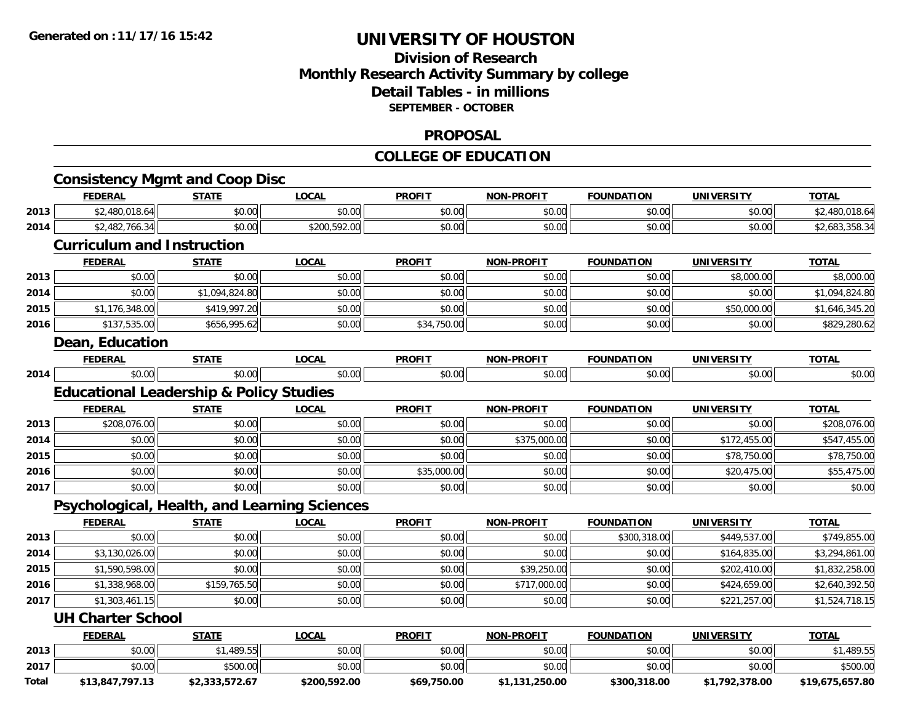## **Division of ResearchMonthly Research Activity Summary by college Detail Tables - in millions SEPTEMBER - OCTOBER**

#### **PROPOSAL**

## **COLLEGE OF EDUCATION**

|              | <b>FEDERAL</b>                                     | <b>STATE</b>   | <b>LOCAL</b> | <b>PROFIT</b> | <b>NON-PROFIT</b> | <b>FOUNDATION</b> | <b>UNIVERSITY</b> | <b>TOTAL</b>    |
|--------------|----------------------------------------------------|----------------|--------------|---------------|-------------------|-------------------|-------------------|-----------------|
| 2013         | \$2,480,018.64                                     | \$0.00         | \$0.00       | \$0.00        | \$0.00            | \$0.00            | \$0.00            | \$2,480,018.64  |
| 2014         | \$2,482,766.34                                     | \$0.00         | \$200,592.00 | \$0.00        | \$0.00            | \$0.00            | \$0.00            | \$2,683,358.34  |
|              | <b>Curriculum and Instruction</b>                  |                |              |               |                   |                   |                   |                 |
|              | <b>FEDERAL</b>                                     | <b>STATE</b>   | <b>LOCAL</b> | <b>PROFIT</b> | <b>NON-PROFIT</b> | <b>FOUNDATION</b> | <b>UNIVERSITY</b> | <b>TOTAL</b>    |
| 2013         | \$0.00                                             | \$0.00         | \$0.00       | \$0.00        | \$0.00            | \$0.00            | \$8,000.00        | \$8,000.00      |
| 2014         | \$0.00                                             | \$1,094,824.80 | \$0.00       | \$0.00        | \$0.00            | \$0.00            | \$0.00            | \$1,094,824.80  |
| 2015         | \$1,176,348.00                                     | \$419,997.20   | \$0.00       | \$0.00        | \$0.00            | \$0.00            | \$50,000.00       | \$1,646,345.20  |
| 2016         | \$137,535.00                                       | \$656,995.62   | \$0.00       | \$34,750.00   | \$0.00            | \$0.00            | \$0.00            | \$829,280.62    |
|              | Dean, Education                                    |                |              |               |                   |                   |                   |                 |
|              | <b>FEDERAL</b>                                     | <b>STATE</b>   | <b>LOCAL</b> | <b>PROFIT</b> | <b>NON-PROFIT</b> | <b>FOUNDATION</b> | <b>UNIVERSITY</b> | <b>TOTAL</b>    |
| 2014         | \$0.00                                             | \$0.00         | \$0.00       | \$0.00        | \$0.00            | \$0.00            | \$0.00            | \$0.00          |
|              | <b>Educational Leadership &amp; Policy Studies</b> |                |              |               |                   |                   |                   |                 |
|              | <b>FEDERAL</b>                                     | <b>STATE</b>   | <b>LOCAL</b> | <b>PROFIT</b> | <b>NON-PROFIT</b> | <b>FOUNDATION</b> | <b>UNIVERSITY</b> | <b>TOTAL</b>    |
| 2013         | \$208,076.00                                       | \$0.00         | \$0.00       | \$0.00        | \$0.00            | \$0.00            | \$0.00            | \$208,076.00    |
| 2014         | \$0.00                                             | \$0.00         | \$0.00       | \$0.00        | \$375,000.00      | \$0.00            | \$172,455.00      | \$547,455.00    |
| 2015         | \$0.00                                             | \$0.00         | \$0.00       | \$0.00        | \$0.00            | \$0.00            | \$78,750.00       | \$78,750.00     |
| 2016         | \$0.00                                             | \$0.00         | \$0.00       | \$35,000.00   | \$0.00            | \$0.00            | \$20,475.00       | \$55,475.00     |
| 2017         | \$0.00                                             | \$0.00         | \$0.00       | \$0.00        | \$0.00            | \$0.00            | \$0.00            | \$0.00          |
|              | Psychological, Health, and Learning Sciences       |                |              |               |                   |                   |                   |                 |
|              | <b>FEDERAL</b>                                     | <b>STATE</b>   | <b>LOCAL</b> | <b>PROFIT</b> | <b>NON-PROFIT</b> | <b>FOUNDATION</b> | <b>UNIVERSITY</b> | <b>TOTAL</b>    |
| 2013         | \$0.00                                             | \$0.00         | \$0.00       | \$0.00        | \$0.00            | \$300,318.00      | \$449,537.00      | \$749,855.00    |
| 2014         | \$3,130,026.00                                     | \$0.00         | \$0.00       | \$0.00        | \$0.00            | \$0.00            | \$164,835.00      | \$3,294,861.00  |
| 2015         | \$1,590,598.00                                     | \$0.00         | \$0.00       | \$0.00        | \$39,250.00       | \$0.00            | \$202,410.00      | \$1,832,258.00  |
| 2016         | \$1,338,968.00                                     | \$159,765.50   | \$0.00       | \$0.00        | \$717,000.00      | \$0.00            | \$424,659.00      | \$2,640,392.50  |
| 2017         | \$1,303,461.15                                     | \$0.00         | \$0.00       | \$0.00        | \$0.00            | \$0.00            | \$221,257.00      | \$1,524,718.15  |
|              | <b>UH Charter School</b>                           |                |              |               |                   |                   |                   |                 |
|              | <b>FEDERAL</b>                                     | <b>STATE</b>   | <b>LOCAL</b> | <b>PROFIT</b> | <b>NON-PROFIT</b> | <b>FOUNDATION</b> | <b>UNIVERSITY</b> | <b>TOTAL</b>    |
| 2013         | \$0.00                                             | \$1,489.55     | \$0.00       | \$0.00        | \$0.00            | \$0.00            | \$0.00            | \$1,489.55      |
| 2017         | \$0.00                                             | \$500.00       | \$0.00       | \$0.00        | \$0.00            | \$0.00            | \$0.00            | \$500.00        |
| <b>Total</b> | \$13,847,797.13                                    | \$2,333,572.67 | \$200,592.00 | \$69,750.00   | \$1,131,250.00    | \$300,318.00      | \$1,792,378.00    | \$19,675,657.80 |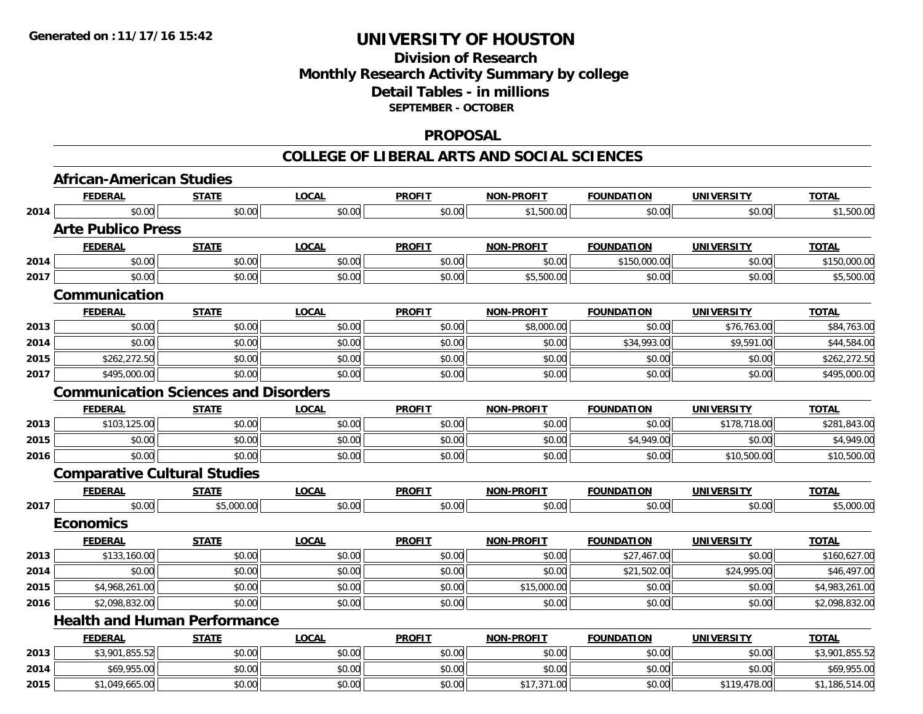## **Division of ResearchMonthly Research Activity Summary by college Detail Tables - in millions SEPTEMBER - OCTOBER**

#### **PROPOSAL**

|      | <b>African-American Studies</b>             |              |              |               |                   |                   |                   |                |
|------|---------------------------------------------|--------------|--------------|---------------|-------------------|-------------------|-------------------|----------------|
|      | <b>FEDERAL</b>                              | <b>STATE</b> | <b>LOCAL</b> | <b>PROFIT</b> | <b>NON-PROFIT</b> | <b>FOUNDATION</b> | <b>UNIVERSITY</b> | <b>TOTAL</b>   |
| 2014 | \$0.00                                      | \$0.00       | \$0.00       | \$0.00        | \$1,500.00        | \$0.00            | \$0.00            | \$1,500.00     |
|      | <b>Arte Publico Press</b>                   |              |              |               |                   |                   |                   |                |
|      | <b>FEDERAL</b>                              | <b>STATE</b> | <b>LOCAL</b> | <b>PROFIT</b> | <b>NON-PROFIT</b> | <b>FOUNDATION</b> | <b>UNIVERSITY</b> | <b>TOTAL</b>   |
| 2014 | \$0.00                                      | \$0.00       | \$0.00       | \$0.00        | \$0.00            | \$150,000.00      | \$0.00            | \$150,000.00   |
| 2017 | \$0.00                                      | \$0.00       | \$0.00       | \$0.00        | \$5,500.00        | \$0.00            | \$0.00            | \$5,500.00     |
|      | Communication                               |              |              |               |                   |                   |                   |                |
|      | <b>FEDERAL</b>                              | <b>STATE</b> | <b>LOCAL</b> | <b>PROFIT</b> | <b>NON-PROFIT</b> | <b>FOUNDATION</b> | <b>UNIVERSITY</b> | <b>TOTAL</b>   |
| 2013 | \$0.00                                      | \$0.00       | \$0.00       | \$0.00        | \$8,000.00        | \$0.00            | \$76,763.00       | \$84,763.00    |
| 2014 | \$0.00                                      | \$0.00       | \$0.00       | \$0.00        | \$0.00            | \$34,993.00       | \$9,591.00        | \$44,584.00    |
| 2015 | \$262,272.50                                | \$0.00       | \$0.00       | \$0.00        | \$0.00            | \$0.00            | \$0.00            | \$262,272.50   |
| 2017 | \$495,000.00                                | \$0.00       | \$0.00       | \$0.00        | \$0.00            | \$0.00            | \$0.00            | \$495,000.00   |
|      | <b>Communication Sciences and Disorders</b> |              |              |               |                   |                   |                   |                |
|      | <b>FEDERAL</b>                              | <b>STATE</b> | <b>LOCAL</b> | <b>PROFIT</b> | <b>NON-PROFIT</b> | <b>FOUNDATION</b> | <b>UNIVERSITY</b> | <b>TOTAL</b>   |
| 2013 | \$103,125.00                                | \$0.00       | \$0.00       | \$0.00        | \$0.00            | \$0.00            | \$178,718.00      | \$281,843.00   |
| 2015 | \$0.00                                      | \$0.00       | \$0.00       | \$0.00        | \$0.00            | \$4,949.00        | \$0.00            | \$4,949.00     |
| 2016 | \$0.00                                      | \$0.00       | \$0.00       | \$0.00        | \$0.00            | \$0.00            | \$10,500.00       | \$10,500.00    |
|      | <b>Comparative Cultural Studies</b>         |              |              |               |                   |                   |                   |                |
|      | <b>FEDERAL</b>                              | <b>STATE</b> | <b>LOCAL</b> | <b>PROFIT</b> | <b>NON-PROFIT</b> | <b>FOUNDATION</b> | <b>UNIVERSITY</b> | <b>TOTAL</b>   |
| 2017 | \$0.00                                      | \$5,000.00   | \$0.00       | \$0.00        | \$0.00            | \$0.00            | \$0.00            | \$5,000.00     |
|      | <b>Economics</b>                            |              |              |               |                   |                   |                   |                |
|      | <b>FEDERAL</b>                              | <b>STATE</b> | <b>LOCAL</b> | <b>PROFIT</b> | <b>NON-PROFIT</b> | <b>FOUNDATION</b> | UNIVERSITY        | <b>TOTAL</b>   |
| 2013 | \$133,160.00                                | \$0.00       | \$0.00       | \$0.00        | \$0.00            | \$27,467.00       | \$0.00            | \$160,627.00   |
| 2014 | \$0.00                                      | \$0.00       | \$0.00       | \$0.00        | \$0.00            | \$21,502.00       | \$24,995.00       | \$46,497.00    |
| 2015 | \$4,968,261.00                              | \$0.00       | \$0.00       | \$0.00        | \$15,000.00       | \$0.00            | \$0.00            | \$4,983,261.00 |
| 2016 | \$2,098,832.00                              | \$0.00       | \$0.00       | \$0.00        | \$0.00            | \$0.00            | \$0.00            | \$2,098,832.00 |
|      | <b>Health and Human Performance</b>         |              |              |               |                   |                   |                   |                |
|      | <b>FEDERAL</b>                              | <b>STATE</b> | <b>LOCAL</b> | <b>PROFIT</b> | <b>NON-PROFIT</b> | <b>FOUNDATION</b> | <b>UNIVERSITY</b> | <b>TOTAL</b>   |
| 2013 | \$3,901,855.52                              | \$0.00       | \$0.00       | \$0.00        | \$0.00            | \$0.00            | \$0.00            | \$3,901,855.52 |
| 2014 | \$69,955.00                                 | \$0.00       | \$0.00       | \$0.00        | \$0.00            | \$0.00            | \$0.00            | \$69,955.00    |
| 2015 | \$1,049,665.00                              | \$0.00       | \$0.00       | \$0.00        | \$17,371.00       | \$0.00            | \$119,478.00      | \$1,186,514.00 |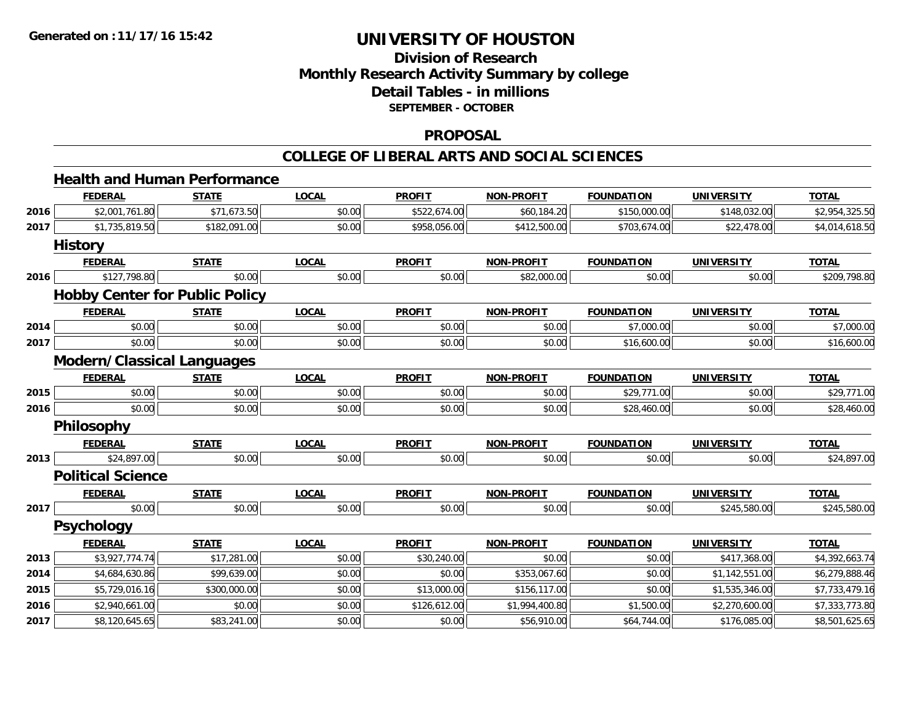## **Division of ResearchMonthly Research Activity Summary by college Detail Tables - in millions SEPTEMBER - OCTOBER**

#### **PROPOSAL**

|      |                                   | <b>Health and Human Performance</b>   |              |               |                   |                   |                   |                |
|------|-----------------------------------|---------------------------------------|--------------|---------------|-------------------|-------------------|-------------------|----------------|
|      | <b>FEDERAL</b>                    | <b>STATE</b>                          | <b>LOCAL</b> | <b>PROFIT</b> | <b>NON-PROFIT</b> | <b>FOUNDATION</b> | <b>UNIVERSITY</b> | <b>TOTAL</b>   |
| 2016 | \$2,001,761.80                    | \$71,673.50                           | \$0.00       | \$522,674.00  | \$60,184.20       | \$150,000.00      | \$148,032.00      | \$2,954,325.50 |
| 2017 | \$1,735,819.50                    | \$182,091.00                          | \$0.00       | \$958,056.00  | \$412,500.00      | \$703,674.00      | \$22,478.00       | \$4,014,618.50 |
|      | <b>History</b>                    |                                       |              |               |                   |                   |                   |                |
|      | <b>FEDERAL</b>                    | <b>STATE</b>                          | <b>LOCAL</b> | <b>PROFIT</b> | <b>NON-PROFIT</b> | <b>FOUNDATION</b> | <b>UNIVERSITY</b> | <b>TOTAL</b>   |
| 2016 | \$127,798.80                      | \$0.00                                | \$0.00       | \$0.00        | \$82,000.00       | \$0.00            | \$0.00            | \$209,798.80   |
|      |                                   | <b>Hobby Center for Public Policy</b> |              |               |                   |                   |                   |                |
|      | <b>FEDERAL</b>                    | <b>STATE</b>                          | <b>LOCAL</b> | <b>PROFIT</b> | <b>NON-PROFIT</b> | <b>FOUNDATION</b> | <b>UNIVERSITY</b> | <b>TOTAL</b>   |
| 2014 | \$0.00                            | \$0.00                                | \$0.00       | \$0.00        | \$0.00            | \$7,000.00        | \$0.00            | \$7,000.00     |
| 2017 | \$0.00                            | \$0.00                                | \$0.00       | \$0.00        | \$0.00            | \$16,600.00       | \$0.00            | \$16,600.00    |
|      | <b>Modern/Classical Languages</b> |                                       |              |               |                   |                   |                   |                |
|      | <b>FEDERAL</b>                    | <b>STATE</b>                          | <b>LOCAL</b> | <b>PROFIT</b> | <b>NON-PROFIT</b> | <b>FOUNDATION</b> | <b>UNIVERSITY</b> | <b>TOTAL</b>   |
| 2015 | \$0.00                            | \$0.00                                | \$0.00       | \$0.00        | \$0.00            | \$29,771.00       | \$0.00            | \$29,771.00    |
| 2016 | \$0.00                            | \$0.00                                | \$0.00       | \$0.00        | \$0.00            | \$28,460.00       | \$0.00            | \$28,460.00    |
|      | <b>Philosophy</b>                 |                                       |              |               |                   |                   |                   |                |
|      | <b>FEDERAL</b>                    | <b>STATE</b>                          | <b>LOCAL</b> | <b>PROFIT</b> | <b>NON-PROFIT</b> | <b>FOUNDATION</b> | <b>UNIVERSITY</b> | <b>TOTAL</b>   |
| 2013 | \$24,897.00                       | \$0.00                                | \$0.00       | \$0.00        | \$0.00            | \$0.00            | \$0.00            | \$24,897.00    |
|      | <b>Political Science</b>          |                                       |              |               |                   |                   |                   |                |
|      | <b>FEDERAL</b>                    | <b>STATE</b>                          | <b>LOCAL</b> | <b>PROFIT</b> | <b>NON-PROFIT</b> | <b>FOUNDATION</b> | <b>UNIVERSITY</b> | <b>TOTAL</b>   |
| 2017 | \$0.00                            | \$0.00                                | \$0.00       | \$0.00        | \$0.00            | \$0.00            | \$245,580.00      | \$245,580.00   |
|      | <b>Psychology</b>                 |                                       |              |               |                   |                   |                   |                |
|      | <b>FEDERAL</b>                    | <b>STATE</b>                          | <b>LOCAL</b> | <b>PROFIT</b> | <b>NON-PROFIT</b> | <b>FOUNDATION</b> | <b>UNIVERSITY</b> | <b>TOTAL</b>   |
| 2013 | \$3,927,774.74                    | \$17,281.00                           | \$0.00       | \$30,240.00   | \$0.00            | \$0.00            | \$417,368.00      | \$4,392,663.74 |
| 2014 | \$4,684,630.86                    | \$99,639.00                           | \$0.00       | \$0.00        | \$353,067.60      | \$0.00            | \$1,142,551.00    | \$6,279,888.46 |
| 2015 | \$5,729,016.16                    | \$300,000.00                          | \$0.00       | \$13,000.00   | \$156,117.00      | \$0.00            | \$1,535,346.00    | \$7,733,479.16 |
| 2016 | \$2,940,661.00                    | \$0.00                                | \$0.00       | \$126,612.00  | \$1,994,400.80    | \$1,500.00        | \$2,270,600.00    | \$7,333,773.80 |
| 2017 | \$8,120,645.65                    | \$83,241.00                           | \$0.00       | \$0.00        | \$56,910.00       | \$64,744.00       | \$176,085.00      | \$8,501,625.65 |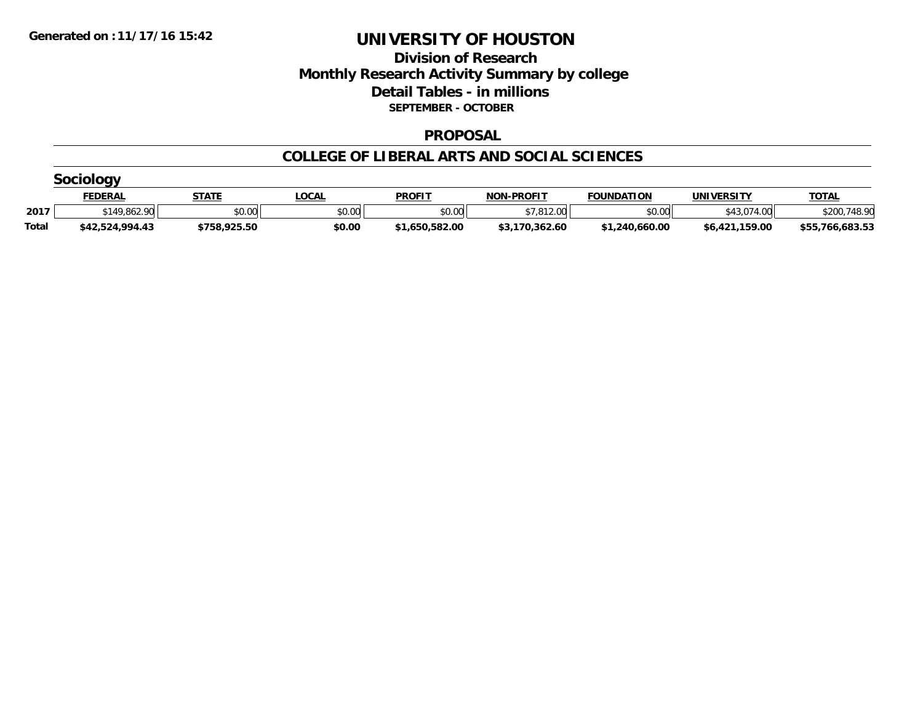## **Division of Research Monthly Research Activity Summary by college Detail Tables - in millions SEPTEMBER - OCTOBER**

#### **PROPOSAL**

|              | Sociology       |              |              |                |                   |                   |                   |                 |  |  |  |  |
|--------------|-----------------|--------------|--------------|----------------|-------------------|-------------------|-------------------|-----------------|--|--|--|--|
|              | <u>FEDERAL</u>  | <b>STATE</b> | <u>LOCAL</u> | <b>PROFIT</b>  | <b>NON-PROFIT</b> | <b>FOUNDATION</b> | <b>UNIVERSITY</b> | <b>TOTAL</b>    |  |  |  |  |
| 2017         | \$149,862.90    | \$0.00       | \$0.00       | \$0.00         | \$7,812.00        | \$0.00            | \$43,074,00       | \$200,748.90    |  |  |  |  |
| <b>Total</b> | \$42,524,994.43 | \$758,925.50 | \$0.00       | \$1,650,582.00 | \$3,170,362.60    | \$1,240,660.00    | \$6,421,159.00    | \$55,766,683.53 |  |  |  |  |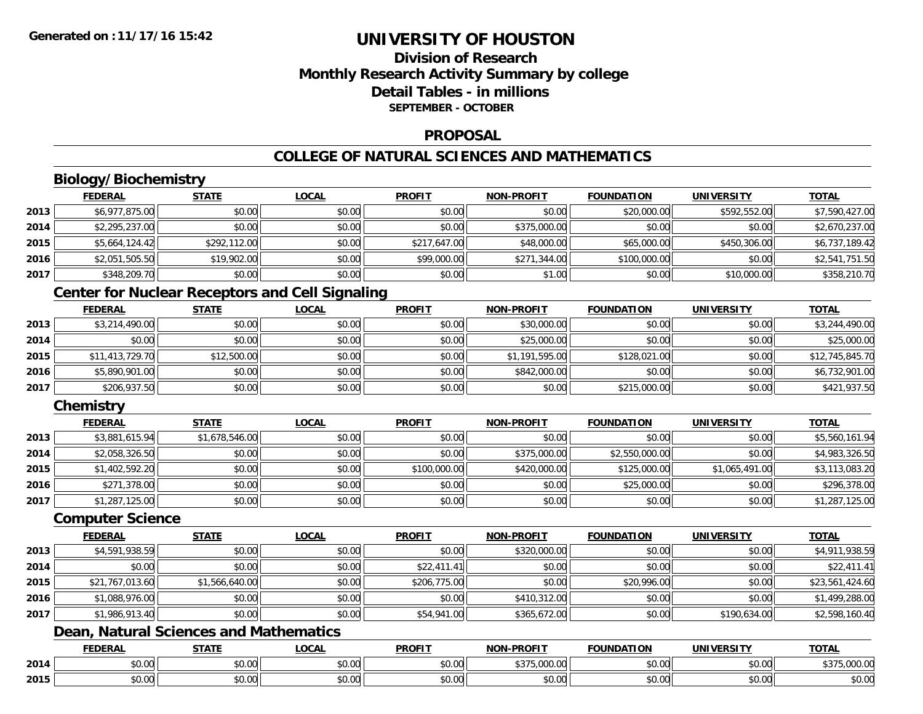## **Division of ResearchMonthly Research Activity Summary by college Detail Tables - in millionsSEPTEMBER - OCTOBER**

#### **PROPOSAL**

## **COLLEGE OF NATURAL SCIENCES AND MATHEMATICS**

# **Biology/Biochemistry**

|      | <b>FEDERAL</b> | <b>STATE</b> | <b>LOCAL</b> | <b>PROFIT</b> | <b>NON-PROFIT</b> | <b>FOUNDATION</b> | <b>UNIVERSITY</b> | <b>TOTAL</b>   |
|------|----------------|--------------|--------------|---------------|-------------------|-------------------|-------------------|----------------|
| 2013 | \$6,977,875.00 | \$0.00       | \$0.00       | \$0.00        | \$0.00            | \$20,000.00       | \$592,552.00      | \$7,590,427.00 |
| 2014 | \$2,295,237.00 | \$0.00       | \$0.00       | \$0.00        | \$375,000.00      | \$0.00            | \$0.00            | \$2,670,237.00 |
| 2015 | \$5,664,124.42 | \$292,112.00 | \$0.00       | \$217,647.00  | \$48,000.00       | \$65,000.00       | \$450,306.00      | \$6,737,189.42 |
| 2016 | \$2,051,505.50 | \$19,902.00  | \$0.00       | \$99,000.00   | \$271,344.00      | \$100,000.00      | \$0.00            | \$2,541,751.50 |
| 2017 | \$348,209.70   | \$0.00       | \$0.00       | \$0.00        | \$1.00            | \$0.00            | \$10,000.00       | \$358,210.70   |

## **Center for Nuclear Receptors and Cell Signaling**

|      | <b>FEDERAL</b>  | <b>STATE</b> | <u>LOCAL</u> | <b>PROFIT</b> | <b>NON-PROFIT</b> | <b>FOUNDATION</b> | <b>UNIVERSITY</b> | <b>TOTAL</b>    |
|------|-----------------|--------------|--------------|---------------|-------------------|-------------------|-------------------|-----------------|
| 2013 | \$3,214,490.00  | \$0.00       | \$0.00       | \$0.00        | \$30,000.00       | \$0.00            | \$0.00            | \$3,244,490.00  |
| 2014 | \$0.00          | \$0.00       | \$0.00       | \$0.00        | \$25,000.00       | \$0.00            | \$0.00            | \$25,000.00     |
| 2015 | \$11,413,729.70 | \$12,500.00  | \$0.00       | \$0.00        | \$1,191,595.00    | \$128,021,00      | \$0.00            | \$12,745,845.70 |
| 2016 | \$5,890,901.00  | \$0.00       | \$0.00       | \$0.00        | \$842,000.00      | \$0.00            | \$0.00            | \$6,732,901.00  |
| 2017 | \$206,937.50    | \$0.00       | \$0.00       | \$0.00        | \$0.00            | \$215,000.00      | \$0.00            | \$421,937.50    |

## **Chemistry**

|      | <b>FEDERAL</b> | <b>STATE</b>   | <b>LOCAL</b> | <b>PROFIT</b> | <b>NON-PROFIT</b> | <b>FOUNDATION</b> | <b>UNIVERSITY</b> | <b>TOTAL</b>   |
|------|----------------|----------------|--------------|---------------|-------------------|-------------------|-------------------|----------------|
| 2013 | \$3,881,615.94 | \$1,678,546.00 | \$0.00       | \$0.00        | \$0.00            | \$0.00            | \$0.00            | \$5,560,161.94 |
| 2014 | \$2,058,326.50 | \$0.00         | \$0.00       | \$0.00        | \$375,000.00      | \$2,550,000.00    | \$0.00            | \$4,983,326.50 |
| 2015 | \$1,402,592.20 | \$0.00         | \$0.00       | \$100,000.00  | \$420,000.00      | \$125,000.00      | \$1,065,491.00    | \$3,113,083.20 |
| 2016 | \$271,378.00   | \$0.00         | \$0.00       | \$0.00        | \$0.00            | \$25,000.00       | \$0.00            | \$296,378.00   |
| 2017 | \$1,287,125.00 | \$0.00         | \$0.00       | \$0.00        | \$0.00            | \$0.00            | \$0.00            | \$1,287,125.00 |

#### **Computer Science**

|      | <b>FEDERAL</b>  | <b>STATE</b>   | <b>LOCAL</b> | <b>PROFIT</b> | <b>NON-PROFIT</b> | <b>FOUNDATION</b> | UNIVERSITY   | <b>TOTAL</b>    |
|------|-----------------|----------------|--------------|---------------|-------------------|-------------------|--------------|-----------------|
| 2013 | \$4,591,938.59  | \$0.00         | \$0.00       | \$0.00        | \$320,000.00      | \$0.00            | \$0.00       | \$4,911,938.59  |
| 2014 | \$0.00          | \$0.00         | \$0.00       | \$22,411.41   | \$0.00            | \$0.00            | \$0.00       | \$22,411.41     |
| 2015 | \$21,767,013.60 | \$1,566,640.00 | \$0.00       | \$206,775.00  | \$0.00            | \$20,996.00       | \$0.00       | \$23,561,424.60 |
| 2016 | \$1,088,976.00  | \$0.00         | \$0.00       | \$0.00        | \$410,312.00      | \$0.00            | \$0.00       | \$1,499,288.00  |
| 2017 | \$1,986,913.40  | \$0.00         | \$0.00       | \$54,941.00   | \$365,672.00      | \$0.00            | \$190,634.00 | \$2,598,160.40  |

## **Dean, Natural Sciences and Mathematics**

|      | <b>FEDERAL</b> | <b>STATE</b><br>,,,,,, | <b>_OCAL</b>                                                             | <b>PROFIT</b>        | <b>J-PROFIT</b><br><b>BIABI</b> | <b>FOUNDATION</b> | <b>UNIVERSITY</b>    | <b>TOTAL</b>                       |
|------|----------------|------------------------|--------------------------------------------------------------------------|----------------------|---------------------------------|-------------------|----------------------|------------------------------------|
| 2014 | \$0.00         | Ψ.<br>JU.UU            | $\begin{array}{c} \uparrow \\ \uparrow \\ \uparrow \end{array}$<br>JU.UU | \$0.00               | 00000<br>ぐつフに                   | \$0.00            | \$0.00               | $\sim$ $-$<br>0000<br>\$373,000.00 |
| 2015 | \$0.00         | ስ ለሰ<br>JU.UU          | $\sim$<br>$\sim$<br>ง∪.∪บ                                                | 0000<br><b>DU.UU</b> | 0000<br>PU.UU                   | \$0.00            | 0000<br><b>JU.UU</b> | \$0.00                             |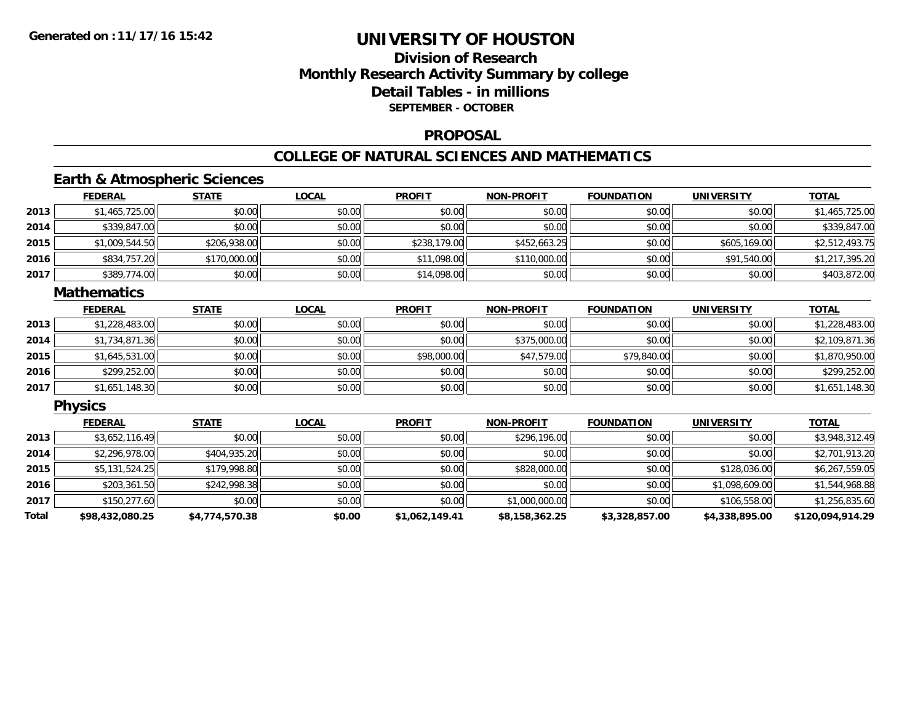## **Division of ResearchMonthly Research Activity Summary by college Detail Tables - in millions SEPTEMBER - OCTOBER**

#### **PROPOSAL**

#### **COLLEGE OF NATURAL SCIENCES AND MATHEMATICS**

## **Earth & Atmospheric Sciences**

|      | <b>FEDERAL</b> | <b>STATE</b> | <u>LOCAL</u> | <b>PROFIT</b> | <b>NON-PROFIT</b> | <b>FOUNDATION</b> | <b>UNIVERSITY</b> | <u>TOTAL</u>   |
|------|----------------|--------------|--------------|---------------|-------------------|-------------------|-------------------|----------------|
| 2013 | \$1,465,725.00 | \$0.00       | \$0.00       | \$0.00        | \$0.00            | \$0.00            | \$0.00            | \$1,465,725.00 |
| 2014 | \$339,847.00   | \$0.00       | \$0.00       | \$0.00        | \$0.00            | \$0.00            | \$0.00            | \$339,847.00   |
| 2015 | \$1,009,544.50 | \$206,938.00 | \$0.00       | \$238,179.00  | \$452,663.25      | \$0.00            | \$605,169,00      | \$2,512,493.75 |
| 2016 | \$834,757.20   | \$170,000.00 | \$0.00       | \$11,098.00   | \$110,000.00      | \$0.00            | \$91,540.00       | \$1,217,395.20 |
| 2017 | \$389,774.00   | \$0.00       | \$0.00       | \$14,098.00   | \$0.00            | \$0.00            | \$0.00            | \$403,872.00   |

#### **Mathematics**

|      | <b>FEDERAL</b> | <b>STATE</b> | <b>LOCAL</b> | <b>PROFIT</b> | <b>NON-PROFIT</b> | <b>FOUNDATION</b> | <b>UNIVERSITY</b> | <b>TOTAL</b>   |
|------|----------------|--------------|--------------|---------------|-------------------|-------------------|-------------------|----------------|
| 2013 | \$1,228,483.00 | \$0.00       | \$0.00       | \$0.00        | \$0.00            | \$0.00            | \$0.00            | \$1,228,483.00 |
| 2014 | \$1,734,871.36 | \$0.00       | \$0.00       | \$0.00        | \$375,000.00      | \$0.00            | \$0.00            | \$2,109,871.36 |
| 2015 | \$1,645,531.00 | \$0.00       | \$0.00       | \$98,000.00   | \$47,579.00       | \$79,840.00       | \$0.00            | \$1,870,950.00 |
| 2016 | \$299,252.00   | \$0.00       | \$0.00       | \$0.00        | \$0.00            | \$0.00            | \$0.00            | \$299,252.00   |
| 2017 | \$1,651,148.30 | \$0.00       | \$0.00       | \$0.00        | \$0.00            | \$0.00            | \$0.00            | \$1,651,148.30 |

### **Physics**

|       | <b>FEDERAL</b>  | <b>STATE</b>   | <b>LOCAL</b> | <b>PROFIT</b>  | <b>NON-PROFIT</b> | <b>FOUNDATION</b> | <b>UNIVERSITY</b> | <b>TOTAL</b>     |
|-------|-----------------|----------------|--------------|----------------|-------------------|-------------------|-------------------|------------------|
| 2013  | \$3,652,116.49  | \$0.00         | \$0.00       | \$0.00         | \$296,196.00      | \$0.00            | \$0.00            | \$3,948,312.49   |
| 2014  | \$2,296,978.00  | \$404,935.20   | \$0.00       | \$0.00         | \$0.00            | \$0.00            | \$0.00            | \$2,701,913.20   |
| 2015  | \$5,131,524.25  | \$179,998.80   | \$0.00       | \$0.00         | \$828,000.00      | \$0.00            | \$128,036.00      | \$6,267,559.05   |
| 2016  | \$203,361.50    | \$242,998.38   | \$0.00       | \$0.00         | \$0.00            | \$0.00            | \$1,098,609.00    | \$1,544,968.88   |
| 2017  | \$150,277.60    | \$0.00         | \$0.00       | \$0.00         | \$1,000,000.00    | \$0.00            | \$106,558.00      | \$1,256,835.60   |
| Total | \$98,432,080.25 | \$4,774,570.38 | \$0.00       | \$1,062,149.41 | \$8,158,362.25    | \$3,328,857.00    | \$4,338,895.00    | \$120,094,914.29 |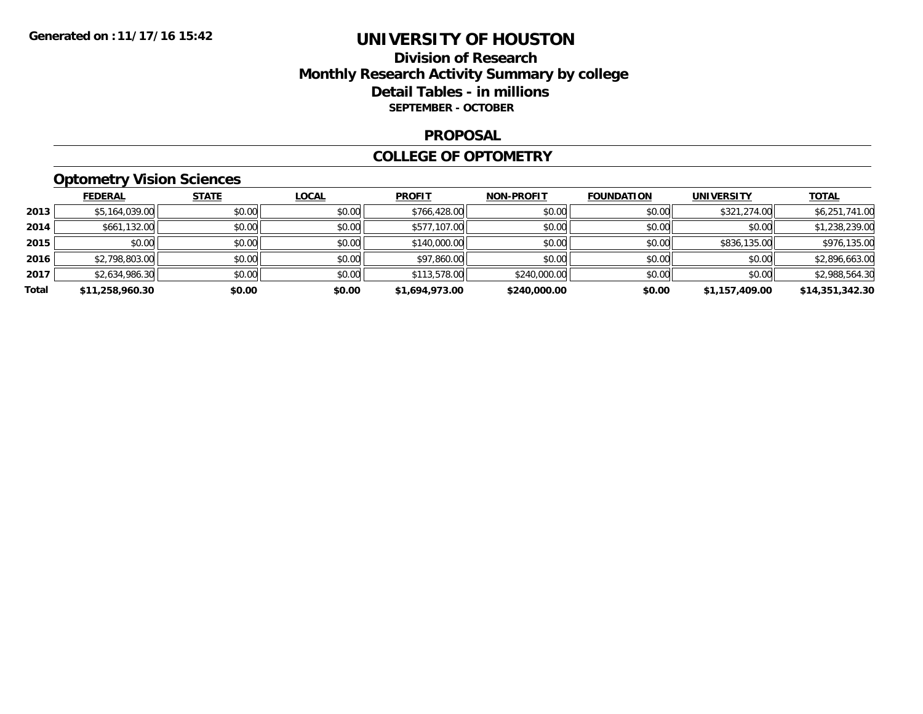## **Division of Research Monthly Research Activity Summary by college Detail Tables - in millions SEPTEMBER - OCTOBER**

#### **PROPOSAL**

#### **COLLEGE OF OPTOMETRY**

# **Optometry Vision Sciences**

|       | <b>FEDERAL</b>  | <b>STATE</b> | <b>LOCAL</b> | <b>PROFIT</b>  | <b>NON-PROFIT</b> | <b>FOUNDATION</b> | <b>UNIVERSITY</b> | <b>TOTAL</b>    |
|-------|-----------------|--------------|--------------|----------------|-------------------|-------------------|-------------------|-----------------|
| 2013  | \$5,164,039.00  | \$0.00       | \$0.00       | \$766,428.00   | \$0.00            | \$0.00            | \$321,274.00      | \$6,251,741.00  |
| 2014  | \$661,132.00    | \$0.00       | \$0.00       | \$577,107.00   | \$0.00            | \$0.00            | \$0.00            | \$1,238,239.00  |
| 2015  | \$0.00          | \$0.00       | \$0.00       | \$140,000.00   | \$0.00            | \$0.00            | \$836,135.00      | \$976,135.00    |
| 2016  | \$2,798,803.00  | \$0.00       | \$0.00       | \$97,860.00    | \$0.00            | \$0.00            | \$0.00            | \$2,896,663.00  |
| 2017  | \$2,634,986.30  | \$0.00       | \$0.00       | \$113,578.00   | \$240,000.00      | \$0.00            | \$0.00            | \$2,988,564.30  |
| Total | \$11,258,960.30 | \$0.00       | \$0.00       | \$1,694,973.00 | \$240,000.00      | \$0.00            | \$1,157,409.00    | \$14,351,342.30 |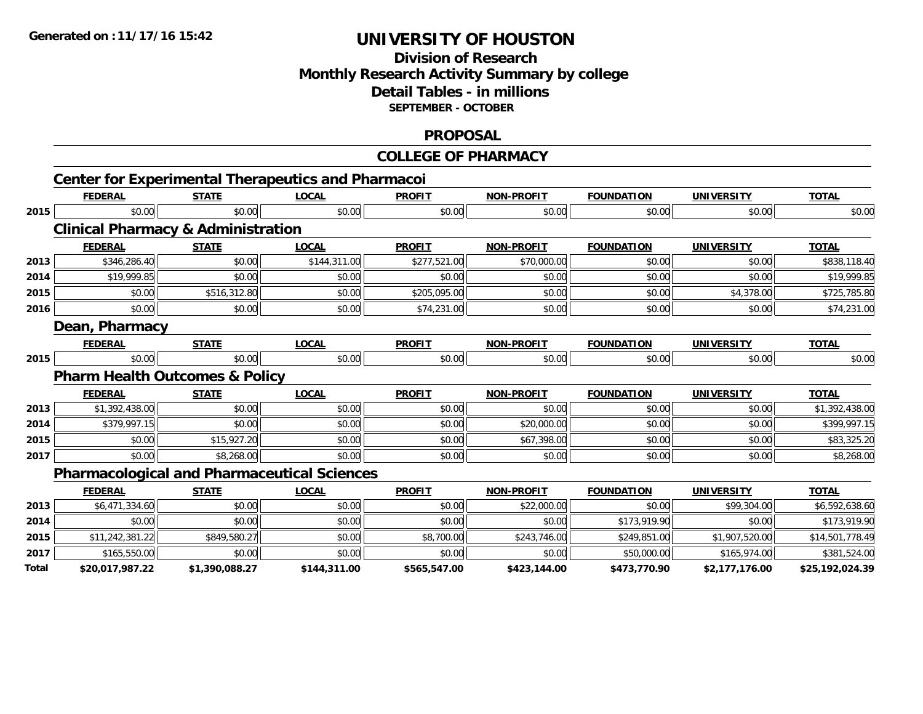## **Division of Research Monthly Research Activity Summary by college Detail Tables - in millions SEPTEMBER - OCTOBER**

#### **PROPOSAL**

#### **COLLEGE OF PHARMACY**

|       |                                               |                | <b>Center for Experimental Therapeutics and Pharmacoi</b> |               |                   |                   |                   |                 |
|-------|-----------------------------------------------|----------------|-----------------------------------------------------------|---------------|-------------------|-------------------|-------------------|-----------------|
|       | <b>FEDERAL</b>                                | <b>STATE</b>   | <b>LOCAL</b>                                              | <b>PROFIT</b> | <b>NON-PROFIT</b> | <b>FOUNDATION</b> | <b>UNIVERSITY</b> | <b>TOTAL</b>    |
| 2015  | \$0.00                                        | \$0.00         | \$0.00                                                    | \$0.00        | \$0.00            | \$0.00            | \$0.00            | \$0.00          |
|       | <b>Clinical Pharmacy &amp; Administration</b> |                |                                                           |               |                   |                   |                   |                 |
|       | <b>FEDERAL</b>                                | <b>STATE</b>   | <b>LOCAL</b>                                              | <b>PROFIT</b> | <b>NON-PROFIT</b> | <b>FOUNDATION</b> | <b>UNIVERSITY</b> | <b>TOTAL</b>    |
| 2013  | \$346,286.40                                  | \$0.00         | \$144,311.00                                              | \$277,521.00  | \$70,000.00       | \$0.00            | \$0.00            | \$838,118.40    |
| 2014  | \$19,999.85                                   | \$0.00         | \$0.00                                                    | \$0.00        | \$0.00            | \$0.00            | \$0.00            | \$19,999.85     |
| 2015  | \$0.00                                        | \$516,312.80   | \$0.00                                                    | \$205,095.00  | \$0.00            | \$0.00            | \$4,378.00        | \$725,785.80    |
| 2016  | \$0.00                                        | \$0.00         | \$0.00                                                    | \$74,231.00   | \$0.00            | \$0.00            | \$0.00            | \$74,231.00     |
|       | Dean, Pharmacy                                |                |                                                           |               |                   |                   |                   |                 |
|       | <b>FEDERAL</b>                                | <b>STATE</b>   | <b>LOCAL</b>                                              | <b>PROFIT</b> | <b>NON-PROFIT</b> | <b>FOUNDATION</b> | <b>UNIVERSITY</b> | <b>TOTAL</b>    |
| 2015  | \$0.00                                        | \$0.00         | \$0.00                                                    | \$0.00        | \$0.00            | \$0.00            | \$0.00            | \$0.00          |
|       | <b>Pharm Health Outcomes &amp; Policy</b>     |                |                                                           |               |                   |                   |                   |                 |
|       | <b>FEDERAL</b>                                | <b>STATE</b>   | <b>LOCAL</b>                                              | <b>PROFIT</b> | <b>NON-PROFIT</b> | <b>FOUNDATION</b> | <b>UNIVERSITY</b> | <b>TOTAL</b>    |
| 2013  | \$1,392,438.00                                | \$0.00         | \$0.00                                                    | \$0.00        | \$0.00            | \$0.00            | \$0.00            | \$1,392,438.00  |
| 2014  | \$379,997.15                                  | \$0.00         | \$0.00                                                    | \$0.00        | \$20,000.00       | \$0.00            | \$0.00            | \$399,997.15    |
| 2015  | \$0.00                                        | \$15,927.20    | \$0.00                                                    | \$0.00        | \$67,398.00       | \$0.00            | \$0.00            | \$83,325.20     |
| 2017  | \$0.00                                        | \$8,268.00     | \$0.00                                                    | \$0.00        | \$0.00            | \$0.00            | \$0.00            | \$8,268.00      |
|       |                                               |                | <b>Pharmacological and Pharmaceutical Sciences</b>        |               |                   |                   |                   |                 |
|       | <b>FEDERAL</b>                                | <b>STATE</b>   | <b>LOCAL</b>                                              | <b>PROFIT</b> | <b>NON-PROFIT</b> | <b>FOUNDATION</b> | <b>UNIVERSITY</b> | <b>TOTAL</b>    |
| 2013  | \$6,471,334.60                                | \$0.00         | \$0.00                                                    | \$0.00        | \$22,000.00       | \$0.00            | \$99,304.00       | \$6,592,638.60  |
| 2014  | \$0.00                                        | \$0.00         | \$0.00                                                    | \$0.00        | \$0.00            | \$173,919.90      | \$0.00            | \$173,919.90    |
| 2015  | \$11,242,381.22                               | \$849,580.27   | \$0.00                                                    | \$8,700.00    | \$243,746.00      | \$249,851.00      | \$1,907,520.00    | \$14,501,778.49 |
| 2017  | \$165,550.00                                  | \$0.00         | \$0.00                                                    | \$0.00        | \$0.00            | \$50,000.00       | \$165,974.00      | \$381,524.00    |
| Total | \$20,017,987.22                               | \$1,390,088.27 | \$144,311.00                                              | \$565,547.00  | \$423,144.00      | \$473,770.90      | \$2,177,176.00    | \$25,192,024.39 |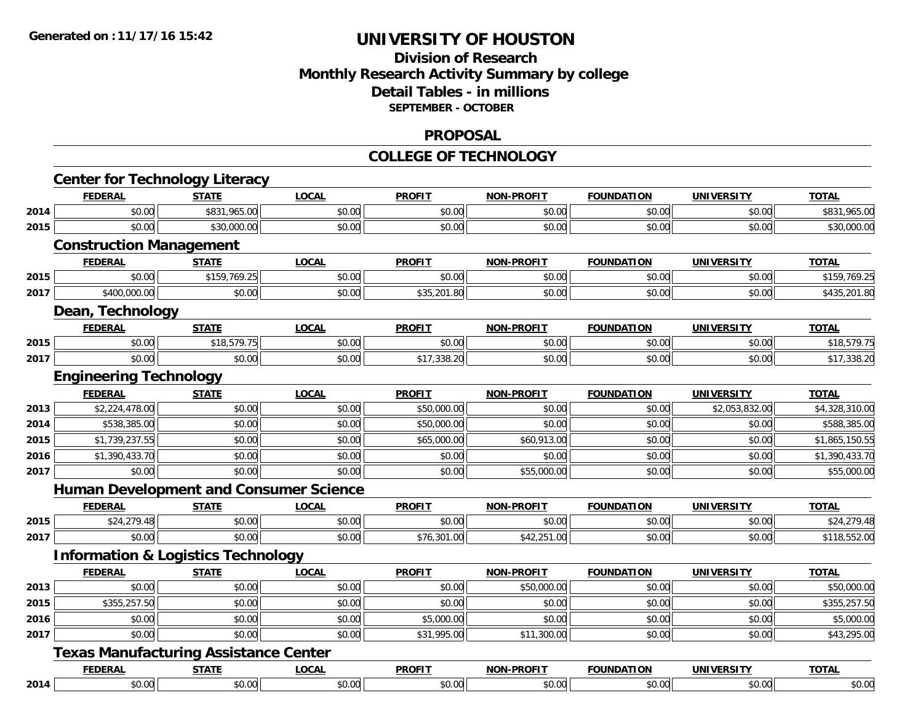## **Division of Research Monthly Research Activity Summary by college Detail Tables - in millions SEPTEMBER - OCTOBER**

#### **PROPOSAL**

#### **COLLEGE OF TECHNOLOGY**

|      | <b>Center for Technology Literacy</b>         |              |              |               |                   |                   |                   |                |
|------|-----------------------------------------------|--------------|--------------|---------------|-------------------|-------------------|-------------------|----------------|
|      | <b>FEDERAL</b>                                | <b>STATE</b> | <b>LOCAL</b> | <b>PROFIT</b> | <b>NON-PROFIT</b> | <b>FOUNDATION</b> | <b>UNIVERSITY</b> | <b>TOTAL</b>   |
| 2014 | \$0.00                                        | \$831,965.00 | \$0.00       | \$0.00        | \$0.00            | \$0.00            | \$0.00            | \$831,965.00   |
| 2015 | \$0.00                                        | \$30,000.00  | \$0.00       | \$0.00        | \$0.00            | \$0.00            | \$0.00            | \$30,000.00    |
|      | <b>Construction Management</b>                |              |              |               |                   |                   |                   |                |
|      | <b>FEDERAL</b>                                | <b>STATE</b> | <b>LOCAL</b> | <b>PROFIT</b> | <b>NON-PROFIT</b> | <b>FOUNDATION</b> | <b>UNIVERSITY</b> | <b>TOTAL</b>   |
| 2015 | \$0.00                                        | \$159,769.25 | \$0.00       | \$0.00        | \$0.00            | \$0.00            | \$0.00            | \$159,769.25   |
| 2017 | \$400,000.00                                  | \$0.00       | \$0.00       | \$35,201.80   | \$0.00            | \$0.00            | \$0.00            | \$435,201.80   |
|      | Dean, Technology                              |              |              |               |                   |                   |                   |                |
|      | <b>FEDERAL</b>                                | <b>STATE</b> | <b>LOCAL</b> | <b>PROFIT</b> | <b>NON-PROFIT</b> | <b>FOUNDATION</b> | <b>UNIVERSITY</b> | <b>TOTAL</b>   |
| 2015 | \$0.00                                        | \$18,579.75  | \$0.00       | \$0.00        | \$0.00            | \$0.00            | \$0.00            | \$18,579.75    |
| 2017 | \$0.00                                        | \$0.00       | \$0.00       | \$17,338.20   | \$0.00            | \$0.00            | \$0.00            | \$17,338.20    |
|      | <b>Engineering Technology</b>                 |              |              |               |                   |                   |                   |                |
|      | <b>FEDERAL</b>                                | <b>STATE</b> | <b>LOCAL</b> | <b>PROFIT</b> | <b>NON-PROFIT</b> | <b>FOUNDATION</b> | <b>UNIVERSITY</b> | <b>TOTAL</b>   |
| 2013 | \$2,224,478.00                                | \$0.00       | \$0.00       | \$50,000.00   | \$0.00            | \$0.00            | \$2,053,832.00    | \$4,328,310.00 |
| 2014 | \$538,385.00                                  | \$0.00       | \$0.00       | \$50,000.00   | \$0.00            | \$0.00            | \$0.00            | \$588,385.00   |
| 2015 | \$1,739,237.55                                | \$0.00       | \$0.00       | \$65,000.00   | \$60,913.00       | \$0.00            | \$0.00            | \$1,865,150.55 |
| 2016 | \$1,390,433.70                                | \$0.00       | \$0.00       | \$0.00        | \$0.00            | \$0.00            | \$0.00            | \$1,390,433.70 |
| 2017 | \$0.00                                        | \$0.00       | \$0.00       | \$0.00        | \$55,000.00       | \$0.00            | \$0.00            | \$55,000.00    |
|      | <b>Human Development and Consumer Science</b> |              |              |               |                   |                   |                   |                |
|      | <b>FEDERAL</b>                                | <b>STATE</b> | <b>LOCAL</b> | <b>PROFIT</b> | <b>NON-PROFIT</b> | <b>FOUNDATION</b> | <b>UNIVERSITY</b> | <b>TOTAL</b>   |
| 2015 | \$24,279.48                                   | \$0.00       | \$0.00       | \$0.00        | \$0.00            | \$0.00            | \$0.00            | \$24,279.48    |
| 2017 | \$0.00                                        | \$0.00       | \$0.00       | \$76,301.00   | \$42,251.00       | \$0.00            | \$0.00            | \$118,552.00   |
|      | <b>Information &amp; Logistics Technology</b> |              |              |               |                   |                   |                   |                |
|      | <b>FEDERAL</b>                                | <b>STATE</b> | <b>LOCAL</b> | <b>PROFIT</b> | <b>NON-PROFIT</b> | <b>FOUNDATION</b> | <b>UNIVERSITY</b> | <b>TOTAL</b>   |
| 2013 | \$0.00                                        | \$0.00       | \$0.00       | \$0.00        | \$50,000.00       | \$0.00            | \$0.00            | \$50,000.00    |
| 2015 | \$355,257.50                                  | \$0.00       | \$0.00       | \$0.00        | \$0.00            | \$0.00            | \$0.00            | \$355,257.50   |
| 2016 | \$0.00                                        | \$0.00       | \$0.00       | \$5,000.00    | \$0.00            | \$0.00            | \$0.00            | \$5,000.00     |
| 2017 | \$0.00                                        | \$0.00       | \$0.00       | \$31,995.00   | \$11,300.00       | \$0.00            | \$0.00            | \$43,295.00    |
|      | <b>Texas Manufacturing Assistance Center</b>  |              |              |               |                   |                   |                   |                |
|      | <b>FEDERAL</b>                                | <b>STATE</b> | <b>LOCAL</b> | <b>PROFIT</b> | NON-PROFIT        | <b>FOUNDATION</b> | <b>UNIVERSITY</b> | <b>TOTAL</b>   |
| 2014 | \$0.00                                        | \$0.00       | \$0.00       | \$0.00        | \$0.00            | \$0.00            | \$0.00            | \$0.00         |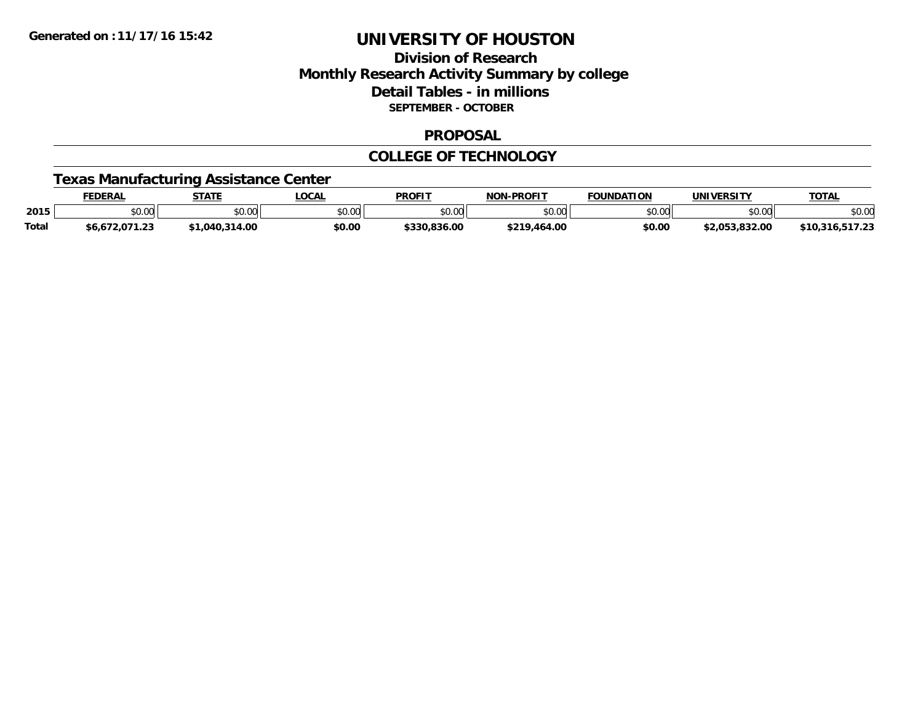## **Division of ResearchMonthly Research Activity Summary by college Detail Tables - in millions SEPTEMBER - OCTOBER**

#### **PROPOSAL**

#### **COLLEGE OF TECHNOLOGY**

### **Texas Manufacturing Assistance Center**

|              | EDERAI        | <b>STATE</b> | LOCAL         | <b>PROFIT</b>  | -PROFIT<br>NON     | <b>FOUNDATION</b>  | <b>UNIVERSITY</b>                 | <b>TOTAL</b> |
|--------------|---------------|--------------|---------------|----------------|--------------------|--------------------|-----------------------------------|--------------|
| 2015         | 0000<br>JU.UU | 40.00        | 0000<br>DU.UG | ልስ ሀህ<br>JU.UU | ልስ ለሰ<br>pu.uu     | $\sim$ 00<br>JU.UU | $\uparrow$ $\cap$ $\cap$<br>DU.UU | \$0.00       |
| <b>Total</b> | ົ້<br>ن ے. ا  | 4.00         | \$0.00        | J.836.0C       | $+210$ .<br>464.00 | \$0.00             | \$2.053.832.00                    | $-47.2$      |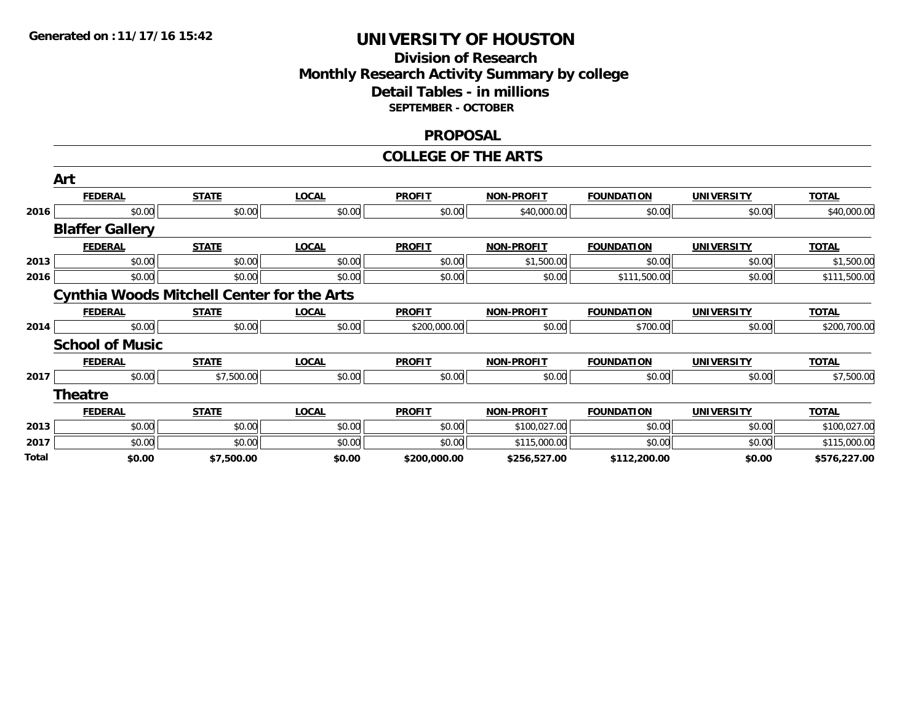### **Division of Research Monthly Research Activity Summary by college Detail Tables - in millions SEPTEMBER - OCTOBER**

#### **PROPOSAL**

#### **COLLEGE OF THE ARTS**

|       | Art                    |                                                   |              |               |                   |                   |                   |              |
|-------|------------------------|---------------------------------------------------|--------------|---------------|-------------------|-------------------|-------------------|--------------|
|       | <b>FEDERAL</b>         | <b>STATE</b>                                      | <b>LOCAL</b> | <b>PROFIT</b> | <b>NON-PROFIT</b> | <b>FOUNDATION</b> | <b>UNIVERSITY</b> | <b>TOTAL</b> |
| 2016  | \$0.00                 | \$0.00                                            | \$0.00       | \$0.00        | \$40,000.00       | \$0.00            | \$0.00            | \$40,000.00  |
|       | <b>Blaffer Gallery</b> |                                                   |              |               |                   |                   |                   |              |
|       | <b>FEDERAL</b>         | <b>STATE</b>                                      | <b>LOCAL</b> | <b>PROFIT</b> | <b>NON-PROFIT</b> | <b>FOUNDATION</b> | <b>UNIVERSITY</b> | <b>TOTAL</b> |
| 2013  | \$0.00                 | \$0.00                                            | \$0.00       | \$0.00        | \$1,500.00        | \$0.00            | \$0.00            | \$1,500.00   |
| 2016  | \$0.00                 | \$0.00                                            | \$0.00       | \$0.00        | \$0.00            | \$111,500.00      | \$0.00            | \$111,500.00 |
|       |                        | <b>Cynthia Woods Mitchell Center for the Arts</b> |              |               |                   |                   |                   |              |
|       | <b>FEDERAL</b>         | <b>STATE</b>                                      | <b>LOCAL</b> | <b>PROFIT</b> | <b>NON-PROFIT</b> | <b>FOUNDATION</b> | <b>UNIVERSITY</b> | <b>TOTAL</b> |
| 2014  | \$0.00                 | \$0.00                                            | \$0.00       | \$200,000.00  | \$0.00            | \$700.00          | \$0.00            | \$200,700.00 |
|       | <b>School of Music</b> |                                                   |              |               |                   |                   |                   |              |
|       | <b>FEDERAL</b>         | <b>STATE</b>                                      | <b>LOCAL</b> | <b>PROFIT</b> | <b>NON-PROFIT</b> | <b>FOUNDATION</b> | <b>UNIVERSITY</b> | <b>TOTAL</b> |
| 2017  | \$0.00                 | \$7,500.00                                        | \$0.00       | \$0.00        | \$0.00            | \$0.00            | \$0.00            | \$7,500.00   |
|       | <b>Theatre</b>         |                                                   |              |               |                   |                   |                   |              |
|       | <b>FEDERAL</b>         | <b>STATE</b>                                      | <b>LOCAL</b> | <b>PROFIT</b> | <b>NON-PROFIT</b> | <b>FOUNDATION</b> | <b>UNIVERSITY</b> | <b>TOTAL</b> |
| 2013  | \$0.00                 | \$0.00                                            | \$0.00       | \$0.00        | \$100,027.00      | \$0.00            | \$0.00            | \$100,027.00 |
| 2017  | \$0.00                 | \$0.00                                            | \$0.00       | \$0.00        | \$115,000.00      | \$0.00            | \$0.00            | \$115,000.00 |
| Total | \$0.00                 | \$7,500.00                                        | \$0.00       | \$200,000.00  | \$256,527.00      | \$112,200.00      | \$0.00            | \$576,227.00 |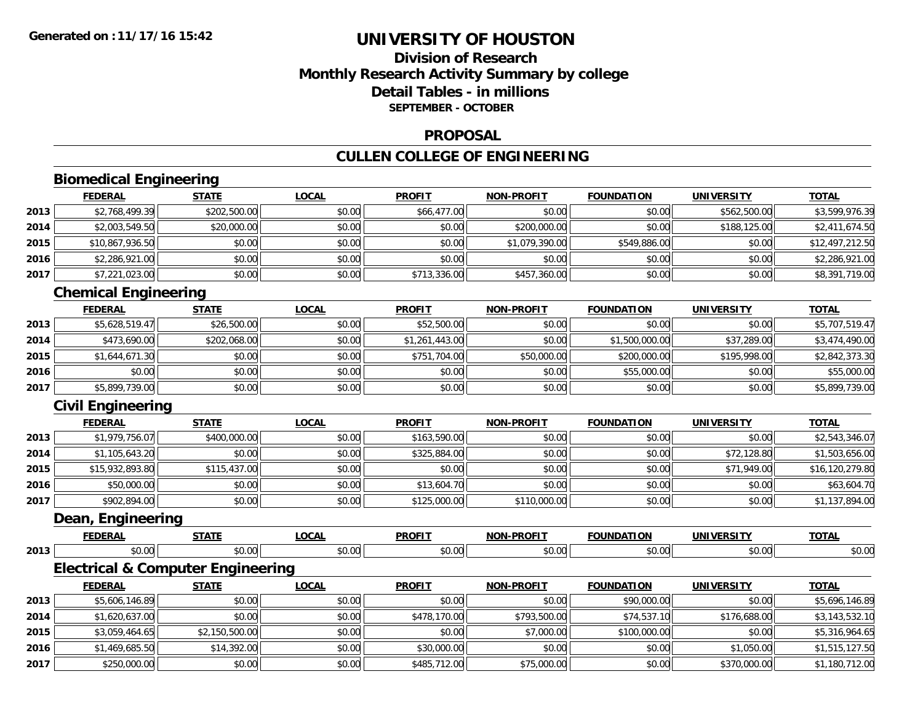## **Division of ResearchMonthly Research Activity Summary by college Detail Tables - in millionsSEPTEMBER - OCTOBER**

#### **PROPOSAL**

## **CULLEN COLLEGE OF ENGINEERING**

# **Biomedical Engineering**

|      | <b>FEDERAL</b>  | <b>STATE</b> | <u>LOCAL</u> | <b>PROFIT</b> | <b>NON-PROFIT</b> | <b>FOUNDATION</b> | <b>UNIVERSITY</b> | <b>TOTAL</b>    |
|------|-----------------|--------------|--------------|---------------|-------------------|-------------------|-------------------|-----------------|
| 2013 | \$2,768,499.39  | \$202,500.00 | \$0.00       | \$66,477.00   | \$0.00            | \$0.00            | \$562,500.00      | \$3,599,976.39  |
| 2014 | \$2,003,549.50  | \$20,000.00  | \$0.00       | \$0.00        | \$200,000.00      | \$0.00            | \$188,125.00      | \$2,411,674.50  |
| 2015 | \$10,867,936.50 | \$0.00       | \$0.00       | \$0.00        | \$1,079,390.00    | \$549,886.00      | \$0.00            | \$12,497,212.50 |
| 2016 | \$2,286,921.00  | \$0.00       | \$0.00       | \$0.00        | \$0.00            | \$0.00            | \$0.00            | \$2,286,921.00  |
| 2017 | \$7,221,023.00  | \$0.00       | \$0.00       | \$713,336.00  | \$457,360.00      | \$0.00            | \$0.00            | \$8,391,719.00  |

## **Chemical Engineering**

|      | <b>FEDERAL</b> | <b>STATE</b> | <b>LOCAL</b> | <b>PROFIT</b>  | <b>NON-PROFIT</b> | <b>FOUNDATION</b> | <b>UNIVERSITY</b> | <b>TOTAL</b>   |
|------|----------------|--------------|--------------|----------------|-------------------|-------------------|-------------------|----------------|
| 2013 | \$5,628,519.47 | \$26,500.00  | \$0.00       | \$52,500.00    | \$0.00            | \$0.00            | \$0.00            | \$5,707,519.47 |
| 2014 | \$473,690.00   | \$202,068.00 | \$0.00       | \$1,261,443.00 | \$0.00            | \$1,500,000.00    | \$37,289.00       | \$3,474,490.00 |
| 2015 | \$1,644,671.30 | \$0.00       | \$0.00       | \$751,704.00   | \$50,000.00       | \$200,000.00      | \$195,998,00      | \$2,842,373.30 |
| 2016 | \$0.00         | \$0.00       | \$0.00       | \$0.00         | \$0.00            | \$55,000.00       | \$0.00            | \$55,000.00    |
| 2017 | \$5,899,739.00 | \$0.00       | \$0.00       | \$0.00         | \$0.00            | \$0.00            | \$0.00            | \$5,899,739.00 |

## **Civil Engineering**

|      | <b>FEDERAL</b>  | <b>STATE</b> | <u>LOCAL</u> | <b>PROFIT</b> | <b>NON-PROFIT</b> | <b>FOUNDATION</b> | <b>UNIVERSITY</b> | <b>TOTAL</b>    |
|------|-----------------|--------------|--------------|---------------|-------------------|-------------------|-------------------|-----------------|
| 2013 | \$1,979,756.07  | \$400,000.00 | \$0.00       | \$163,590.00  | \$0.00            | \$0.00            | \$0.00            | \$2,543,346.07  |
| 2014 | \$1,105,643.20  | \$0.00       | \$0.00       | \$325,884.00  | \$0.00            | \$0.00            | \$72,128.80       | \$1,503,656.00  |
| 2015 | \$15,932,893.80 | \$115,437.00 | \$0.00       | \$0.00        | \$0.00            | \$0.00            | \$71,949.00       | \$16,120,279.80 |
| 2016 | \$50,000.00     | \$0.00       | \$0.00       | \$13,604.70   | \$0.00            | \$0.00            | \$0.00            | \$63,604.70     |
| 2017 | \$902,894.00    | \$0.00       | \$0.00       | \$125,000.00  | \$110,000.00      | \$0.00            | \$0.00            | \$1,137,894.00  |

#### **Dean, Engineering**

|      | EENEDAI<br>ERA  | -----               | <b>OCAL</b>  | <b>PROFIT</b> | <b>DDOEIT</b><br><b>NON</b><br>. | . חרי<br>л        | JN            | <b>TOTA</b>    |
|------|-----------------|---------------------|--------------|---------------|----------------------------------|-------------------|---------------|----------------|
| 2013 | $\sim$<br>vv.vu | $\sim$ 00<br>וטט.טי | 0.00<br>v.vv | JU.UU         | $\sim$ 00<br>៶៲<br>90. UU        | $\sim$ 00<br>ט.טע | 0.00<br>JU.UU | 0000<br>\$U.UU |

## **Electrical & Computer Engineering**

|      | <b>FEDERAL</b> | <b>STATE</b>   | <u>LOCAL</u> | <b>PROFIT</b> | <b>NON-PROFIT</b> | <b>FOUNDATION</b> | UNIVERSITY   | <b>TOTAL</b>   |
|------|----------------|----------------|--------------|---------------|-------------------|-------------------|--------------|----------------|
| 2013 | \$5,606,146.89 | \$0.00         | \$0.00       | \$0.00        | \$0.00            | \$90,000.00       | \$0.00       | \$5,696,146.89 |
| 2014 | \$1,620,637.00 | \$0.00         | \$0.00       | \$478,170.00  | \$793,500.00      | \$74,537.10       | \$176,688.00 | \$3,143,532.10 |
| 2015 | \$3,059,464.65 | \$2,150,500.00 | \$0.00       | \$0.00        | \$7,000.00        | \$100,000.00      | \$0.00       | \$5,316,964.65 |
| 2016 | \$1,469,685.50 | \$14,392.00    | \$0.00       | \$30,000.00   | \$0.00            | \$0.00            | \$1,050.00   | \$1,515,127.50 |
| 2017 | \$250,000.00   | \$0.00         | \$0.00       | \$485,712,00  | \$75,000.00       | \$0.00            | \$370,000.00 | \$1,180,712.00 |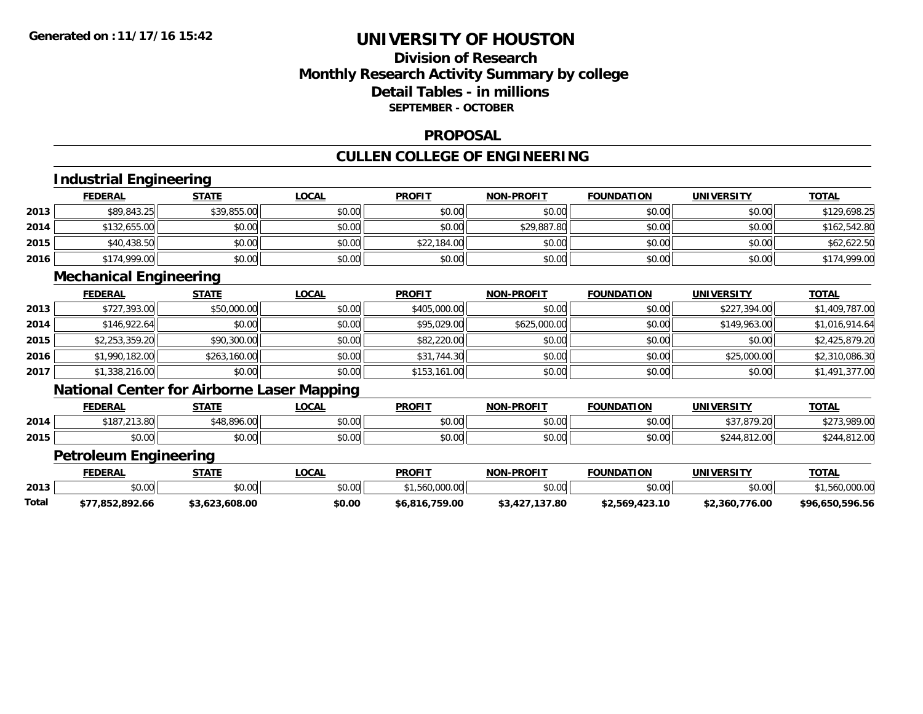## **Division of Research Monthly Research Activity Summary by college Detail Tables - in millions SEPTEMBER - OCTOBER**

#### **PROPOSAL**

#### **CULLEN COLLEGE OF ENGINEERING**

|       | Industrial Engineering        |                                                   |              |                |                   |                   |                   |                 |
|-------|-------------------------------|---------------------------------------------------|--------------|----------------|-------------------|-------------------|-------------------|-----------------|
|       | <b>FEDERAL</b>                | <b>STATE</b>                                      | <b>LOCAL</b> | <b>PROFIT</b>  | <b>NON-PROFIT</b> | <b>FOUNDATION</b> | <b>UNIVERSITY</b> | <b>TOTAL</b>    |
| 2013  | \$89,843.25                   | \$39,855.00                                       | \$0.00       | \$0.00         | \$0.00            | \$0.00            | \$0.00            | \$129,698.25    |
| 2014  | \$132,655.00                  | \$0.00                                            | \$0.00       | \$0.00         | \$29,887.80       | \$0.00            | \$0.00            | \$162,542.80    |
| 2015  | \$40,438.50                   | \$0.00                                            | \$0.00       | \$22,184.00    | \$0.00            | \$0.00            | \$0.00            | \$62,622.50     |
| 2016  | \$174,999.00                  | \$0.00                                            | \$0.00       | \$0.00         | \$0.00            | \$0.00            | \$0.00            | \$174,999.00    |
|       | <b>Mechanical Engineering</b> |                                                   |              |                |                   |                   |                   |                 |
|       | <b>FEDERAL</b>                | <b>STATE</b>                                      | <b>LOCAL</b> | <b>PROFIT</b>  | <b>NON-PROFIT</b> | <b>FOUNDATION</b> | <b>UNIVERSITY</b> | <b>TOTAL</b>    |
| 2013  | \$727,393.00                  | \$50,000.00                                       | \$0.00       | \$405,000.00   | \$0.00            | \$0.00            | \$227,394.00      | \$1,409,787.00  |
| 2014  | \$146,922.64                  | \$0.00                                            | \$0.00       | \$95,029.00    | \$625,000.00      | \$0.00            | \$149,963.00      | \$1,016,914.64  |
| 2015  | \$2,253,359.20                | \$90,300.00                                       | \$0.00       | \$82,220.00    | \$0.00            | \$0.00            | \$0.00            | \$2,425,879.20  |
| 2016  | \$1,990,182.00                | \$263,160.00                                      | \$0.00       | \$31,744.30    | \$0.00            | \$0.00            | \$25,000.00       | \$2,310,086.30  |
| 2017  | \$1,338,216.00                | \$0.00                                            | \$0.00       | \$153,161.00   | \$0.00            | \$0.00            | \$0.00            | \$1,491,377.00  |
|       |                               | <b>National Center for Airborne Laser Mapping</b> |              |                |                   |                   |                   |                 |
|       | <b>FEDERAL</b>                | <b>STATE</b>                                      | <b>LOCAL</b> | <b>PROFIT</b>  | <b>NON-PROFIT</b> | <b>FOUNDATION</b> | <b>UNIVERSITY</b> | <b>TOTAL</b>    |
| 2014  | \$187,213.80                  | \$48,896.00                                       | \$0.00       | \$0.00         | \$0.00            | \$0.00            | \$37,879.20       | \$273,989.00    |
| 2015  | \$0.00                        | \$0.00                                            | \$0.00       | \$0.00         | \$0.00            | \$0.00            | \$244,812.00      | \$244,812.00    |
|       | <b>Petroleum Engineering</b>  |                                                   |              |                |                   |                   |                   |                 |
|       | <b>FEDERAL</b>                | <b>STATE</b>                                      | <b>LOCAL</b> | <b>PROFIT</b>  | <b>NON-PROFIT</b> | <b>FOUNDATION</b> | <b>UNIVERSITY</b> | <b>TOTAL</b>    |
| 2013  | \$0.00                        | \$0.00                                            | \$0.00       | \$1,560,000.00 | \$0.00            | \$0.00            | \$0.00            | \$1,560,000.00  |
| Total | \$77,852,892.66               | \$3,623,608.00                                    | \$0.00       | \$6,816,759.00 | \$3,427,137.80    | \$2,569,423.10    | \$2,360,776.00    | \$96,650,596.56 |
|       |                               |                                                   |              |                |                   |                   |                   |                 |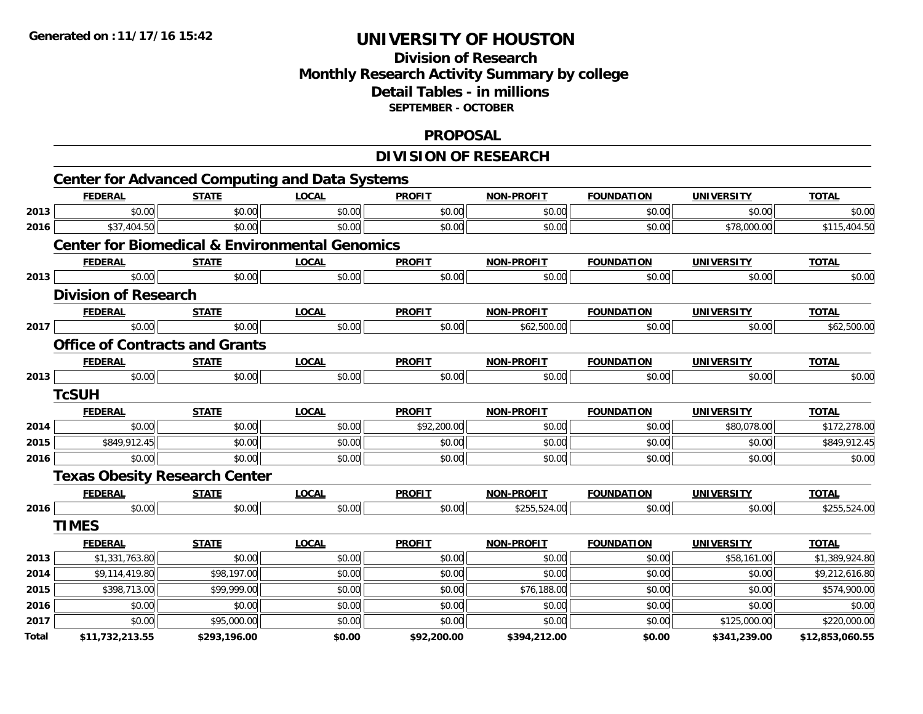## **Division of ResearchMonthly Research Activity Summary by college Detail Tables - in millions SEPTEMBER - OCTOBER**

#### **PROPOSAL**

# **DIVISION OF RESEARCH**

|       |                             |                                       | <b>Center for Advanced Computing and Data Systems</b>     |               |                   |                   |                   |                 |
|-------|-----------------------------|---------------------------------------|-----------------------------------------------------------|---------------|-------------------|-------------------|-------------------|-----------------|
|       | <b>FEDERAL</b>              | <b>STATE</b>                          | <b>LOCAL</b>                                              | <b>PROFIT</b> | <b>NON-PROFIT</b> | <b>FOUNDATION</b> | <b>UNIVERSITY</b> | <b>TOTAL</b>    |
| 2013  | \$0.00                      | \$0.00                                | \$0.00                                                    | \$0.00        | \$0.00            | \$0.00            | \$0.00            | \$0.00          |
| 2016  | \$37,404.50                 | \$0.00                                | \$0.00                                                    | \$0.00        | \$0.00            | \$0.00            | \$78,000.00       | \$115,404.50    |
|       |                             |                                       | <b>Center for Biomedical &amp; Environmental Genomics</b> |               |                   |                   |                   |                 |
|       | <b>FEDERAL</b>              | <b>STATE</b>                          | <b>LOCAL</b>                                              | <b>PROFIT</b> | <b>NON-PROFIT</b> | <b>FOUNDATION</b> | <b>UNIVERSITY</b> | <b>TOTAL</b>    |
| 2013  | \$0.00                      | \$0.00                                | \$0.00                                                    | \$0.00        | \$0.00            | \$0.00            | \$0.00            | \$0.00          |
|       | <b>Division of Research</b> |                                       |                                                           |               |                   |                   |                   |                 |
|       | <b>FEDERAL</b>              | <b>STATE</b>                          | <b>LOCAL</b>                                              | <b>PROFIT</b> | <b>NON-PROFIT</b> | <b>FOUNDATION</b> | <b>UNIVERSITY</b> | <b>TOTAL</b>    |
| 2017  | \$0.00                      | \$0.00                                | \$0.00                                                    | \$0.00        | \$62,500.00       | \$0.00            | \$0.00            | \$62,500.00     |
|       |                             | <b>Office of Contracts and Grants</b> |                                                           |               |                   |                   |                   |                 |
|       | <b>FEDERAL</b>              | <b>STATE</b>                          | <b>LOCAL</b>                                              | <b>PROFIT</b> | <b>NON-PROFIT</b> | <b>FOUNDATION</b> | <b>UNIVERSITY</b> | <b>TOTAL</b>    |
| 2013  | \$0.00                      | \$0.00                                | \$0.00                                                    | \$0.00        | \$0.00            | \$0.00            | \$0.00            | \$0.00          |
|       | <b>TcSUH</b>                |                                       |                                                           |               |                   |                   |                   |                 |
|       | <b>FEDERAL</b>              | <b>STATE</b>                          | <b>LOCAL</b>                                              | <b>PROFIT</b> | <b>NON-PROFIT</b> | <b>FOUNDATION</b> | <b>UNIVERSITY</b> | <b>TOTAL</b>    |
| 2014  | \$0.00                      | \$0.00                                | \$0.00                                                    | \$92,200.00   | \$0.00            | \$0.00            | \$80,078.00       | \$172,278.00    |
| 2015  | \$849,912.45                | \$0.00                                | \$0.00                                                    | \$0.00        | \$0.00            | \$0.00            | \$0.00            | \$849,912.45    |
| 2016  | \$0.00                      | \$0.00                                | \$0.00                                                    | \$0.00        | \$0.00            | \$0.00            | \$0.00            | \$0.00          |
|       |                             | <b>Texas Obesity Research Center</b>  |                                                           |               |                   |                   |                   |                 |
|       | <b>FEDERAL</b>              | <b>STATE</b>                          | <b>LOCAL</b>                                              | <b>PROFIT</b> | NON-PROFIT        | <b>FOUNDATION</b> | <b>UNIVERSITY</b> | <b>TOTAL</b>    |
| 2016  | \$0.00                      | \$0.00                                | \$0.00                                                    | \$0.00        | \$255,524.00      | \$0.00            | \$0.00            | \$255,524.00    |
|       | <b>TIMES</b>                |                                       |                                                           |               |                   |                   |                   |                 |
|       | <b>FEDERAL</b>              | <b>STATE</b>                          | <b>LOCAL</b>                                              | <b>PROFIT</b> | NON-PROFIT        | <b>FOUNDATION</b> | <b>UNIVERSITY</b> | <b>TOTAL</b>    |
| 2013  | \$1,331,763.80              | \$0.00                                | \$0.00                                                    | \$0.00        | \$0.00            | \$0.00            | \$58,161.00       | \$1,389,924.80  |
| 2014  | \$9,114,419.80              | \$98,197.00                           | \$0.00                                                    | \$0.00        | \$0.00            | \$0.00            | \$0.00            | \$9,212,616.80  |
| 2015  | \$398,713.00                | \$99,999.00                           | \$0.00                                                    | \$0.00        | \$76,188.00       | \$0.00            | \$0.00            | \$574,900.00    |
| 2016  | \$0.00                      | \$0.00                                | \$0.00                                                    | \$0.00        | \$0.00            | \$0.00            | \$0.00            | \$0.00          |
| 2017  | \$0.00                      | \$95,000.00                           | \$0.00                                                    | \$0.00        | \$0.00            | \$0.00            | \$125,000.00      | \$220,000.00    |
| Total | \$11,732,213.55             | \$293,196.00                          | \$0.00                                                    | \$92,200.00   | \$394,212.00      | \$0.00            | \$341,239.00      | \$12,853,060.55 |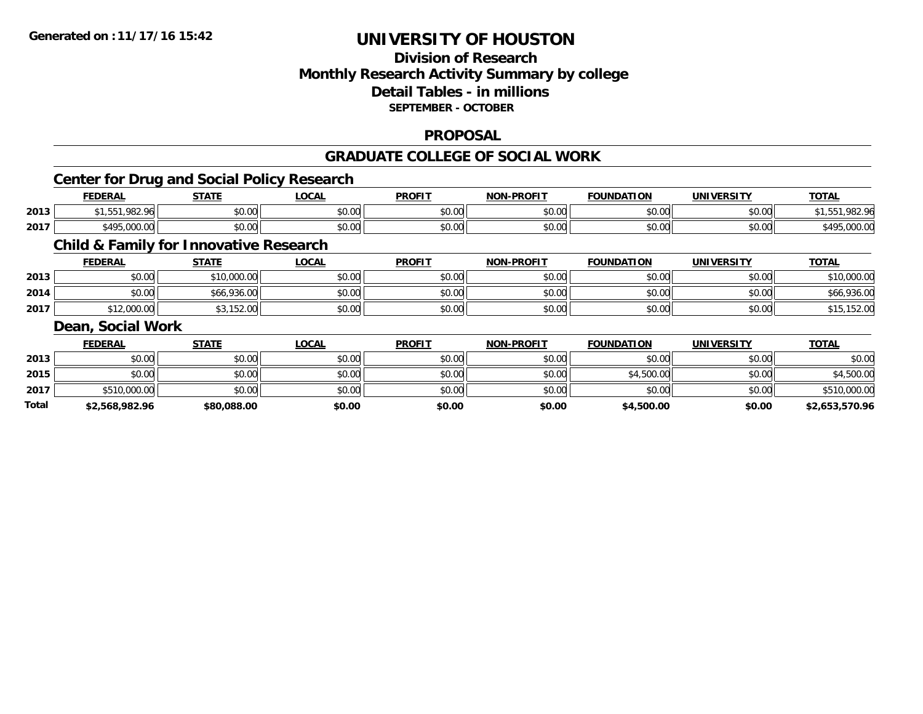## **Division of ResearchMonthly Research Activity Summary by college Detail Tables - in millions SEPTEMBER - OCTOBER**

#### **PROPOSAL**

#### **GRADUATE COLLEGE OF SOCIAL WORK**

## **Center for Drug and Social Policy Research**

|      | <b>FEDERAL</b>                      | <b>STATL</b>                                        | <b>OCAI</b>    | <b>PROFIT</b> | <b>PROFIT</b><br><b>NICH</b> | .<br><b>''NDA1.</b><br>10N | 'INIVE.<br>EDCITY | TOTA.                      |
|------|-------------------------------------|-----------------------------------------------------|----------------|---------------|------------------------------|----------------------------|-------------------|----------------------------|
| 2013 | .982.<br>ባራ                         | $\uparrow$ $\uparrow$ $\uparrow$ $\uparrow$<br>יש.ט | ሶስ ሰሰ<br>vv.vv | \$0.00        | \$0.00                       | 0000<br>JU.UU              | nn na<br>pu.uu    |                            |
| 2017 | ታ ለ ሰር<br>$\sim$<br>0.00<br>.000.00 | ÷0.<br>$\sim$<br>vu.uu                              | 0000<br>PO.OO  | \$0.00        | \$0.00                       | 0000<br>JU.UU              | \$0.00            | $\sim$ $\sim$<br>79,000,00 |

## **Child & Family for Innovative Research**

|      | <b>FEDERAL</b> | <b>STATE</b> | <b>LOCAL</b> | <b>PROFIT</b> | <b>NON-PROFIT</b> | <b>FOUNDATION</b> | <b>UNIVERSITY</b> | <b>TOTAL</b> |
|------|----------------|--------------|--------------|---------------|-------------------|-------------------|-------------------|--------------|
| 2013 | \$0.00         | \$10,000.00  | \$0.00       | \$0.00        | \$0.00            | \$0.00            | \$0.00            | \$10,000.00  |
| 2014 | \$0.00         | \$66,936.00  | \$0.00       | \$0.00        | \$0.00            | \$0.00            | \$0.00            | \$66,936.00  |
| 2017 | \$12,000.00    | \$3,152.00   | \$0.00       | \$0.00        | \$0.00            | \$0.00            | \$0.00            | \$15,152.00  |

## **Dean, Social Work**

|              | <b>FEDERAL</b> | <u>STATE</u> | <u>LOCAL</u> | <b>PROFIT</b> | <b>NON-PROFIT</b> | <b>FOUNDATION</b> | <b>UNIVERSITY</b> | <b>TOTAL</b>   |
|--------------|----------------|--------------|--------------|---------------|-------------------|-------------------|-------------------|----------------|
| 2013         | \$0.00         | \$0.00       | \$0.00       | \$0.00        | \$0.00            | \$0.00            | \$0.00            | \$0.00         |
| 2015         | \$0.00         | \$0.00       | \$0.00       | \$0.00        | \$0.00            | \$4,500.00        | \$0.00            | \$4,500.00     |
| 2017         | \$510,000.00   | \$0.00       | \$0.00       | \$0.00        | \$0.00            | \$0.00            | \$0.00            | \$510,000.00   |
| <b>Total</b> | \$2,568,982.96 | \$80,088.00  | \$0.00       | \$0.00        | \$0.00            | \$4,500.00        | \$0.00            | \$2,653,570.96 |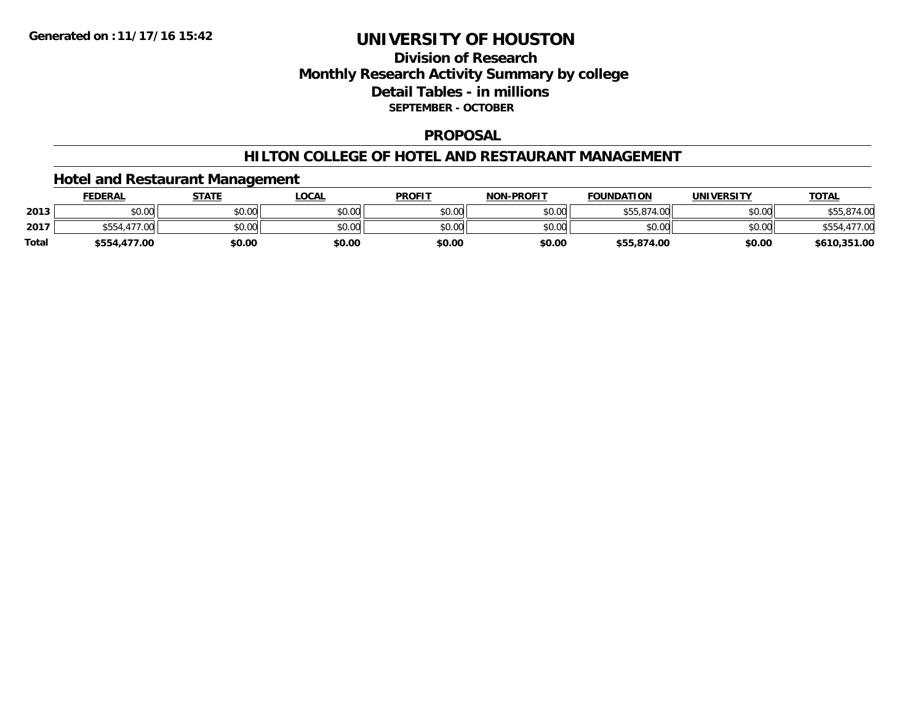## **Division of ResearchMonthly Research Activity Summary by college Detail Tables - in millions SEPTEMBER - OCTOBER**

#### **PROPOSAL**

#### **HILTON COLLEGE OF HOTEL AND RESTAURANT MANAGEMENT**

### **Hotel and Restaurant Management**

|              | <b>FEDERAL</b> | <b>STATE</b> | _OCAL  | <b>PROFIT</b> | <b>NON-PROFIT</b> | <b>FOUNDATION</b> | UNIVERSITY | <b>TOTAL</b> |
|--------------|----------------|--------------|--------|---------------|-------------------|-------------------|------------|--------------|
| 2013         | \$0.00         | \$0.00       | \$0.00 | \$0.00        | \$0.00            | \$55,874.00       | \$0.00     | \$55.874.00  |
| 2017         | .477.00        | \$0.00       | \$0.00 | \$0.00        | \$0.00            | \$0.00            | \$0.00     |              |
| <b>Total</b> | \$554,477.00   | \$0.00       | \$0.00 | \$0.00        | \$0.00            | \$55,874.00       | \$0.00     | \$610,351.00 |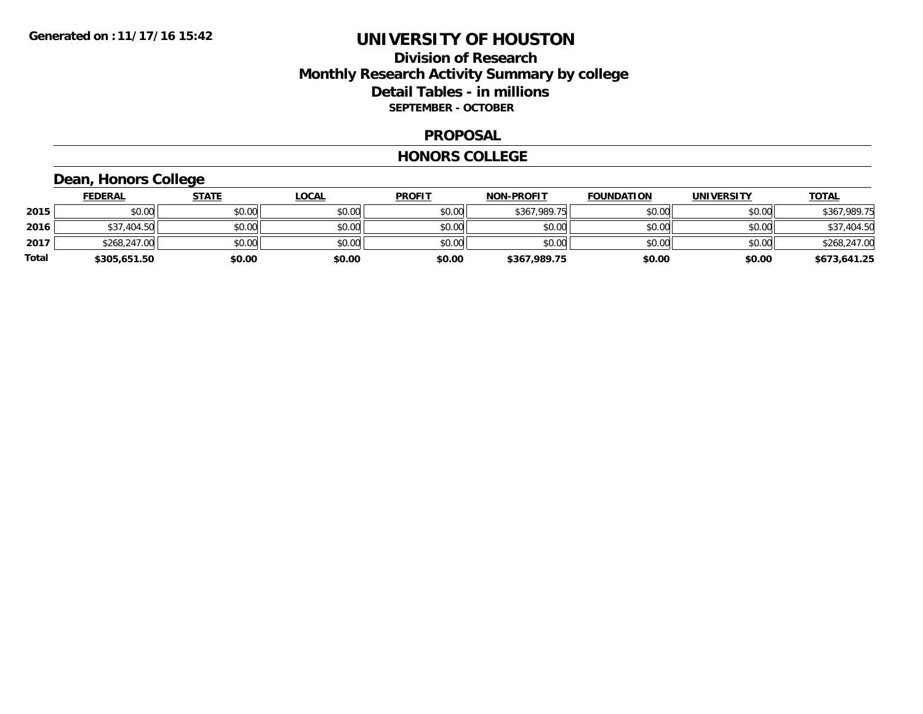## **Division of Research Monthly Research Activity Summary by college Detail Tables - in millions SEPTEMBER - OCTOBER**

#### **PROPOSAL**

#### **HONORS COLLEGE**

# **Dean, Honors College**

|       | <b>FEDERAL</b> | <u>STATE</u> | <b>LOCAL</b> | <b>PROFIT</b> | <b>NON-PROFIT</b> | <b>FOUNDATION</b> | <b>UNIVERSITY</b> | <b>TOTAL</b> |
|-------|----------------|--------------|--------------|---------------|-------------------|-------------------|-------------------|--------------|
| 2015  | \$0.00         | \$0.00       | \$0.00       | \$0.00        | \$367,989.75      | \$0.00            | \$0.00            | \$367,989.75 |
| 2016  | \$37,404.50    | \$0.00       | \$0.00       | \$0.00        | \$0.00            | \$0.00            | \$0.00            | \$37,404.50  |
| 2017  | \$268,247.00   | \$0.00       | \$0.00       | \$0.00        | \$0.00            | \$0.00            | \$0.00            | \$268,247.00 |
| Total | \$305,651.50   | \$0.00       | \$0.00       | \$0.00        | \$367,989.75      | \$0.00            | \$0.00            | \$673,641.25 |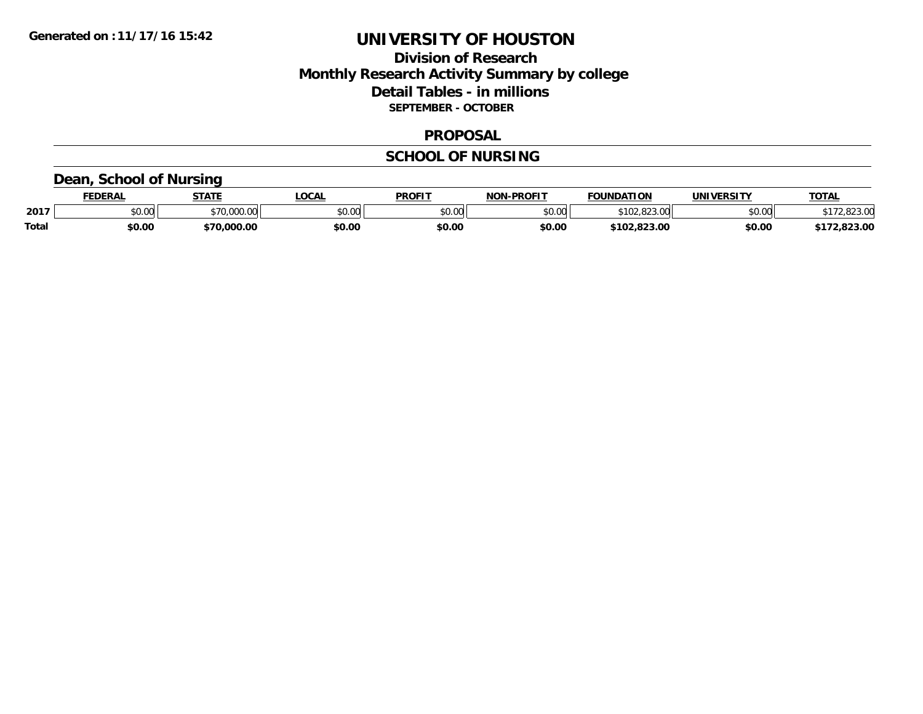## **Division of Research Monthly Research Activity Summary by college Detail Tables - in millions SEPTEMBER - OCTOBER**

#### **PROPOSAL**

## **SCHOOL OF NURSING**

### **Dean, School of Nursing**

|              | FEDERAL                          | <b>STATE</b>                 | .OCAL  | <b>PROFIT</b> | <b>-PROFIT</b><br>NON. | <b>FOUNDATION</b>       | UNIVERSITY | <b>TOTAL</b>        |
|--------------|----------------------------------|------------------------------|--------|---------------|------------------------|-------------------------|------------|---------------------|
| 2017         | $\circ$ $\circ$ $\circ$<br>DU.UU | $*70.000.00$<br>,,,,,,,,,,,, | \$0.00 | \$0.00        | \$0.00                 | റററ<br>റവ<br>TUZ.823.UU | \$0.00     | 02200<br>. 2,823.UU |
| <b>Total</b> | \$0.00                           | \$70,000.00                  | \$0.00 | \$0.00        | \$0.00                 | \$102.823.00            | \$0.00     | .823.00             |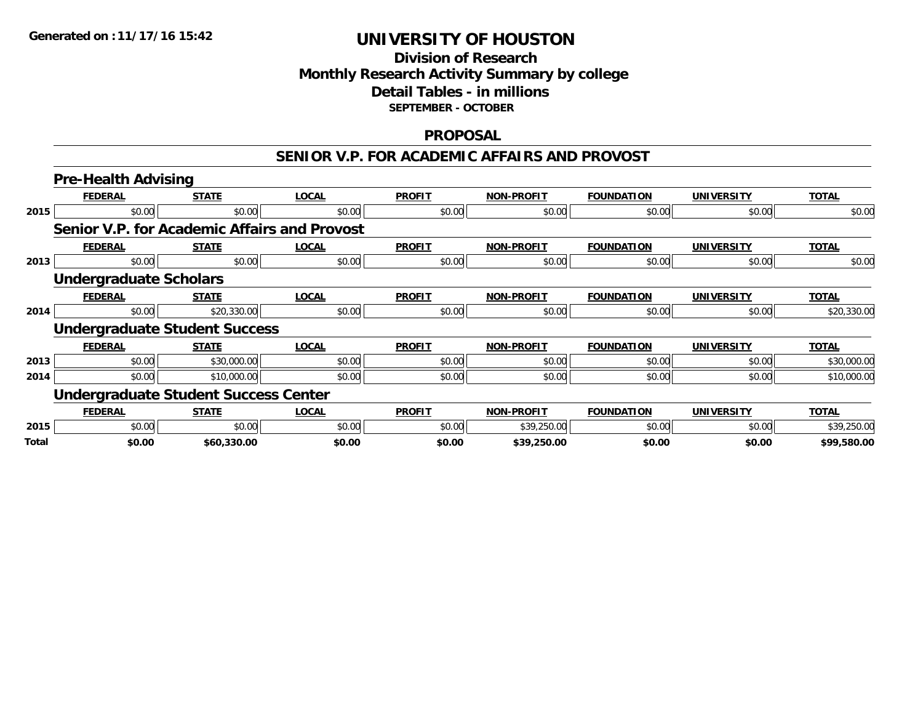## **Division of Research Monthly Research Activity Summary by college Detail Tables - in millions SEPTEMBER - OCTOBER**

#### **PROPOSAL**

#### **SENIOR V.P. FOR ACADEMIC AFFAIRS AND PROVOST**

|       | <b>Pre-Health Advising</b>                   |              |              |               |                   |                   |                   |              |  |  |
|-------|----------------------------------------------|--------------|--------------|---------------|-------------------|-------------------|-------------------|--------------|--|--|
|       | <b>FEDERAL</b>                               | <b>STATE</b> | <b>LOCAL</b> | <b>PROFIT</b> | <b>NON-PROFIT</b> | <b>FOUNDATION</b> | <b>UNIVERSITY</b> | <b>TOTAL</b> |  |  |
| 2015  | \$0.00                                       | \$0.00       | \$0.00       | \$0.00        | \$0.00            | \$0.00            | \$0.00            | \$0.00       |  |  |
|       | Senior V.P. for Academic Affairs and Provost |              |              |               |                   |                   |                   |              |  |  |
|       | <b>FEDERAL</b>                               | <b>STATE</b> | <b>LOCAL</b> | <b>PROFIT</b> | <b>NON-PROFIT</b> | <b>FOUNDATION</b> | <b>UNIVERSITY</b> | <b>TOTAL</b> |  |  |
| 2013  | \$0.00                                       | \$0.00       | \$0.00       | \$0.00        | \$0.00            | \$0.00            | \$0.00            | \$0.00       |  |  |
|       | <b>Undergraduate Scholars</b>                |              |              |               |                   |                   |                   |              |  |  |
|       | <b>FEDERAL</b>                               | <b>STATE</b> | <b>LOCAL</b> | <b>PROFIT</b> | <b>NON-PROFIT</b> | <b>FOUNDATION</b> | <b>UNIVERSITY</b> | <b>TOTAL</b> |  |  |
| 2014  | \$0.00                                       | \$20,330.00  | \$0.00       | \$0.00        | \$0.00            | \$0.00            | \$0.00            | \$20,330.00  |  |  |
|       | <b>Undergraduate Student Success</b>         |              |              |               |                   |                   |                   |              |  |  |
|       | <b>FEDERAL</b>                               | <b>STATE</b> | <b>LOCAL</b> | <b>PROFIT</b> | <b>NON-PROFIT</b> | <b>FOUNDATION</b> | <b>UNIVERSITY</b> | <b>TOTAL</b> |  |  |
| 2013  | \$0.00                                       | \$30,000.00  | \$0.00       | \$0.00        | \$0.00            | \$0.00            | \$0.00            | \$30,000.00  |  |  |
| 2014  | \$0.00                                       | \$10,000.00  | \$0.00       | \$0.00        | \$0.00            | \$0.00            | \$0.00            | \$10,000.00  |  |  |
|       | <b>Undergraduate Student Success Center</b>  |              |              |               |                   |                   |                   |              |  |  |
|       | <b>FEDERAL</b>                               | <b>STATE</b> | <b>LOCAL</b> | <b>PROFIT</b> | <b>NON-PROFIT</b> | <b>FOUNDATION</b> | <b>UNIVERSITY</b> | <b>TOTAL</b> |  |  |
| 2015  | \$0.00                                       | \$0.00       | \$0.00       | \$0.00        | \$39,250.00       | \$0.00            | \$0.00            | \$39,250.00  |  |  |
| Total | \$0.00                                       | \$60,330.00  | \$0.00       | \$0.00        | \$39,250.00       | \$0.00            | \$0.00            | \$99,580.00  |  |  |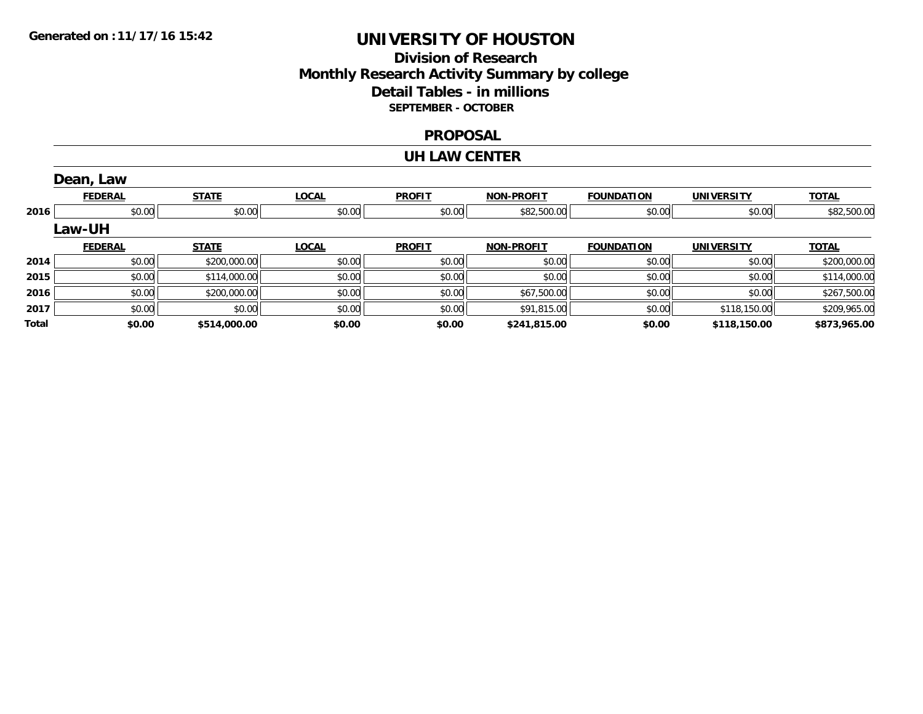## **Division of Research Monthly Research Activity Summary by college Detail Tables - in millions SEPTEMBER - OCTOBER**

#### **PROPOSAL**

#### **UH LAW CENTER**

|       | Dean, Law      |              |              |               |                   |                   |                   |              |
|-------|----------------|--------------|--------------|---------------|-------------------|-------------------|-------------------|--------------|
|       | <b>FEDERAL</b> | <b>STATE</b> | <b>LOCAL</b> | <b>PROFIT</b> | <b>NON-PROFIT</b> | <b>FOUNDATION</b> | <b>UNIVERSITY</b> | <b>TOTAL</b> |
| 2016  | \$0.00         | \$0.00       | \$0.00       | \$0.00        | \$82,500.00       | \$0.00            | \$0.00            | \$82,500.00  |
|       | <b>Law-UH</b>  |              |              |               |                   |                   |                   |              |
|       | <b>FEDERAL</b> | <b>STATE</b> | <b>LOCAL</b> | <b>PROFIT</b> | <b>NON-PROFIT</b> | <b>FOUNDATION</b> | <b>UNIVERSITY</b> | <u>TOTAL</u> |
| 2014  | \$0.00         | \$200,000.00 | \$0.00       | \$0.00        | \$0.00            | \$0.00            | \$0.00            | \$200,000.00 |
| 2015  | \$0.00         | \$114,000.00 | \$0.00       | \$0.00        | \$0.00            | \$0.00            | \$0.00            | \$114,000.00 |
| 2016  | \$0.00         | \$200,000.00 | \$0.00       | \$0.00        | \$67,500.00       | \$0.00            | \$0.00            | \$267,500.00 |
| 2017  | \$0.00         | \$0.00       | \$0.00       | \$0.00        | \$91,815.00       | \$0.00            | \$118,150.00      | \$209,965.00 |
| Total | \$0.00         | \$514,000.00 | \$0.00       | \$0.00        | \$241,815.00      | \$0.00            | \$118,150.00      | \$873,965.00 |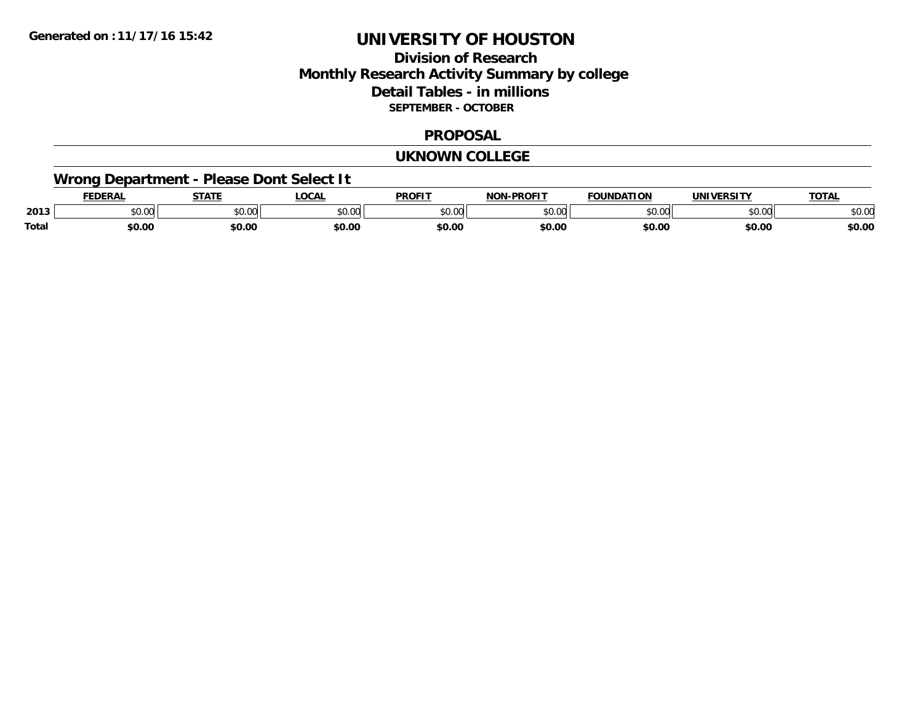## **Division of ResearchMonthly Research Activity Summary by college Detail Tables - in millions SEPTEMBER - OCTOBER**

#### **PROPOSAL**

#### **UKNOWN COLLEGE**

# **Wrong Department - Please Dont Select It**

|       |                | 27.77                   | <b>OCA</b>        | <b>PROFIT</b> | $\sim$ DDAF <sup>1-</sup><br>$\sim$ |                      |                | $T^{\sim}$   |
|-------|----------------|-------------------------|-------------------|---------------|-------------------------------------|----------------------|----------------|--------------|
| 2013  | en uu<br>JU.UL | 0 <sub>n</sub><br>JU.UU | $\sim$ 00<br>. vv | 0.00          | $\sim$ 00<br>ושט.                   | $\sim$ $\sim$ $\sim$ | ሶስ ስስ<br>טע.טע | 0 n<br>DU.UU |
| Total | \$0.00         | \$0.00                  | \$0.00            | \$0.00        | \$0.00                              | \$0.00               | \$0.00         | \$0.00       |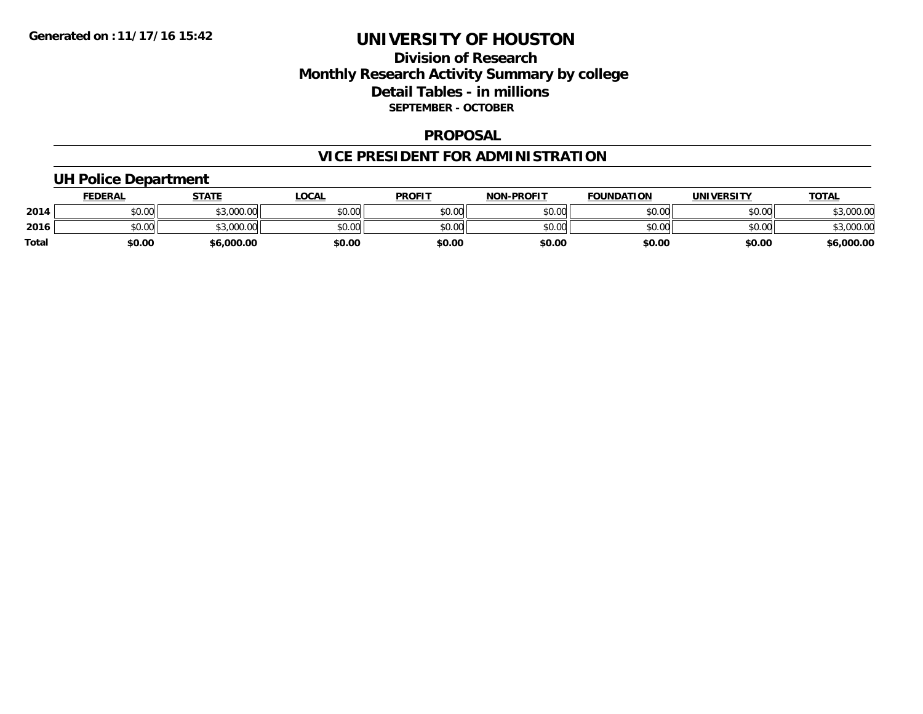## **Division of Research Monthly Research Activity Summary by college Detail Tables - in millions SEPTEMBER - OCTOBER**

#### **PROPOSAL**

# **VICE PRESIDENT FOR ADMINISTRATION**

## **UH Police Department**

|              | <b>FEDERAL</b> | <b>STATE</b>         | .OCAL  | <b>PROFIT</b> | <b>NON-PROFIT</b> | <b>FOUNDATION</b> | UNIVERSITY | <b>TOTAL</b> |
|--------------|----------------|----------------------|--------|---------------|-------------------|-------------------|------------|--------------|
| 2014         | \$0.00         | 0.00000<br>wu.uuu,uu | \$0.00 | \$0.00        | \$0.00            | \$0.00            | \$0.00     | ,000.00      |
| 2016         | \$0.00         | 0.00000<br>,uuu.uu   | \$0.00 | \$0.00        | \$0.00            | \$0.00            | \$0.00     | ,000.00      |
| <b>Total</b> | \$0.00         | \$6,000.00           | \$0.00 | \$0.00        | \$0.00            | \$0.00            | \$0.00     | \$6,000.00   |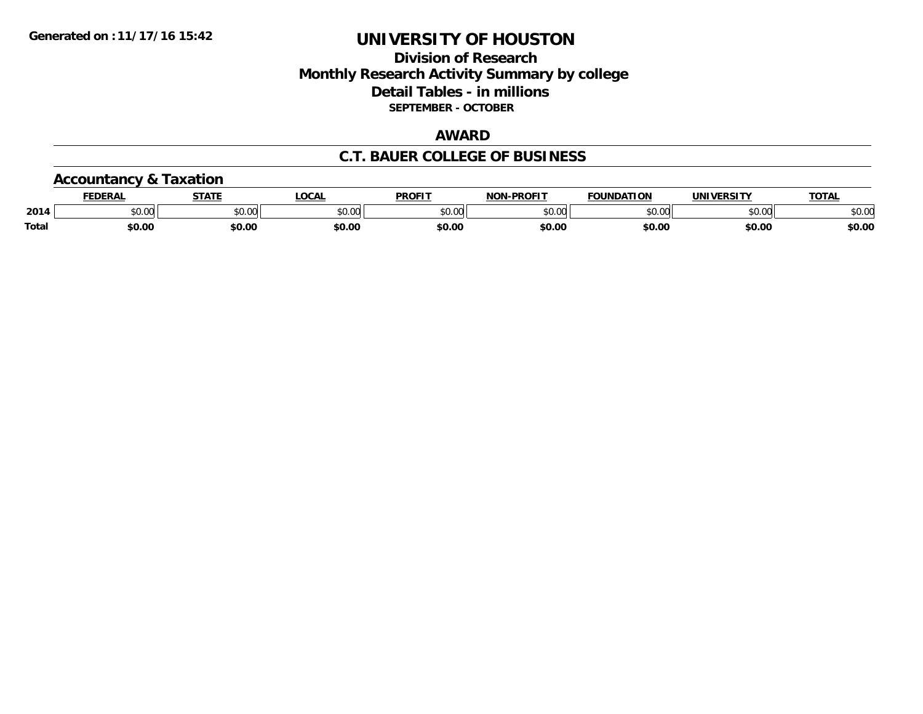## **Division of Research Monthly Research Activity Summary by college Detail Tables - in millions SEPTEMBER - OCTOBER**

## **AWARD**

## **C.T. BAUER COLLEGE OF BUSINESS**

### **Accountancy & Taxation**

|              | <b>FEDERAL</b>                      | <b>CTATE</b>             | <b>OCAL</b>   | <b>PROFIT</b> | <b>-PROFIT</b><br>NON | <b>FOUNDATION</b> | <b>UNIVERSITY</b> | TOTA.                |
|--------------|-------------------------------------|--------------------------|---------------|---------------|-----------------------|-------------------|-------------------|----------------------|
| 2014         | $\theta$ $\theta$ $\theta$<br>pu.uu | $n \cap \Omega$<br>JU.UU | 0.00<br>vv.vv | 0000<br>JU.UV | 0000<br>vu.uu         | \$0.00            | 0000<br>וט.טע     | 0000<br><b>JU.UU</b> |
| <b>Total</b> | \$0.00                              | \$0.00                   | \$0.00        | \$0.00        | \$0.00                | \$0.00            | \$0.00            | \$0.00               |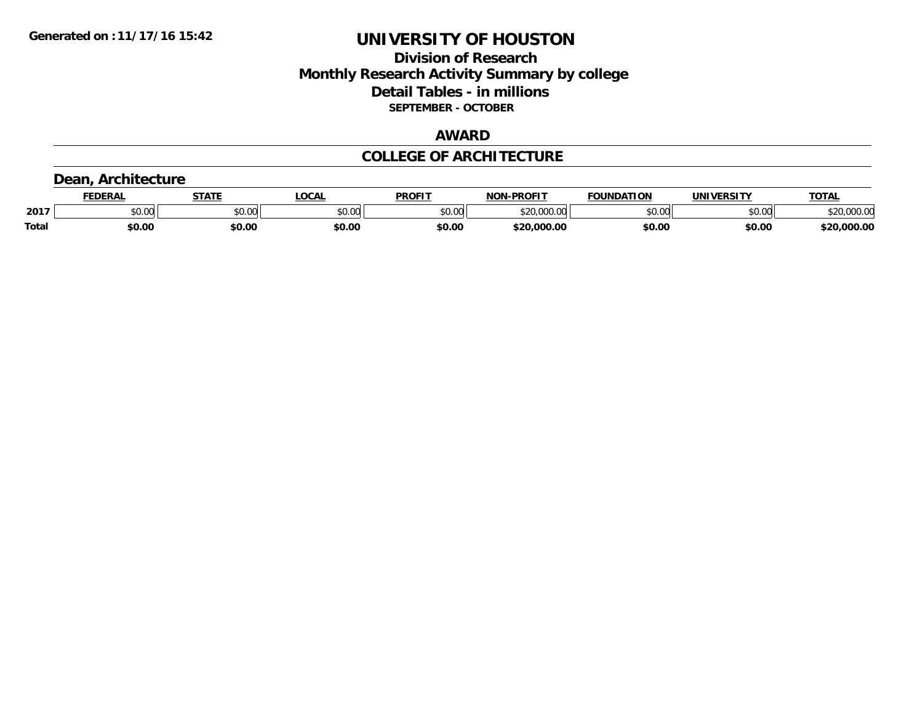## **Division of Research Monthly Research Activity Summary by college Detail Tables - in millions SEPTEMBER - OCTOBER**

#### **AWARD**

### **COLLEGE OF ARCHITECTURE**

### **Dean, Architecture**

|              | ncda   | <b>STATE</b> | <b>LOCAL</b>            | DDOE!"<br>79 N V                            | <b>DDAEIT</b><br><b>NION</b> | ΓΙΟΝ<br>DA.     | urneitv<br>JNI) | TOTA.          |
|--------------|--------|--------------|-------------------------|---------------------------------------------|------------------------------|-----------------|-----------------|----------------|
| 2017         | JU.UU  | \$0.00       | 0 <sub>n</sub><br>JU.UU | $\mathfrak{c}\cap\mathfrak{a}\cap$<br>טט.טע | $\sim$ $\sim$                | $\epsilon$ n nn | \$0.00          | 00000<br>uu.uv |
| <b>Total</b> | \$0.00 | \$0.00       | \$0.00                  | \$0.00                                      | ቀ ግጦ<br>o.oc                 | \$0.00          | \$0.00          | .000.00        |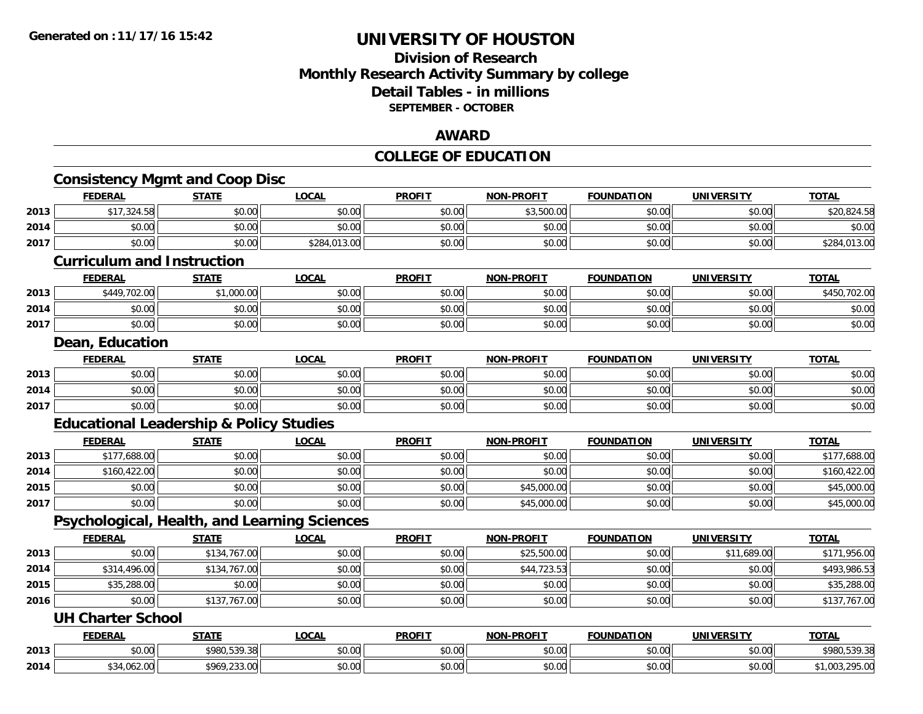### **Division of Research Monthly Research Activity Summary by college Detail Tables - in millions SEPTEMBER - OCTOBER**

#### **AWARD**

#### **COLLEGE OF EDUCATION**

|      | <b>Consistency Mgmt and Coop Disc</b>              |              |              |               |                   |                   |                   |                |
|------|----------------------------------------------------|--------------|--------------|---------------|-------------------|-------------------|-------------------|----------------|
|      | <b>FEDERAL</b>                                     | <b>STATE</b> | <b>LOCAL</b> | <b>PROFIT</b> | <b>NON-PROFIT</b> | <b>FOUNDATION</b> | <b>UNIVERSITY</b> | <b>TOTAL</b>   |
| 2013 | \$17,324.58                                        | \$0.00       | \$0.00       | \$0.00        | \$3,500.00        | \$0.00            | \$0.00            | \$20,824.58    |
| 2014 | \$0.00                                             | \$0.00       | \$0.00       | \$0.00        | \$0.00            | \$0.00            | \$0.00            | \$0.00         |
| 2017 | \$0.00                                             | \$0.00       | \$284,013.00 | \$0.00        | \$0.00            | \$0.00            | \$0.00            | \$284,013.00   |
|      | <b>Curriculum and Instruction</b>                  |              |              |               |                   |                   |                   |                |
|      | <b>FEDERAL</b>                                     | <b>STATE</b> | <b>LOCAL</b> | <b>PROFIT</b> | <b>NON-PROFIT</b> | <b>FOUNDATION</b> | <b>UNIVERSITY</b> | <b>TOTAL</b>   |
| 2013 | \$449,702.00                                       | \$1,000.00   | \$0.00       | \$0.00        | \$0.00            | \$0.00            | \$0.00            | \$450,702.00   |
| 2014 | \$0.00                                             | \$0.00       | \$0.00       | \$0.00        | \$0.00            | \$0.00            | \$0.00            | \$0.00         |
| 2017 | \$0.00                                             | \$0.00       | \$0.00       | \$0.00        | \$0.00            | \$0.00            | \$0.00            | \$0.00         |
|      | Dean, Education                                    |              |              |               |                   |                   |                   |                |
|      | <b>FEDERAL</b>                                     | <b>STATE</b> | <b>LOCAL</b> | <b>PROFIT</b> | <b>NON-PROFIT</b> | <b>FOUNDATION</b> | <b>UNIVERSITY</b> | <b>TOTAL</b>   |
| 2013 | \$0.00                                             | \$0.00       | \$0.00       | \$0.00        | \$0.00            | \$0.00            | \$0.00            | \$0.00         |
| 2014 | \$0.00                                             | \$0.00       | \$0.00       | \$0.00        | \$0.00            | \$0.00            | \$0.00            | \$0.00         |
| 2017 | \$0.00                                             | \$0.00       | \$0.00       | \$0.00        | \$0.00            | \$0.00            | \$0.00            | \$0.00         |
|      | <b>Educational Leadership &amp; Policy Studies</b> |              |              |               |                   |                   |                   |                |
|      | <b>FEDERAL</b>                                     | <b>STATE</b> | <b>LOCAL</b> | <b>PROFIT</b> | <b>NON-PROFIT</b> | <b>FOUNDATION</b> | <b>UNIVERSITY</b> | <b>TOTAL</b>   |
| 2013 | \$177,688.00                                       | \$0.00       | \$0.00       | \$0.00        | \$0.00            | \$0.00            | \$0.00            | \$177,688.00   |
| 2014 | \$160,422.00                                       | \$0.00       | \$0.00       | \$0.00        | \$0.00            | \$0.00            | \$0.00            | \$160,422.00   |
| 2015 | \$0.00                                             | \$0.00       | \$0.00       | \$0.00        | \$45,000.00       | \$0.00            | \$0.00            | \$45,000.00    |
| 2017 | \$0.00                                             | \$0.00       | \$0.00       | \$0.00        | \$45,000.00       | \$0.00            | \$0.00            | \$45,000.00    |
|      | Psychological, Health, and Learning Sciences       |              |              |               |                   |                   |                   |                |
|      | <b>FEDERAL</b>                                     | <b>STATE</b> | <b>LOCAL</b> | <b>PROFIT</b> | <b>NON-PROFIT</b> | <b>FOUNDATION</b> | <b>UNIVERSITY</b> | <b>TOTAL</b>   |
| 2013 | \$0.00                                             | \$134,767.00 | \$0.00       | \$0.00        | \$25,500.00       | \$0.00            | \$11,689.00       | \$171,956.00   |
| 2014 | \$314,496.00                                       | \$134,767.00 | \$0.00       | \$0.00        | \$44,723.53       | \$0.00            | \$0.00            | \$493,986.53   |
| 2015 | \$35,288.00                                        | \$0.00       | \$0.00       | \$0.00        | \$0.00            | \$0.00            | \$0.00            | \$35,288.00    |
| 2016 | \$0.00                                             | \$137,767.00 | \$0.00       | \$0.00        | \$0.00            | \$0.00            | \$0.00            | \$137,767.00   |
|      | <b>UH Charter School</b>                           |              |              |               |                   |                   |                   |                |
|      | <b>FEDERAL</b>                                     | <b>STATE</b> | <b>LOCAL</b> | <b>PROFIT</b> | <b>NON-PROFIT</b> | <b>FOUNDATION</b> | <b>UNIVERSITY</b> | <b>TOTAL</b>   |
| 2013 | \$0.00                                             | \$980,539.38 | \$0.00       | \$0.00        | \$0.00            | \$0.00            | \$0.00            | \$980,539.38   |
| 2014 | \$34,062.00                                        | \$969,233.00 | \$0.00       | \$0.00        | \$0.00            | \$0.00            | \$0.00            | \$1,003,295.00 |
|      |                                                    |              |              |               |                   |                   |                   |                |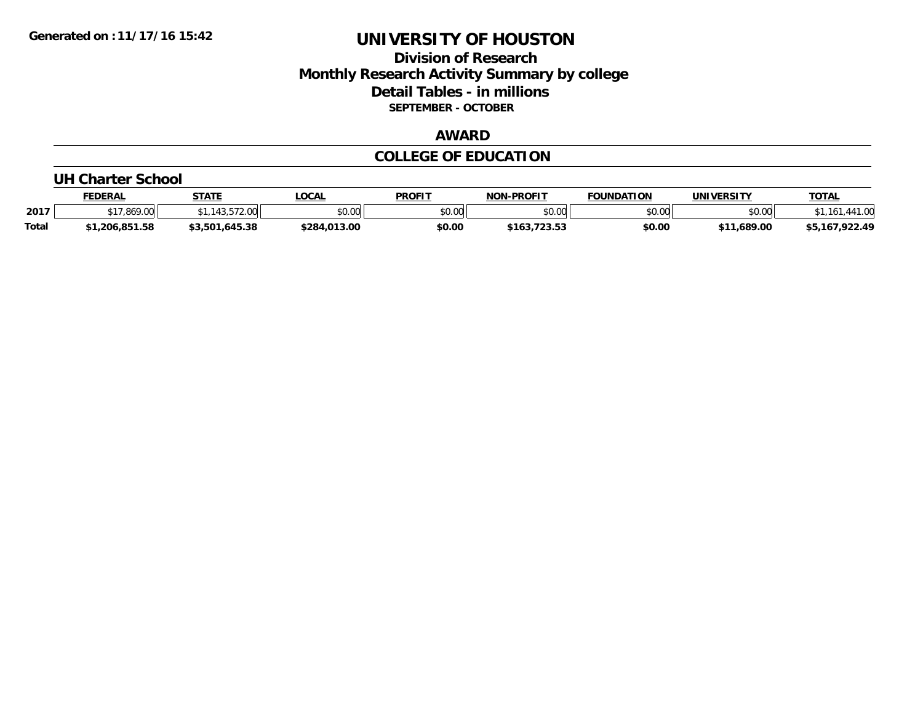## **Division of Research Monthly Research Activity Summary by college Detail Tables - in millions SEPTEMBER - OCTOBER**

## **AWARD**

# **COLLEGE OF EDUCATION**

#### **UH Charter School**

|              | <b>FEDERAL</b> | STATE                   | LOCAL        | <b>PROFIT</b> | <b>NON-PROFIT</b> | <b>FOUNDATION</b> | UNIVERSITY                | <b>TOTAL</b>   |
|--------------|----------------|-------------------------|--------------|---------------|-------------------|-------------------|---------------------------|----------------|
| 2017         | .869.00        | 13.572.00<br>$\sqrt{2}$ | \$0.00       | \$0.00        | \$0.00            | \$0.00            | \$0.00                    | $-41.00$<br>16 |
| <b>Total</b> | 1,206,851.58   | 645.38,،<br>\$3,501     | \$284,013.00 | \$0.00        | \$163,723.53      | \$0.00            | \$11,689.00<br><b>¢11</b> | \$5,167,922.49 |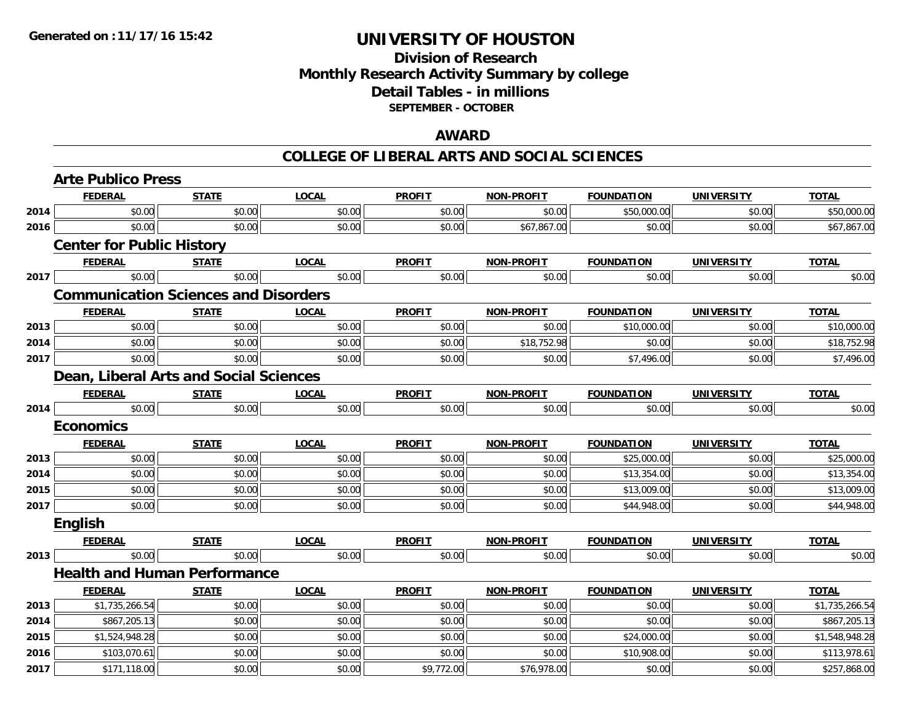## **Division of Research Monthly Research Activity Summary by college Detail Tables - in millions SEPTEMBER - OCTOBER**

#### **AWARD**

|      | <b>Arte Publico Press</b>                   |              |              |               |                   |                   |                   |                |
|------|---------------------------------------------|--------------|--------------|---------------|-------------------|-------------------|-------------------|----------------|
|      | <b>FEDERAL</b>                              | <b>STATE</b> | <b>LOCAL</b> | <b>PROFIT</b> | <b>NON-PROFIT</b> | <b>FOUNDATION</b> | <b>UNIVERSITY</b> | <b>TOTAL</b>   |
| 2014 | \$0.00                                      | \$0.00       | \$0.00       | \$0.00        | \$0.00            | \$50,000.00       | \$0.00            | \$50,000.00    |
| 2016 | \$0.00                                      | \$0.00       | \$0.00       | \$0.00        | \$67,867.00       | \$0.00            | \$0.00            | \$67,867.00    |
|      | <b>Center for Public History</b>            |              |              |               |                   |                   |                   |                |
|      | <b>FEDERAL</b>                              | <b>STATE</b> | <b>LOCAL</b> | <b>PROFIT</b> | <b>NON-PROFIT</b> | <b>FOUNDATION</b> | <b>UNIVERSITY</b> | <b>TOTAL</b>   |
| 2017 | \$0.00                                      | \$0.00       | \$0.00       | \$0.00        | \$0.00            | \$0.00            | \$0.00            | \$0.00         |
|      | <b>Communication Sciences and Disorders</b> |              |              |               |                   |                   |                   |                |
|      | <b>FEDERAL</b>                              | <b>STATE</b> | <b>LOCAL</b> | <b>PROFIT</b> | <b>NON-PROFIT</b> | <b>FOUNDATION</b> | <b>UNIVERSITY</b> | <b>TOTAL</b>   |
| 2013 | \$0.00                                      | \$0.00       | \$0.00       | \$0.00        | \$0.00            | \$10,000.00       | \$0.00            | \$10,000.00    |
| 2014 | \$0.00                                      | \$0.00       | \$0.00       | \$0.00        | \$18,752.98       | \$0.00            | \$0.00            | \$18,752.98    |
| 2017 | \$0.00                                      | \$0.00       | \$0.00       | \$0.00        | \$0.00            | \$7,496.00        | \$0.00            | \$7,496.00     |
|      | Dean, Liberal Arts and Social Sciences      |              |              |               |                   |                   |                   |                |
|      | <b>FEDERAL</b>                              | <b>STATE</b> | <b>LOCAL</b> | <b>PROFIT</b> | NON-PROFIT        | <b>FOUNDATION</b> | <b>UNIVERSITY</b> | <b>TOTAL</b>   |
| 2014 | \$0.00                                      | \$0.00       | \$0.00       | \$0.00        | \$0.00            | \$0.00            | \$0.00            | \$0.00         |
|      | <b>Economics</b>                            |              |              |               |                   |                   |                   |                |
|      | <b>FEDERAL</b>                              | <b>STATE</b> | <b>LOCAL</b> | <b>PROFIT</b> | <b>NON-PROFIT</b> | <b>FOUNDATION</b> | <b>UNIVERSITY</b> | <b>TOTAL</b>   |
| 2013 | \$0.00                                      | \$0.00       | \$0.00       | \$0.00        | \$0.00            | \$25,000.00       | \$0.00            | \$25,000.00    |
| 2014 | \$0.00                                      | \$0.00       | \$0.00       | \$0.00        | \$0.00            | \$13,354.00       | \$0.00            | \$13,354.00    |
| 2015 | \$0.00                                      | \$0.00       | \$0.00       | \$0.00        | \$0.00            | \$13,009.00       | \$0.00            | \$13,009.00    |
| 2017 | \$0.00                                      | \$0.00       | \$0.00       | \$0.00        | \$0.00            | \$44,948.00       | \$0.00            | \$44,948.00    |
|      | English                                     |              |              |               |                   |                   |                   |                |
|      | <b>FEDERAL</b>                              | <b>STATE</b> | <b>LOCAL</b> | <b>PROFIT</b> | <b>NON-PROFIT</b> | <b>FOUNDATION</b> | <b>UNIVERSITY</b> | <b>TOTAL</b>   |
| 2013 | \$0.00                                      | \$0.00       | \$0.00       | \$0.00        | \$0.00            | \$0.00            | \$0.00            | \$0.00         |
|      | <b>Health and Human Performance</b>         |              |              |               |                   |                   |                   |                |
|      | <b>FEDERAL</b>                              | <b>STATE</b> | <b>LOCAL</b> | <b>PROFIT</b> | <b>NON-PROFIT</b> | <b>FOUNDATION</b> | <b>UNIVERSITY</b> | <b>TOTAL</b>   |
| 2013 | \$1,735,266.54                              | \$0.00       | \$0.00       | \$0.00        | \$0.00            | \$0.00            | \$0.00            | \$1,735,266.54 |
| 2014 | \$867,205.13                                | \$0.00       | \$0.00       | \$0.00        | \$0.00            | \$0.00            | \$0.00            | \$867,205.13   |
| 2015 | \$1,524,948.28                              | \$0.00       | \$0.00       | \$0.00        | \$0.00            | \$24,000.00       | \$0.00            | \$1,548,948.28 |
| 2016 | \$103,070.61                                | \$0.00       | \$0.00       | \$0.00        | \$0.00            | \$10,908.00       | \$0.00            | \$113,978.61   |
| 2017 | \$171,118.00                                | \$0.00       | \$0.00       | \$9,772.00    | \$76,978.00       | \$0.00            | \$0.00            | \$257,868.00   |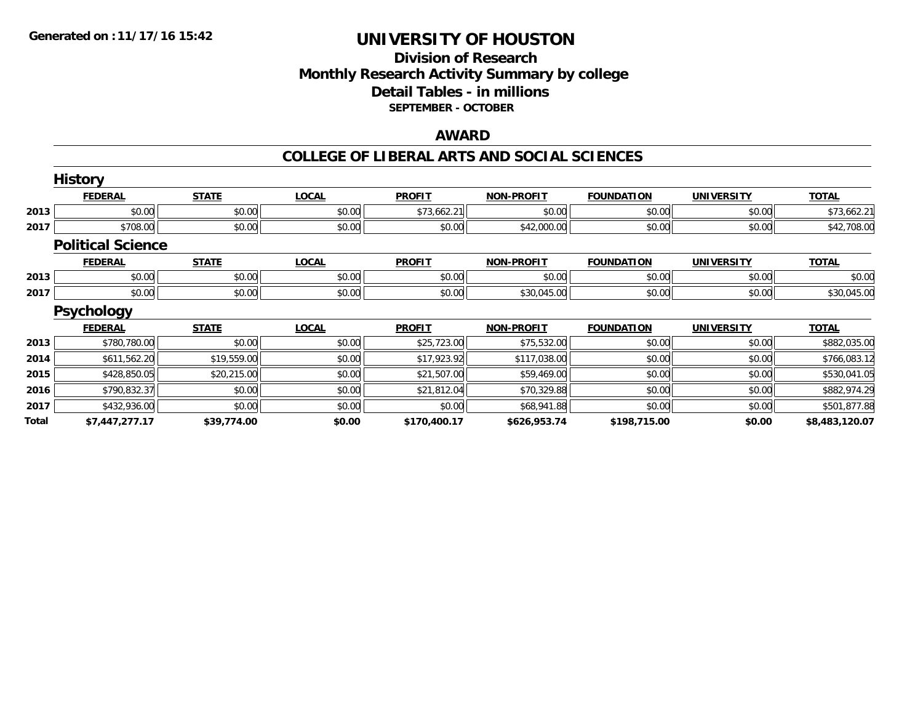### **Division of Research Monthly Research Activity Summary by college Detail Tables - in millions SEPTEMBER - OCTOBER**

#### **AWARD**

|              | <b>History</b>           |              |              |               |                   |                   |                   |                |
|--------------|--------------------------|--------------|--------------|---------------|-------------------|-------------------|-------------------|----------------|
|              | <b>FEDERAL</b>           | <b>STATE</b> | <b>LOCAL</b> | <b>PROFIT</b> | <b>NON-PROFIT</b> | <b>FOUNDATION</b> | <b>UNIVERSITY</b> | <b>TOTAL</b>   |
| 2013         | \$0.00                   | \$0.00       | \$0.00       | \$73,662.21   | \$0.00            | \$0.00            | \$0.00            | \$73,662.21    |
| 2017         | \$708.00                 | \$0.00       | \$0.00       | \$0.00        | \$42,000.00       | \$0.00            | \$0.00            | \$42,708.00    |
|              | <b>Political Science</b> |              |              |               |                   |                   |                   |                |
|              | <b>FEDERAL</b>           | <b>STATE</b> | <b>LOCAL</b> | <b>PROFIT</b> | <b>NON-PROFIT</b> | <b>FOUNDATION</b> | <b>UNIVERSITY</b> | <b>TOTAL</b>   |
| 2013         | \$0.00                   | \$0.00       | \$0.00       | \$0.00        | \$0.00            | \$0.00            | \$0.00            | \$0.00         |
| 2017         | \$0.00                   | \$0.00       | \$0.00       | \$0.00        | \$30,045.00       | \$0.00            | \$0.00            | \$30,045.00    |
|              | <b>Psychology</b>        |              |              |               |                   |                   |                   |                |
|              | <b>FEDERAL</b>           | <b>STATE</b> | <b>LOCAL</b> | <b>PROFIT</b> | <b>NON-PROFIT</b> | <b>FOUNDATION</b> | <b>UNIVERSITY</b> | <b>TOTAL</b>   |
| 2013         | \$780,780.00             | \$0.00       | \$0.00       | \$25,723.00   | \$75,532.00       | \$0.00            | \$0.00            | \$882,035.00   |
| 2014         | \$611,562.20             | \$19,559.00  | \$0.00       | \$17,923.92   | \$117,038.00      | \$0.00            | \$0.00            | \$766,083.12   |
| 2015         | \$428,850.05             | \$20,215.00  | \$0.00       | \$21,507.00   | \$59,469.00       | \$0.00            | \$0.00            | \$530,041.05   |
| 2016         | \$790,832.37             | \$0.00       | \$0.00       | \$21,812.04   | \$70,329.88       | \$0.00            | \$0.00            | \$882,974.29   |
| 2017         | \$432,936.00             | \$0.00       | \$0.00       | \$0.00        | \$68,941.88       | \$0.00            | \$0.00            | \$501,877.88   |
| <b>Total</b> | \$7,447,277.17           | \$39,774.00  | \$0.00       | \$170,400.17  | \$626,953.74      | \$198,715.00      | \$0.00            | \$8,483,120.07 |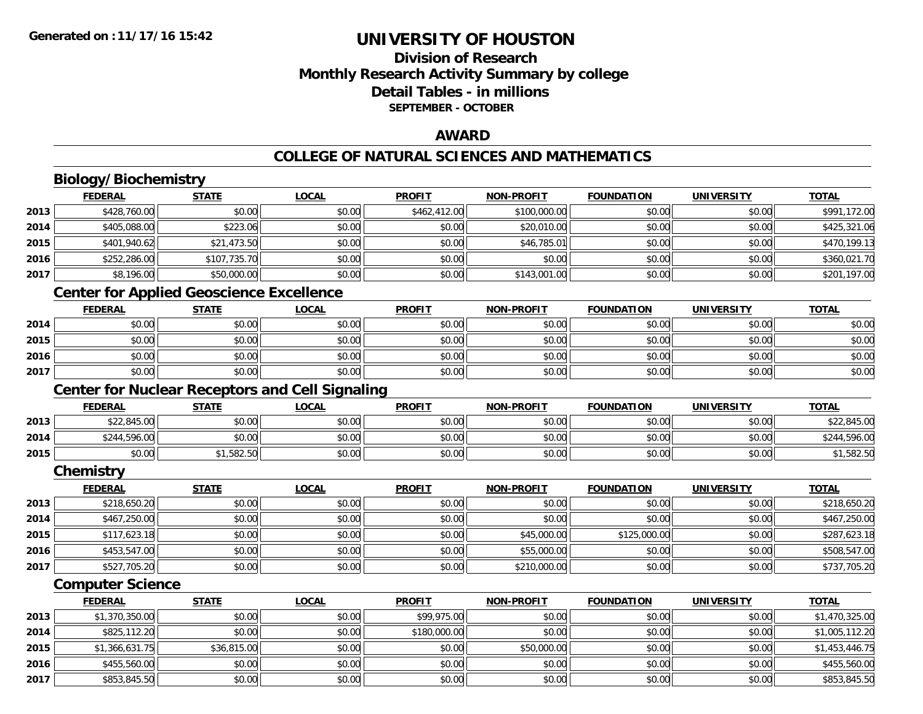## **Division of ResearchMonthly Research Activity Summary by college Detail Tables - in millions SEPTEMBER - OCTOBER**

### **AWARD**

## **COLLEGE OF NATURAL SCIENCES AND MATHEMATICS**

# **Biology/Biochemistry**

**2016**

**2017**

|      | <b>FEDERAL</b>                                  | <b>STATE</b> | <b>LOCAL</b>                                           | <b>PROFIT</b> | <b>NON-PROFIT</b> | <b>FOUNDATION</b> | <b>UNIVERSITY</b> | <b>TOTAL</b>   |
|------|-------------------------------------------------|--------------|--------------------------------------------------------|---------------|-------------------|-------------------|-------------------|----------------|
| 2013 | \$428,760.00                                    | \$0.00       | \$0.00                                                 | \$462,412.00  | \$100,000.00      | \$0.00            | \$0.00            | \$991,172.00   |
| 2014 | \$405,088.00                                    | \$223.06     | \$0.00                                                 | \$0.00        | \$20,010.00       | \$0.00            | \$0.00            | \$425,321.06   |
| 2015 | \$401,940.62                                    | \$21,473.50  | \$0.00                                                 | \$0.00        | \$46,785.01       | \$0.00            | \$0.00            | \$470,199.13   |
| 2016 | \$252,286.00                                    | \$107,735.70 | \$0.00                                                 | \$0.00        | \$0.00            | \$0.00            | \$0.00            | \$360,021.70   |
| 2017 | \$8,196.00                                      | \$50,000.00  | \$0.00                                                 | \$0.00        | \$143,001.00      | \$0.00            | \$0.00            | \$201,197.00   |
|      | <b>Center for Applied Geoscience Excellence</b> |              |                                                        |               |                   |                   |                   |                |
|      | <b>FEDERAL</b>                                  | <b>STATE</b> | <b>LOCAL</b>                                           | <b>PROFIT</b> | <b>NON-PROFIT</b> | <b>FOUNDATION</b> | <b>UNIVERSITY</b> | <b>TOTAL</b>   |
| 2014 | \$0.00                                          | \$0.00       | \$0.00                                                 | \$0.00        | \$0.00            | \$0.00            | \$0.00            | \$0.00         |
| 2015 | \$0.00                                          | \$0.00       | \$0.00                                                 | \$0.00        | \$0.00            | \$0.00            | \$0.00            | \$0.00         |
| 2016 | \$0.00                                          | \$0.00       | \$0.00                                                 | \$0.00        | \$0.00            | \$0.00            | \$0.00            | \$0.00         |
| 2017 | \$0.00                                          | \$0.00       | \$0.00                                                 | \$0.00        | \$0.00            | \$0.00            | \$0.00            | \$0.00         |
|      |                                                 |              | <b>Center for Nuclear Receptors and Cell Signaling</b> |               |                   |                   |                   |                |
|      | <b>FEDERAL</b>                                  | <b>STATE</b> | <b>LOCAL</b>                                           | <b>PROFIT</b> | <b>NON-PROFIT</b> | <b>FOUNDATION</b> | <b>UNIVERSITY</b> | <b>TOTAL</b>   |
| 2013 | \$22,845.00                                     | \$0.00       | \$0.00                                                 | \$0.00        | \$0.00            | \$0.00            | \$0.00            | \$22,845.00    |
| 2014 | \$244,596.00                                    | \$0.00       | \$0.00                                                 | \$0.00        | \$0.00            | \$0.00            | \$0.00            | \$244,596.00   |
| 2015 | \$0.00                                          | \$1,582.50   | \$0.00                                                 | \$0.00        | \$0.00            | \$0.00            | \$0.00            | \$1,582.50     |
|      | Chemistry                                       |              |                                                        |               |                   |                   |                   |                |
|      | <b>FEDERAL</b>                                  | <b>STATE</b> | <b>LOCAL</b>                                           | <b>PROFIT</b> | <b>NON-PROFIT</b> | <b>FOUNDATION</b> | <b>UNIVERSITY</b> | <b>TOTAL</b>   |
| 2013 | \$218,650.20                                    | \$0.00       | \$0.00                                                 | \$0.00        | \$0.00            | \$0.00            | \$0.00            | \$218,650.20   |
| 2014 | \$467,250.00                                    | \$0.00       | \$0.00                                                 | \$0.00        | \$0.00            | \$0.00            | \$0.00            | \$467,250.00   |
| 2015 | \$117,623.18                                    | \$0.00       | \$0.00                                                 | \$0.00        | \$45,000.00       | \$125,000.00      | \$0.00            | \$287,623.18   |
| 2016 | \$453,547.00                                    | \$0.00       | \$0.00                                                 | \$0.00        | \$55,000.00       | \$0.00            | \$0.00            | \$508,547.00   |
| 2017 | \$527,705.20                                    | \$0.00       | \$0.00                                                 | \$0.00        | \$210,000.00      | \$0.00            | \$0.00            | \$737,705.20   |
|      | <b>Computer Science</b>                         |              |                                                        |               |                   |                   |                   |                |
|      | <b>FEDERAL</b>                                  | <b>STATE</b> | <b>LOCAL</b>                                           | <b>PROFIT</b> | <b>NON-PROFIT</b> | <b>FOUNDATION</b> | <b>UNIVERSITY</b> | <b>TOTAL</b>   |
| 2013 | \$1,370,350.00                                  | \$0.00       | \$0.00                                                 | \$99,975.00   | \$0.00            | \$0.00            | \$0.00            | \$1,470,325.00 |
| 2014 | \$825,112.20                                    | \$0.00       | \$0.00                                                 | \$180,000.00  | \$0.00            | \$0.00            | \$0.00            | \$1,005,112.20 |
| 2015 | \$1,366,631.75                                  | \$36,815.00  | \$0.00                                                 | \$0.00        | \$50,000.00       | \$0.00            | \$0.00            | \$1,453,446.75 |

6 \$455,560.00 \$0.00 \$0.00 \$0.00 \$0.00 \$0.00 \$0.00 \$0.00 \$0.00 \$0.00 \$0.00 \$0.00 \$455,560.00 \$455,560.00

\$853,845.50 \$0.00 \$0.00 \$0.00 \$0.00 \$0.00 \$0.00 \$853,845.50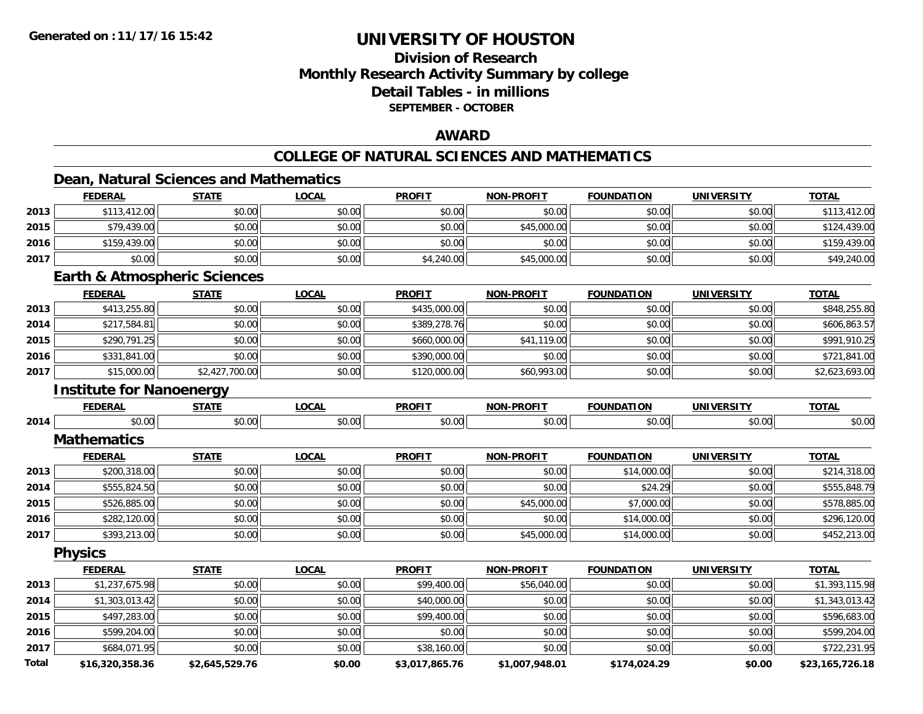## **Division of ResearchMonthly Research Activity Summary by college Detail Tables - in millions SEPTEMBER - OCTOBER**

### **AWARD**

## **COLLEGE OF NATURAL SCIENCES AND MATHEMATICS**

## **Dean, Natural Sciences and Mathematics**

|       | <b>FEDERAL</b>                          | <b>STATE</b>   | <b>LOCAL</b> | <b>PROFIT</b>  | <b>NON-PROFIT</b> | <b>FOUNDATION</b> | <b>UNIVERSITY</b> | <b>TOTAL</b>    |
|-------|-----------------------------------------|----------------|--------------|----------------|-------------------|-------------------|-------------------|-----------------|
| 2013  | \$113,412.00                            | \$0.00         | \$0.00       | \$0.00         | \$0.00            | \$0.00            | \$0.00            | \$113,412.00    |
| 2015  | \$79,439.00                             | \$0.00         | \$0.00       | \$0.00         | \$45,000.00       | \$0.00            | \$0.00            | \$124,439.00    |
| 2016  | \$159,439.00                            | \$0.00         | \$0.00       | \$0.00         | \$0.00            | \$0.00            | \$0.00            | \$159,439.00    |
| 2017  | \$0.00                                  | \$0.00         | \$0.00       | \$4,240.00     | \$45,000.00       | \$0.00            | \$0.00            | \$49,240.00     |
|       | <b>Earth &amp; Atmospheric Sciences</b> |                |              |                |                   |                   |                   |                 |
|       | <b>FEDERAL</b>                          | <b>STATE</b>   | <b>LOCAL</b> | <b>PROFIT</b>  | <b>NON-PROFIT</b> | <b>FOUNDATION</b> | <b>UNIVERSITY</b> | <b>TOTAL</b>    |
| 2013  | \$413,255.80                            | \$0.00         | \$0.00       | \$435,000.00   | \$0.00            | \$0.00            | \$0.00            | \$848,255.80    |
| 2014  | \$217,584.81                            | \$0.00         | \$0.00       | \$389,278.76   | \$0.00            | \$0.00            | \$0.00            | \$606,863.57    |
| 2015  | \$290,791.25                            | \$0.00         | \$0.00       | \$660,000.00   | \$41,119.00       | \$0.00            | \$0.00            | \$991,910.25    |
| 2016  | \$331,841.00                            | \$0.00         | \$0.00       | \$390,000.00   | \$0.00            | \$0.00            | \$0.00            | \$721,841.00    |
| 2017  | \$15,000.00                             | \$2,427,700.00 | \$0.00       | \$120,000.00   | \$60,993.00       | \$0.00            | \$0.00            | \$2,623,693.00  |
|       | <b>Institute for Nanoenergy</b>         |                |              |                |                   |                   |                   |                 |
|       | <b>FEDERAL</b>                          | <b>STATE</b>   | <b>LOCAL</b> | <b>PROFIT</b>  | <b>NON-PROFIT</b> | <b>FOUNDATION</b> | <b>UNIVERSITY</b> | <b>TOTAL</b>    |
| 2014  | \$0.00                                  | \$0.00         | \$0.00       | \$0.00         | \$0.00            | \$0.00            | \$0.00            | \$0.00          |
|       | <b>Mathematics</b>                      |                |              |                |                   |                   |                   |                 |
|       | <b>FEDERAL</b>                          | <b>STATE</b>   | <b>LOCAL</b> | <b>PROFIT</b>  | <b>NON-PROFIT</b> | <b>FOUNDATION</b> | <b>UNIVERSITY</b> | <b>TOTAL</b>    |
| 2013  | \$200,318.00                            | \$0.00         | \$0.00       | \$0.00         | \$0.00            | \$14,000.00       | \$0.00            | \$214,318.00    |
| 2014  | \$555,824.50                            | \$0.00         | \$0.00       | \$0.00         | \$0.00            | \$24.29           | \$0.00            | \$555,848.79    |
| 2015  | \$526,885.00                            | \$0.00         | \$0.00       | \$0.00         | \$45,000.00       | \$7,000.00        | \$0.00            | \$578,885.00    |
| 2016  | \$282,120.00                            | \$0.00         | \$0.00       | \$0.00         | \$0.00            | \$14,000.00       | \$0.00            | \$296,120.00    |
| 2017  | \$393,213.00                            | \$0.00         | \$0.00       | \$0.00         | \$45,000.00       | \$14,000.00       | \$0.00            | \$452,213.00    |
|       | <b>Physics</b>                          |                |              |                |                   |                   |                   |                 |
|       | <b>FEDERAL</b>                          | <b>STATE</b>   | <b>LOCAL</b> | <b>PROFIT</b>  | <b>NON-PROFIT</b> | <b>FOUNDATION</b> | <b>UNIVERSITY</b> | <b>TOTAL</b>    |
| 2013  | \$1,237,675.98                          | \$0.00         | \$0.00       | \$99,400.00    | \$56,040.00       | \$0.00            | \$0.00            | \$1,393,115.98  |
| 2014  | \$1,303,013.42                          | \$0.00         | \$0.00       | \$40,000.00    | \$0.00            | \$0.00            | \$0.00            | \$1,343,013.42  |
| 2015  | \$497,283.00                            | \$0.00         | \$0.00       | \$99,400.00    | \$0.00            | \$0.00            | \$0.00            | \$596,683.00    |
| 2016  | \$599,204.00                            | \$0.00         | \$0.00       | \$0.00         | \$0.00            | \$0.00            | \$0.00            | \$599,204.00    |
| 2017  | \$684,071.95                            | \$0.00         | \$0.00       | \$38,160.00    | \$0.00            | \$0.00            | \$0.00            | \$722,231.95    |
| Total | \$16 320 358 36                         | \$2 645 529 76 | \$0.00       | \$3 017 865 76 | \$1,007,948,01    | \$174 024 29      | \$0.00            | \$23 165 726 18 |

**\$16,320,358.36 \$2,645,529.76 \$0.00 \$3,017,865.76 \$1,007,948.01 \$174,024.29 \$0.00 \$23,165,726.18**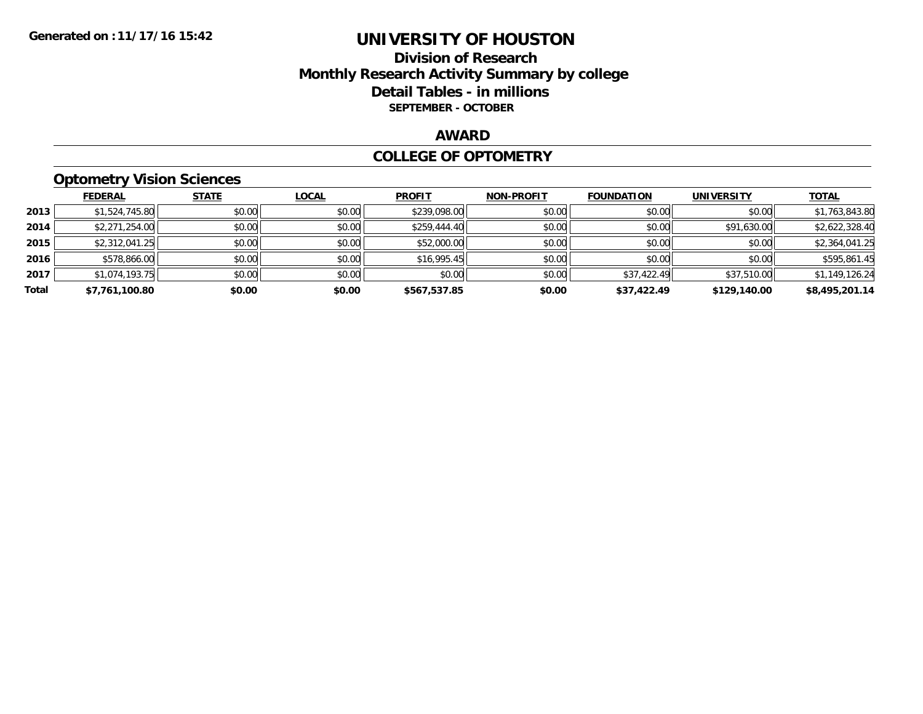## **Division of Research Monthly Research Activity Summary by college Detail Tables - in millions SEPTEMBER - OCTOBER**

#### **AWARD**

#### **COLLEGE OF OPTOMETRY**

## **Optometry Vision Sciences**

|       | <b>FEDERAL</b> | <b>STATE</b> | <b>LOCAL</b> | <b>PROFIT</b> | <b>NON-PROFIT</b> | <b>FOUNDATION</b> | <b>UNIVERSITY</b> | <b>TOTAL</b>   |
|-------|----------------|--------------|--------------|---------------|-------------------|-------------------|-------------------|----------------|
| 2013  | \$1,524,745.80 | \$0.00       | \$0.00       | \$239,098.00  | \$0.00            | \$0.00            | \$0.00            | \$1,763,843.80 |
| 2014  | \$2,271,254.00 | \$0.00       | \$0.00       | \$259,444.40  | \$0.00            | \$0.00            | \$91,630.00       | \$2,622,328.40 |
| 2015  | \$2,312,041.25 | \$0.00       | \$0.00       | \$52,000.00   | \$0.00            | \$0.00            | \$0.00            | \$2,364,041.25 |
| 2016  | \$578,866.00   | \$0.00       | \$0.00       | \$16,995.45   | \$0.00            | \$0.00            | \$0.00            | \$595,861.45   |
| 2017  | \$1.074.193.75 | \$0.00       | \$0.00       | \$0.00        | \$0.00            | \$37,422.49       | \$37,510.00       | \$1,149,126.24 |
| Total | \$7,761,100.80 | \$0.00       | \$0.00       | \$567,537.85  | \$0.00            | \$37,422.49       | \$129,140.00      | \$8,495,201.14 |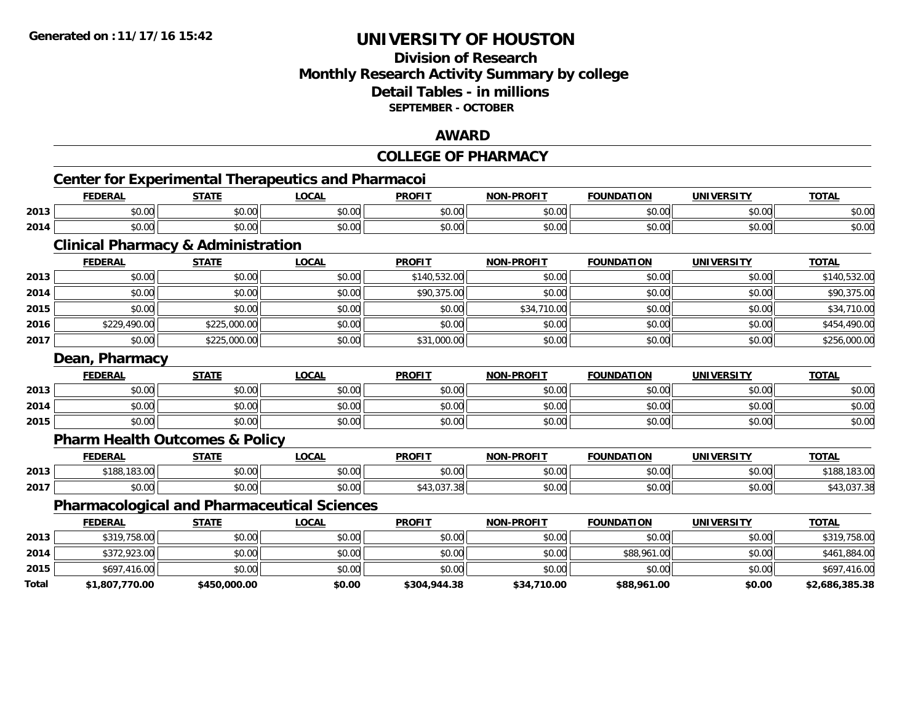## **Division of Research Monthly Research Activity Summary by college Detail Tables - in millions SEPTEMBER - OCTOBER**

### **AWARD**

|       |                                                           |              |              | <b>COLLEGE OF PHARMACY</b> |                   |                   |                   |                |
|-------|-----------------------------------------------------------|--------------|--------------|----------------------------|-------------------|-------------------|-------------------|----------------|
|       | <b>Center for Experimental Therapeutics and Pharmacoi</b> |              |              |                            |                   |                   |                   |                |
|       | <b>FEDERAL</b>                                            | <b>STATE</b> | <b>LOCAL</b> | <b>PROFIT</b>              | <b>NON-PROFIT</b> | <b>FOUNDATION</b> | <b>UNIVERSITY</b> | <b>TOTAL</b>   |
| 2013  | \$0.00                                                    | \$0.00       | \$0.00       | \$0.00                     | \$0.00            | \$0.00            | \$0.00            | \$0.00         |
| 2014  | \$0.00                                                    | \$0.00       | \$0.00       | \$0.00                     | \$0.00            | \$0.00            | \$0.00            | \$0.00         |
|       | <b>Clinical Pharmacy &amp; Administration</b>             |              |              |                            |                   |                   |                   |                |
|       | <b>FEDERAL</b>                                            | <b>STATE</b> | <b>LOCAL</b> | <b>PROFIT</b>              | <b>NON-PROFIT</b> | <b>FOUNDATION</b> | <b>UNIVERSITY</b> | <b>TOTAL</b>   |
| 2013  | \$0.00                                                    | \$0.00       | \$0.00       | \$140,532.00               | \$0.00            | \$0.00            | \$0.00            | \$140,532.00   |
| 2014  | \$0.00                                                    | \$0.00       | \$0.00       | \$90,375.00                | \$0.00            | \$0.00            | \$0.00            | \$90,375.00    |
| 2015  | \$0.00                                                    | \$0.00       | \$0.00       | \$0.00                     | \$34,710.00       | \$0.00            | \$0.00            | \$34,710.00    |
| 2016  | \$229,490.00                                              | \$225,000.00 | \$0.00       | \$0.00                     | \$0.00            | \$0.00            | \$0.00            | \$454,490.00   |
| 2017  | \$0.00                                                    | \$225,000.00 | \$0.00       | \$31,000.00                | \$0.00            | \$0.00            | \$0.00            | \$256,000.00   |
|       | Dean, Pharmacy                                            |              |              |                            |                   |                   |                   |                |
|       | <b>FEDERAL</b>                                            | <b>STATE</b> | <b>LOCAL</b> | <b>PROFIT</b>              | <b>NON-PROFIT</b> | <b>FOUNDATION</b> | <b>UNIVERSITY</b> | <b>TOTAL</b>   |
| 2013  | \$0.00                                                    | \$0.00       | \$0.00       | \$0.00                     | \$0.00            | \$0.00            | \$0.00            | \$0.00         |
| 2014  | \$0.00                                                    | \$0.00       | \$0.00       | \$0.00                     | \$0.00            | \$0.00            | \$0.00            | \$0.00         |
| 2015  | \$0.00                                                    | \$0.00       | \$0.00       | \$0.00                     | \$0.00            | \$0.00            | \$0.00            | \$0.00         |
|       | <b>Pharm Health Outcomes &amp; Policy</b>                 |              |              |                            |                   |                   |                   |                |
|       | <b>FEDERAL</b>                                            | <b>STATE</b> | <b>LOCAL</b> | <b>PROFIT</b>              | <b>NON-PROFIT</b> | <b>FOUNDATION</b> | <b>UNIVERSITY</b> | <b>TOTAL</b>   |
| 2013  | \$188,183.00                                              | \$0.00       | \$0.00       | \$0.00                     | \$0.00            | \$0.00            | \$0.00            | \$188,183.00   |
| 2017  | \$0.00                                                    | \$0.00       | \$0.00       | \$43,037.38                | \$0.00            | \$0.00            | \$0.00            | \$43,037.38    |
|       | <b>Pharmacological and Pharmaceutical Sciences</b>        |              |              |                            |                   |                   |                   |                |
|       | <b>FEDERAL</b>                                            | <b>STATE</b> | <b>LOCAL</b> | <b>PROFIT</b>              | <b>NON-PROFIT</b> | <b>FOUNDATION</b> | <b>UNIVERSITY</b> | <b>TOTAL</b>   |
| 2013  | \$319,758.00                                              | \$0.00       | \$0.00       | \$0.00                     | \$0.00            | \$0.00            | \$0.00            | \$319,758.00   |
| 2014  | \$372,923.00                                              | \$0.00       | \$0.00       | \$0.00                     | \$0.00            | \$88,961.00       | \$0.00            | \$461,884.00   |
| 2015  | \$697,416.00                                              | \$0.00       | \$0.00       | \$0.00                     | \$0.00            | \$0.00            | \$0.00            | \$697,416.00   |
| Total | \$1,807,770.00                                            | \$450,000.00 | \$0.00       | \$304,944.38               | \$34,710.00       | \$88,961.00       | \$0.00            | \$2,686,385.38 |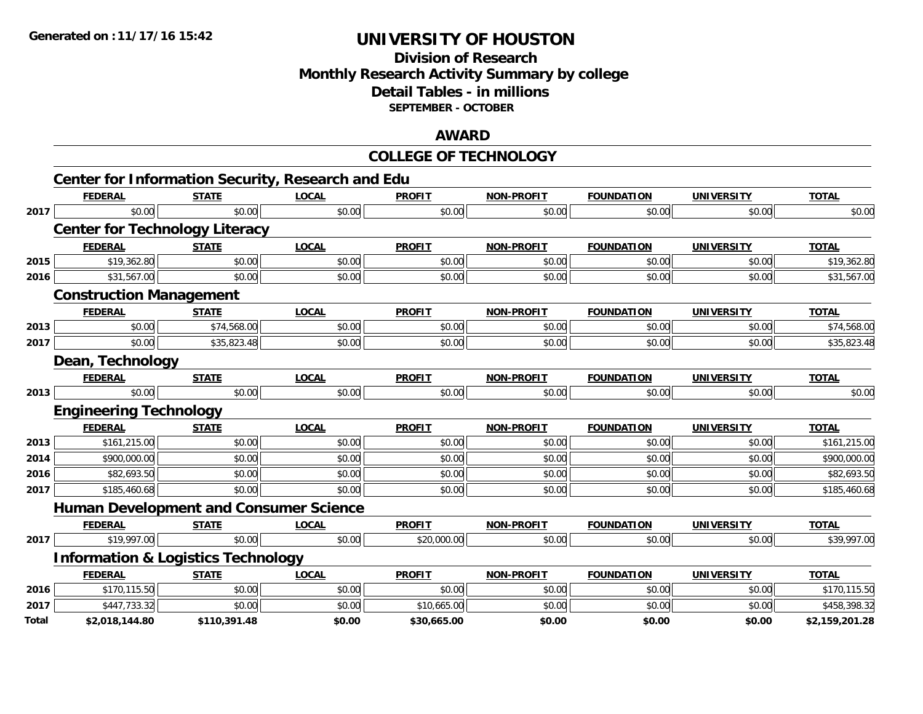## **Division of Research Monthly Research Activity Summary by college Detail Tables - in millions SEPTEMBER - OCTOBER**

#### **AWARD**

## **COLLEGE OF TECHNOLOGY**

|       |                                               |              | <b>Center for Information Security, Research and Edu</b> |               |                   |                   |                   |                |
|-------|-----------------------------------------------|--------------|----------------------------------------------------------|---------------|-------------------|-------------------|-------------------|----------------|
|       | <b>FEDERAL</b>                                | <b>STATE</b> | <b>LOCAL</b>                                             | <b>PROFIT</b> | <b>NON-PROFIT</b> | <b>FOUNDATION</b> | <b>UNIVERSITY</b> | <b>TOTAL</b>   |
| 2017  | \$0.00                                        | \$0.00       | \$0.00                                                   | \$0.00        | \$0.00            | \$0.00            | \$0.00            | \$0.00         |
|       | <b>Center for Technology Literacy</b>         |              |                                                          |               |                   |                   |                   |                |
|       | <b>FEDERAL</b>                                | <b>STATE</b> | <b>LOCAL</b>                                             | <b>PROFIT</b> | <b>NON-PROFIT</b> | <b>FOUNDATION</b> | <b>UNIVERSITY</b> | <b>TOTAL</b>   |
| 2015  | \$19,362.80                                   | \$0.00       | \$0.00                                                   | \$0.00        | \$0.00            | \$0.00            | \$0.00            | \$19,362.80    |
| 2016  | \$31,567.00                                   | \$0.00       | \$0.00                                                   | \$0.00        | \$0.00            | \$0.00            | \$0.00            | \$31,567.00    |
|       | <b>Construction Management</b>                |              |                                                          |               |                   |                   |                   |                |
|       | <b>FEDERAL</b>                                | <b>STATE</b> | <b>LOCAL</b>                                             | <b>PROFIT</b> | <b>NON-PROFIT</b> | <b>FOUNDATION</b> | <b>UNIVERSITY</b> | <b>TOTAL</b>   |
| 2013  | \$0.00                                        | \$74,568.00  | \$0.00                                                   | \$0.00        | \$0.00            | \$0.00            | \$0.00            | \$74,568.00    |
| 2017  | \$0.00                                        | \$35,823.48  | \$0.00                                                   | \$0.00        | \$0.00            | \$0.00            | \$0.00            | \$35,823.48    |
|       | Dean, Technology                              |              |                                                          |               |                   |                   |                   |                |
|       | <b>FEDERAL</b>                                | <b>STATE</b> | <b>LOCAL</b>                                             | <b>PROFIT</b> | <b>NON-PROFIT</b> | <b>FOUNDATION</b> | <b>UNIVERSITY</b> | <b>TOTAL</b>   |
| 2013  | \$0.00                                        | \$0.00       | \$0.00                                                   | \$0.00        | \$0.00            | \$0.00            | \$0.00            | \$0.00         |
|       | <b>Engineering Technology</b>                 |              |                                                          |               |                   |                   |                   |                |
|       | <b>FEDERAL</b>                                | <b>STATE</b> | <b>LOCAL</b>                                             | <b>PROFIT</b> | <b>NON-PROFIT</b> | <b>FOUNDATION</b> | <b>UNIVERSITY</b> | <b>TOTAL</b>   |
| 2013  | \$161,215.00                                  | \$0.00       | \$0.00                                                   | \$0.00        | \$0.00            | \$0.00            | \$0.00            | \$161,215.00   |
| 2014  | \$900,000.00                                  | \$0.00       | \$0.00                                                   | \$0.00        | \$0.00            | \$0.00            | \$0.00            | \$900,000.00   |
| 2016  | \$82,693.50                                   | \$0.00       | \$0.00                                                   | \$0.00        | \$0.00            | \$0.00            | \$0.00            | \$82,693.50    |
| 2017  | \$185,460.68                                  | \$0.00       | \$0.00                                                   | \$0.00        | \$0.00            | \$0.00            | \$0.00            | \$185,460.68   |
|       | <b>Human Development and Consumer Science</b> |              |                                                          |               |                   |                   |                   |                |
|       | <b>FEDERAL</b>                                | <b>STATE</b> | <b>LOCAL</b>                                             | <b>PROFIT</b> | <b>NON-PROFIT</b> | <b>FOUNDATION</b> | <b>UNIVERSITY</b> | <b>TOTAL</b>   |
| 2017  | \$19,997.00                                   | \$0.00       | \$0.00                                                   | \$20,000.00   | \$0.00            | \$0.00            | \$0.00            | \$39,997.00    |
|       | <b>Information &amp; Logistics Technology</b> |              |                                                          |               |                   |                   |                   |                |
|       | <b>FEDERAL</b>                                | <b>STATE</b> | <b>LOCAL</b>                                             | <b>PROFIT</b> | <b>NON-PROFIT</b> | <b>FOUNDATION</b> | <b>UNIVERSITY</b> | <b>TOTAL</b>   |
| 2016  | \$170,115.50                                  | \$0.00       | \$0.00                                                   | \$0.00        | \$0.00            | \$0.00            | \$0.00            | \$170,115.50   |
| 2017  | \$447,733.32                                  | \$0.00       | \$0.00                                                   | \$10,665.00   | \$0.00            | \$0.00            | \$0.00            | \$458,398.32   |
| Total | \$2,018,144.80                                | \$110,391.48 | \$0.00                                                   | \$30,665.00   | \$0.00            | \$0.00            | \$0.00            | \$2,159,201.28 |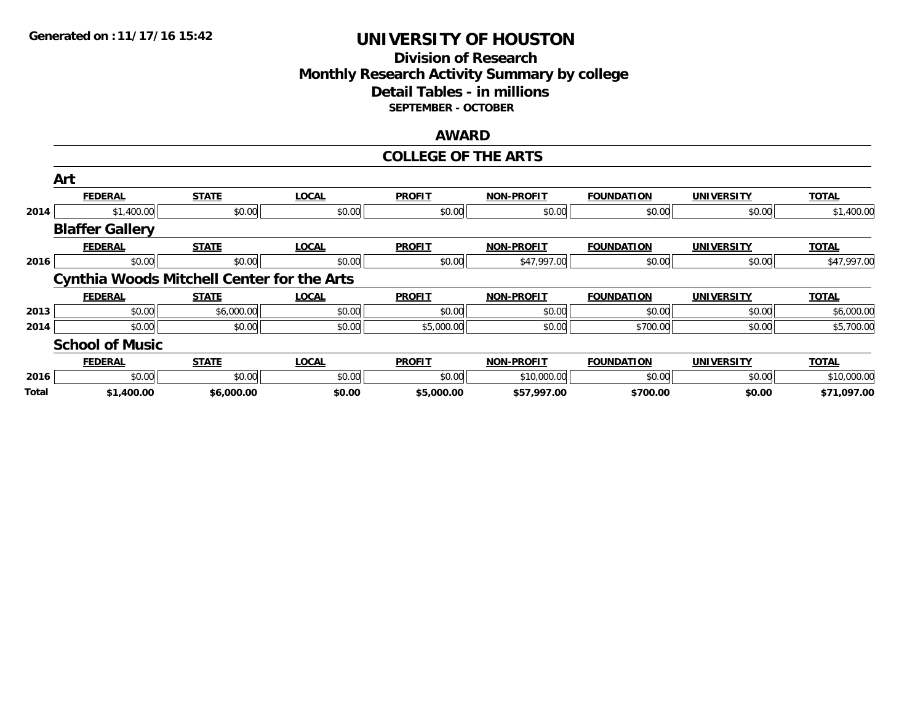## **Division of Research Monthly Research Activity Summary by college Detail Tables - in millions SEPTEMBER - OCTOBER**

#### **AWARD**

#### **COLLEGE OF THE ARTS**

|       | Art                                               |              |              |               |                   |                   |                   |              |
|-------|---------------------------------------------------|--------------|--------------|---------------|-------------------|-------------------|-------------------|--------------|
|       | <b>FEDERAL</b>                                    | <b>STATE</b> | <b>LOCAL</b> | <b>PROFIT</b> | <b>NON-PROFIT</b> | <b>FOUNDATION</b> | <b>UNIVERSITY</b> | <b>TOTAL</b> |
| 2014  | \$1,400.00                                        | \$0.00       | \$0.00       | \$0.00        | \$0.00            | \$0.00            | \$0.00            | \$1,400.00   |
|       | <b>Blaffer Gallery</b>                            |              |              |               |                   |                   |                   |              |
|       | <b>FEDERAL</b>                                    | <b>STATE</b> | <b>LOCAL</b> | <b>PROFIT</b> | <b>NON-PROFIT</b> | <b>FOUNDATION</b> | <b>UNIVERSITY</b> | <b>TOTAL</b> |
| 2016  | \$0.00                                            | \$0.00       | \$0.00       | \$0.00        | \$47,997.00       | \$0.00            | \$0.00            | \$47,997.00  |
|       | <b>Cynthia Woods Mitchell Center for the Arts</b> |              |              |               |                   |                   |                   |              |
|       | <b>FEDERAL</b>                                    | <b>STATE</b> | <b>LOCAL</b> | <b>PROFIT</b> | <b>NON-PROFIT</b> | <b>FOUNDATION</b> | <b>UNIVERSITY</b> | <b>TOTAL</b> |
| 2013  | \$0.00                                            | \$6,000.00   | \$0.00       | \$0.00        | \$0.00            | \$0.00            | \$0.00            | \$6,000.00   |
| 2014  | \$0.00                                            | \$0.00       | \$0.00       | \$5,000.00    | \$0.00            | \$700.00          | \$0.00            | \$5,700.00   |
|       | <b>School of Music</b>                            |              |              |               |                   |                   |                   |              |
|       | <b>FEDERAL</b>                                    | <b>STATE</b> | <b>LOCAL</b> | <b>PROFIT</b> | <b>NON-PROFIT</b> | <b>FOUNDATION</b> | <b>UNIVERSITY</b> | <b>TOTAL</b> |
| 2016  | \$0.00                                            | \$0.00       | \$0.00       | \$0.00        | \$10,000.00       | \$0.00            | \$0.00            | \$10,000.00  |
| Total | \$1,400.00                                        | \$6,000.00   | \$0.00       | \$5,000.00    | \$57,997.00       | \$700.00          | \$0.00            | \$71,097.00  |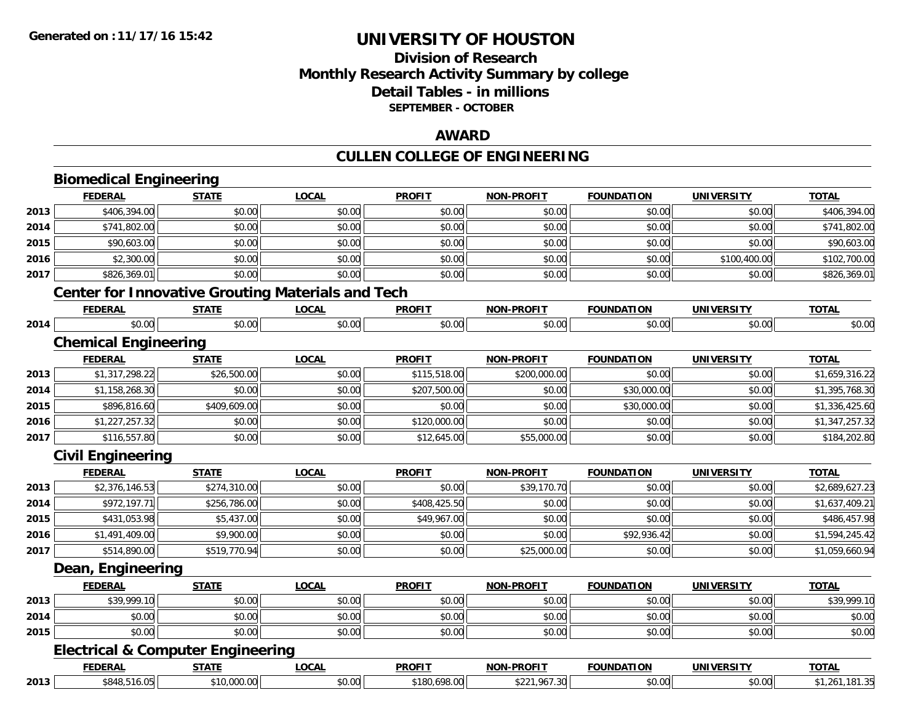# **Division of ResearchMonthly Research Activity Summary by college Detail Tables - in millions SEPTEMBER - OCTOBER**

### **AWARD**

# **CULLEN COLLEGE OF ENGINEERING**

|      | <b>Biomedical Engineering</b>                            |              |              |               |                   |                   |                   |                |
|------|----------------------------------------------------------|--------------|--------------|---------------|-------------------|-------------------|-------------------|----------------|
|      | <b>FEDERAL</b>                                           | <b>STATE</b> | <b>LOCAL</b> | <b>PROFIT</b> | NON-PROFIT        | <b>FOUNDATION</b> | <b>UNIVERSITY</b> | <b>TOTAL</b>   |
| 2013 | \$406,394.00                                             | \$0.00       | \$0.00       | \$0.00        | \$0.00            | \$0.00            | \$0.00            | \$406,394.00   |
| 2014 | \$741,802.00                                             | \$0.00       | \$0.00       | \$0.00        | \$0.00            | \$0.00            | \$0.00            | \$741,802.00   |
| 2015 | \$90,603.00                                              | \$0.00       | \$0.00       | \$0.00        | \$0.00            | \$0.00            | \$0.00            | \$90,603.00    |
| 2016 | \$2,300.00                                               | \$0.00       | \$0.00       | \$0.00        | \$0.00            | \$0.00            | \$100,400.00      | \$102,700.00   |
| 2017 | \$826,369.01                                             | \$0.00       | \$0.00       | \$0.00        | \$0.00            | \$0.00            | \$0.00            | \$826,369.01   |
|      | <b>Center for Innovative Grouting Materials and Tech</b> |              |              |               |                   |                   |                   |                |
|      | <b>FEDERAL</b>                                           | <b>STATE</b> | <b>LOCAL</b> | <b>PROFIT</b> | <b>NON-PROFIT</b> | <b>FOUNDATION</b> | <b>UNIVERSITY</b> | <b>TOTAL</b>   |
| 2014 | \$0.00                                                   | \$0.00       | \$0.00       | \$0.00        | \$0.00            | \$0.00            | \$0.00            | \$0.00         |
|      | <b>Chemical Engineering</b>                              |              |              |               |                   |                   |                   |                |
|      | <b>FEDERAL</b>                                           | <b>STATE</b> | <b>LOCAL</b> | <b>PROFIT</b> | <b>NON-PROFIT</b> | <b>FOUNDATION</b> | <b>UNIVERSITY</b> | <b>TOTAL</b>   |
| 2013 | \$1,317,298.22                                           | \$26,500.00  | \$0.00       | \$115,518.00  | \$200,000.00      | \$0.00            | \$0.00            | \$1,659,316.22 |
| 2014 | \$1,158,268.30                                           | \$0.00       | \$0.00       | \$207,500.00  | \$0.00            | \$30,000.00       | \$0.00            | \$1,395,768.30 |
| 2015 | \$896,816.60                                             | \$409,609.00 | \$0.00       | \$0.00        | \$0.00            | \$30,000.00       | \$0.00            | \$1,336,425.60 |
| 2016 | \$1,227,257.32                                           | \$0.00       | \$0.00       | \$120,000.00  | \$0.00            | \$0.00            | \$0.00            | \$1,347,257.32 |
| 2017 | \$116,557.80                                             | \$0.00       | \$0.00       | \$12,645.00   | \$55,000.00       | \$0.00            | \$0.00            | \$184,202.80   |
|      | <b>Civil Engineering</b>                                 |              |              |               |                   |                   |                   |                |
|      | <b>FEDERAL</b>                                           | <b>STATE</b> | <b>LOCAL</b> | <b>PROFIT</b> | <b>NON-PROFIT</b> | <b>FOUNDATION</b> | <b>UNIVERSITY</b> | <b>TOTAL</b>   |
| 2013 | \$2,376,146.53                                           | \$274,310.00 | \$0.00       | \$0.00        | \$39,170.70       | \$0.00            | \$0.00            | \$2,689,627.23 |
| 2014 | \$972,197.71                                             | \$256,786.00 | \$0.00       | \$408,425.50  | \$0.00            | \$0.00            | \$0.00            | \$1,637,409.21 |
| 2015 | \$431,053.98                                             | \$5,437.00   | \$0.00       | \$49,967.00   | \$0.00            | \$0.00            | \$0.00            | \$486,457.98   |
| 2016 | \$1,491,409.00                                           | \$9,900.00   | \$0.00       | \$0.00        | \$0.00            | \$92,936.42       | \$0.00            | \$1,594,245.42 |
| 2017 | \$514,890.00                                             | \$519,770.94 | \$0.00       | \$0.00        | \$25,000.00       | \$0.00            | \$0.00            | \$1,059,660.94 |
|      | Dean, Engineering                                        |              |              |               |                   |                   |                   |                |
|      | <b>FEDERAL</b>                                           | <b>STATE</b> | <b>LOCAL</b> | <b>PROFIT</b> | <b>NON-PROFIT</b> | <b>FOUNDATION</b> | <b>UNIVERSITY</b> | <b>TOTAL</b>   |
| 2013 | \$39,999.10                                              | \$0.00       | \$0.00       | \$0.00        | \$0.00            | \$0.00            | \$0.00            | \$39,999.10    |
| 2014 | \$0.00                                                   | \$0.00       | \$0.00       | \$0.00        | \$0.00            | \$0.00            | \$0.00            | \$0.00         |
| 2015 | \$0.00                                                   | \$0.00       | \$0.00       | \$0.00        | \$0.00            | \$0.00            | \$0.00            | \$0.00         |
|      | <b>Electrical &amp; Computer Engineering</b>             |              |              |               |                   |                   |                   |                |
|      | <b>FEDERAL</b>                                           | <b>STATE</b> | <b>LOCAL</b> | <b>PROFIT</b> | <b>NON-PROFIT</b> | <b>FOUNDATION</b> | <b>UNIVERSITY</b> | <b>TOTAL</b>   |
| 2013 | \$848,516.05                                             | \$10,000.00  | \$0.00       | \$180,698.00  | \$221,967.30      | \$0.00            | \$0.00            | \$1,261,181.35 |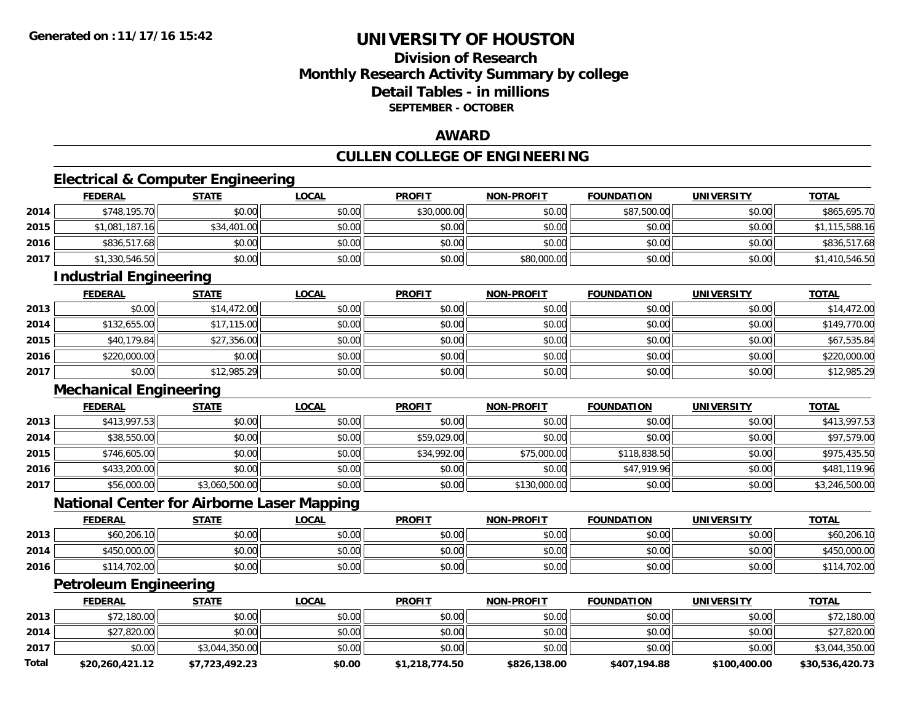**Total**

# **UNIVERSITY OF HOUSTON**

## **Division of ResearchMonthly Research Activity Summary by college Detail Tables - in millions SEPTEMBER - OCTOBER**

### **AWARD**

# **CULLEN COLLEGE OF ENGINEERING**

# **Electrical & Computer Engineering**

|      | <b>FEDERAL</b>                                    | <b>STATE</b>   | <b>LOCAL</b> | <b>PROFIT</b> | <b>NON-PROFIT</b> | <b>FOUNDATION</b> | <b>UNIVERSITY</b> | <b>TOTAL</b>             |
|------|---------------------------------------------------|----------------|--------------|---------------|-------------------|-------------------|-------------------|--------------------------|
| 2014 | \$748,195.70                                      | \$0.00         | \$0.00       | \$30,000.00   | \$0.00            | \$87,500.00       | \$0.00            | \$865,695.70             |
| 2015 | \$1,081,187.16                                    | \$34,401.00    | \$0.00       | \$0.00        | \$0.00            | \$0.00            | \$0.00            | \$1,115,588.16           |
| 2016 | \$836,517.68                                      | \$0.00         | \$0.00       | \$0.00        | \$0.00            | \$0.00            | \$0.00            | \$836,517.68             |
| 2017 | \$1,330,546.50                                    | \$0.00         | \$0.00       | \$0.00        | \$80,000.00       | \$0.00            | \$0.00            | \$1,410,546.50           |
|      | <b>Industrial Engineering</b>                     |                |              |               |                   |                   |                   |                          |
|      | <b>FEDERAL</b>                                    | <b>STATE</b>   | <b>LOCAL</b> | <b>PROFIT</b> | <b>NON-PROFIT</b> | <b>FOUNDATION</b> | <b>UNIVERSITY</b> | <b>TOTAL</b>             |
| 2013 | \$0.00                                            | \$14,472.00    | \$0.00       | \$0.00        | \$0.00            | \$0.00            | \$0.00            | \$14,472.00              |
| 2014 | \$132,655.00                                      | \$17,115.00    | \$0.00       | \$0.00        | \$0.00            | \$0.00            | \$0.00            | \$149,770.00             |
| 2015 | \$40,179.84                                       | \$27,356.00    | \$0.00       | \$0.00        | \$0.00            | \$0.00            | \$0.00            | \$67,535.84              |
| 2016 | \$220,000.00                                      | \$0.00         | \$0.00       | \$0.00        | \$0.00            | \$0.00            | \$0.00            | \$220,000.00             |
| 2017 | \$0.00                                            | \$12,985.29    | \$0.00       | \$0.00        | \$0.00            | \$0.00            | \$0.00            | \$12,985.29              |
|      | <b>Mechanical Engineering</b>                     |                |              |               |                   |                   |                   |                          |
|      | <b>FEDERAL</b>                                    | <b>STATE</b>   | <b>LOCAL</b> | <b>PROFIT</b> | <b>NON-PROFIT</b> | <b>FOUNDATION</b> | <b>UNIVERSITY</b> | <b>TOTAL</b>             |
| 2013 | \$413,997.53                                      | \$0.00         | \$0.00       | \$0.00        | \$0.00            | \$0.00            | \$0.00            | $\overline{$413,997.53}$ |
| 2014 | \$38,550.00                                       | \$0.00         | \$0.00       | \$59,029.00   | \$0.00            | \$0.00            | \$0.00            | \$97,579.00              |
| 2015 | \$746,605.00                                      | \$0.00         | \$0.00       | \$34,992.00   | \$75,000.00       | \$118,838.50      | \$0.00            | \$975,435.50             |
| 2016 | \$433,200.00                                      | \$0.00         | \$0.00       | \$0.00        | \$0.00            | \$47,919.96       | \$0.00            | \$481,119.96             |
| 2017 | \$56,000.00                                       | \$3,060,500.00 | \$0.00       | \$0.00        | \$130,000.00      | \$0.00            | \$0.00            | \$3,246,500.00           |
|      | <b>National Center for Airborne Laser Mapping</b> |                |              |               |                   |                   |                   |                          |
|      | <b>FEDERAL</b>                                    | <b>STATE</b>   | <b>LOCAL</b> | <b>PROFIT</b> | <b>NON-PROFIT</b> | <b>FOUNDATION</b> | <b>UNIVERSITY</b> | <b>TOTAL</b>             |
| 2013 | \$60,206.10                                       | \$0.00         | \$0.00       | \$0.00        | \$0.00            | \$0.00            | \$0.00            | \$60,206.10              |
| 2014 | \$450,000.00                                      | \$0.00         | \$0.00       | \$0.00        | \$0.00            | \$0.00            | \$0.00            | \$450,000.00             |
| 2016 | \$114,702.00                                      | \$0.00         | \$0.00       | \$0.00        | \$0.00            | \$0.00            | \$0.00            | \$114,702.00             |
|      | <b>Petroleum Engineering</b>                      |                |              |               |                   |                   |                   |                          |
|      | <b>FEDERAL</b>                                    | <b>STATE</b>   | <b>LOCAL</b> | <b>PROFIT</b> | <b>NON-PROFIT</b> | <b>FOUNDATION</b> | <b>UNIVERSITY</b> | <b>TOTAL</b>             |
| 2013 | \$72,180.00                                       | \$0.00         | \$0.00       | \$0.00        | \$0.00            | \$0.00            | \$0.00            | \$72,180.00              |
| 2014 | \$27,820.00                                       | \$0.00         | \$0.00       | \$0.00        | \$0.00            | \$0.00            | \$0.00            | \$27,820.00              |
| 2017 | \$0.00                                            | \$3,044,350.00 | \$0.00       | \$0.00        | \$0.00            | \$0.00            | \$0.00            | \$3,044,350.00           |

**\$20,260,421.12 \$7,723,492.23 \$0.00 \$1,218,774.50 \$826,138.00 \$407,194.88 \$100,400.00 \$30,536,420.73**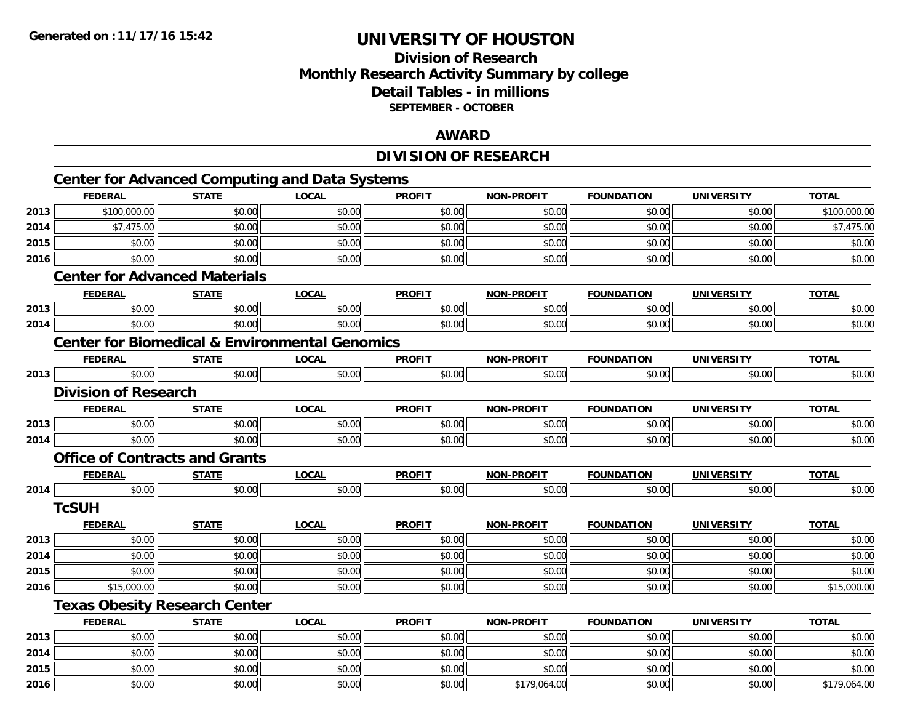# **Division of ResearchMonthly Research Activity Summary by college Detail Tables - in millions SEPTEMBER - OCTOBER**

## **AWARD**

## **DIVISION OF RESEARCH**

|      | <b>Center for Advanced Computing and Data Systems</b>     |              |              |               |                   |                   |                   |              |
|------|-----------------------------------------------------------|--------------|--------------|---------------|-------------------|-------------------|-------------------|--------------|
|      | <b>FEDERAL</b>                                            | <b>STATE</b> | <b>LOCAL</b> | <b>PROFIT</b> | <b>NON-PROFIT</b> | <b>FOUNDATION</b> | <b>UNIVERSITY</b> | <b>TOTAL</b> |
| 2013 | \$100,000.00                                              | \$0.00       | \$0.00       | \$0.00        | \$0.00            | \$0.00            | \$0.00            | \$100,000.00 |
| 2014 | \$7,475.00                                                | \$0.00       | \$0.00       | \$0.00        | \$0.00            | \$0.00            | \$0.00            | \$7,475.00   |
| 2015 | \$0.00                                                    | \$0.00       | \$0.00       | \$0.00        | \$0.00            | \$0.00            | \$0.00            | \$0.00       |
| 2016 | \$0.00                                                    | \$0.00       | \$0.00       | \$0.00        | \$0.00            | \$0.00            | \$0.00            | \$0.00       |
|      | <b>Center for Advanced Materials</b>                      |              |              |               |                   |                   |                   |              |
|      | <b>FEDERAL</b>                                            | <b>STATE</b> | <b>LOCAL</b> | <b>PROFIT</b> | <b>NON-PROFIT</b> | <b>FOUNDATION</b> | <b>UNIVERSITY</b> | <b>TOTAL</b> |
| 2013 | \$0.00                                                    | \$0.00       | \$0.00       | \$0.00        | \$0.00            | \$0.00            | \$0.00            | \$0.00       |
| 2014 | \$0.00                                                    | \$0.00       | \$0.00       | \$0.00        | \$0.00            | \$0.00            | \$0.00            | \$0.00       |
|      | <b>Center for Biomedical &amp; Environmental Genomics</b> |              |              |               |                   |                   |                   |              |
|      | <b>FEDERAL</b>                                            | <b>STATE</b> | <b>LOCAL</b> | <b>PROFIT</b> | NON-PROFIT        | <b>FOUNDATION</b> | <b>UNIVERSITY</b> | <b>TOTAL</b> |
| 2013 | \$0.00                                                    | \$0.00       | \$0.00       | \$0.00        | \$0.00            | \$0.00            | \$0.00            | \$0.00       |
|      | <b>Division of Research</b>                               |              |              |               |                   |                   |                   |              |
|      | <b>FEDERAL</b>                                            | <b>STATE</b> | <b>LOCAL</b> | <b>PROFIT</b> | <b>NON-PROFIT</b> | <b>FOUNDATION</b> | <b>UNIVERSITY</b> | <b>TOTAL</b> |
| 2013 | \$0.00                                                    | \$0.00       | \$0.00       | \$0.00        | \$0.00            | \$0.00            | \$0.00            | \$0.00       |
| 2014 | \$0.00                                                    | \$0.00       | \$0.00       | \$0.00        | \$0.00            | \$0.00            | \$0.00            | \$0.00       |
|      | <b>Office of Contracts and Grants</b>                     |              |              |               |                   |                   |                   |              |
|      | <b>FEDERAL</b>                                            | <b>STATE</b> | <b>LOCAL</b> | <b>PROFIT</b> | <b>NON-PROFIT</b> | <b>FOUNDATION</b> | <b>UNIVERSITY</b> | <b>TOTAL</b> |
| 2014 | \$0.00                                                    | \$0.00       | \$0.00       | \$0.00        | \$0.00            | \$0.00            | \$0.00            | \$0.00       |
|      | <b>TcSUH</b>                                              |              |              |               |                   |                   |                   |              |
|      | <b>FEDERAL</b>                                            | <b>STATE</b> | <b>LOCAL</b> | <b>PROFIT</b> | <b>NON-PROFIT</b> | <b>FOUNDATION</b> | <b>UNIVERSITY</b> | <b>TOTAL</b> |
| 2013 | \$0.00                                                    | \$0.00       | \$0.00       | \$0.00        | \$0.00            | \$0.00            | \$0.00            | \$0.00       |
| 2014 | \$0.00                                                    | \$0.00       | \$0.00       | \$0.00        | \$0.00            | \$0.00            | \$0.00            | \$0.00       |
| 2015 | \$0.00                                                    | \$0.00       | \$0.00       | \$0.00        | \$0.00            | \$0.00            | \$0.00            | \$0.00       |
| 2016 | \$15,000.00                                               | \$0.00       | \$0.00       | \$0.00        | \$0.00            | \$0.00            | \$0.00            | \$15,000.00  |
|      | <b>Texas Obesity Research Center</b>                      |              |              |               |                   |                   |                   |              |
|      | <b>FEDERAL</b>                                            | <b>STATE</b> | <b>LOCAL</b> | <b>PROFIT</b> | <b>NON-PROFIT</b> | <b>FOUNDATION</b> | <b>UNIVERSITY</b> | <b>TOTAL</b> |
| 2013 | \$0.00                                                    | \$0.00       | \$0.00       | \$0.00        | \$0.00            | \$0.00            | \$0.00            | \$0.00       |
| 2014 | \$0.00                                                    | \$0.00       | \$0.00       | \$0.00        | \$0.00            | \$0.00            | \$0.00            | \$0.00       |
| 2015 | \$0.00                                                    | \$0.00       | \$0.00       | \$0.00        | \$0.00            | \$0.00            | \$0.00            | \$0.00       |
| 2016 | \$0.00                                                    | \$0.00       | \$0.00       | \$0.00        | \$179,064.00      | \$0.00            | \$0.00            | \$179,064.00 |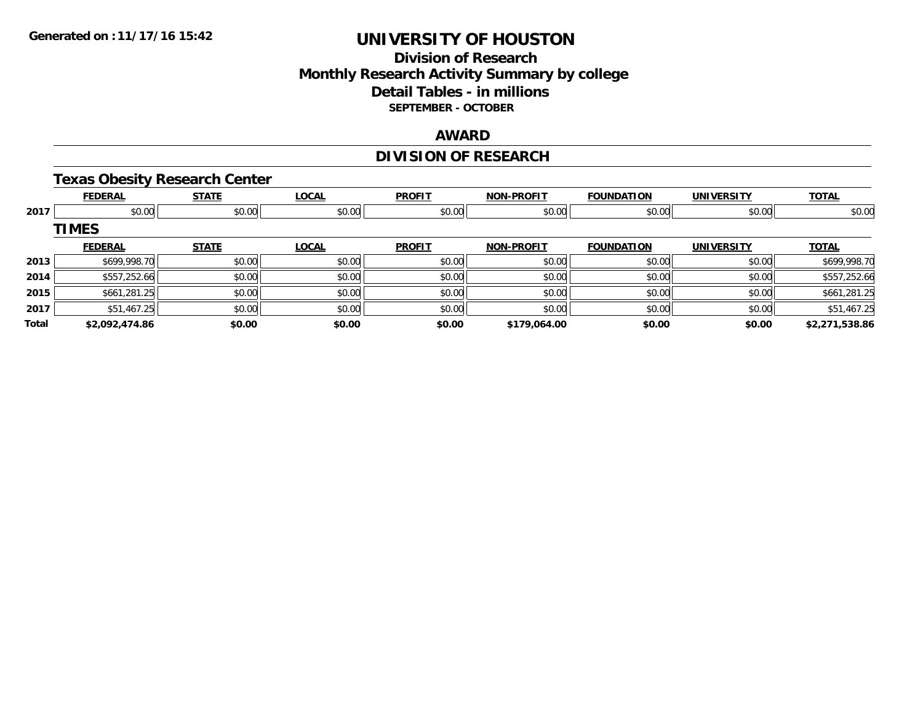## **Division of Research Monthly Research Activity Summary by college Detail Tables - in millions SEPTEMBER - OCTOBER**

## **AWARD**

# **DIVISION OF RESEARCH**

## **Texas Obesity Research Center**

|       | <b>FEDERAL</b> | <b>STATE</b> | <b>LOCAL</b> | <b>PROFIT</b> | <b>NON-PROFIT</b> | <b>FOUNDATION</b> | <b>UNIVERSITY</b> | <b>TOTAL</b>   |
|-------|----------------|--------------|--------------|---------------|-------------------|-------------------|-------------------|----------------|
| 2017  | \$0.00         | \$0.00       | \$0.00       | \$0.00        | \$0.00            | \$0.00            | \$0.00            | \$0.00         |
|       | <b>TIMES</b>   |              |              |               |                   |                   |                   |                |
|       | <b>FEDERAL</b> | <b>STATE</b> | <b>LOCAL</b> | <b>PROFIT</b> | <b>NON-PROFIT</b> | <b>FOUNDATION</b> | <b>UNIVERSITY</b> | <b>TOTAL</b>   |
| 2013  | \$699,998.70   | \$0.00       | \$0.00       | \$0.00        | \$0.00            | \$0.00            | \$0.00            | \$699,998.70   |
| 2014  | \$557,252.66   | \$0.00       | \$0.00       | \$0.00        | \$0.00            | \$0.00            | \$0.00            | \$557,252.66   |
| 2015  | \$661,281.25   | \$0.00       | \$0.00       | \$0.00        | \$0.00            | \$0.00            | \$0.00            | \$661,281.25   |
| 2017  | \$51,467.25    | \$0.00       | \$0.00       | \$0.00        | \$0.00            | \$0.00            | \$0.00            | \$51,467.25    |
| Total | \$2,092,474.86 | \$0.00       | \$0.00       | \$0.00        | \$179,064.00      | \$0.00            | \$0.00            | \$2,271,538.86 |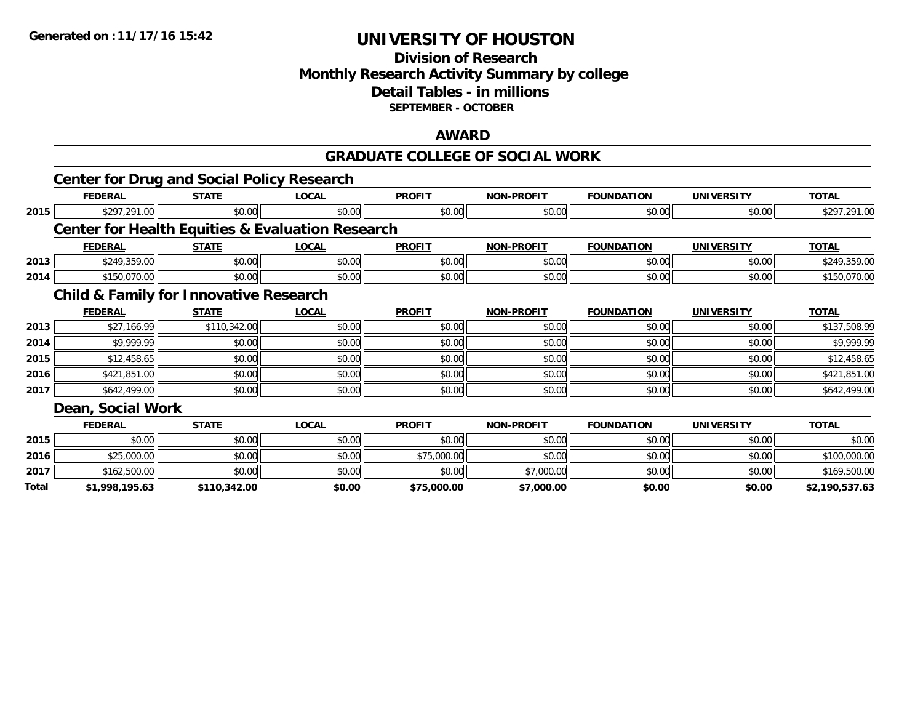## **Division of Research Monthly Research Activity Summary by college Detail Tables - in millions SEPTEMBER - OCTOBER**

#### **AWARD**

#### **GRADUATE COLLEGE OF SOCIAL WORK**

|       | <b>Center for Drug and Social Policy Research</b> |              |                                                             |               |                   |                   |                   |                |
|-------|---------------------------------------------------|--------------|-------------------------------------------------------------|---------------|-------------------|-------------------|-------------------|----------------|
|       | <b>FEDERAL</b>                                    | <b>STATE</b> | <b>LOCAL</b>                                                | <b>PROFIT</b> | <b>NON-PROFIT</b> | <b>FOUNDATION</b> | <b>UNIVERSITY</b> | <b>TOTAL</b>   |
| 2015  | \$297,291.00                                      | \$0.00       | \$0.00                                                      | \$0.00        | \$0.00            | \$0.00            | \$0.00            | \$297,291.00   |
|       |                                                   |              | <b>Center for Health Equities &amp; Evaluation Research</b> |               |                   |                   |                   |                |
|       | <b>FEDERAL</b>                                    | <b>STATE</b> | <b>LOCAL</b>                                                | <b>PROFIT</b> | <b>NON-PROFIT</b> | <b>FOUNDATION</b> | <b>UNIVERSITY</b> | <b>TOTAL</b>   |
| 2013  | \$249,359.00                                      | \$0.00       | \$0.00                                                      | \$0.00        | \$0.00            | \$0.00            | \$0.00            | \$249,359.00   |
| 2014  | \$150,070.00                                      | \$0.00       | \$0.00                                                      | \$0.00        | \$0.00            | \$0.00            | \$0.00            | \$150,070.00   |
|       | <b>Child &amp; Family for Innovative Research</b> |              |                                                             |               |                   |                   |                   |                |
|       | <b>FEDERAL</b>                                    | <b>STATE</b> | <b>LOCAL</b>                                                | <b>PROFIT</b> | <b>NON-PROFIT</b> | <b>FOUNDATION</b> | <b>UNIVERSITY</b> | <b>TOTAL</b>   |
| 2013  | \$27,166.99                                       | \$110,342.00 | \$0.00                                                      | \$0.00        | \$0.00            | \$0.00            | \$0.00            | \$137,508.99   |
| 2014  | \$9,999.99                                        | \$0.00       | \$0.00                                                      | \$0.00        | \$0.00            | \$0.00            | \$0.00            | \$9,999.99     |
| 2015  | \$12,458.65                                       | \$0.00       | \$0.00                                                      | \$0.00        | \$0.00            | \$0.00            | \$0.00            | \$12,458.65    |
| 2016  | \$421,851.00                                      | \$0.00       | \$0.00                                                      | \$0.00        | \$0.00            | \$0.00            | \$0.00            | \$421,851.00   |
| 2017  | \$642,499.00                                      | \$0.00       | \$0.00                                                      | \$0.00        | \$0.00            | \$0.00            | \$0.00            | \$642,499.00   |
|       | Dean, Social Work                                 |              |                                                             |               |                   |                   |                   |                |
|       | <b>FEDERAL</b>                                    | <b>STATE</b> | <b>LOCAL</b>                                                | <b>PROFIT</b> | <b>NON-PROFIT</b> | <b>FOUNDATION</b> | <b>UNIVERSITY</b> | <b>TOTAL</b>   |
| 2015  | \$0.00                                            | \$0.00       | \$0.00                                                      | \$0.00        | \$0.00            | \$0.00            | \$0.00            | \$0.00         |
| 2016  | \$25,000.00                                       | \$0.00       | \$0.00                                                      | \$75,000.00   | \$0.00            | \$0.00            | \$0.00            | \$100,000.00   |
| 2017  | \$162,500.00                                      | \$0.00       | \$0.00                                                      | \$0.00        | \$7,000.00        | \$0.00            | \$0.00            | \$169,500.00   |
| Total | \$1,998,195.63                                    | \$110,342.00 | \$0.00                                                      | \$75,000.00   | \$7,000.00        | \$0.00            | \$0.00            | \$2,190,537.63 |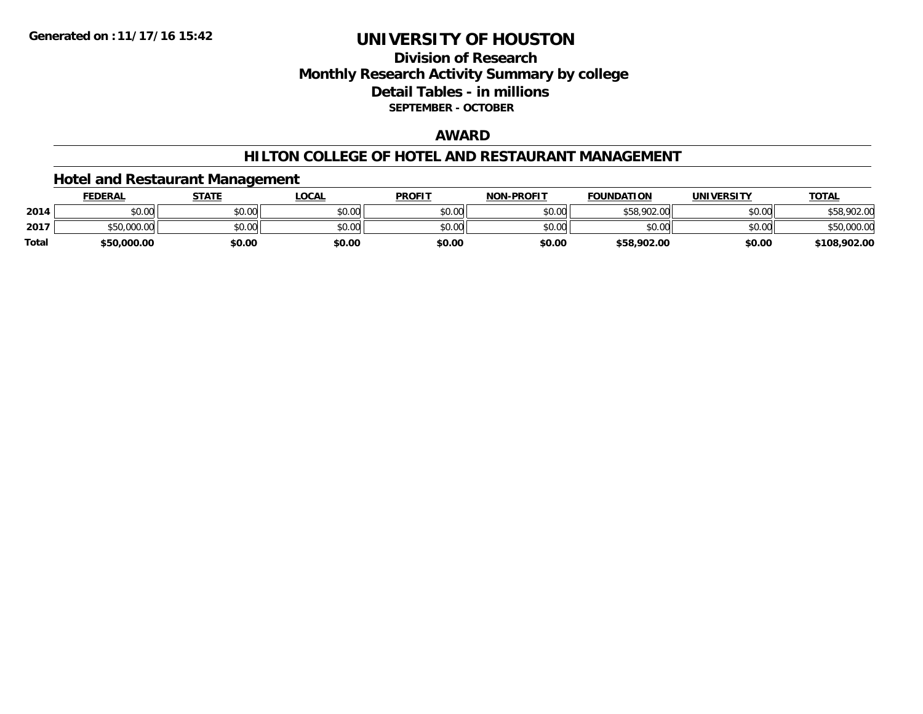# **Division of ResearchMonthly Research Activity Summary by college Detail Tables - in millions SEPTEMBER - OCTOBER**

## **AWARD**

#### **HILTON COLLEGE OF HOTEL AND RESTAURANT MANAGEMENT**

## **Hotel and Restaurant Management**

|              | <b>FEDERAL</b> | <b>STATE</b> | _OCAL  | <b>PROFIT</b> | <b>NON-PROFIT</b> | <b>FOUNDATION</b> | UNIVERSITY | <b>TOTAL</b> |
|--------------|----------------|--------------|--------|---------------|-------------------|-------------------|------------|--------------|
| 2014         | \$0.00         | \$0.00       | \$0.00 | \$0.00        | \$0.00            | \$58,902.00       | \$0.00     | \$58,902.00  |
| 2017         | \$50,000.00    | \$0.00       | \$0.00 | \$0.00        | \$0.00            | \$0.00            | \$0.00     | 00.000.00 نا |
| <b>Total</b> | \$50,000.00    | \$0.00       | \$0.00 | \$0.00        | \$0.00            | \$58,902.00       | \$0.00     | \$108,902.00 |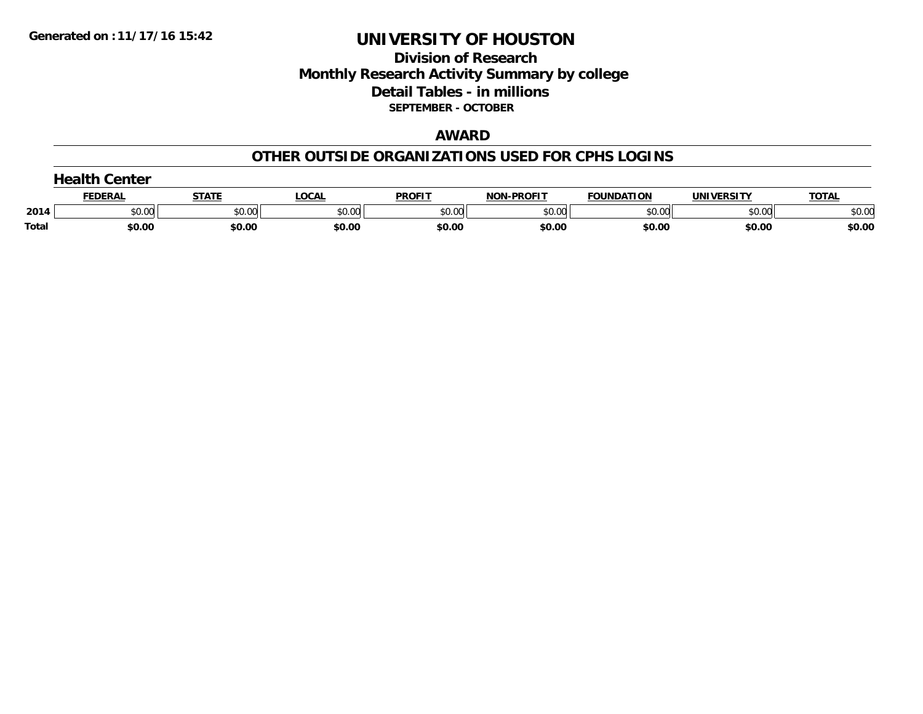## **Division of Research Monthly Research Activity Summary by college Detail Tables - in millions SEPTEMBER - OCTOBER**

#### **AWARD**

### **OTHER OUTSIDE ORGANIZATIONS USED FOR CPHS LOGINS**

|       | $\blacksquare$<br>Center |        |        |               |                   |                   |                   |              |  |  |
|-------|--------------------------|--------|--------|---------------|-------------------|-------------------|-------------------|--------------|--|--|
|       | <b>FEDERAL</b>           | STATI  | LOCAL  | <b>PROFIT</b> | <b>NON-PROFIT</b> | <b>FOUNDATION</b> | <b>UNIVERSITY</b> | <b>TOTAL</b> |  |  |
| 2014  | \$0.00                   | \$0.00 | \$0.00 | \$0.00        | \$0.00            | \$0.00            | \$0.00            | \$0.00       |  |  |
| Total | \$0.00                   | \$0.00 | \$0.00 | \$0.00        | \$0.00            | \$0.00            | \$0.00            | \$0.00       |  |  |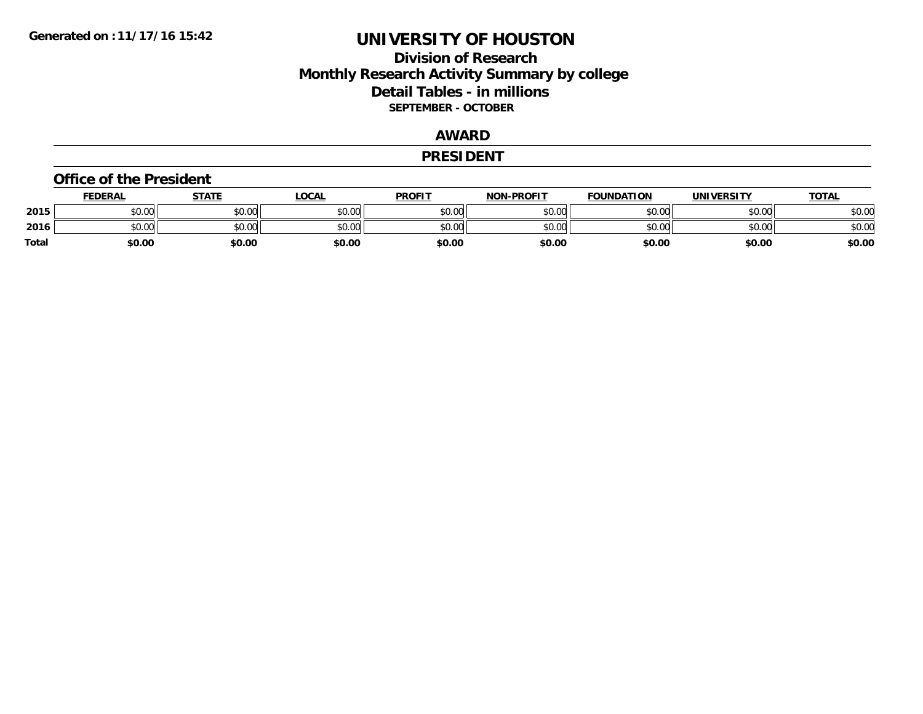## **Division of Research Monthly Research Activity Summary by college Detail Tables - in millions SEPTEMBER - OCTOBER**

## **AWARD**

#### **PRESIDENT**

#### **Office of the President**

|       | <b>FEDERAL</b> | STATE  | <b>LOCAL</b> | <b>PROFIT</b> | <b>NON-PROFIT</b> | <b>FOUNDATION</b> | <b>UNIVERSITY</b> | <u>TOTAL</u> |
|-------|----------------|--------|--------------|---------------|-------------------|-------------------|-------------------|--------------|
| 2015  | \$0.00         | \$0.00 | \$0.00       | \$0.00        | \$0.00            | \$0.00            | \$0.00            | \$0.00       |
| 2016  | \$0.00         | \$0.00 | \$0.00       | \$0.00        | \$0.00            | \$0.00            | \$0.00            | \$0.00       |
| Total | \$0.00         | \$0.00 | \$0.00       | \$0.00        | \$0.00            | \$0.00            | \$0.00            | \$0.00       |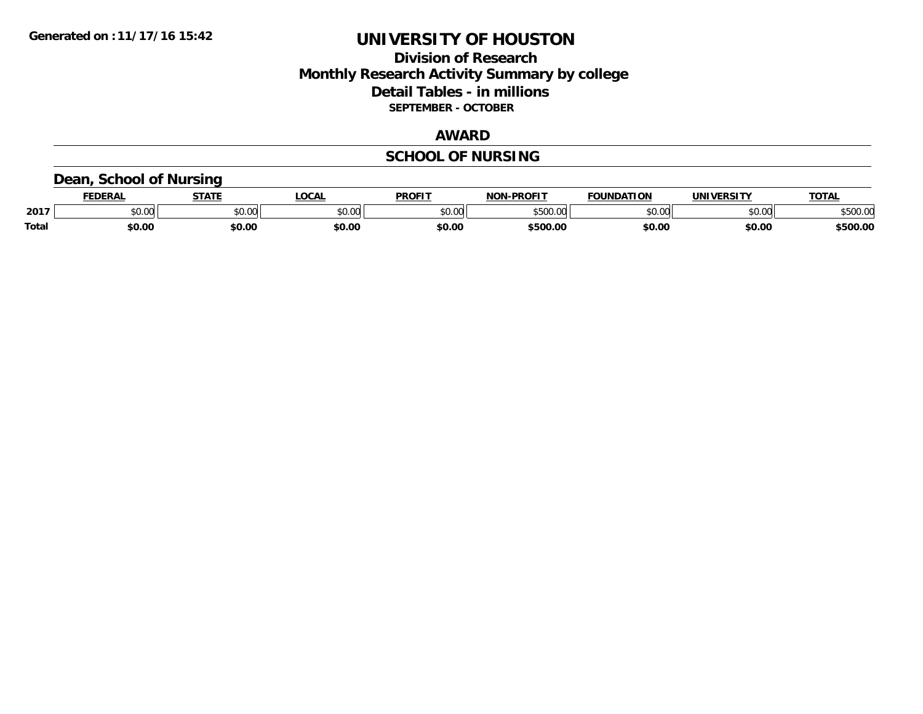## **Division of Research Monthly Research Activity Summary by college Detail Tables - in millions SEPTEMBER - OCTOBER**

#### **AWARD**

# **SCHOOL OF NURSING**

## **Dean, School of Nursing**

|              | <b>FEDERAL</b> | <b>STATE</b>  | <b>OCAL</b> | <b>PROFIT</b> | -PROFIT<br>NIAR | <b>FOUNDATION</b> | UNIVERSITY | <b>TOTAL</b>      |
|--------------|----------------|---------------|-------------|---------------|-----------------|-------------------|------------|-------------------|
| 2017         | 0.00<br>PU.UU  | 0000<br>JU.UU | \$0.00      | 0000<br>JU.UU | ATAA<br>ററ<br>w | \$0.00            | \$0.00     | 0.5000<br>จวบบ.บเ |
| <b>Total</b> | \$0.00         | \$0.00        | \$0.00      | \$0.00        | \$500.00        | \$0.00            | \$0.00     | 500.00            |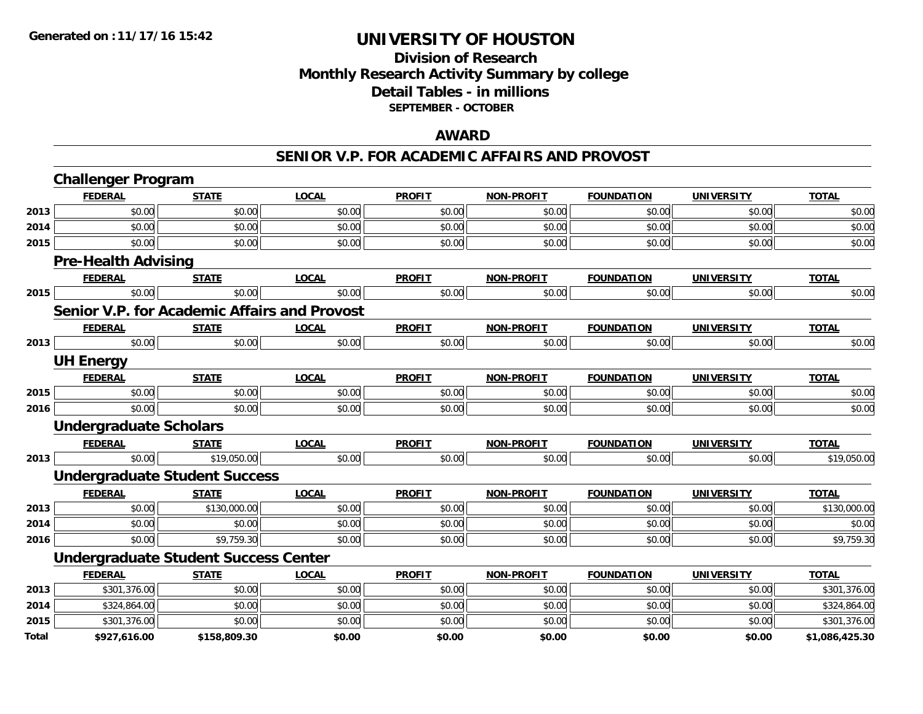## **Division of Research Monthly Research Activity Summary by college Detail Tables - in millions SEPTEMBER - OCTOBER**

### **AWARD**

#### **SENIOR V.P. FOR ACADEMIC AFFAIRS AND PROVOST**

|              | <b>Challenger Program</b>                    |              |              |               |                   |                   |                   |                |
|--------------|----------------------------------------------|--------------|--------------|---------------|-------------------|-------------------|-------------------|----------------|
|              | <b>FEDERAL</b>                               | <b>STATE</b> | <b>LOCAL</b> | <b>PROFIT</b> | <b>NON-PROFIT</b> | <b>FOUNDATION</b> | <b>UNIVERSITY</b> | <b>TOTAL</b>   |
| 2013         | \$0.00                                       | \$0.00       | \$0.00       | \$0.00        | \$0.00            | \$0.00            | \$0.00            | \$0.00         |
| 2014         | \$0.00                                       | \$0.00       | \$0.00       | \$0.00        | \$0.00            | \$0.00            | \$0.00            | \$0.00         |
| 2015         | \$0.00                                       | \$0.00       | \$0.00       | \$0.00        | \$0.00            | \$0.00            | \$0.00            | \$0.00         |
|              | <b>Pre-Health Advising</b>                   |              |              |               |                   |                   |                   |                |
|              | <b>FEDERAL</b>                               | <b>STATE</b> | <b>LOCAL</b> | <b>PROFIT</b> | <b>NON-PROFIT</b> | <b>FOUNDATION</b> | <b>UNIVERSITY</b> | <b>TOTAL</b>   |
| 2015         | \$0.00                                       | \$0.00       | \$0.00       | \$0.00        | \$0.00            | \$0.00            | \$0.00            | \$0.00         |
|              | Senior V.P. for Academic Affairs and Provost |              |              |               |                   |                   |                   |                |
|              | <b>FEDERAL</b>                               | <b>STATE</b> | <b>LOCAL</b> | <b>PROFIT</b> | <b>NON-PROFIT</b> | <b>FOUNDATION</b> | <b>UNIVERSITY</b> | <b>TOTAL</b>   |
| 2013         | \$0.00                                       | \$0.00       | \$0.00       | \$0.00        | \$0.00            | \$0.00            | \$0.00            | \$0.00         |
|              | <b>UH Energy</b>                             |              |              |               |                   |                   |                   |                |
|              | <b>FEDERAL</b>                               | <b>STATE</b> | <b>LOCAL</b> | <b>PROFIT</b> | <b>NON-PROFIT</b> | <b>FOUNDATION</b> | <b>UNIVERSITY</b> | <b>TOTAL</b>   |
| 2015         | \$0.00                                       | \$0.00       | \$0.00       | \$0.00        | \$0.00            | \$0.00            | \$0.00            | \$0.00         |
| 2016         | \$0.00                                       | \$0.00       | \$0.00       | \$0.00        | \$0.00            | \$0.00            | \$0.00            | \$0.00         |
|              | <b>Undergraduate Scholars</b>                |              |              |               |                   |                   |                   |                |
|              | <b>FEDERAL</b>                               | <b>STATE</b> | <b>LOCAL</b> | <b>PROFIT</b> | <b>NON-PROFIT</b> | <b>FOUNDATION</b> | <b>UNIVERSITY</b> | <b>TOTAL</b>   |
| 2013         | \$0.00                                       | \$19,050.00  | \$0.00       | \$0.00        | \$0.00            | \$0.00            | \$0.00            | \$19,050.00    |
|              | <b>Undergraduate Student Success</b>         |              |              |               |                   |                   |                   |                |
|              | <b>FEDERAL</b>                               | <b>STATE</b> | <b>LOCAL</b> | <b>PROFIT</b> | <b>NON-PROFIT</b> | <b>FOUNDATION</b> | <b>UNIVERSITY</b> | <b>TOTAL</b>   |
| 2013         | \$0.00                                       | \$130,000.00 | \$0.00       | \$0.00        | \$0.00            | \$0.00            | \$0.00            | \$130,000.00   |
| 2014         | \$0.00                                       | \$0.00       | \$0.00       | \$0.00        | \$0.00            | \$0.00            | \$0.00            | \$0.00         |
| 2016         | \$0.00                                       | \$9,759.30   | \$0.00       | \$0.00        | \$0.00            | \$0.00            | \$0.00            | \$9,759.30     |
|              | <b>Undergraduate Student Success Center</b>  |              |              |               |                   |                   |                   |                |
|              | <b>FEDERAL</b>                               | <b>STATE</b> | <b>LOCAL</b> | <b>PROFIT</b> | <b>NON-PROFIT</b> | <b>FOUNDATION</b> | <b>UNIVERSITY</b> | <b>TOTAL</b>   |
| 2013         | \$301,376.00                                 | \$0.00       | \$0.00       | \$0.00        | \$0.00            | \$0.00            | \$0.00            | \$301,376.00   |
| 2014         | \$324,864.00                                 | \$0.00       | \$0.00       | \$0.00        | \$0.00            | \$0.00            | \$0.00            | \$324,864.00   |
| 2015         | \$301,376.00                                 | \$0.00       | \$0.00       | \$0.00        | \$0.00            | \$0.00            | \$0.00            | \$301,376.00   |
| <b>Total</b> | \$927,616.00                                 | \$158,809.30 | \$0.00       | \$0.00        | \$0.00            | \$0.00            | \$0.00            | \$1,086,425.30 |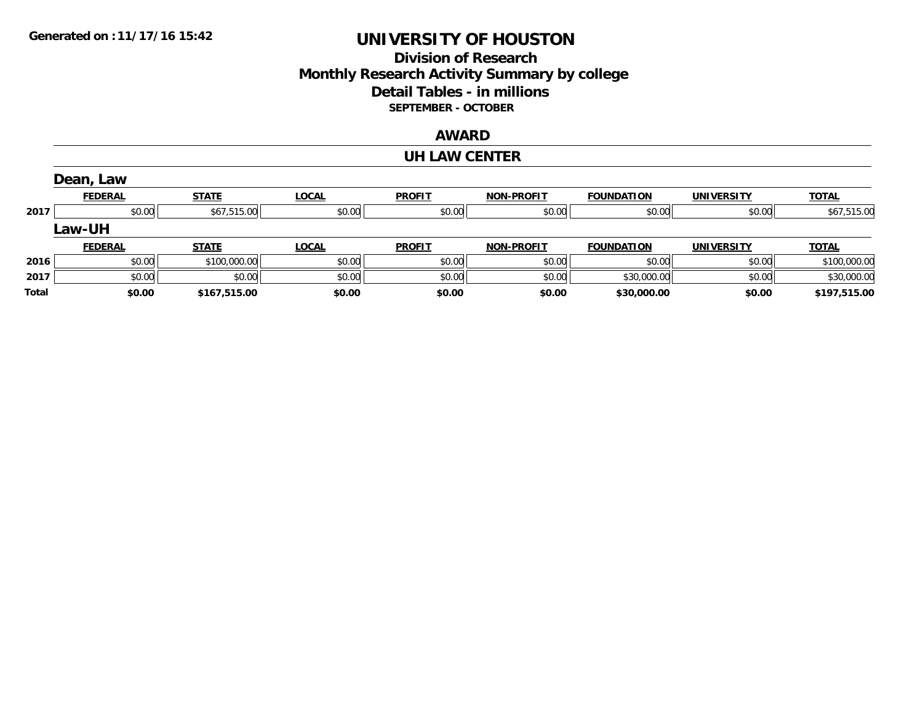# **Division of Research Monthly Research Activity Summary by college Detail Tables - in millions SEPTEMBER - OCTOBER**

## **AWARD**

#### **UH LAW CENTER**

|       | Dean, Law      |              |              |               |                   |                   |                   |              |
|-------|----------------|--------------|--------------|---------------|-------------------|-------------------|-------------------|--------------|
|       | <b>FEDERAL</b> | <b>STATE</b> | <b>LOCAL</b> | <b>PROFIT</b> | <b>NON-PROFIT</b> | <b>FOUNDATION</b> | <b>UNIVERSITY</b> | <u>TOTAL</u> |
| 2017  | \$0.00         | \$67,515.00  | \$0.00       | \$0.00        | \$0.00            | \$0.00            | \$0.00            | \$67,515.00  |
|       | <b>Law-UH</b>  |              |              |               |                   |                   |                   |              |
|       | <b>FEDERAL</b> | <b>STATE</b> | <b>LOCAL</b> | <b>PROFIT</b> | <b>NON-PROFIT</b> | <b>FOUNDATION</b> | <b>UNIVERSITY</b> | <b>TOTAL</b> |
| 2016  | \$0.00         | \$100,000.00 | \$0.00       | \$0.00        | \$0.00            | \$0.00            | \$0.00            | \$100,000.00 |
| 2017  | \$0.00         | \$0.00       | \$0.00       | \$0.00        | \$0.00            | \$30,000.00       | \$0.00            | \$30,000.00  |
| Total | \$0.00         | \$167.515.00 | \$0.00       | \$0.00        | \$0.00            | \$30,000.00       | \$0.00            | \$197,515.00 |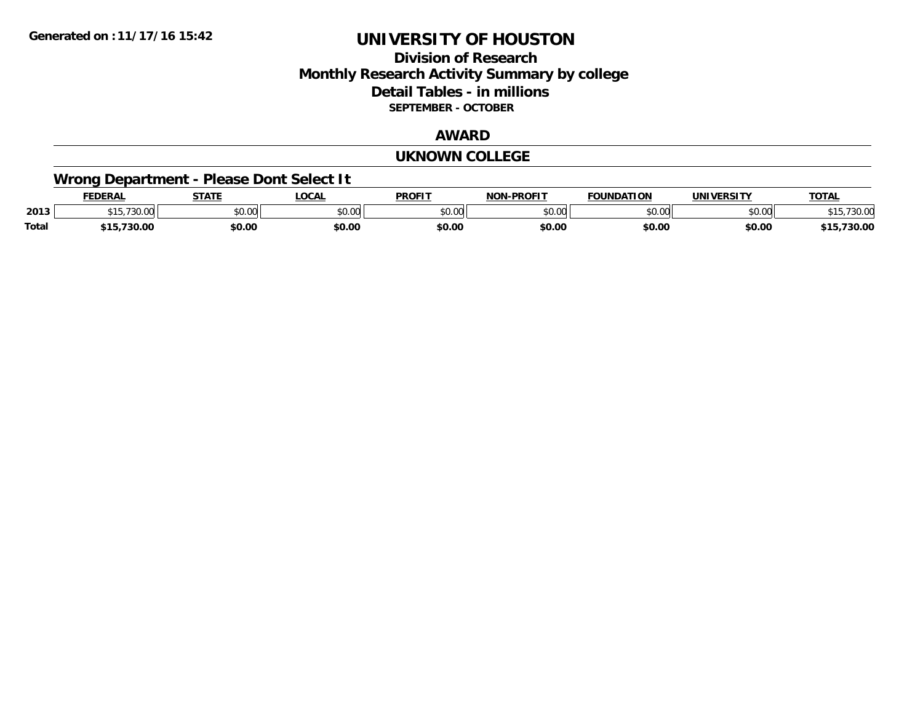## **Division of Research Monthly Research Activity Summary by college Detail Tables - in millions SEPTEMBER - OCTOBER**

#### **AWARD**

#### **UKNOWN COLLEGE**

# **Wrong Department - Please Dont Select It**

|              | <b>DERAL</b>               | <b>STATE</b>            | LOCAI         | <b>PROFIT</b>    | -PROFIT<br>NON | <b>FOUNDATION</b> | <b><i>INIVEDSITY</i></b> | <b>TOTAL</b>    |
|--------------|----------------------------|-------------------------|---------------|------------------|----------------|-------------------|--------------------------|-----------------|
| 2013         | ⊣ ບ                        | 0 <sub>n</sub><br>JU.UU | 0000<br>JU.UU | $\sim$ 00<br>,uu | \$0.00         |                   | $\sim$ 00<br>DU.UU       | 7.30.UC<br>່ເປ  |
| <b>Total</b> | 72000<br>.<br>su.uu<br>. . | \$0.00                  | \$0.00        | \$0.00           | \$0.00         | \$0.00            | \$0.00                   | ,,,,,,<br>30.UU |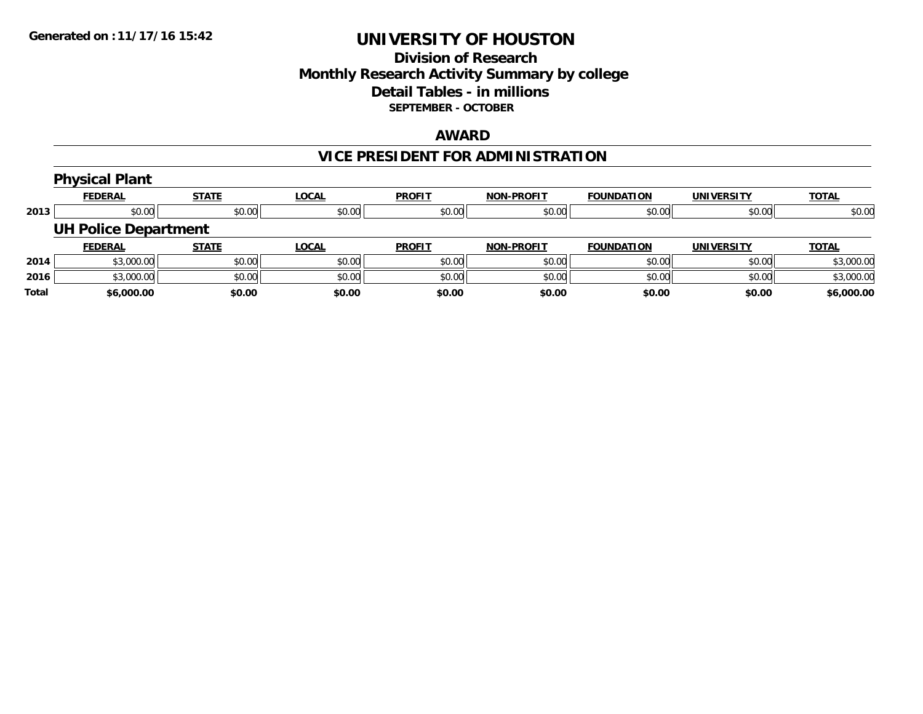## **Division of Research Monthly Research Activity Summary by college Detail Tables - in millions SEPTEMBER - OCTOBER**

### **AWARD**

# **VICE PRESIDENT FOR ADMINISTRATION**

|      | <b>Physical Plant</b>       |              |              |               |                   |                   |                   |              |  |  |  |
|------|-----------------------------|--------------|--------------|---------------|-------------------|-------------------|-------------------|--------------|--|--|--|
|      | <b>FEDERAL</b>              | <b>STATE</b> | <b>LOCAL</b> | <b>PROFIT</b> | <b>NON-PROFIT</b> | <b>FOUNDATION</b> | <b>UNIVERSITY</b> | <b>TOTAL</b> |  |  |  |
| 2013 | \$0.00                      | \$0.00       | \$0.00       | \$0.00        | \$0.00            | \$0.00            | \$0.00            | \$0.00       |  |  |  |
|      | <b>UH Police Department</b> |              |              |               |                   |                   |                   |              |  |  |  |
|      | <b>FEDERAL</b>              | <b>STATE</b> | <b>LOCAL</b> | <b>PROFIT</b> | <b>NON-PROFIT</b> | <b>FOUNDATION</b> | <b>UNIVERSITY</b> | <b>TOTAL</b> |  |  |  |
| 2014 | \$3,000.00                  | \$0.00       | \$0.00       | \$0.00        | \$0.00            | \$0.00            | \$0.00            | \$3,000.00   |  |  |  |
| 2016 | \$3,000.00                  | \$0.00       | \$0.00       | \$0.00        | \$0.00            | \$0.00            | \$0.00            | \$3,000.00   |  |  |  |
|      |                             |              |              |               |                   |                   |                   |              |  |  |  |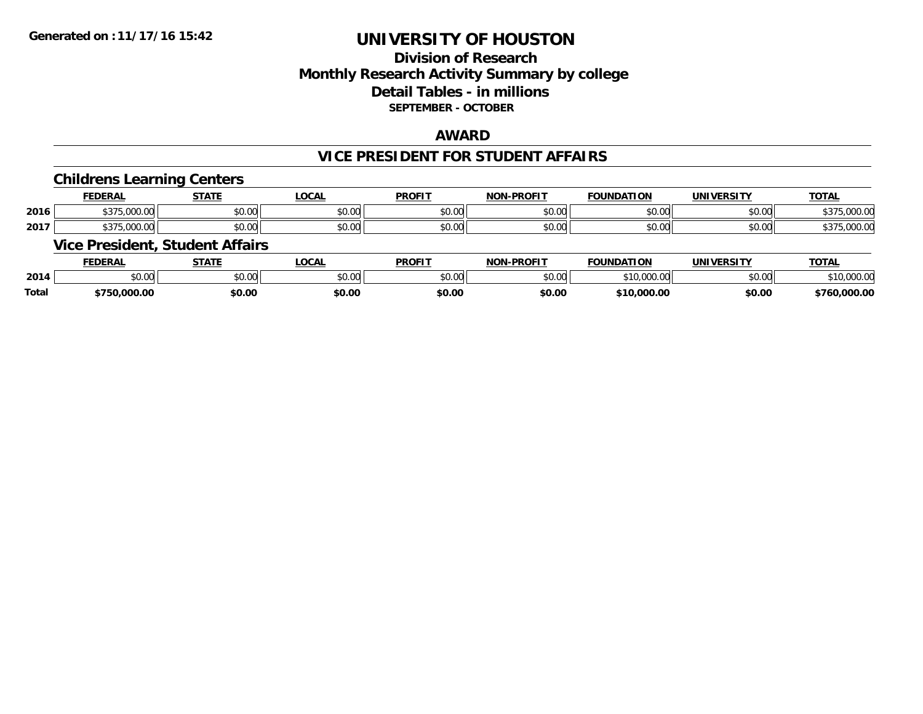# **Division of ResearchMonthly Research Activity Summary by college Detail Tables - in millions SEPTEMBER - OCTOBER**

## **AWARD**

### **VICE PRESIDENT FOR STUDENT AFFAIRS**

## **Childrens Learning Centers**

|      | <b>FEDERAL</b>                    | <b>CTATI</b> | <b>OCAL</b>                | <b>PROFIT</b>                                         | <b>DDOCIT</b><br><b>NIONI</b> | <b>FOUNDAT</b><br><b>TION</b> | <b>IINIVE</b><br>ne ITI | <b>TOTAL</b>                                    |
|------|-----------------------------------|--------------|----------------------------|-------------------------------------------------------|-------------------------------|-------------------------------|-------------------------|-------------------------------------------------|
| 2016 | *^¬r<br>,,,,,,,,,,,,,,,,          | \$0.00       | <b>↑∩</b><br>$\sim$<br>ט.ט | 0000<br>JU.UU                                         | 0000<br>JU.UU                 | ۰, ∪ ب                        | 0.00<br>vv.vv           | 00000<br>$\sim$ $\sim$ $\sim$<br>.UUU.U<br>.נ.ט |
| 2017 | $+ - - -$<br>$\sim$ $\sim$ $\sim$ | \$0.00       | ሖጣ<br>$\sim$<br>JU.UU      | $\mathsf{A} \cap \mathsf{A} \cap \mathsf{A}$<br>JU.UU | 0000<br><b>JU.UU</b>          | JU.UU                         | 0.000<br><b>DU.UU</b>   | nnn n <i>r</i><br>,UUU.U<br>D.J.                |

## **Vice President, Student Affairs**

|              | <b>FEDERAL</b> | <b>STATE</b> | .OCAL          | <b>PROFIT</b> | -DDAEIT<br>81 A B | <b>FOUNDATION</b>      | UNIVERSITY | <b>TOTAL</b>          |
|--------------|----------------|--------------|----------------|---------------|-------------------|------------------------|------------|-----------------------|
| 2014         | ቀስ ስስ<br>NU.UU | \$0.00       | ტი იი<br>JU.UU | 0000<br>JU.UU | ልስ ሀህ<br>ט.טע     | \$10,000.00            | \$0.00     | 0.0000<br>. 10.000.00 |
| <b>Total</b> | .000.00        | \$0.00       | \$0.00         | \$0.00        | \$0.00            | .000.00<br><b>৫</b> ብጠ | \$0.00     | ,000.00<br>760.       |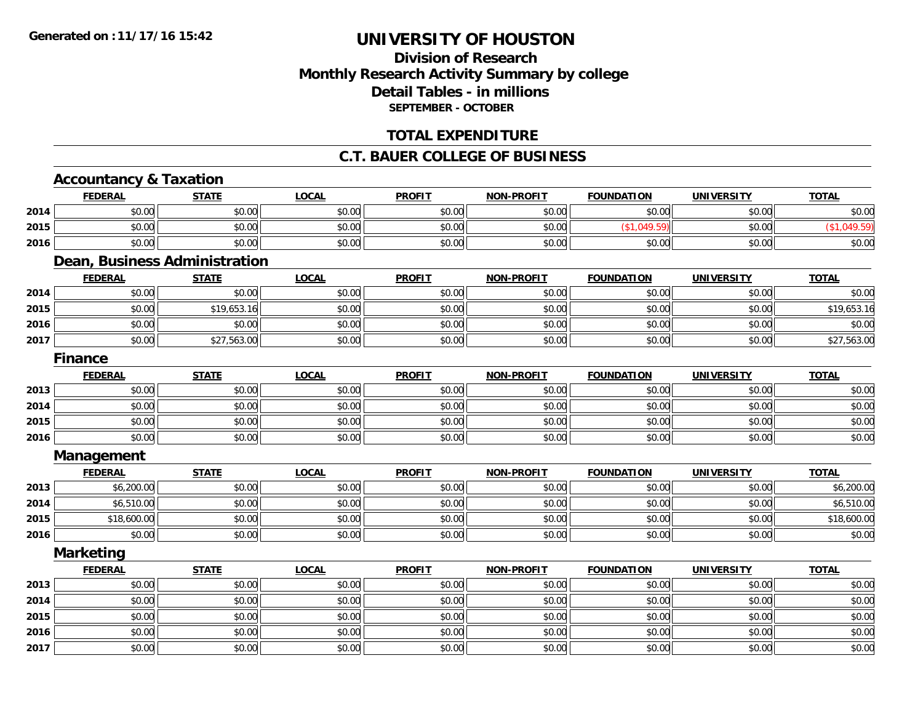# **Division of ResearchMonthly Research Activity Summary by college Detail Tables - in millions SEPTEMBER - OCTOBER**

## **TOTAL EXPENDITURE**

#### **C.T. BAUER COLLEGE OF BUSINESS**

# **Accountancy & Taxation**

|      | <b>FEDERAL</b>                | <b>STATE</b> | <b>LOCAL</b> | <b>PROFIT</b> | <b>NON-PROFIT</b> | <b>FOUNDATION</b> | <b>UNIVERSITY</b> | <b>TOTAL</b> |
|------|-------------------------------|--------------|--------------|---------------|-------------------|-------------------|-------------------|--------------|
| 2014 | \$0.00                        | \$0.00       | \$0.00       | \$0.00        | \$0.00            | \$0.00            | \$0.00            | \$0.00       |
| 2015 | \$0.00                        | \$0.00       | \$0.00       | \$0.00        | \$0.00            | (\$1,049.59)      | \$0.00            | (\$1,049.59) |
| 2016 | \$0.00                        | \$0.00       | \$0.00       | \$0.00        | \$0.00            | \$0.00            | \$0.00            | \$0.00       |
|      | Dean, Business Administration |              |              |               |                   |                   |                   |              |
|      | <b>FEDERAL</b>                | <b>STATE</b> | <b>LOCAL</b> | <b>PROFIT</b> | <b>NON-PROFIT</b> | <b>FOUNDATION</b> | <b>UNIVERSITY</b> | <b>TOTAL</b> |
| 2014 | \$0.00                        | \$0.00       | \$0.00       | \$0.00        | \$0.00            | \$0.00            | \$0.00            | \$0.00       |
| 2015 | \$0.00                        | \$19,653.16  | \$0.00       | \$0.00        | \$0.00            | \$0.00            | \$0.00            | \$19,653.16  |
| 2016 | \$0.00                        | \$0.00       | \$0.00       | \$0.00        | \$0.00            | \$0.00            | \$0.00            | \$0.00       |
| 2017 | \$0.00                        | \$27,563.00  | \$0.00       | \$0.00        | \$0.00            | \$0.00            | \$0.00            | \$27,563.00  |
|      | <b>Finance</b>                |              |              |               |                   |                   |                   |              |
|      | <b>FEDERAL</b>                | <b>STATE</b> | <b>LOCAL</b> | <b>PROFIT</b> | <b>NON-PROFIT</b> | <b>FOUNDATION</b> | <b>UNIVERSITY</b> | <b>TOTAL</b> |
| 2013 | \$0.00                        | \$0.00       | \$0.00       | \$0.00        | \$0.00            | \$0.00            | \$0.00            | \$0.00       |
| 2014 | \$0.00                        | \$0.00       | \$0.00       | \$0.00        | \$0.00            | \$0.00            | \$0.00            | \$0.00       |
| 2015 | \$0.00                        | \$0.00       | \$0.00       | \$0.00        | \$0.00            | \$0.00            | \$0.00            | \$0.00       |
| 2016 | \$0.00                        | \$0.00       | \$0.00       | \$0.00        | \$0.00            | \$0.00            | \$0.00            | \$0.00       |
|      | Management                    |              |              |               |                   |                   |                   |              |
|      | <b>FEDERAL</b>                | <b>STATE</b> | <b>LOCAL</b> | <b>PROFIT</b> | <b>NON-PROFIT</b> | <b>FOUNDATION</b> | <b>UNIVERSITY</b> | <b>TOTAL</b> |
| 2013 | \$6,200.00                    | \$0.00       | \$0.00       | \$0.00        | \$0.00            | \$0.00            | \$0.00            | \$6,200.00   |
| 2014 | \$6,510.00                    | \$0.00       | \$0.00       | \$0.00        | \$0.00            | \$0.00            | \$0.00            | \$6,510.00   |
| 2015 | \$18,600.00                   | \$0.00       | \$0.00       | \$0.00        | \$0.00            | \$0.00            | \$0.00            | \$18,600.00  |
| 2016 | \$0.00                        | \$0.00       | \$0.00       | \$0.00        | \$0.00            | \$0.00            | \$0.00            | \$0.00       |
|      | <b>Marketing</b>              |              |              |               |                   |                   |                   |              |
|      | <b>FEDERAL</b>                | <b>STATE</b> | <b>LOCAL</b> | <b>PROFIT</b> | <b>NON-PROFIT</b> | <b>FOUNDATION</b> | <b>UNIVERSITY</b> | <b>TOTAL</b> |
| 2013 | \$0.00                        | \$0.00       | \$0.00       | \$0.00        | \$0.00            | \$0.00            | \$0.00            | \$0.00       |
| 2014 | \$0.00                        | \$0.00       | \$0.00       | \$0.00        | \$0.00            | \$0.00            | \$0.00            | \$0.00       |
| 2015 | \$0.00                        | \$0.00       | \$0.00       | \$0.00        | \$0.00            | \$0.00            | \$0.00            | \$0.00       |
| 2016 | \$0.00                        | \$0.00       | \$0.00       | \$0.00        | \$0.00            | \$0.00            | \$0.00            | \$0.00       |
| 2017 | \$0.00                        | \$0.00       | \$0.00       | \$0.00        | \$0.00            | \$0.00            | \$0.00            | \$0.00       |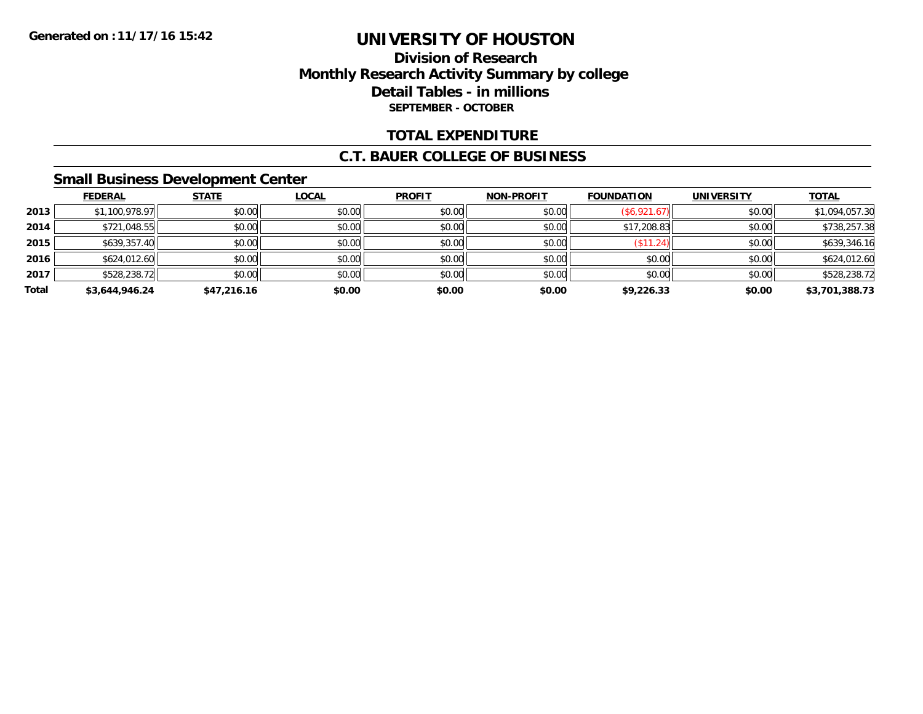## **Division of Research Monthly Research Activity Summary by college Detail Tables - in millions SEPTEMBER - OCTOBER**

## **TOTAL EXPENDITURE**

#### **C.T. BAUER COLLEGE OF BUSINESS**

## **Small Business Development Center**

|       | <b>FEDERAL</b> | <b>STATE</b> | <u>LOCAL</u> | <b>PROFIT</b> | <b>NON-PROFIT</b> | <b>FOUNDATION</b> | <b>UNIVERSITY</b> | <b>TOTAL</b>   |
|-------|----------------|--------------|--------------|---------------|-------------------|-------------------|-------------------|----------------|
| 2013  | \$1,100,978.97 | \$0.00       | \$0.00       | \$0.00        | \$0.00            | (\$6,921.67)      | \$0.00            | \$1,094,057.30 |
| 2014  | \$721,048.55   | \$0.00       | \$0.00       | \$0.00        | \$0.00            | \$17,208.83       | \$0.00            | \$738,257.38   |
| 2015  | \$639,357.40   | \$0.00       | \$0.00       | \$0.00        | \$0.00            | (\$11.24)         | \$0.00            | \$639,346.16   |
| 2016  | \$624,012.60   | \$0.00       | \$0.00       | \$0.00        | \$0.00            | \$0.00            | \$0.00            | \$624,012.60   |
| 2017  | \$528,238.72   | \$0.00       | \$0.00       | \$0.00        | \$0.00            | \$0.00            | \$0.00            | \$528,238.72   |
| Total | \$3,644,946.24 | \$47,216.16  | \$0.00       | \$0.00        | \$0.00            | \$9,226.33        | \$0.00            | \$3,701,388.73 |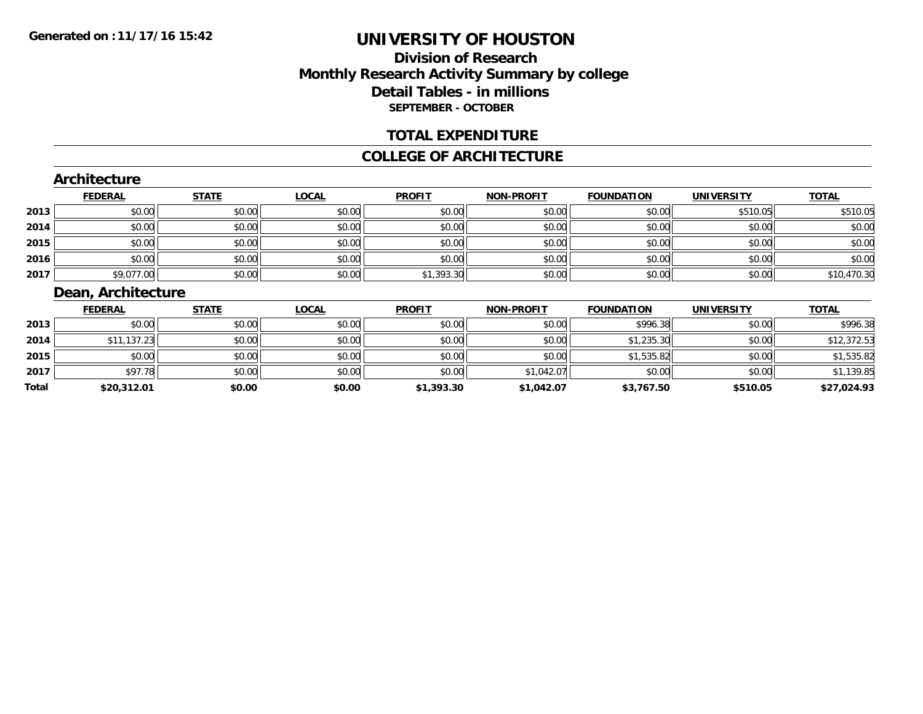# **Division of ResearchMonthly Research Activity Summary by college Detail Tables - in millions SEPTEMBER - OCTOBER**

### **TOTAL EXPENDITURE**

#### **COLLEGE OF ARCHITECTURE**

### **Architecture**

|      | <b>FEDERAL</b> | <b>STATE</b> | <u>LOCAL</u> | <b>PROFIT</b> | <b>NON-PROFIT</b> | <b>FOUNDATION</b> | <b>UNIVERSITY</b> | <b>TOTAL</b> |
|------|----------------|--------------|--------------|---------------|-------------------|-------------------|-------------------|--------------|
| 2013 | \$0.00         | \$0.00       | \$0.00       | \$0.00        | \$0.00            | \$0.00            | \$510.05          | \$510.05     |
| 2014 | \$0.00         | \$0.00       | \$0.00       | \$0.00        | \$0.00            | \$0.00            | \$0.00            | \$0.00       |
| 2015 | \$0.00         | \$0.00       | \$0.00       | \$0.00        | \$0.00            | \$0.00            | \$0.00            | \$0.00       |
| 2016 | \$0.00         | \$0.00       | \$0.00       | \$0.00        | \$0.00            | \$0.00            | \$0.00            | \$0.00       |
| 2017 | \$9,077.00     | \$0.00       | \$0.00       | \$1,393.30    | \$0.00            | \$0.00            | \$0.00            | \$10,470.30  |

# **Dean, Architecture**

|       | <b>FEDERAL</b> | <b>STATE</b> | <u>LOCAL</u> | <b>PROFIT</b> | <b>NON-PROFIT</b> | <b>FOUNDATION</b> | <b>UNIVERSITY</b> | <b>TOTAL</b> |
|-------|----------------|--------------|--------------|---------------|-------------------|-------------------|-------------------|--------------|
| 2013  | \$0.00         | \$0.00       | \$0.00       | \$0.00        | \$0.00            | \$996.38          | \$0.00            | \$996.38     |
| 2014  | \$11,137.23    | \$0.00       | \$0.00       | \$0.00        | \$0.00            | \$1,235.30        | \$0.00            | \$12,372.53  |
| 2015  | \$0.00         | \$0.00       | \$0.00       | \$0.00        | \$0.00            | \$1,535.82        | \$0.00            | \$1,535.82   |
| 2017  | \$97.78        | \$0.00       | \$0.00       | \$0.00        | \$1,042.07        | \$0.00            | \$0.00            | \$1,139.85   |
| Total | \$20,312.01    | \$0.00       | \$0.00       | \$1,393.30    | \$1,042.07        | \$3,767.50        | \$510.05          | \$27,024.93  |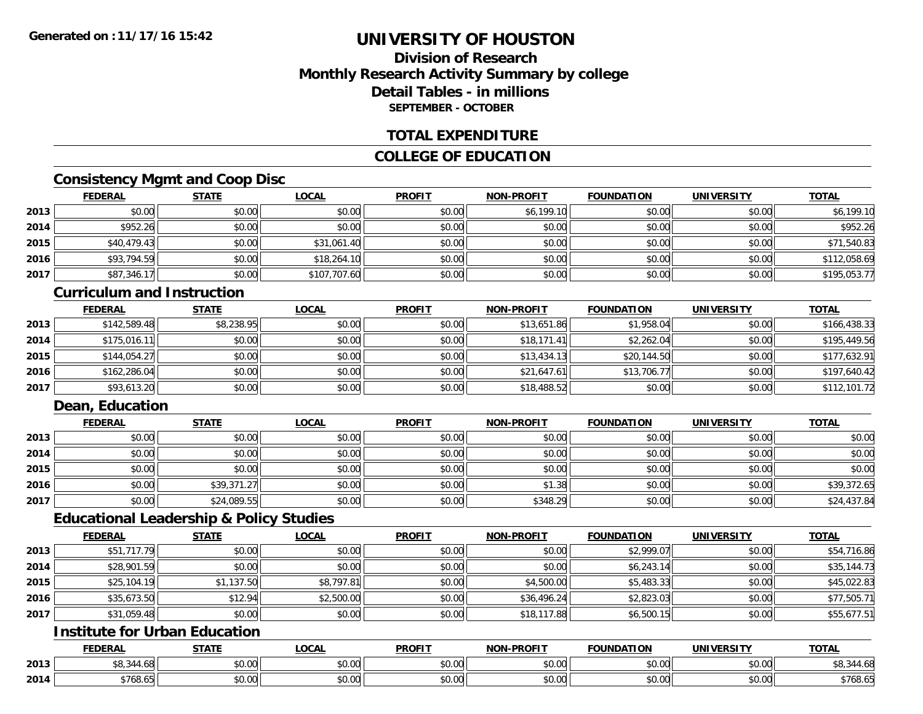## **Division of ResearchMonthly Research Activity Summary by college Detail Tables - in millionsSEPTEMBER - OCTOBER**

### **TOTAL EXPENDITURE**

## **COLLEGE OF EDUCATION**

## **Consistency Mgmt and Coop Disc**

|      | <b>FEDERAL</b> | <b>STATE</b> | <b>LOCAL</b> | <b>PROFIT</b> | <b>NON-PROFIT</b> | <b>FOUNDATION</b> | <b>UNIVERSITY</b> | <b>TOTAL</b> |
|------|----------------|--------------|--------------|---------------|-------------------|-------------------|-------------------|--------------|
| 2013 | \$0.00         | \$0.00       | \$0.00       | \$0.00        | \$6,199.10        | \$0.00            | \$0.00            | \$6,199.10   |
| 2014 | \$952.26       | \$0.00       | \$0.00       | \$0.00        | \$0.00            | \$0.00            | \$0.00            | \$952.26     |
| 2015 | \$40,479.43    | \$0.00       | \$31,061.40  | \$0.00        | \$0.00            | \$0.00            | \$0.00            | \$71,540.83  |
| 2016 | \$93,794.59    | \$0.00       | \$18,264.10  | \$0.00        | \$0.00            | \$0.00            | \$0.00            | \$112,058.69 |
| 2017 | \$87,346.17    | \$0.00       | \$107,707.60 | \$0.00        | \$0.00            | \$0.00            | \$0.00            | \$195,053.77 |

#### **Curriculum and Instruction**

|      | <b>FEDERAL</b> | <b>STATE</b> | <u>LOCAL</u> | <b>PROFIT</b> | <b>NON-PROFIT</b> | <b>FOUNDATION</b> | <b>UNIVERSITY</b> | <b>TOTAL</b> |
|------|----------------|--------------|--------------|---------------|-------------------|-------------------|-------------------|--------------|
| 2013 | \$142,589.48   | \$8,238.95   | \$0.00       | \$0.00        | \$13,651.86       | \$1,958.04        | \$0.00            | \$166,438.33 |
| 2014 | \$175.016.11   | \$0.00       | \$0.00       | \$0.00        | \$18,171.41       | \$2,262.04        | \$0.00            | \$195,449.56 |
| 2015 | \$144,054.27   | \$0.00       | \$0.00       | \$0.00        | \$13,434.13       | \$20,144.50       | \$0.00            | \$177,632.91 |
| 2016 | \$162,286.04   | \$0.00       | \$0.00       | \$0.00        | \$21,647.61       | \$13,706.77       | \$0.00            | \$197,640.42 |
| 2017 | \$93,613.20    | \$0.00       | \$0.00       | \$0.00        | \$18,488.52       | \$0.00            | \$0.00            | \$112,101.72 |

## **Dean, Education**

|      | <b>FEDERAL</b> | <b>STATE</b> | <u>LOCAL</u> | <b>PROFIT</b> | <b>NON-PROFIT</b> | <b>FOUNDATION</b> | <b>UNIVERSITY</b> | <b>TOTAL</b> |
|------|----------------|--------------|--------------|---------------|-------------------|-------------------|-------------------|--------------|
| 2013 | \$0.00         | \$0.00       | \$0.00       | \$0.00        | \$0.00            | \$0.00            | \$0.00            | \$0.00       |
| 2014 | \$0.00         | \$0.00       | \$0.00       | \$0.00        | \$0.00            | \$0.00            | \$0.00            | \$0.00       |
| 2015 | \$0.00         | \$0.00       | \$0.00       | \$0.00        | \$0.00            | \$0.00            | \$0.00            | \$0.00       |
| 2016 | \$0.00         | \$39,371.27  | \$0.00       | \$0.00        | \$1.38            | \$0.00            | \$0.00            | \$39,372.65  |
| 2017 | \$0.00         | \$24,089.55  | \$0.00       | \$0.00        | \$348.29          | \$0.00            | \$0.00            | \$24,437.84  |

#### **Educational Leadership & Policy Studies**

|      | <b>FEDERAL</b> | <b>STATE</b> | <u>LOCAL</u> | <b>PROFIT</b> | <b>NON-PROFIT</b> | <b>FOUNDATION</b> | <b>UNIVERSITY</b> | <b>TOTAL</b> |
|------|----------------|--------------|--------------|---------------|-------------------|-------------------|-------------------|--------------|
| 2013 | \$51,717.79    | \$0.00       | \$0.00       | \$0.00        | \$0.00            | \$2,999.07        | \$0.00            | \$54,716.86  |
| 2014 | \$28,901.59    | \$0.00       | \$0.00       | \$0.00        | \$0.00            | \$6,243.14        | \$0.00            | \$35,144.73  |
| 2015 | \$25,104.19    | \$1,137.50   | \$8,797.81   | \$0.00        | \$4,500.00        | \$5,483.33        | \$0.00            | \$45,022.83  |
| 2016 | \$35,673.50    | \$12.94      | \$2,500.00   | \$0.00        | \$36,496.24       | \$2,823.03        | \$0.00            | \$77,505.71  |
| 2017 | \$31,059.48    | \$0.00       | \$0.00       | \$0.00        | \$18,117.88       | \$6,500.15        | \$0.00            | \$55,677.51  |

# **Institute for Urban Education**

|      | <b>FEDERAL</b>                                                                            | <b>CTATE</b><br>- 31 A L | <b>LOCAL</b>                     | <b>PROFIT</b>  | -PROFIT<br>NON.      | <b>FOUNDATION</b> | UNIVERSITY                                            | <b>TOTAL</b>        |
|------|-------------------------------------------------------------------------------------------|--------------------------|----------------------------------|----------------|----------------------|-------------------|-------------------------------------------------------|---------------------|
| 2013 | $\begin{array}{ccc}\n\bullet & \bullet & \bullet & \bullet\n\end{array}$<br>4.Oč<br>- טיש | \$0.00                   | <b>↑∩</b><br>vv.vv               | ტი იი<br>DU.UU | 0.00<br>DU.UU        | \$0.00            | $\mathsf{A} \cap \mathsf{A} \cap \mathsf{A}$<br>PO.OO | \$8,344.08          |
| 2014 | e J L O<br>- ان 20 ، 20 ، 2                                                               | \$0.00                   | $\sim$<br>$\sim$ $\sim$<br>vu.uu | 0000<br>DU.UG  | 0.00<br><b>DU.UU</b> | \$0.00            | $\mathsf{A} \cap \mathsf{A} \cap \mathsf{A}$<br>JU.UU | e J L O<br>\$708.05 |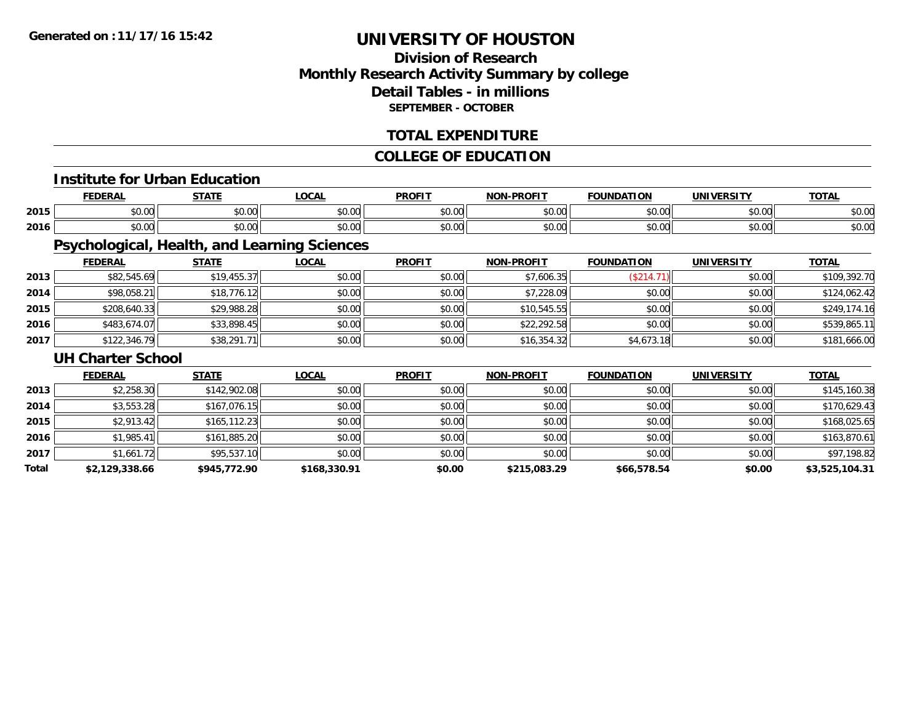# **Division of ResearchMonthly Research Activity Summary by college Detail Tables - in millions SEPTEMBER - OCTOBER**

## **TOTAL EXPENDITURE**

## **COLLEGE OF EDUCATION**

# **Institute for Urban Education**

|      |                                                   | <b>CTAT</b>                                         | $\sim$ $\sim$ $\sim$                 | <b>PROFIT</b>                 | <b>DDQF17</b><br><b>NION</b> | 'ON                                 |                | $-2 - 1$              |
|------|---------------------------------------------------|-----------------------------------------------------|--------------------------------------|-------------------------------|------------------------------|-------------------------------------|----------------|-----------------------|
| 2015 | $\mathsf{A} \cap \mathsf{A} \mathsf{A}$<br>,,,,,, | <b>↑∩</b><br>$\sim$<br>vv.u                         | $\sim$ $\sim$ $\sim$<br>וטטוע        | $\sim$ $\sim$ $\sim$<br>JU.UU | 0000<br>vu.ou                | $\sim$ $\sim$                       | 0.001<br>vu.uu | --<br>DU.U            |
| 2016 | $\uparrow$ $\uparrow$<br>יש                       | $\uparrow$ $\uparrow$ $\uparrow$ $\uparrow$<br>70.U | $\sim$ $\sim$ $\sim$ $\sim$<br>pu.uu | $\sim$ $\sim$<br>υU.          | 0000<br>vv.vv                | $\triangle$ $\triangle$ $\triangle$ | 0.001<br>vu.vu | $\sim$ $\sim$<br>⊅∪.∪ |

# **Psychological, Health, and Learning Sciences**

|      | <u>FEDERAL</u> | <u>STATE</u> | <u>LOCAL</u> | <b>PROFIT</b> | <b>NON-PROFIT</b> | <b>FOUNDATION</b> | <b>UNIVERSITY</b> | <b>TOTAL</b> |
|------|----------------|--------------|--------------|---------------|-------------------|-------------------|-------------------|--------------|
| 2013 | \$82,545.69    | \$19,455.37  | \$0.00       | \$0.00        | \$7,606.35        | \$214.            | \$0.00            | \$109,392.70 |
| 2014 | \$98,058.21    | \$18,776.12  | \$0.00       | \$0.00        | \$7,228.09        | \$0.00            | \$0.00            | \$124,062.42 |
| 2015 | \$208,640.33   | \$29,988.28  | \$0.00       | \$0.00        | \$10,545.55       | \$0.00            | \$0.00            | \$249,174.16 |
| 2016 | \$483,674.07   | \$33,898.45  | \$0.00       | \$0.00        | \$22,292.58       | \$0.00            | \$0.00            | \$539,865.11 |
| 2017 | \$122,346.79   | \$38,291.71  | \$0.00       | \$0.00        | \$16,354.32       | \$4,673.18        | \$0.00            | \$181,666.00 |

#### **UH Charter School**

|       | <b>FEDERAL</b> | <b>STATE</b>  | <b>LOCAL</b> | <b>PROFIT</b> | <b>NON-PROFIT</b> | <b>FOUNDATION</b> | <b>UNIVERSITY</b> | <b>TOTAL</b>   |
|-------|----------------|---------------|--------------|---------------|-------------------|-------------------|-------------------|----------------|
| 2013  | \$2,258.30     | \$142,902.08  | \$0.00       | \$0.00        | \$0.00            | \$0.00            | \$0.00            | \$145,160.38   |
| 2014  | \$3,553.28     | \$167,076.15  | \$0.00       | \$0.00        | \$0.00            | \$0.00            | \$0.00            | \$170,629.43   |
| 2015  | \$2,913.42     | \$165, 112.23 | \$0.00       | \$0.00        | \$0.00            | \$0.00            | \$0.00            | \$168,025.65   |
| 2016  | \$1,985.41     | \$161,885.20  | \$0.00       | \$0.00        | \$0.00            | \$0.00            | \$0.00            | \$163,870.61   |
| 2017  | \$1,661.72     | \$95,537.10   | \$0.00       | \$0.00        | \$0.00            | \$0.00            | \$0.00            | \$97,198.82    |
| Total | \$2,129,338.66 | \$945,772.90  | \$168,330.91 | \$0.00        | \$215,083.29      | \$66,578.54       | \$0.00            | \$3,525,104.31 |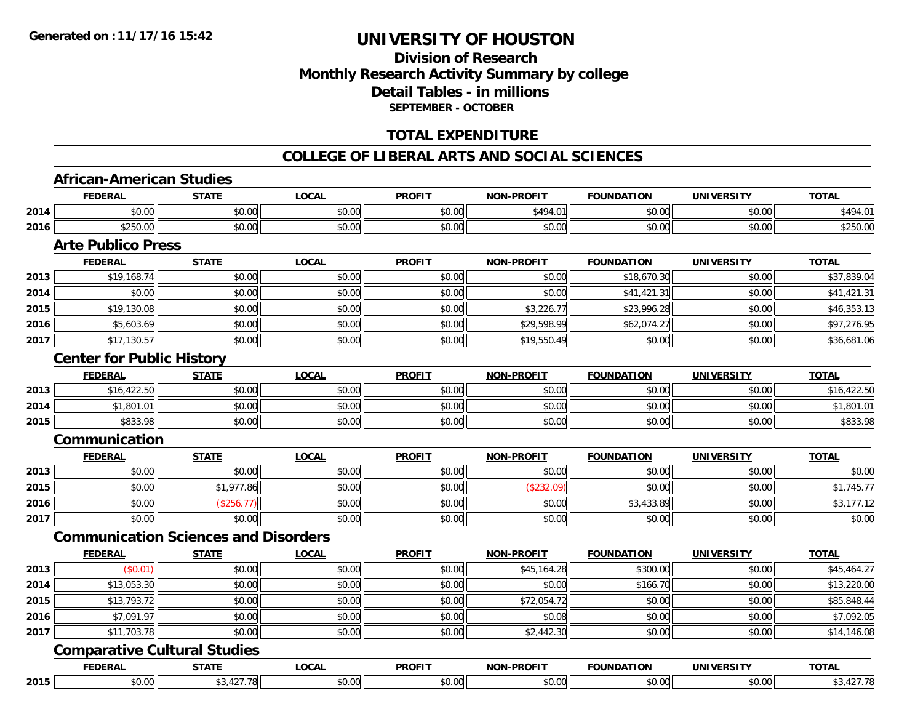# **Division of ResearchMonthly Research Activity Summary by college Detail Tables - in millions SEPTEMBER - OCTOBER**

## **TOTAL EXPENDITURE**

#### **COLLEGE OF LIBERAL ARTS AND SOCIAL SCIENCES**

#### **African-American Studies**

|      | <b>FEDERAL</b>                              | <b>STATE</b> | <b>LOCAL</b> | <b>PROFIT</b> | <b>NON-PROFIT</b> | <b>FOUNDATION</b> | <b>UNIVERSITY</b> | <b>TOTAL</b> |
|------|---------------------------------------------|--------------|--------------|---------------|-------------------|-------------------|-------------------|--------------|
| 2014 | \$0.00                                      | \$0.00       | \$0.00       | \$0.00        | \$494.01          | \$0.00            | \$0.00            | \$494.01     |
| 2016 | \$250.00                                    | \$0.00       | \$0.00       | \$0.00        | \$0.00            | \$0.00            | \$0.00            | \$250.00     |
|      | <b>Arte Publico Press</b>                   |              |              |               |                   |                   |                   |              |
|      | <b>FEDERAL</b>                              | <b>STATE</b> | <b>LOCAL</b> | <b>PROFIT</b> | NON-PROFIT        | <b>FOUNDATION</b> | <b>UNIVERSITY</b> | <b>TOTAL</b> |
| 2013 | \$19,168.74                                 | \$0.00       | \$0.00       | \$0.00        | \$0.00            | \$18,670.30       | \$0.00            | \$37,839.04  |
| 2014 | \$0.00                                      | \$0.00       | \$0.00       | \$0.00        | \$0.00            | \$41,421.31       | \$0.00            | \$41,421.31  |
| 2015 | \$19,130.08                                 | \$0.00       | \$0.00       | \$0.00        | \$3,226.77        | \$23,996.28       | \$0.00            | \$46,353.13  |
| 2016 | \$5,603.69                                  | \$0.00       | \$0.00       | \$0.00        | \$29,598.99       | \$62,074.27       | \$0.00            | \$97,276.95  |
| 2017 | \$17,130.57                                 | \$0.00       | \$0.00       | \$0.00        | \$19,550.49       | \$0.00            | \$0.00            | \$36,681.06  |
|      | <b>Center for Public History</b>            |              |              |               |                   |                   |                   |              |
|      | <b>FEDERAL</b>                              | <b>STATE</b> | <b>LOCAL</b> | <b>PROFIT</b> | <b>NON-PROFIT</b> | <b>FOUNDATION</b> | <b>UNIVERSITY</b> | <b>TOTAL</b> |
| 2013 | \$16,422.50                                 | \$0.00       | \$0.00       | \$0.00        | \$0.00            | \$0.00            | \$0.00            | \$16,422.50  |
| 2014 | \$1,801.01                                  | \$0.00       | \$0.00       | \$0.00        | \$0.00            | \$0.00            | \$0.00            | \$1,801.01   |
| 2015 | \$833.98                                    | \$0.00       | \$0.00       | \$0.00        | \$0.00            | \$0.00            | \$0.00            | \$833.98     |
|      | Communication                               |              |              |               |                   |                   |                   |              |
|      | <b>FEDERAL</b>                              | <b>STATE</b> | <b>LOCAL</b> | <b>PROFIT</b> | <b>NON-PROFIT</b> | <b>FOUNDATION</b> | <b>UNIVERSITY</b> | <b>TOTAL</b> |
| 2013 | \$0.00                                      | \$0.00       | \$0.00       | \$0.00        | \$0.00            | \$0.00            | \$0.00            | \$0.00       |
| 2015 | \$0.00                                      | \$1,977.86   | \$0.00       | \$0.00        | (\$232.09)        | \$0.00            | \$0.00            | \$1,745.77   |
| 2016 | \$0.00                                      | (\$256.77)   | \$0.00       | \$0.00        | \$0.00            | \$3,433.89        | \$0.00            | \$3,177.12   |
| 2017 | \$0.00                                      | \$0.00       | \$0.00       | \$0.00        | \$0.00            | \$0.00            | \$0.00            | \$0.00       |
|      | <b>Communication Sciences and Disorders</b> |              |              |               |                   |                   |                   |              |
|      | <b>FEDERAL</b>                              | <b>STATE</b> | <b>LOCAL</b> | <b>PROFIT</b> | NON-PROFIT        | <b>FOUNDATION</b> | <b>UNIVERSITY</b> | <b>TOTAL</b> |
| 2013 | (\$0.01)                                    | \$0.00       | \$0.00       | \$0.00        | \$45,164.28       | \$300.00          | \$0.00            | \$45,464.27  |
| 2014 | \$13,053.30                                 | \$0.00       | \$0.00       | \$0.00        | \$0.00            | \$166.70          | \$0.00            | \$13,220.00  |
| 2015 | \$13,793.72                                 | \$0.00       | \$0.00       | \$0.00        | \$72,054.72       | \$0.00            | \$0.00            | \$85,848.44  |
| 2016 | \$7,091.97                                  | \$0.00       | \$0.00       | \$0.00        | \$0.08            | \$0.00            | \$0.00            | \$7,092.05   |
| 2017 | \$11,703.78                                 | \$0.00       | \$0.00       | \$0.00        | \$2,442.30        | \$0.00            | \$0.00            | \$14,146.08  |
|      | <b>Comparative Cultural Studies</b>         |              |              |               |                   |                   |                   |              |
|      | <b>FEDERAL</b>                              | <b>STATE</b> | <b>LOCAL</b> | <b>PROFIT</b> | <b>NON-PROFIT</b> | <b>FOUNDATION</b> | <b>UNIVERSITY</b> | <b>TOTAL</b> |
| 2015 | \$0.00                                      | \$3,427.78   | \$0.00       | \$0.00        | \$0.00            | \$0.00            | \$0.00            | \$3,427.78   |

**2015**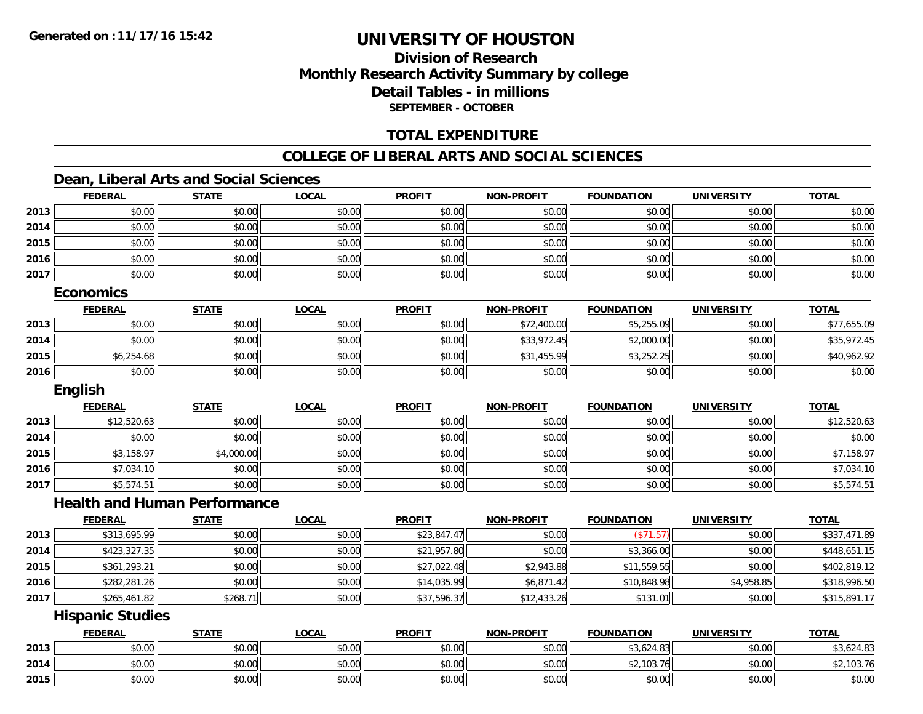# **Division of ResearchMonthly Research Activity Summary by college Detail Tables - in millions SEPTEMBER - OCTOBER**

## **TOTAL EXPENDITURE**

#### **COLLEGE OF LIBERAL ARTS AND SOCIAL SCIENCES**

## **Dean, Liberal Arts and Social Sciences**

|      | <b>FEDERAL</b>                      | <b>STATE</b> | <b>LOCAL</b> | <b>PROFIT</b> | <b>NON-PROFIT</b> | <b>FOUNDATION</b> | <b>UNIVERSITY</b> | <b>TOTAL</b> |
|------|-------------------------------------|--------------|--------------|---------------|-------------------|-------------------|-------------------|--------------|
| 2013 | \$0.00                              | \$0.00       | \$0.00       | \$0.00        | \$0.00            | \$0.00            | \$0.00            | \$0.00       |
| 2014 | \$0.00                              | \$0.00       | \$0.00       | \$0.00        | \$0.00            | \$0.00            | \$0.00            | \$0.00       |
| 2015 | \$0.00                              | \$0.00       | \$0.00       | \$0.00        | \$0.00            | \$0.00            | \$0.00            | \$0.00       |
| 2016 | \$0.00                              | \$0.00       | \$0.00       | \$0.00        | \$0.00            | \$0.00            | \$0.00            | \$0.00       |
| 2017 | \$0.00                              | \$0.00       | \$0.00       | \$0.00        | \$0.00            | \$0.00            | \$0.00            | \$0.00       |
|      | <b>Economics</b>                    |              |              |               |                   |                   |                   |              |
|      | <b>FEDERAL</b>                      | <b>STATE</b> | <b>LOCAL</b> | <b>PROFIT</b> | <b>NON-PROFIT</b> | <b>FOUNDATION</b> | <b>UNIVERSITY</b> | <b>TOTAL</b> |
| 2013 | \$0.00                              | \$0.00       | \$0.00       | \$0.00        | \$72,400.00       | \$5,255.09        | \$0.00            | \$77,655.09  |
| 2014 | \$0.00                              | \$0.00       | \$0.00       | \$0.00        | \$33,972.45       | \$2,000.00        | \$0.00            | \$35,972.45  |
| 2015 | \$6,254.68                          | \$0.00       | \$0.00       | \$0.00        | \$31,455.99       | \$3,252.25        | \$0.00            | \$40,962.92  |
| 2016 | \$0.00                              | \$0.00       | \$0.00       | \$0.00        | \$0.00            | \$0.00            | \$0.00            | \$0.00       |
|      | English                             |              |              |               |                   |                   |                   |              |
|      | <b>FEDERAL</b>                      | <b>STATE</b> | <b>LOCAL</b> | <b>PROFIT</b> | <b>NON-PROFIT</b> | <b>FOUNDATION</b> | <b>UNIVERSITY</b> | <b>TOTAL</b> |
| 2013 | \$12,520.63                         | \$0.00       | \$0.00       | \$0.00        | \$0.00            | \$0.00            | \$0.00            | \$12,520.63  |
| 2014 | \$0.00                              | \$0.00       | \$0.00       | \$0.00        | \$0.00            | \$0.00            | \$0.00            | \$0.00       |
| 2015 | \$3,158.97                          | \$4,000.00   | \$0.00       | \$0.00        | \$0.00            | \$0.00            | \$0.00            | \$7,158.97   |
| 2016 | \$7,034.10                          | \$0.00       | \$0.00       | \$0.00        | \$0.00            | \$0.00            | \$0.00            | \$7,034.10   |
| 2017 | \$5,574.51                          | \$0.00       | \$0.00       | \$0.00        | \$0.00            | \$0.00            | \$0.00            | \$5,574.51   |
|      | <b>Health and Human Performance</b> |              |              |               |                   |                   |                   |              |
|      | <b>FEDERAL</b>                      | <b>STATE</b> | <b>LOCAL</b> | <b>PROFIT</b> | <b>NON-PROFIT</b> | <b>FOUNDATION</b> | <b>UNIVERSITY</b> | <b>TOTAL</b> |
| 2013 | \$313,695.99                        | \$0.00       | \$0.00       | \$23,847.47   | \$0.00            | (\$71.57)         | \$0.00            | \$337,471.89 |
| 2014 | \$423,327.35                        | \$0.00       | \$0.00       | \$21,957.80   | \$0.00            | \$3,366.00        | \$0.00            | \$448,651.15 |
| 2015 | \$361,293.21                        | \$0.00       | \$0.00       | \$27,022.48   | \$2,943.88        | \$11,559.55       | \$0.00            | \$402,819.12 |
| 2016 | \$282,281.26                        | \$0.00       | \$0.00       | \$14,035.99   | \$6,871.42        | \$10,848.98       | \$4,958.85        | \$318,996.50 |
| 2017 | \$265,461.82                        | \$268.71     | \$0.00       | \$37,596.37   | \$12,433.26       | \$131.01          | \$0.00            | \$315,891.17 |
|      | <b>Hispanic Studies</b>             |              |              |               |                   |                   |                   |              |
|      | <b>FEDERAL</b>                      | <b>STATE</b> | <b>LOCAL</b> | <b>PROFIT</b> | <b>NON-PROFIT</b> | <b>FOUNDATION</b> | <b>UNIVERSITY</b> | <b>TOTAL</b> |
| 2013 | \$0.00                              | \$0.00       | \$0.00       | \$0.00        | \$0.00            | \$3,624.83        | \$0.00            | \$3,624.83   |
| 2014 | \$0.00                              | \$0.00       | \$0.00       | \$0.00        | \$0.00            | \$2,103.76        | \$0.00            | \$2,103.76   |
| 2015 | \$0.00                              | \$0.00       | \$0.00       | \$0.00        | \$0.00            | \$0.00            | \$0.00            | \$0.00       |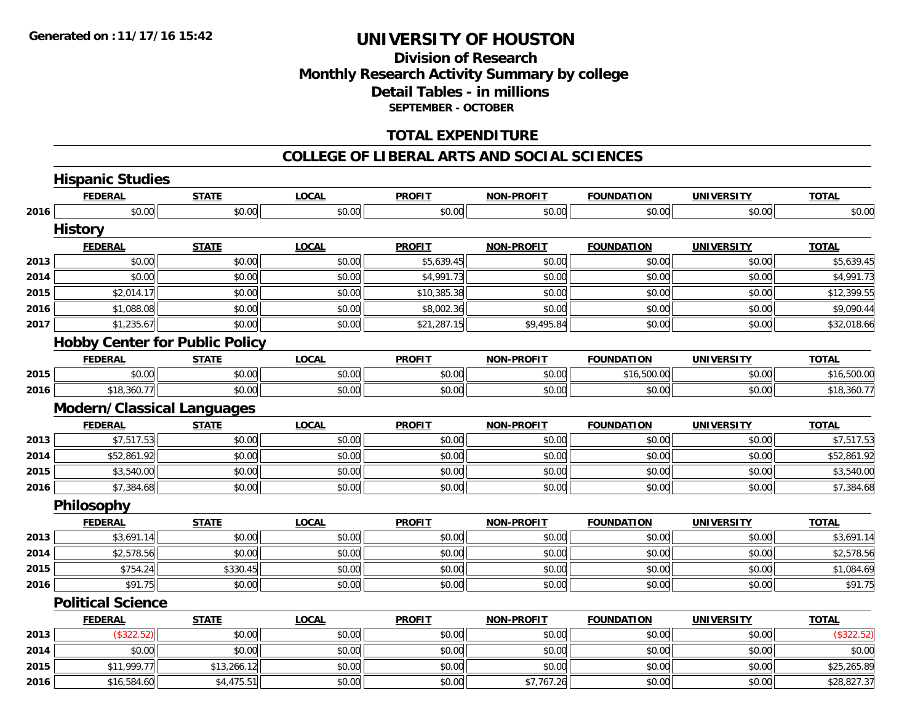# **Division of ResearchMonthly Research Activity Summary by college Detail Tables - in millions SEPTEMBER - OCTOBER**

### **TOTAL EXPENDITURE**

#### **COLLEGE OF LIBERAL ARTS AND SOCIAL SCIENCES**

|      | <b>Hispanic Studies</b>               |              |              |               |                   |                   |                   |              |
|------|---------------------------------------|--------------|--------------|---------------|-------------------|-------------------|-------------------|--------------|
|      | <b>FEDERAL</b>                        | <b>STATE</b> | <b>LOCAL</b> | <b>PROFIT</b> | <b>NON-PROFIT</b> | <b>FOUNDATION</b> | <b>UNIVERSITY</b> | <b>TOTAL</b> |
| 2016 | \$0.00                                | \$0.00       | \$0.00       | \$0.00        | \$0.00            | \$0.00            | \$0.00            | \$0.00       |
|      | <b>History</b>                        |              |              |               |                   |                   |                   |              |
|      | <b>FEDERAL</b>                        | <b>STATE</b> | <b>LOCAL</b> | <b>PROFIT</b> | <b>NON-PROFIT</b> | <b>FOUNDATION</b> | <b>UNIVERSITY</b> | <b>TOTAL</b> |
| 2013 | \$0.00                                | \$0.00       | \$0.00       | \$5,639.45    | \$0.00            | \$0.00            | \$0.00            | \$5,639.45   |
| 2014 | \$0.00                                | \$0.00       | \$0.00       | \$4,991.73    | \$0.00            | \$0.00            | \$0.00            | \$4,991.73   |
| 2015 | \$2,014.17                            | \$0.00       | \$0.00       | \$10,385.38   | \$0.00            | \$0.00            | \$0.00            | \$12,399.55  |
| 2016 | \$1,088.08                            | \$0.00       | \$0.00       | \$8,002.36    | \$0.00            | \$0.00            | \$0.00            | \$9,090.44   |
| 2017 | \$1,235.67                            | \$0.00       | \$0.00       | \$21,287.15   | \$9,495.84        | \$0.00            | \$0.00            | \$32,018.66  |
|      | <b>Hobby Center for Public Policy</b> |              |              |               |                   |                   |                   |              |
|      | <b>FEDERAL</b>                        | <b>STATE</b> | <b>LOCAL</b> | <b>PROFIT</b> | <b>NON-PROFIT</b> | <b>FOUNDATION</b> | <b>UNIVERSITY</b> | <b>TOTAL</b> |
| 2015 | \$0.00                                | \$0.00       | \$0.00       | \$0.00        | \$0.00            | \$16,500.00       | \$0.00            | \$16,500.00  |
| 2016 | \$18,360.77                           | \$0.00       | \$0.00       | \$0.00        | \$0.00            | \$0.00            | \$0.00            | \$18,360.77  |
|      | <b>Modern/Classical Languages</b>     |              |              |               |                   |                   |                   |              |
|      | <b>FEDERAL</b>                        | <b>STATE</b> | <b>LOCAL</b> | <b>PROFIT</b> | <b>NON-PROFIT</b> | <b>FOUNDATION</b> | <b>UNIVERSITY</b> | <b>TOTAL</b> |
| 2013 | \$7,517.53                            | \$0.00       | \$0.00       | \$0.00        | \$0.00            | \$0.00            | \$0.00            | \$7,517.53   |
| 2014 | \$52,861.92                           | \$0.00       | \$0.00       | \$0.00        | \$0.00            | \$0.00            | \$0.00            | \$52,861.92  |
| 2015 | \$3,540.00                            | \$0.00       | \$0.00       | \$0.00        | \$0.00            | \$0.00            | \$0.00            | \$3,540.00   |
| 2016 | \$7,384.68                            | \$0.00       | \$0.00       | \$0.00        | \$0.00            | \$0.00            | \$0.00            | \$7,384.68   |
|      | Philosophy                            |              |              |               |                   |                   |                   |              |
|      | <b>FEDERAL</b>                        | <b>STATE</b> | <b>LOCAL</b> | <b>PROFIT</b> | <b>NON-PROFIT</b> | <b>FOUNDATION</b> | <b>UNIVERSITY</b> | <b>TOTAL</b> |
| 2013 | \$3,691.14                            | \$0.00       | \$0.00       | \$0.00        | \$0.00            | \$0.00            | \$0.00            | \$3,691.14   |
| 2014 | \$2,578.56                            | \$0.00       | \$0.00       | \$0.00        | \$0.00            | \$0.00            | \$0.00            | \$2,578.56   |
| 2015 | \$754.24                              | \$330.45     | \$0.00       | \$0.00        | \$0.00            | \$0.00            | \$0.00            | \$1,084.69   |
| 2016 | \$91.75                               | \$0.00       | \$0.00       | \$0.00        | \$0.00            | \$0.00            | \$0.00            | \$91.75      |
|      | <b>Political Science</b>              |              |              |               |                   |                   |                   |              |
|      | <b>FEDERAL</b>                        | <b>STATE</b> | <b>LOCAL</b> | <b>PROFIT</b> | <b>NON-PROFIT</b> | <b>FOUNDATION</b> | <b>UNIVERSITY</b> | <b>TOTAL</b> |
| 2013 | (\$322.52)                            | \$0.00       | \$0.00       | \$0.00        | \$0.00            | \$0.00            | \$0.00            | (\$322.52)   |
| 2014 | \$0.00                                | \$0.00       | \$0.00       | \$0.00        | \$0.00            | \$0.00            | \$0.00            | \$0.00       |
| 2015 | \$11,999.77                           | \$13,266.12  | \$0.00       | \$0.00        | \$0.00            | \$0.00            | \$0.00            | \$25,265.89  |
| 2016 | \$16,584.60                           | \$4,475.51   | \$0.00       | \$0.00        | \$7,767.26        | \$0.00            | \$0.00            | \$28,827.37  |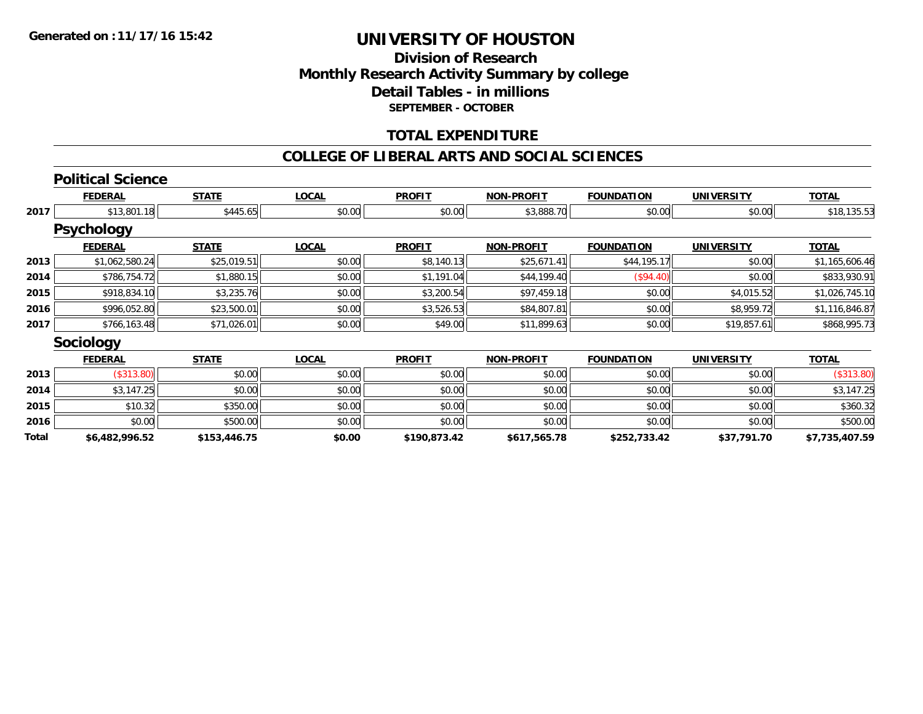## **Division of ResearchMonthly Research Activity Summary by college Detail Tables - in millions SEPTEMBER - OCTOBER**

## **TOTAL EXPENDITURE**

#### **COLLEGE OF LIBERAL ARTS AND SOCIAL SCIENCES**

**TOTAL** 

#### **Political Science FEDERAL STATE LOCAL PROFIT NON-PROFIT FOUNDATION UNIVERSITY TOTAL2017** \$13,801.18 \$445.65 \$0.00 \$0.00 \$3,888.70 \$0.00 \$0.00 \$18,135.53 **Psychology**

|      | <b>ГЭУЧНОЮЧУ</b> |              |              |               |                   |                   |                   |                |
|------|------------------|--------------|--------------|---------------|-------------------|-------------------|-------------------|----------------|
|      | <b>FEDERAL</b>   | <b>STATE</b> | <b>LOCAL</b> | <b>PROFIT</b> | <b>NON-PROFIT</b> | <b>FOUNDATION</b> | <b>UNIVERSITY</b> | <u>TOTAL</u>   |
| 2013 | \$1,062,580.24   | \$25,019.51  | \$0.00       | \$8,140.13    | \$25,671.41       | \$44,195.17       | \$0.00            | \$1,165,606.46 |
| 2014 | \$786,754.72     | \$1,880.15   | \$0.00       | \$1,191.04    | \$44,199.40       | (S94.40)          | \$0.00            | \$833,930.91   |
| 2015 | \$918,834.10     | \$3,235.76   | \$0.00       | \$3,200.54    | \$97,459.18       | \$0.00            | \$4,015.52        | \$1,026,745.10 |
| 2016 | \$996,052.80     | \$23,500.01  | \$0.00       | \$3,526.53    | \$84,807.81       | \$0.00            | \$8,959.72        | \$1,116,846.87 |
| 2017 | \$766,163.48     | \$71,026.01  | \$0.00       | \$49.00       | \$11,899.63       | \$0.00            | \$19,857.61       | \$868,995.73   |
|      |                  |              |              |               |                   |                   |                   |                |

#### **Sociology**

|       | <b>FEDERAL</b> | <u>STATE</u> | <b>LOCAL</b> | <b>PROFIT</b> | <b>NON-PROFIT</b> | <b>FOUNDATION</b> | <b>UNIVERSITY</b> | <b>TOTAL</b>   |
|-------|----------------|--------------|--------------|---------------|-------------------|-------------------|-------------------|----------------|
| 2013  | (\$313.80)     | \$0.00       | \$0.00       | \$0.00        | \$0.00            | \$0.00            | \$0.00            | (\$313.80)     |
| 2014  | \$3.147.25     | \$0.00       | \$0.00       | \$0.00        | \$0.00            | \$0.00            | \$0.00            | \$3,147.25     |
| 2015  | \$10.32        | \$350.00     | \$0.00       | \$0.00        | \$0.00            | \$0.00            | \$0.00            | \$360.32       |
| 2016  | \$0.00         | \$500.00     | \$0.00       | \$0.00        | \$0.00            | \$0.00            | \$0.00            | \$500.00       |
| Total | \$6,482,996.52 | \$153,446.75 | \$0.00       | \$190.873.42  | \$617,565.78      | \$252,733.42      | \$37,791.70       | \$7,735,407.59 |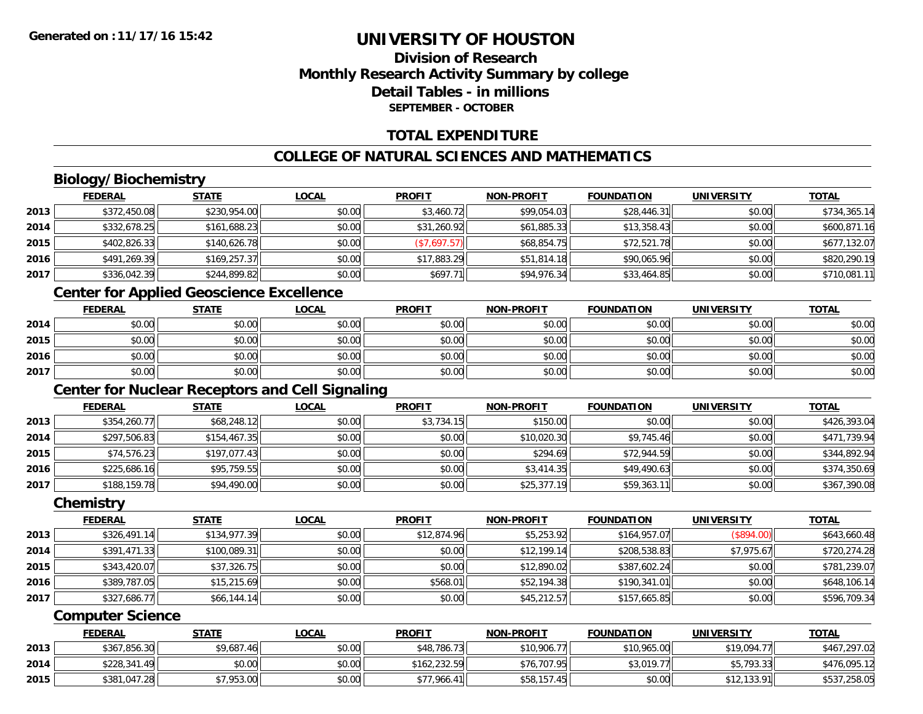# **Division of ResearchMonthly Research Activity Summary by college Detail Tables - in millionsSEPTEMBER - OCTOBER**

## **TOTAL EXPENDITURE**

## **COLLEGE OF NATURAL SCIENCES AND MATHEMATICS**

# **Biology/Biochemistry**

|      | <b>FEDERAL</b> | <u>STATE</u> | <u>LOCAL</u> | <b>PROFIT</b> | <b>NON-PROFIT</b> | <b>FOUNDATION</b> | <b>UNIVERSITY</b> | <b>TOTAL</b> |
|------|----------------|--------------|--------------|---------------|-------------------|-------------------|-------------------|--------------|
| 2013 | \$372,450.08   | \$230,954.00 | \$0.00       | \$3,460.72    | \$99,054.03       | \$28,446.31       | \$0.00            | \$734,365.14 |
| 2014 | \$332,678.25   | \$161,688.23 | \$0.00       | \$31,260.92   | \$61,885.33       | \$13,358.43       | \$0.00            | \$600,871.16 |
| 2015 | \$402,826.33   | \$140,626.78 | \$0.00       | (\$7,697.57)  | \$68,854.75       | \$72,521.78       | \$0.00            | \$677,132.07 |
| 2016 | \$491,269.39   | \$169,257.37 | \$0.00       | \$17,883.29   | \$51,814.18       | \$90,065.96       | \$0.00            | \$820,290.19 |
| 2017 | \$336,042.39   | \$244,899.82 | \$0.00       | \$697.71      | \$94,976.34       | \$33,464.85       | \$0.00            | \$710,081.11 |
|      |                |              |              |               |                   |                   |                   |              |

# **Center for Applied Geoscience Excellence**

|      | <u>FEDERAL</u> | <b>STATE</b> | <u>LOCAL</u> | <b>PROFIT</b> | <b>NON-PROFIT</b> | <b>FOUNDATION</b> | <b>UNIVERSITY</b> | <b>TOTAL</b> |
|------|----------------|--------------|--------------|---------------|-------------------|-------------------|-------------------|--------------|
| 2014 | \$0.00         | \$0.00       | \$0.00       | \$0.00        | \$0.00            | \$0.00            | \$0.00            | \$0.00       |
| 2015 | \$0.00         | \$0.00       | \$0.00       | \$0.00        | \$0.00            | \$0.00            | \$0.00            | \$0.00       |
| 2016 | \$0.00         | \$0.00       | \$0.00       | \$0.00        | \$0.00            | \$0.00            | \$0.00            | \$0.00       |
| 2017 | \$0.00         | \$0.00       | \$0.00       | \$0.00        | \$0.00            | \$0.00            | \$0.00            | \$0.00       |

# **Center for Nuclear Receptors and Cell Signaling**

|      | <b>FEDERAL</b> | <b>STATE</b> | <u>LOCAL</u> | <b>PROFIT</b> | <b>NON-PROFIT</b> | <b>FOUNDATION</b> | <b>UNIVERSITY</b> | <b>TOTAL</b> |
|------|----------------|--------------|--------------|---------------|-------------------|-------------------|-------------------|--------------|
| 2013 | \$354,260.77   | \$68,248.12  | \$0.00       | \$3,734.15    | \$150.00          | \$0.00            | \$0.00            | \$426,393.04 |
| 2014 | \$297,506.83   | \$154,467.35 | \$0.00       | \$0.00        | \$10,020.30       | \$9,745.46        | \$0.00            | \$471,739.94 |
| 2015 | \$74,576.23    | \$197.077.43 | \$0.00       | \$0.00        | \$294.69          | \$72,944.59       | \$0.00            | \$344,892.94 |
| 2016 | \$225,686.16   | \$95,759.55  | \$0.00       | \$0.00        | \$3,414.35        | \$49,490.63       | \$0.00            | \$374,350.69 |
| 2017 | \$188,159.78   | \$94,490.00  | \$0.00       | \$0.00        | \$25,377.19       | \$59,363.11       | \$0.00            | \$367,390.08 |

#### **Chemistry**

|      | <b>FEDERAL</b> | <b>STATE</b> | <b>LOCAL</b> | <b>PROFIT</b> | <b>NON-PROFIT</b> | <b>FOUNDATION</b> | <b>UNIVERSITY</b> | <b>TOTAL</b> |
|------|----------------|--------------|--------------|---------------|-------------------|-------------------|-------------------|--------------|
| 2013 | \$326,491.14   | \$134,977.39 | \$0.00       | \$12,874.96   | \$5,253.92        | \$164,957.07      | (\$894.00)        | \$643,660.48 |
| 2014 | \$391,471.33   | \$100,089.31 | \$0.00       | \$0.00        | \$12,199.14       | \$208,538.83      | \$7,975.67        | \$720,274.28 |
| 2015 | \$343,420.07   | \$37,326.75  | \$0.00       | \$0.00        | \$12,890.02       | \$387,602.24      | \$0.00            | \$781,239.07 |
| 2016 | \$389,787.05   | \$15,215.69  | \$0.00       | \$568.01      | \$52,194.38       | \$190,341.01      | \$0.00            | \$648,106.14 |
| 2017 | \$327,686.77   | \$66,144.14  | \$0.00       | \$0.00        | \$45,212.57       | \$157,665.85      | \$0.00            | \$596,709.34 |

#### **Computer Science**

|      | <u>FEDERAL</u> | <u>STATE</u> | <u>LOCAL</u> | <b>PROFIT</b> | <b>NON-PROFIT</b> | <b>FOUNDATION</b> | UNIVERSITY  | <b>TOTAL</b> |
|------|----------------|--------------|--------------|---------------|-------------------|-------------------|-------------|--------------|
| 2013 | \$367,856.30   | \$9,687.46   | \$0.00       | \$48,786.73   | \$10,906.77       | \$10,965.00       | \$19,094.77 | \$467,297.02 |
| 2014 | \$228,341.49   | \$0.00       | \$0.00       | \$162,232.59  | \$76,707.95       | \$3,019.77        | \$5,793.33  | \$476,095.12 |
| 2015 | \$381,047.28   | \$7,953.00   | \$0.00       | \$77,966.41   | \$58,157.45       | \$0.00            | \$12,133.91 | \$537,258.05 |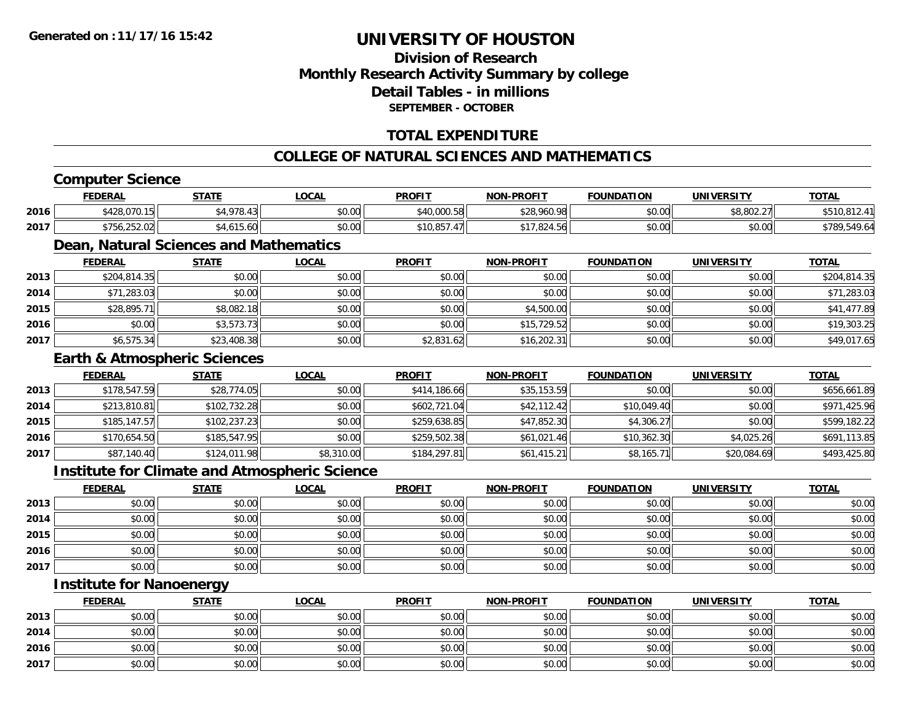# **Division of ResearchMonthly Research Activity Summary by college Detail Tables - in millionsSEPTEMBER - OCTOBER**

## **TOTAL EXPENDITURE**

## **COLLEGE OF NATURAL SCIENCES AND MATHEMATICS**

# **Computer Science**

|      | <b>FEDERAL</b> | <b>STATE</b>                                                                                                     | <b>OCAL</b> | <b>PROFIT</b> | <b>NON-PROFIT</b>    | <b>FOUNDATION</b> | UNIVERSITY              | <b>TOTAL</b> |
|------|----------------|------------------------------------------------------------------------------------------------------------------|-------------|---------------|----------------------|-------------------|-------------------------|--------------|
| 2016 | \$428,070.15   | $*4.978.4$                                                                                                       | \$0.00      | \$40,000.58   | \$28,960.98          | \$0.00            | no oon aal<br>38.802.27 | \$510,812.4  |
| 2017 | \$756,252.02   | .4.615.60                                                                                                        | \$0.00      | \$10.857      | 01702154<br>.824.301 | \$0.00            | \$0.00                  | \$789,549.64 |
|      |                | the property of the control of the control of<br>the contract of the contract of the contract of the contract of |             |               |                      |                   |                         |              |

# **Dean, Natural Sciences and Mathematics**

|      | <b>FEDERAL</b> | <b>STATE</b> | <b>LOCAL</b> | <b>PROFIT</b> | <b>NON-PROFIT</b> | <b>FOUNDATION</b> | <b>UNIVERSITY</b> | <b>TOTAL</b> |
|------|----------------|--------------|--------------|---------------|-------------------|-------------------|-------------------|--------------|
| 2013 | \$204,814.35   | \$0.00       | \$0.00       | \$0.00        | \$0.00            | \$0.00            | \$0.00            | \$204,814.35 |
| 2014 | \$71,283.03    | \$0.00       | \$0.00       | \$0.00        | \$0.00            | \$0.00            | \$0.00            | \$71,283.03  |
| 2015 | \$28,895.71    | \$8,082.18   | \$0.00       | \$0.00        | \$4,500.00        | \$0.00            | \$0.00            | \$41,477.89  |
| 2016 | \$0.00         | \$3,573.73   | \$0.00       | \$0.00        | \$15,729.52       | \$0.00            | \$0.00            | \$19,303.25  |
| 2017 | \$6,575.34     | \$23,408.38  | \$0.00       | \$2,831.62    | \$16,202.31       | \$0.00            | \$0.00            | \$49,017.65  |

#### **Earth & Atmospheric Sciences**

|      | <b>FEDERAL</b> | <b>STATE</b> | <u>LOCAL</u> | <b>PROFIT</b> | <b>NON-PROFIT</b> | <b>FOUNDATION</b> | <b>UNIVERSITY</b> | <b>TOTAL</b> |
|------|----------------|--------------|--------------|---------------|-------------------|-------------------|-------------------|--------------|
| 2013 | \$178,547.59   | \$28,774.05  | \$0.00       | \$414,186.66  | \$35,153.59       | \$0.00            | \$0.00            | \$656,661.89 |
| 2014 | \$213,810.81   | \$102,732.28 | \$0.00       | \$602,721.04  | \$42,112.42       | \$10,049.40       | \$0.00            | \$971,425.96 |
| 2015 | \$185, 147.57  | \$102,237.23 | \$0.00       | \$259,638.85  | \$47,852.30       | \$4,306.27        | \$0.00            | \$599,182.22 |
| 2016 | \$170,654.50   | \$185,547.95 | \$0.00       | \$259,502.38  | \$61,021.46       | \$10,362.30       | \$4,025.26        | \$691,113.85 |
| 2017 | \$87,140.40    | \$124,011.98 | \$8,310.00   | \$184, 297.81 | \$61,415.21       | \$8,165.71        | \$20,084.69       | \$493,425.80 |

### **Institute for Climate and Atmospheric Science**

|      | <u>FEDERAL</u> | <u>STATE</u> | <u>LOCAL</u> | <b>PROFIT</b> | <b>NON-PROFIT</b> | <b>FOUNDATION</b> | <b>UNIVERSITY</b> | <b>TOTAL</b> |
|------|----------------|--------------|--------------|---------------|-------------------|-------------------|-------------------|--------------|
| 2013 | \$0.00         | \$0.00       | \$0.00       | \$0.00        | \$0.00            | \$0.00            | \$0.00            | \$0.00       |
| 2014 | \$0.00         | \$0.00       | \$0.00       | \$0.00        | \$0.00            | \$0.00            | \$0.00            | \$0.00       |
| 2015 | \$0.00         | \$0.00       | \$0.00       | \$0.00        | \$0.00            | \$0.00            | \$0.00            | \$0.00       |
| 2016 | \$0.00         | \$0.00       | \$0.00       | \$0.00        | \$0.00            | \$0.00            | \$0.00            | \$0.00       |
| 2017 | \$0.00         | \$0.00       | \$0.00       | \$0.00        | \$0.00            | \$0.00            | \$0.00            | \$0.00       |

# **Institute for Nanoenergy**

|      | <b>FEDERAL</b> | <b>STATE</b> | <u>LOCAL</u> | <b>PROFIT</b> | <b>NON-PROFIT</b> | <b>FOUNDATION</b> | <b>UNIVERSITY</b> | <b>TOTAL</b> |
|------|----------------|--------------|--------------|---------------|-------------------|-------------------|-------------------|--------------|
| 2013 | \$0.00         | \$0.00       | \$0.00       | \$0.00        | \$0.00            | \$0.00            | \$0.00            | \$0.00       |
| 2014 | \$0.00         | \$0.00       | \$0.00       | \$0.00        | \$0.00            | \$0.00            | \$0.00            | \$0.00       |
| 2016 | \$0.00         | \$0.00       | \$0.00       | \$0.00        | \$0.00            | \$0.00            | \$0.00            | \$0.00       |
| 2017 | \$0.00         | \$0.00       | \$0.00       | \$0.00        | \$0.00            | \$0.00            | \$0.00            | \$0.00       |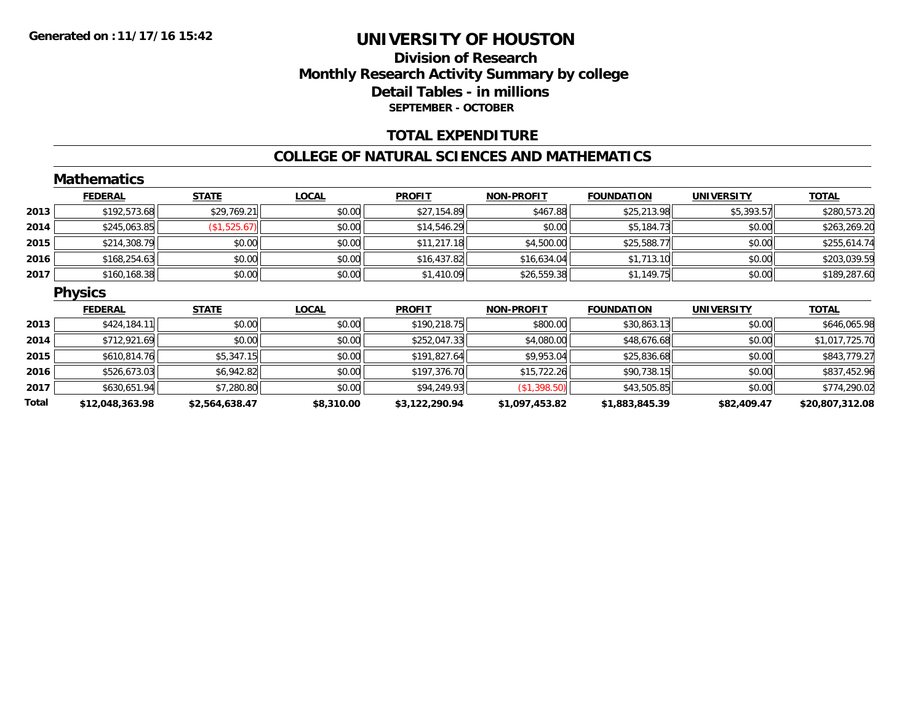## **Division of Research Monthly Research Activity Summary by college Detail Tables - in millions SEPTEMBER - OCTOBER**

### **TOTAL EXPENDITURE**

#### **COLLEGE OF NATURAL SCIENCES AND MATHEMATICS**

|       | <b>Mathematics</b> |                |              |                |                   |                   |                   |                 |
|-------|--------------------|----------------|--------------|----------------|-------------------|-------------------|-------------------|-----------------|
|       | <b>FEDERAL</b>     | <b>STATE</b>   | <b>LOCAL</b> | <b>PROFIT</b>  | NON-PROFIT        | <b>FOUNDATION</b> | <b>UNIVERSITY</b> | <b>TOTAL</b>    |
| 2013  | \$192,573.68       | \$29,769.21    | \$0.00       | \$27,154.89    | \$467.88          | \$25,213.98       | \$5,393.57        | \$280,573.20    |
| 2014  | \$245,063.85       | (\$1,525.67)   | \$0.00       | \$14,546.29    | \$0.00            | \$5,184.73        | \$0.00            | \$263,269.20    |
| 2015  | \$214,308.79       | \$0.00         | \$0.00       | \$11,217.18    | \$4,500.00        | \$25,588.77       | \$0.00            | \$255,614.74    |
| 2016  | \$168,254.63       | \$0.00         | \$0.00       | \$16,437.82    | \$16,634.04       | \$1,713.10        | \$0.00            | \$203,039.59    |
| 2017  | \$160,168.38       | \$0.00         | \$0.00       | \$1,410.09     | \$26,559.38       | \$1,149.75        | \$0.00            | \$189,287.60    |
|       | <b>Physics</b>     |                |              |                |                   |                   |                   |                 |
|       | <b>FEDERAL</b>     | <b>STATE</b>   | <b>LOCAL</b> | <b>PROFIT</b>  | <b>NON-PROFIT</b> | <b>FOUNDATION</b> | <b>UNIVERSITY</b> | <b>TOTAL</b>    |
| 2013  | \$424,184.11       | \$0.00         | \$0.00       | \$190,218.75   | \$800.00          | \$30,863.13       | \$0.00            | \$646,065.98    |
| 2014  | \$712,921.69       | \$0.00         | \$0.00       | \$252,047.33   | \$4,080.00        | \$48,676.68       | \$0.00            | \$1,017,725.70  |
| 2015  | \$610,814.76       | \$5,347.15     | \$0.00       | \$191,827.64   | \$9,953.04        | \$25,836.68       | \$0.00            | \$843,779.27    |
| 2016  | \$526,673.03       | \$6,942.82     | \$0.00       | \$197,376.70   | \$15,722.26       | \$90,738.15       | \$0.00            | \$837,452.96    |
| 2017  | \$630,651.94       | \$7,280.80     | \$0.00       | \$94,249.93    | \$1,398.50        | \$43,505.85       | \$0.00            | \$774,290.02    |
| Total | \$12,048,363.98    | \$2,564,638.47 | \$8,310.00   | \$3,122,290.94 | \$1,097,453.82    | \$1,883,845.39    | \$82,409.47       | \$20,807,312.08 |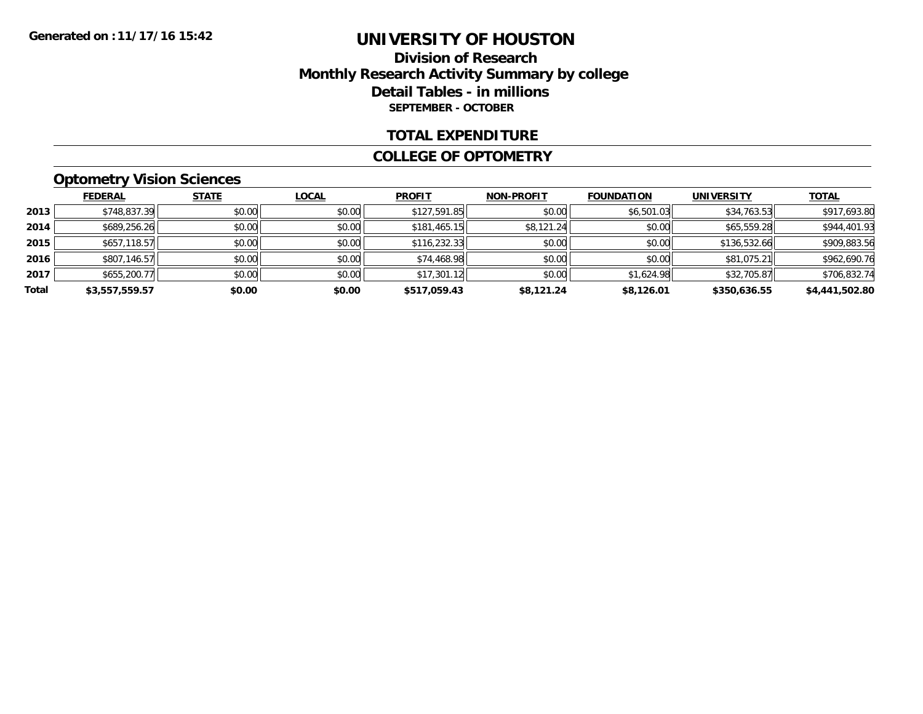## **Division of Research Monthly Research Activity Summary by college Detail Tables - in millions SEPTEMBER - OCTOBER**

### **TOTAL EXPENDITURE**

#### **COLLEGE OF OPTOMETRY**

# **Optometry Vision Sciences**

|       | <b>FEDERAL</b> | <b>STATE</b> | <b>LOCAL</b> | <b>PROFIT</b> | <b>NON-PROFIT</b> | <b>FOUNDATION</b> | <b>UNIVERSITY</b> | <b>TOTAL</b>   |
|-------|----------------|--------------|--------------|---------------|-------------------|-------------------|-------------------|----------------|
| 2013  | \$748,837.39   | \$0.00       | \$0.00       | \$127,591.85  | \$0.00            | \$6,501.03        | \$34,763.53       | \$917,693.80   |
| 2014  | \$689,256.26   | \$0.00       | \$0.00       | \$181,465.15  | \$8,121.24        | \$0.00            | \$65,559.28       | \$944,401.93   |
| 2015  | \$657,118.57   | \$0.00       | \$0.00       | \$116,232.33  | \$0.00            | \$0.00            | \$136,532.66      | \$909,883.56   |
| 2016  | \$807,146.57   | \$0.00       | \$0.00       | \$74,468.98   | \$0.00            | \$0.00            | \$81,075.21       | \$962,690.76   |
| 2017  | \$655,200.77   | \$0.00       | \$0.00       | \$17,301.12   | \$0.00            | \$1,624.98        | \$32,705.87       | \$706,832.74   |
| Total | \$3,557,559.57 | \$0.00       | \$0.00       | \$517.059.43  | \$8,121.24        | \$8,126.01        | \$350,636.55      | \$4,441,502.80 |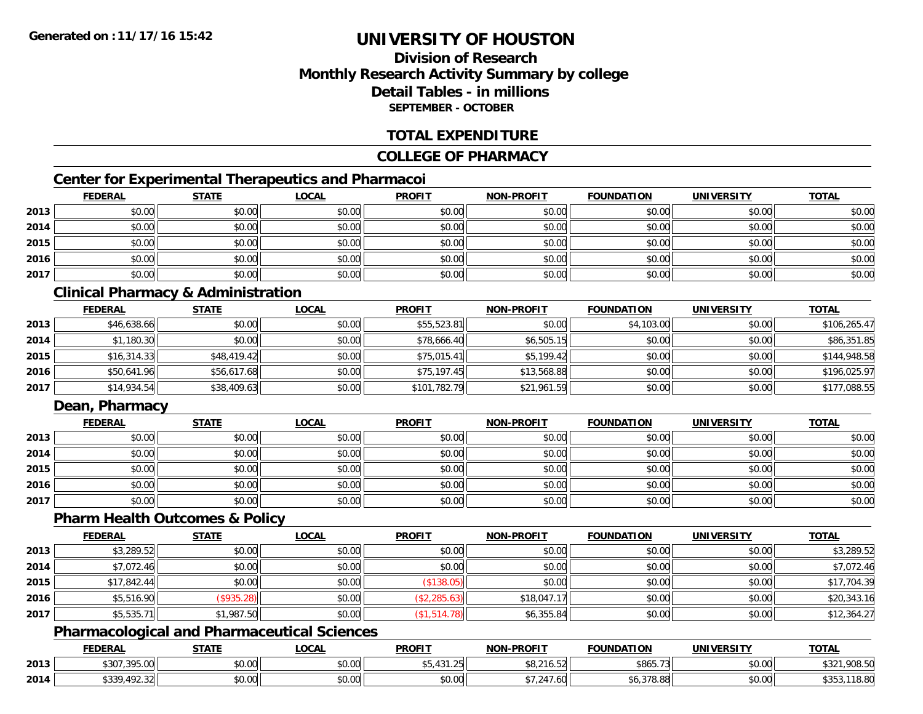# **Division of ResearchMonthly Research Activity Summary by college Detail Tables - in millionsSEPTEMBER - OCTOBER**

## **TOTAL EXPENDITURE**

### **COLLEGE OF PHARMACY**

# **Center for Experimental Therapeutics and Pharmacoi**

|      | <b>FEDERAL</b> | <b>STATE</b> | <b>LOCAL</b> | <b>PROFIT</b> | <b>NON-PROFIT</b> | <b>FOUNDATION</b> | <b>UNIVERSITY</b> | <b>TOTAL</b> |
|------|----------------|--------------|--------------|---------------|-------------------|-------------------|-------------------|--------------|
| 2013 | \$0.00         | \$0.00       | \$0.00       | \$0.00        | \$0.00            | \$0.00            | \$0.00            | \$0.00       |
| 2014 | \$0.00         | \$0.00       | \$0.00       | \$0.00        | \$0.00            | \$0.00            | \$0.00            | \$0.00       |
| 2015 | \$0.00         | \$0.00       | \$0.00       | \$0.00        | \$0.00            | \$0.00            | \$0.00            | \$0.00       |
| 2016 | \$0.00         | \$0.00       | \$0.00       | \$0.00        | \$0.00            | \$0.00            | \$0.00            | \$0.00       |
| 2017 | \$0.00         | \$0.00       | \$0.00       | \$0.00        | \$0.00            | \$0.00            | \$0.00            | \$0.00       |

## **Clinical Pharmacy & Administration**

|      | <b>FEDERAL</b> | <b>STATE</b> | <u>LOCAL</u> | <b>PROFIT</b> | <b>NON-PROFIT</b> | <b>FOUNDATION</b> | <b>UNIVERSITY</b> | <b>TOTAL</b> |
|------|----------------|--------------|--------------|---------------|-------------------|-------------------|-------------------|--------------|
| 2013 | \$46,638.66    | \$0.00       | \$0.00       | \$55,523.81   | \$0.00            | \$4,103.00        | \$0.00            | \$106,265.47 |
| 2014 | \$1,180.30     | \$0.00       | \$0.00       | \$78,666.40   | \$6,505.15        | \$0.00            | \$0.00            | \$86,351.85  |
| 2015 | \$16,314.33    | \$48,419.42  | \$0.00       | \$75,015.41   | \$5,199.42        | \$0.00            | \$0.00            | \$144,948.58 |
| 2016 | \$50,641.96    | \$56,617.68  | \$0.00       | \$75,197.45   | \$13,568.88       | \$0.00            | \$0.00            | \$196,025.97 |
| 2017 | \$14,934.54    | \$38,409.63  | \$0.00       | \$101,782.79  | \$21,961.59       | \$0.00            | \$0.00            | \$177,088.55 |

## **Dean, Pharmacy**

|      | <b>FEDERAL</b> | <b>STATE</b> | <u>LOCAL</u> | <b>PROFIT</b> | <b>NON-PROFIT</b> | <b>FOUNDATION</b> | <b>UNIVERSITY</b> | <b>TOTAL</b> |
|------|----------------|--------------|--------------|---------------|-------------------|-------------------|-------------------|--------------|
| 2013 | \$0.00         | \$0.00       | \$0.00       | \$0.00        | \$0.00            | \$0.00            | \$0.00            | \$0.00       |
| 2014 | \$0.00         | \$0.00       | \$0.00       | \$0.00        | \$0.00            | \$0.00            | \$0.00            | \$0.00       |
| 2015 | \$0.00         | \$0.00       | \$0.00       | \$0.00        | \$0.00            | \$0.00            | \$0.00            | \$0.00       |
| 2016 | \$0.00         | \$0.00       | \$0.00       | \$0.00        | \$0.00            | \$0.00            | \$0.00            | \$0.00       |
| 2017 | \$0.00         | \$0.00       | \$0.00       | \$0.00        | \$0.00            | \$0.00            | \$0.00            | \$0.00       |

#### **Pharm Health Outcomes & Policy**

|      | <b>FEDERAL</b> | <b>STATE</b> | <u>LOCAL</u> | <b>PROFIT</b> | <b>NON-PROFIT</b> | <b>FOUNDATION</b> | <b>UNIVERSITY</b> | <b>TOTAL</b> |
|------|----------------|--------------|--------------|---------------|-------------------|-------------------|-------------------|--------------|
| 2013 | \$3,289.52     | \$0.00       | \$0.00       | \$0.00        | \$0.00            | \$0.00            | \$0.00            | \$3,289.52   |
| 2014 | \$7,072.46     | \$0.00       | \$0.00       | \$0.00        | \$0.00            | \$0.00            | \$0.00            | \$7,072.46   |
| 2015 | \$17,842.44    | \$0.00       | \$0.00       | (\$138.05)    | \$0.00            | \$0.00            | \$0.00            | \$17,704.39  |
| 2016 | \$5,516.90     | (\$935.28)   | \$0.00       | (\$2,285.63)  | \$18,047.17       | \$0.00            | \$0.00            | \$20,343.16  |
| 2017 | \$5,535.71     | \$1,987.50   | \$0.00       | (\$1,514.78)  | \$6,355.84        | \$0.00            | \$0.00            | \$12,364.27  |

## **Pharmacological and Pharmaceutical Sciences**

|      | <b>FEDERAL</b>                                | <b>STATE</b>       | _OCAL              | <b>PROFIT</b>                            | <b>NON-PROFIT</b>             | <b>FOUNDATION</b>      | UNIVERSITY | <b>TOTAL</b>                                             |
|------|-----------------------------------------------|--------------------|--------------------|------------------------------------------|-------------------------------|------------------------|------------|----------------------------------------------------------|
| 2013 | <b>\$307,305,00</b><br>აას.<br>799.UU         | 0000<br>vv.vv      | $\sim$ 00<br>vv.vv | $\overline{\phantom{a}}$<br>JJ, HJ I. ZJ | $0.015$ $0.01$<br>. r<br>90.Z | \$865.73               | \$0.00     | $\uparrow$ $\uparrow$ $\uparrow$<br>000E<br>51<br>906.JU |
| 2014 | <b>¢220 102</b><br>$\sim$<br>.492.32<br>. ن ر | $\sim$ 00<br>JU.UU | $\sim$ 00<br>PO.OO | 0000<br>JU.UU                            | $+7.01$<br>.ou                | <b>270.00</b><br>70.00 | \$0.00     | 18.80                                                    |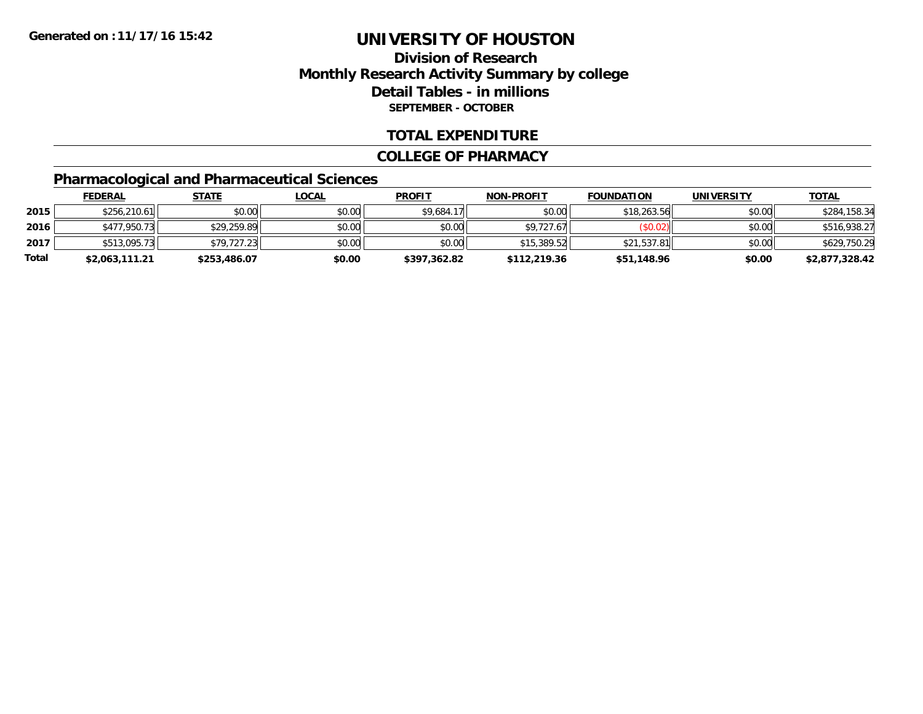# **Division of ResearchMonthly Research Activity Summary by college Detail Tables - in millions SEPTEMBER - OCTOBER**

### **TOTAL EXPENDITURE**

#### **COLLEGE OF PHARMACY**

# **Pharmacological and Pharmaceutical Sciences**

|       | <b>FEDERAL</b> | <u>STATE</u> | <u>LOCAL</u> | <b>PROFIT</b> | <b>NON-PROFIT</b> | <b>FOUNDATION</b> | <b>UNIVERSITY</b> | <u>TOTAL</u>   |
|-------|----------------|--------------|--------------|---------------|-------------------|-------------------|-------------------|----------------|
| 2015  | \$256,210.61   | \$0.00       | \$0.00       | \$9,684.17    | \$0.00            | \$18,263.56       | \$0.00            | \$284,158.34   |
| 2016  | \$477,950.73   | \$29,259.89  | \$0.00       | \$0.00        | \$9.727.67        | (\$0.02)          | \$0.00            | \$516,938.27   |
| 2017  | \$513,095.73   | \$79,727.23  | \$0.00       | \$0.00        | \$15,389.52       | \$21.537.81       | \$0.00            | \$629,750.29   |
| Total | \$2,063,111.21 | \$253,486.07 | \$0.00       | \$397,362.82  | \$112,219.36      | \$51,148.96       | \$0.00            | \$2,877,328.42 |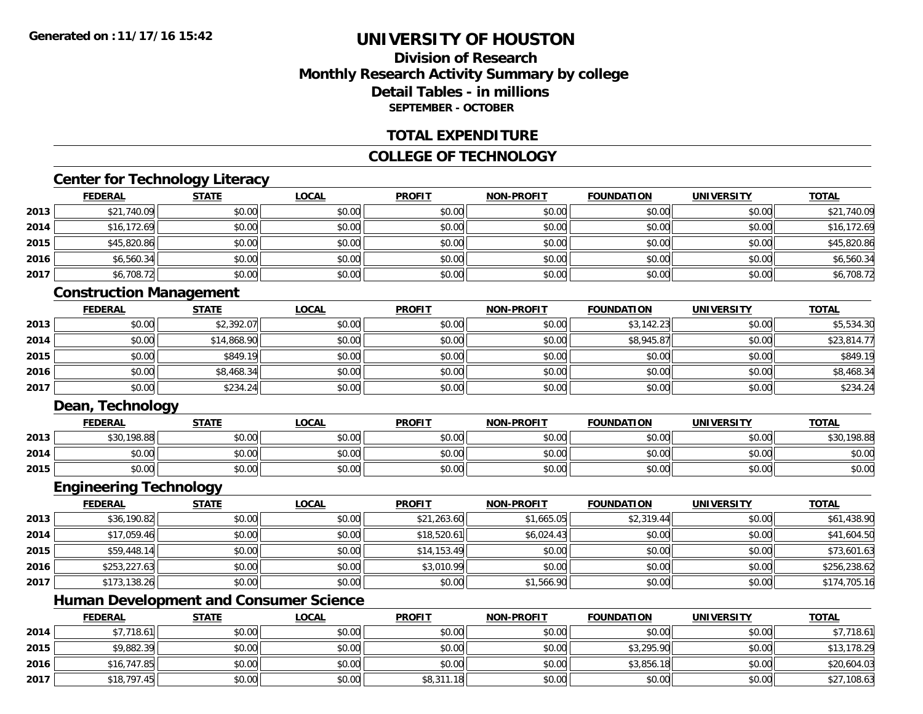# **Division of ResearchMonthly Research Activity Summary by college Detail Tables - in millionsSEPTEMBER - OCTOBER**

### **TOTAL EXPENDITURE**

## **COLLEGE OF TECHNOLOGY**

## **Center for Technology Literacy**

|      | <b>FEDERAL</b> | <b>STATE</b> | <u>LOCAL</u> | <b>PROFIT</b> | <b>NON-PROFIT</b> | <b>FOUNDATION</b> | <b>UNIVERSITY</b> | <b>TOTAL</b> |
|------|----------------|--------------|--------------|---------------|-------------------|-------------------|-------------------|--------------|
| 2013 | \$21,740.09    | \$0.00       | \$0.00       | \$0.00        | \$0.00            | \$0.00            | \$0.00            | \$21,740.09  |
| 2014 | \$16,172.69    | \$0.00       | \$0.00       | \$0.00        | \$0.00            | \$0.00            | \$0.00            | \$16,172.69  |
| 2015 | \$45,820.86    | \$0.00       | \$0.00       | \$0.00        | \$0.00            | \$0.00            | \$0.00            | \$45,820.86  |
| 2016 | \$6,560.34     | \$0.00       | \$0.00       | \$0.00        | \$0.00            | \$0.00            | \$0.00            | \$6,560.34   |
| 2017 | \$6,708.72     | \$0.00       | \$0.00       | \$0.00        | \$0.00            | \$0.00            | \$0.00            | \$6,708.72   |

## **Construction Management**

|      | <b>FEDERAL</b> | <b>STATE</b> | <u>LOCAL</u> | <b>PROFIT</b> | <b>NON-PROFIT</b> | <b>FOUNDATION</b> | <b>UNIVERSITY</b> | <b>TOTAL</b> |
|------|----------------|--------------|--------------|---------------|-------------------|-------------------|-------------------|--------------|
| 2013 | \$0.00         | \$2,392.07   | \$0.00       | \$0.00        | \$0.00            | \$3,142.23        | \$0.00            | \$5,534.30   |
| 2014 | \$0.00         | \$14,868.90  | \$0.00       | \$0.00        | \$0.00            | \$8,945.87        | \$0.00            | \$23,814.77  |
| 2015 | \$0.00         | \$849.19     | \$0.00       | \$0.00        | \$0.00            | \$0.00            | \$0.00            | \$849.19     |
| 2016 | \$0.00         | \$8,468.34   | \$0.00       | \$0.00        | \$0.00            | \$0.00            | \$0.00            | \$8,468.34   |
| 2017 | \$0.00         | \$234.24     | \$0.00       | \$0.00        | \$0.00            | \$0.00            | \$0.00            | \$234.24     |

### **Dean, Technology**

|      | <b>FEDERAL</b> | <b>STATE</b> | <u>_OCAL</u> | <b>PROFIT</b>         | <b>NON-PROFIT</b> | <b>FOUNDATION</b> | UNIVERSITY | <u>TOTAL</u> |
|------|----------------|--------------|--------------|-----------------------|-------------------|-------------------|------------|--------------|
| 2013 | \$30,198.88    | \$0.00       | \$0.00       | \$0.00                | \$0.00            | \$0.00            | \$0.00     | \$30,198.88  |
| 2014 | \$0.00         | \$0.00       | \$0.00       | \$0.00                | \$0.00            | \$0.00            | \$0.00     | \$0.00       |
| 2015 | \$0.00         | \$0.00       | \$0.00       | ≮∩ ∩∩<br><b>SU.UU</b> | \$0.00            | \$0.00            | \$0.00     | \$0.00       |

# **Engineering Technology**

|      | <b>FEDERAL</b> | <b>STATE</b> | <b>LOCAL</b> | <b>PROFIT</b> | <b>NON-PROFIT</b> | <b>FOUNDATION</b> | <b>UNIVERSITY</b> | <b>TOTAL</b> |
|------|----------------|--------------|--------------|---------------|-------------------|-------------------|-------------------|--------------|
| 2013 | \$36,190.82    | \$0.00       | \$0.00       | \$21,263.60   | \$1,665.05        | \$2,319.44        | \$0.00            | \$61,438.90  |
| 2014 | \$17,059.46    | \$0.00       | \$0.00       | \$18,520.61   | \$6,024.43        | \$0.00            | \$0.00            | \$41,604.50  |
| 2015 | \$59,448.14    | \$0.00       | \$0.00       | \$14,153.49   | \$0.00            | \$0.00            | \$0.00            | \$73,601.63  |
| 2016 | \$253,227.63   | \$0.00       | \$0.00       | \$3,010.99    | \$0.00            | \$0.00            | \$0.00            | \$256,238.62 |
| 2017 | \$173,138.26   | \$0.00       | \$0.00       | \$0.00        | \$1,566.90        | \$0.00            | \$0.00            | \$174,705.16 |

# **Human Development and Consumer Science**

|      | <b>FEDERAL</b> | <u>STATE</u> | <b>LOCAL</b> | <b>PROFIT</b> | <b>NON-PROFIT</b> | <b>FOUNDATION</b> | UNIVERSITY | <b>TOTAL</b> |
|------|----------------|--------------|--------------|---------------|-------------------|-------------------|------------|--------------|
| 2014 | \$7,718.61     | \$0.00       | \$0.00       | \$0.00        | \$0.00            | \$0.00            | \$0.00     | \$7,718.61   |
| 2015 | \$9,882.39     | \$0.00       | \$0.00       | \$0.00        | \$0.00            | \$3,295.90        | \$0.00     | \$13,178.29  |
| 2016 | \$16,747.85    | \$0.00       | \$0.00       | \$0.00        | \$0.00            | \$3,856.18        | \$0.00     | \$20,604.03  |
| 2017 | \$18,797.45    | \$0.00       | \$0.00       | \$8,311.18    | \$0.00            | \$0.00            | \$0.00     | \$27,108.63  |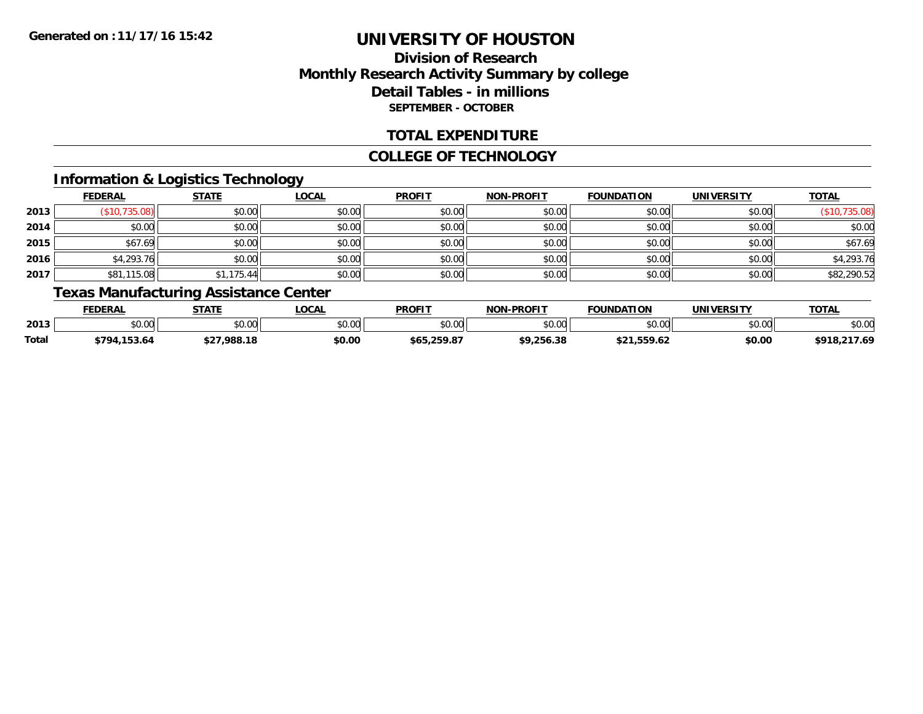# **Division of ResearchMonthly Research Activity Summary by college Detail Tables - in millions SEPTEMBER - OCTOBER**

## **TOTAL EXPENDITURE**

#### **COLLEGE OF TECHNOLOGY**

# **Information & Logistics Technology**

|      | <b>FEDERAL</b> | <b>STATE</b> | <b>LOCAL</b> | <b>PROFIT</b> | <b>NON-PROFIT</b> | <b>FOUNDATION</b> | <b>UNIVERSITY</b> | <b>TOTAL</b>  |
|------|----------------|--------------|--------------|---------------|-------------------|-------------------|-------------------|---------------|
| 2013 | (\$10,735.08)  | \$0.00       | \$0.00       | \$0.00        | \$0.00            | \$0.00            | \$0.00            | (\$10,735.08) |
| 2014 | \$0.00         | \$0.00       | \$0.00       | \$0.00        | \$0.00            | \$0.00            | \$0.00            | \$0.00        |
| 2015 | \$67.69        | \$0.00       | \$0.00       | \$0.00        | \$0.00            | \$0.00            | \$0.00            | \$67.69       |
| 2016 | \$4,293.76     | \$0.00       | \$0.00       | \$0.00        | \$0.00            | \$0.00            | \$0.00            | \$4,293.76    |
| 2017 | \$81,115.08    | \$1,175.44   | \$0.00       | \$0.00        | \$0.00            | \$0.00            | \$0.00            | \$82,290.52   |

# **Texas Manufacturing Assistance Center**

|       | <b>FEDERAL</b>     | <b>CTATE</b>  | <b>OCAL</b> | <b>PROFIT</b>         | <b>I-PROFIT</b><br>וחרות | <b>FOUNDATION</b> | IINIIVEDCITV   | <b>TOTAL</b>            |
|-------|--------------------|---------------|-------------|-----------------------|--------------------------|-------------------|----------------|-------------------------|
| 2013  | $\sim$ 00<br>טט.טע | 0.00<br>pu.uu | vv.vv       | 0000<br>JU.UU         | \$0.00                   | $\sim$ 00         | ልስ ሰሰ<br>JU.UU | $\sim$ $\sim$<br>\$U.UU |
| Total | 153.64<br>4794     | 000 10        | \$0.00      | . 250 87<br>\$65.<br> | <b>¢Q ጋ56</b><br>256.38  |                   | \$0.00         | .217.69<br>0 P Q        |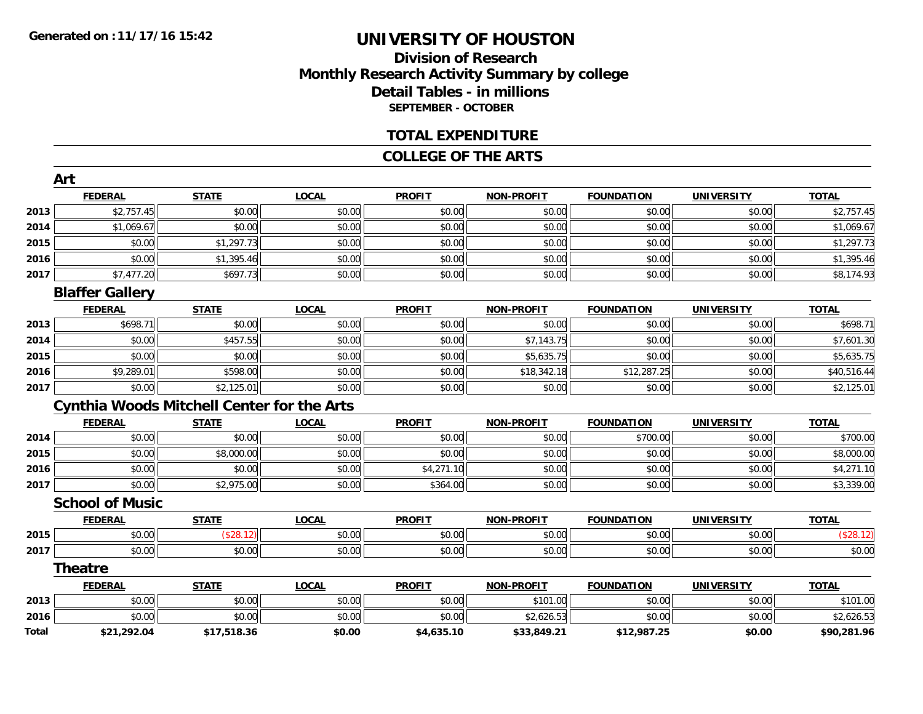# **Division of ResearchMonthly Research Activity Summary by college Detail Tables - in millions SEPTEMBER - OCTOBER**

#### **TOTAL EXPENDITURE**

#### **COLLEGE OF THE ARTS**

|              | Art                                               |              |              |               |                   |                   |                   |              |
|--------------|---------------------------------------------------|--------------|--------------|---------------|-------------------|-------------------|-------------------|--------------|
|              | <b>FEDERAL</b>                                    | <b>STATE</b> | <b>LOCAL</b> | <b>PROFIT</b> | <b>NON-PROFIT</b> | <b>FOUNDATION</b> | <b>UNIVERSITY</b> | <b>TOTAL</b> |
| 2013         | \$2,757.45                                        | \$0.00       | \$0.00       | \$0.00        | \$0.00            | \$0.00            | \$0.00            | \$2,757.45   |
| 2014         | \$1,069.67                                        | \$0.00       | \$0.00       | \$0.00        | \$0.00            | \$0.00            | \$0.00            | \$1,069.67   |
| 2015         | \$0.00                                            | \$1,297.73   | \$0.00       | \$0.00        | \$0.00            | \$0.00            | \$0.00            | \$1,297.73   |
| 2016         | \$0.00                                            | \$1,395.46   | \$0.00       | \$0.00        | \$0.00            | \$0.00            | \$0.00            | \$1,395.46   |
| 2017         | \$7,477.20                                        | \$697.73     | \$0.00       | \$0.00        | \$0.00            | \$0.00            | \$0.00            | \$8,174.93   |
|              | <b>Blaffer Gallery</b>                            |              |              |               |                   |                   |                   |              |
|              | <b>FEDERAL</b>                                    | <b>STATE</b> | <b>LOCAL</b> | <b>PROFIT</b> | <b>NON-PROFIT</b> | <b>FOUNDATION</b> | <b>UNIVERSITY</b> | <b>TOTAL</b> |
| 2013         | \$698.71                                          | \$0.00       | \$0.00       | \$0.00        | \$0.00            | \$0.00            | \$0.00            | \$698.71     |
| 2014         | \$0.00                                            | \$457.55     | \$0.00       | \$0.00        | \$7,143.75        | \$0.00            | \$0.00            | \$7,601.30   |
| 2015         | \$0.00                                            | \$0.00       | \$0.00       | \$0.00        | \$5,635.75        | \$0.00            | \$0.00            | \$5,635.75   |
| 2016         | \$9,289.01                                        | \$598.00     | \$0.00       | \$0.00        | \$18,342.18       | \$12,287.25       | \$0.00            | \$40,516.44  |
| 2017         | \$0.00                                            | \$2,125.01   | \$0.00       | \$0.00        | \$0.00            | \$0.00            | \$0.00            | \$2,125.01   |
|              | <b>Cynthia Woods Mitchell Center for the Arts</b> |              |              |               |                   |                   |                   |              |
|              | <b>FEDERAL</b>                                    | <b>STATE</b> | <b>LOCAL</b> | <b>PROFIT</b> | <b>NON-PROFIT</b> | <b>FOUNDATION</b> | <b>UNIVERSITY</b> | <b>TOTAL</b> |
| 2014         | \$0.00                                            | \$0.00       | \$0.00       | \$0.00        | \$0.00            | \$700.00          | \$0.00            | \$700.00     |
| 2015         | \$0.00                                            | \$8,000.00   | \$0.00       | \$0.00        | \$0.00            | \$0.00            | \$0.00            | \$8,000.00   |
| 2016         | \$0.00                                            | \$0.00       | \$0.00       | \$4,271.10    | \$0.00            | \$0.00            | \$0.00            | \$4,271.10   |
| 2017         | \$0.00                                            | \$2,975.00   | \$0.00       | \$364.00      | \$0.00            | \$0.00            | \$0.00            | \$3,339.00   |
|              | <b>School of Music</b>                            |              |              |               |                   |                   |                   |              |
|              | <b>FEDERAL</b>                                    | <b>STATE</b> | <b>LOCAL</b> | <b>PROFIT</b> | <b>NON-PROFIT</b> | <b>FOUNDATION</b> | <b>UNIVERSITY</b> | <b>TOTAL</b> |
| 2015         | \$0.00                                            | (\$28.12)    | \$0.00       | \$0.00        | \$0.00            | \$0.00            | \$0.00            | (\$28.12)    |
| 2017         | \$0.00                                            | \$0.00       | \$0.00       | \$0.00        | \$0.00            | \$0.00            | \$0.00            | \$0.00       |
|              | Theatre                                           |              |              |               |                   |                   |                   |              |
|              | <b>FEDERAL</b>                                    | <b>STATE</b> | <b>LOCAL</b> | <b>PROFIT</b> | <b>NON-PROFIT</b> | <b>FOUNDATION</b> | <b>UNIVERSITY</b> | <b>TOTAL</b> |
| 2013         | \$0.00                                            | \$0.00       | \$0.00       | \$0.00        | \$101.00          | \$0.00            | \$0.00            | \$101.00     |
| 2016         | \$0.00                                            | \$0.00       | \$0.00       | \$0.00        | \$2,626.53        | \$0.00            | \$0.00            | \$2,626.53   |
| <b>Total</b> | \$21.292.04                                       | \$17.518.36  | \$0.00       | \$4.635.10    | \$33.849.21       | \$12.987.25       | \$0.00            | \$90.281.96  |

**\$21,292.04 \$17,518.36 \$0.00 \$4,635.10 \$33,849.21 \$12,987.25 \$0.00 \$90,281.96**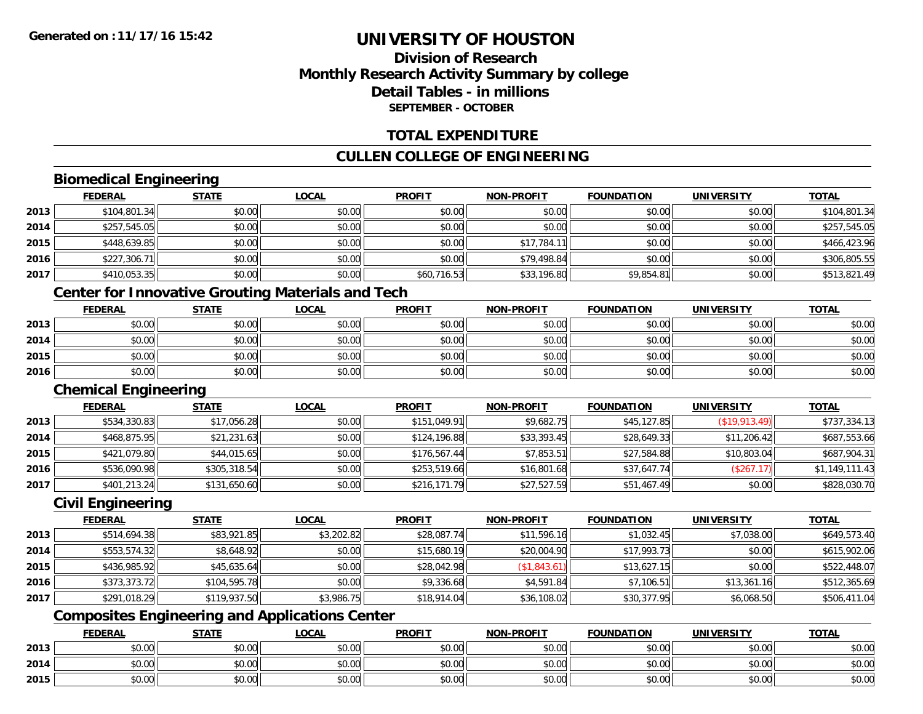# **Division of ResearchMonthly Research Activity Summary by college Detail Tables - in millionsSEPTEMBER - OCTOBER**

### **TOTAL EXPENDITURE**

## **CULLEN COLLEGE OF ENGINEERING**

## **Biomedical Engineering**

|      | <b>FEDERAL</b> | <b>STATE</b> | <u>LOCAL</u> | <b>PROFIT</b> | <b>NON-PROFIT</b> | <b>FOUNDATION</b> | <b>UNIVERSITY</b> | <u>TOTAL</u> |
|------|----------------|--------------|--------------|---------------|-------------------|-------------------|-------------------|--------------|
| 2013 | \$104,801.34   | \$0.00       | \$0.00       | \$0.00        | \$0.00            | \$0.00            | \$0.00            | \$104,801.34 |
| 2014 | \$257,545.05   | \$0.00       | \$0.00       | \$0.00        | \$0.00            | \$0.00            | \$0.00            | \$257,545.05 |
| 2015 | \$448,639.85   | \$0.00       | \$0.00       | \$0.00        | \$17,784.         | \$0.00            | \$0.00            | \$466,423.96 |
| 2016 | \$227,306.71   | \$0.00       | \$0.00       | \$0.00        | \$79,498.84       | \$0.00            | \$0.00            | \$306,805.55 |
| 2017 | \$410,053.35   | \$0.00       | \$0.00       | \$60,716.53   | \$33,196.80       | \$9,854.81        | \$0.00            | \$513,821.49 |

# **Center for Innovative Grouting Materials and Tech**

|      | <b>FEDERAL</b> | <b>STATE</b> | <b>LOCAL</b> | <b>PROFIT</b> | <b>NON-PROFIT</b> | <b>FOUNDATION</b> | UNIVERSITY | <b>TOTAL</b> |
|------|----------------|--------------|--------------|---------------|-------------------|-------------------|------------|--------------|
| 2013 | \$0.00         | \$0.00       | \$0.00       | \$0.00        | \$0.00            | \$0.00            | \$0.00     | \$0.00       |
| 2014 | \$0.00         | \$0.00       | \$0.00       | \$0.00        | \$0.00            | \$0.00            | \$0.00     | \$0.00       |
| 2015 | \$0.00         | \$0.00       | \$0.00       | \$0.00        | \$0.00            | \$0.00            | \$0.00     | \$0.00       |
| 2016 | \$0.00         | \$0.00       | \$0.00       | \$0.00        | \$0.00            | \$0.00            | \$0.00     | \$0.00       |

#### **Chemical Engineering**

|      | <b>FEDERAL</b> | <b>STATE</b> | <b>LOCAL</b> | <b>PROFIT</b> | <b>NON-PROFIT</b> | <b>FOUNDATION</b> | <b>UNIVERSITY</b> | <b>TOTAL</b>   |
|------|----------------|--------------|--------------|---------------|-------------------|-------------------|-------------------|----------------|
| 2013 | \$534,330.83   | \$17,056.28  | \$0.00       | \$151,049.91  | \$9,682.75        | \$45,127.85       | (S19, 913.49)     | \$737,334.13   |
| 2014 | \$468,875.95   | \$21,231.63  | \$0.00       | \$124,196.88  | \$33,393.45       | \$28,649.33       | \$11,206.42       | \$687,553.66   |
| 2015 | \$421,079.80   | \$44,015.65  | \$0.00       | \$176,567.44  | \$7,853.51        | \$27,584.88       | \$10,803.04       | \$687,904.31   |
| 2016 | \$536,090.98   | \$305,318.54 | \$0.00       | \$253,519.66  | \$16,801.68       | \$37,647.74       | (\$267.17)        | \$1,149,111.43 |
| 2017 | \$401,213.24   | \$131,650.60 | \$0.00       | \$216,171.79  | \$27,527.59       | \$51,467.49       | \$0.00            | \$828,030.70   |

# **Civil Engineering**

|      | <b>FEDERAL</b> | <b>STATE</b> | <b>LOCAL</b> | <b>PROFIT</b> | <b>NON-PROFIT</b> | <b>FOUNDATION</b> | <b>UNIVERSITY</b> | <b>TOTAL</b> |
|------|----------------|--------------|--------------|---------------|-------------------|-------------------|-------------------|--------------|
| 2013 | \$514,694.38   | \$83,921.85  | \$3,202.82   | \$28,087.74   | \$11,596.16       | \$1,032.45        | \$7,038.00        | \$649,573.40 |
| 2014 | \$553,574.32   | \$8,648.92   | \$0.00       | \$15,680.19   | \$20,004.90       | \$17,993.73       | \$0.00            | \$615,902.06 |
| 2015 | \$436,985.92   | \$45,635.64  | \$0.00       | \$28,042.98   | (\$1,843.61)      | \$13,627.15       | \$0.00            | \$522,448.07 |
| 2016 | \$373,373.72   | \$104,595.78 | \$0.00       | \$9,336.68    | \$4,591.84        | \$7,106.51        | \$13,361.16       | \$512,365.69 |
| 2017 | \$291,018.29   | \$119,937.50 | \$3,986.75   | \$18,914.04   | \$36,108.02       | \$30,377.95       | \$6,068.50        | \$506,411.04 |

# **Composites Engineering and Applications Center**

|      | <b>FEDERAL</b>                              | <b>STATE</b> | <b>_OCAL</b>                                                | <b>PROFIT</b> | <b>NON-PROFIT</b>       | <b>FOUNDATION</b> | UNIVERSITY | <b>TOTAL</b> |
|------|---------------------------------------------|--------------|-------------------------------------------------------------|---------------|-------------------------|-------------------|------------|--------------|
| 2013 | 0000<br>pv.uu                               | \$0.00       | ልስ ለሰ<br>JU.UU                                              | \$0.00        | \$0.00                  | \$0.00            | \$0.00     | \$0.00       |
| 2014 | ሶስ ሰስ<br>DU.UU                              | \$0.00       | $\mathfrak{g} \cap \mathfrak{g} \cap \mathfrak{g}$<br>JU.UU | \$0.00        | \$0.00                  | \$0.00            | \$0.00     | \$0.00       |
| 2015 | $\mathfrak{c}\cap\mathfrak{c}\cap$<br>DU.UU | \$0.00       | ልስ ለሰ<br>JU.UU                                              | \$0.00        | $\sim$ $\sim$<br>\$0.00 | \$0.00            | \$0.00     | \$0.00       |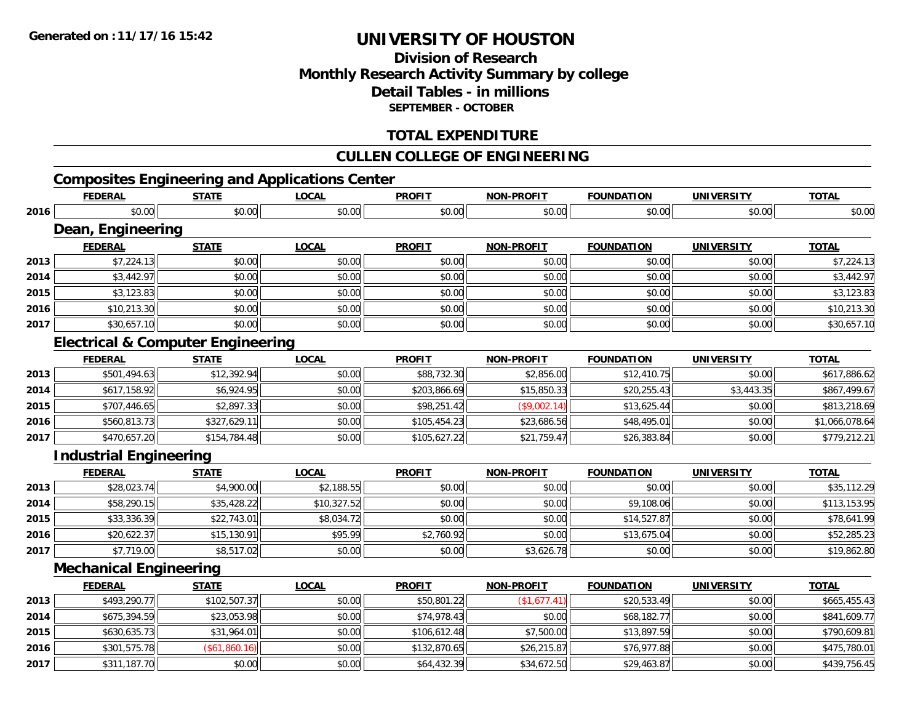# **Division of ResearchMonthly Research Activity Summary by college Detail Tables - in millions SEPTEMBER - OCTOBER**

## **TOTAL EXPENDITURE**

## **CULLEN COLLEGE OF ENGINEERING**

# **Composites Engineering and Applications Center**

|      | <b>FEDERAL</b>                               | <b>STATE</b>  | <b>LOCAL</b> | <b>PROFIT</b> | <b>NON-PROFIT</b> | <b>FOUNDATION</b> | <b>UNIVERSITY</b> | <b>TOTAL</b>   |
|------|----------------------------------------------|---------------|--------------|---------------|-------------------|-------------------|-------------------|----------------|
| 2016 | \$0.00                                       | \$0.00        | \$0.00       | \$0.00        | \$0.00            | \$0.00            | \$0.00            | \$0.00         |
|      | Dean, Engineering                            |               |              |               |                   |                   |                   |                |
|      | <b>FEDERAL</b>                               | <b>STATE</b>  | <b>LOCAL</b> | <b>PROFIT</b> | <b>NON-PROFIT</b> | <b>FOUNDATION</b> | <b>UNIVERSITY</b> | <b>TOTAL</b>   |
| 2013 | \$7,224.13                                   | \$0.00        | \$0.00       | \$0.00        | \$0.00            | \$0.00            | \$0.00            | \$7,224.13     |
| 2014 | \$3,442.97                                   | \$0.00        | \$0.00       | \$0.00        | \$0.00            | \$0.00            | \$0.00            | \$3,442.97     |
| 2015 | \$3,123.83                                   | \$0.00        | \$0.00       | \$0.00        | \$0.00            | \$0.00            | \$0.00            | \$3,123.83     |
| 2016 | \$10,213.30                                  | \$0.00        | \$0.00       | \$0.00        | \$0.00            | \$0.00            | \$0.00            | \$10,213.30    |
| 2017 | \$30,657.10                                  | \$0.00        | \$0.00       | \$0.00        | \$0.00            | \$0.00            | \$0.00            | \$30,657.10    |
|      | <b>Electrical &amp; Computer Engineering</b> |               |              |               |                   |                   |                   |                |
|      | <b>FEDERAL</b>                               | <b>STATE</b>  | <b>LOCAL</b> | <b>PROFIT</b> | <b>NON-PROFIT</b> | <b>FOUNDATION</b> | <b>UNIVERSITY</b> | <b>TOTAL</b>   |
| 2013 | \$501,494.63                                 | \$12,392.94   | \$0.00       | \$88,732.30   | \$2,856.00        | \$12,410.75       | \$0.00            | \$617,886.62   |
| 2014 | \$617,158.92                                 | \$6,924.95    | \$0.00       | \$203,866.69  | \$15,850.33       | \$20,255.43       | \$3,443.35        | \$867,499.67   |
| 2015 | \$707,446.65                                 | \$2,897.33    | \$0.00       | \$98,251.42   | (\$9,002.14)      | \$13,625.44       | \$0.00            | \$813,218.69   |
| 2016 | \$560,813.73                                 | \$327,629.11  | \$0.00       | \$105,454.23  | \$23,686.56       | \$48,495.01       | \$0.00            | \$1,066,078.64 |
| 2017 | \$470,657.20                                 | \$154,784.48  | \$0.00       | \$105,627.22  | \$21,759.47       | \$26,383.84       | \$0.00            | \$779,212.21   |
|      | <b>Industrial Engineering</b>                |               |              |               |                   |                   |                   |                |
|      | <b>FEDERAL</b>                               | <b>STATE</b>  | <b>LOCAL</b> | <b>PROFIT</b> | <b>NON-PROFIT</b> | <b>FOUNDATION</b> | <b>UNIVERSITY</b> | <b>TOTAL</b>   |
| 2013 | \$28,023.74                                  | \$4,900.00    | \$2,188.55   | \$0.00        | \$0.00            | \$0.00            | \$0.00            | \$35,112.29    |
| 2014 | \$58,290.15                                  | \$35,428.22   | \$10,327.52  | \$0.00        | \$0.00            | \$9,108.06        | \$0.00            | \$113,153.95   |
| 2015 | \$33,336.39                                  | \$22,743.01   | \$8,034.72   | \$0.00        | \$0.00            | \$14,527.87       | \$0.00            | \$78,641.99    |
| 2016 | \$20,622.37                                  | \$15,130.91   | \$95.99      | \$2,760.92    | \$0.00            | \$13,675.04       | \$0.00            | \$52,285.23    |
| 2017 | \$7,719.00                                   | \$8,517.02    | \$0.00       | \$0.00        | \$3,626.78        | \$0.00            | \$0.00            | \$19,862.80    |
|      | <b>Mechanical Engineering</b>                |               |              |               |                   |                   |                   |                |
|      | <b>FEDERAL</b>                               | <b>STATE</b>  | <b>LOCAL</b> | <b>PROFIT</b> | <b>NON-PROFIT</b> | <b>FOUNDATION</b> | <b>UNIVERSITY</b> | <b>TOTAL</b>   |
| 2013 | \$493,290.77                                 | \$102,507.37  | \$0.00       | \$50,801.22   | (\$1,677.41)      | \$20,533.49       | \$0.00            | \$665,455.43   |
| 2014 | \$675,394.59                                 | \$23,053.98   | \$0.00       | \$74,978.43   | \$0.00            | \$68,182.77       | \$0.00            | \$841,609.77   |
| 2015 | \$630,635.73                                 | \$31,964.01   | \$0.00       | \$106,612.48  | \$7,500.00        | \$13,897.59       | \$0.00            | \$790,609.81   |
| 2016 | \$301,575.78                                 | (\$61,860.16) | \$0.00       | \$132,870.65  | \$26,215.87       | \$76,977.88       | \$0.00            | \$475,780.01   |
| 2017 | \$311,187.70                                 | \$0.00        | \$0.00       | \$64,432.39   | \$34,672.50       | \$29,463.87       | \$0.00            | \$439,756.45   |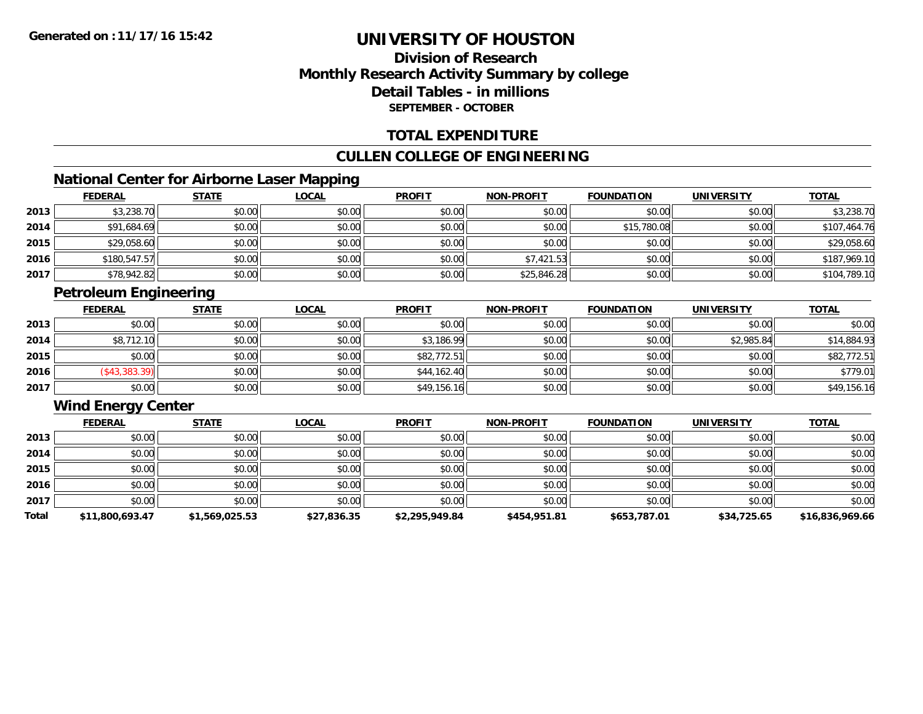# **Division of ResearchMonthly Research Activity Summary by college Detail Tables - in millions SEPTEMBER - OCTOBER**

## **TOTAL EXPENDITURE**

## **CULLEN COLLEGE OF ENGINEERING**

## **National Center for Airborne Laser Mapping**

|      | <b>FEDERAL</b> | <b>STATE</b> | <b>LOCAL</b> | <b>PROFIT</b> | <b>NON-PROFIT</b> | <b>FOUNDATION</b> | <b>UNIVERSITY</b> | <b>TOTAL</b> |
|------|----------------|--------------|--------------|---------------|-------------------|-------------------|-------------------|--------------|
| 2013 | \$3,238.70     | \$0.00       | \$0.00       | \$0.00        | \$0.00            | \$0.00            | \$0.00            | \$3,238.70   |
| 2014 | \$91,684.69    | \$0.00       | \$0.00       | \$0.00        | \$0.00            | \$15,780.08       | \$0.00            | \$107,464.76 |
| 2015 | \$29,058.60    | \$0.00       | \$0.00       | \$0.00        | \$0.00            | \$0.00            | \$0.00            | \$29,058.60  |
| 2016 | \$180,547.57   | \$0.00       | \$0.00       | \$0.00        | \$7,421.53        | \$0.00            | \$0.00            | \$187,969.10 |
| 2017 | \$78,942.82    | \$0.00       | \$0.00       | \$0.00        | \$25,846.28       | \$0.00            | \$0.00            | \$104,789.10 |

# **Petroleum Engineering**

|      | <b>FEDERAL</b> | <b>STATE</b> | <u>LOCAL</u> | <b>PROFIT</b> | <b>NON-PROFIT</b> | <b>FOUNDATION</b> | <b>UNIVERSITY</b> | <b>TOTAL</b> |
|------|----------------|--------------|--------------|---------------|-------------------|-------------------|-------------------|--------------|
| 2013 | \$0.00         | \$0.00       | \$0.00       | \$0.00        | \$0.00            | \$0.00            | \$0.00            | \$0.00       |
| 2014 | \$8,712.10     | \$0.00       | \$0.00       | \$3,186.99    | \$0.00            | \$0.00            | \$2,985.84        | \$14,884.93  |
| 2015 | \$0.00         | \$0.00       | \$0.00       | \$82,772.51   | \$0.00            | \$0.00            | \$0.00            | \$82,772.51  |
| 2016 | (\$43,383.39)  | \$0.00       | \$0.00       | \$44,162.40   | \$0.00            | \$0.00            | \$0.00            | \$779.01     |
| 2017 | \$0.00         | \$0.00       | \$0.00       | \$49,156.16   | \$0.00            | \$0.00            | \$0.00            | \$49,156.16  |

# **Wind Energy Center**

|       | <b>FEDERAL</b>  | <b>STATE</b>   | <b>LOCAL</b> | <b>PROFIT</b>  | <b>NON-PROFIT</b> | <b>FOUNDATION</b> | <b>UNIVERSITY</b> | <b>TOTAL</b>    |
|-------|-----------------|----------------|--------------|----------------|-------------------|-------------------|-------------------|-----------------|
| 2013  | \$0.00          | \$0.00         | \$0.00       | \$0.00         | \$0.00            | \$0.00            | \$0.00            | \$0.00          |
| 2014  | \$0.00          | \$0.00         | \$0.00       | \$0.00         | \$0.00            | \$0.00            | \$0.00            | \$0.00          |
| 2015  | \$0.00          | \$0.00         | \$0.00       | \$0.00         | \$0.00            | \$0.00            | \$0.00            | \$0.00          |
| 2016  | \$0.00          | \$0.00         | \$0.00       | \$0.00         | \$0.00            | \$0.00            | \$0.00            | \$0.00          |
| 2017  | \$0.00          | \$0.00         | \$0.00       | \$0.00         | \$0.00            | \$0.00            | \$0.00            | \$0.00          |
| Total | \$11,800,693.47 | \$1,569,025.53 | \$27,836.35  | \$2,295,949.84 | \$454,951.81      | \$653,787.01      | \$34,725.65       | \$16,836,969.66 |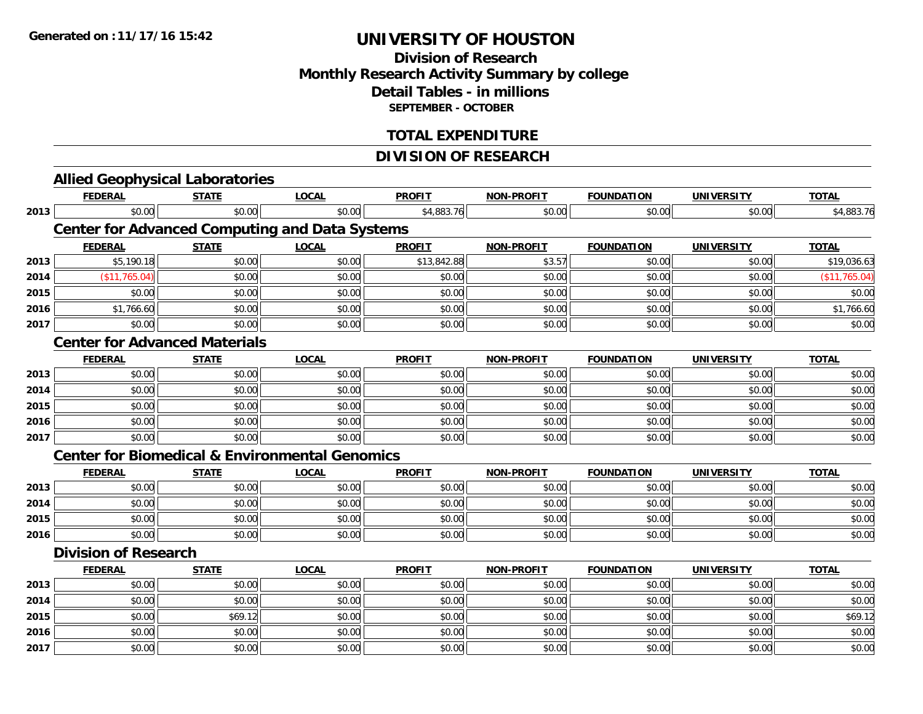## **Division of Research Monthly Research Activity Summary by college Detail Tables - in millions SEPTEMBER - OCTOBER**

## **TOTAL EXPENDITURE**

## **DIVISION OF RESEARCH**

|      |                                      | <b>Allied Geophysical Laboratories</b> |                                                           |               |                   |                   |                   |               |  |  |  |
|------|--------------------------------------|----------------------------------------|-----------------------------------------------------------|---------------|-------------------|-------------------|-------------------|---------------|--|--|--|
|      | <b>FEDERAL</b>                       | <b>STATE</b>                           | <b>LOCAL</b>                                              | <b>PROFIT</b> | NON-PROFIT        | <b>FOUNDATION</b> | <b>UNIVERSITY</b> | <b>TOTAL</b>  |  |  |  |
| 2013 | \$0.00                               | \$0.00                                 | \$0.00                                                    | \$4,883.76    | \$0.00            | \$0.00            | \$0.00            | \$4,883.76    |  |  |  |
|      |                                      |                                        | <b>Center for Advanced Computing and Data Systems</b>     |               |                   |                   |                   |               |  |  |  |
|      | <b>FEDERAL</b>                       | <b>STATE</b>                           | <b>LOCAL</b>                                              | <b>PROFIT</b> | NON-PROFIT        | <b>FOUNDATION</b> | <b>UNIVERSITY</b> | <b>TOTAL</b>  |  |  |  |
| 2013 | \$5,190.18                           | \$0.00                                 | \$0.00                                                    | \$13,842.88   | \$3.57            | \$0.00            | \$0.00            | \$19,036.63   |  |  |  |
| 2014 | (\$11,765.04)                        | \$0.00                                 | \$0.00                                                    | \$0.00        | \$0.00            | \$0.00            | \$0.00            | (\$11,765.04) |  |  |  |
| 2015 | \$0.00                               | \$0.00                                 | \$0.00                                                    | \$0.00        | \$0.00            | \$0.00            | \$0.00            | \$0.00        |  |  |  |
| 2016 | \$1,766.60                           | \$0.00                                 | \$0.00                                                    | \$0.00        | \$0.00            | \$0.00            | \$0.00            | \$1,766.60    |  |  |  |
| 2017 | \$0.00                               | \$0.00                                 | \$0.00                                                    | \$0.00        | \$0.00            | \$0.00            | \$0.00            | \$0.00        |  |  |  |
|      | <b>Center for Advanced Materials</b> |                                        |                                                           |               |                   |                   |                   |               |  |  |  |
|      | <b>FEDERAL</b>                       | <b>STATE</b>                           | <b>LOCAL</b>                                              | <b>PROFIT</b> | <b>NON-PROFIT</b> | <b>FOUNDATION</b> | <b>UNIVERSITY</b> | <b>TOTAL</b>  |  |  |  |
| 2013 | \$0.00                               | \$0.00                                 | \$0.00                                                    | \$0.00        | \$0.00            | \$0.00            | \$0.00            | \$0.00        |  |  |  |
| 2014 | \$0.00                               | \$0.00                                 | \$0.00                                                    | \$0.00        | \$0.00            | \$0.00            | \$0.00            | \$0.00        |  |  |  |
| 2015 | \$0.00                               | \$0.00                                 | \$0.00                                                    | \$0.00        | \$0.00            | \$0.00            | \$0.00            | \$0.00        |  |  |  |
| 2016 | \$0.00                               | \$0.00                                 | \$0.00                                                    | \$0.00        | \$0.00            | \$0.00            | \$0.00            | \$0.00        |  |  |  |
| 2017 | \$0.00                               | \$0.00                                 | \$0.00                                                    | \$0.00        | \$0.00            | \$0.00            | \$0.00            | \$0.00        |  |  |  |
|      |                                      |                                        | <b>Center for Biomedical &amp; Environmental Genomics</b> |               |                   |                   |                   |               |  |  |  |
|      | <b>FEDERAL</b>                       | <b>STATE</b>                           | <b>LOCAL</b>                                              | <b>PROFIT</b> | NON-PROFIT        | <b>FOUNDATION</b> | <b>UNIVERSITY</b> | <b>TOTAL</b>  |  |  |  |
| 2013 | \$0.00                               | \$0.00                                 | \$0.00                                                    | \$0.00        | \$0.00            | \$0.00            | \$0.00            | \$0.00        |  |  |  |
| 2014 | \$0.00                               | \$0.00                                 | \$0.00                                                    | \$0.00        | \$0.00            | \$0.00            | \$0.00            | \$0.00        |  |  |  |
| 2015 | \$0.00                               | \$0.00                                 | \$0.00                                                    | \$0.00        | \$0.00            | \$0.00            | \$0.00            | \$0.00        |  |  |  |
| 2016 | \$0.00                               | \$0.00                                 | \$0.00                                                    | \$0.00        | \$0.00            | \$0.00            | \$0.00            | \$0.00        |  |  |  |
|      | <b>Division of Research</b>          |                                        |                                                           |               |                   |                   |                   |               |  |  |  |
|      | <b>FEDERAL</b>                       | <b>STATE</b>                           | <b>LOCAL</b>                                              | <b>PROFIT</b> | <b>NON-PROFIT</b> | <b>FOUNDATION</b> | <b>UNIVERSITY</b> | <b>TOTAL</b>  |  |  |  |
| 2013 | \$0.00                               | \$0.00                                 | \$0.00                                                    | \$0.00        | \$0.00            | \$0.00            | \$0.00            | \$0.00        |  |  |  |
| 2014 | \$0.00                               | \$0.00                                 | \$0.00                                                    | \$0.00        | \$0.00            | \$0.00            | \$0.00            | \$0.00        |  |  |  |
| 2015 | \$0.00                               | \$69.12                                | \$0.00                                                    | \$0.00        | \$0.00            | \$0.00            | \$0.00            | \$69.12       |  |  |  |
| 2016 | \$0.00                               | \$0.00                                 | \$0.00                                                    | \$0.00        | \$0.00            | \$0.00            | \$0.00            | \$0.00        |  |  |  |
| 2017 | \$0.00                               | \$0.00                                 | \$0.00                                                    | \$0.00        | \$0.00            | \$0.00            | \$0.00            | \$0.00        |  |  |  |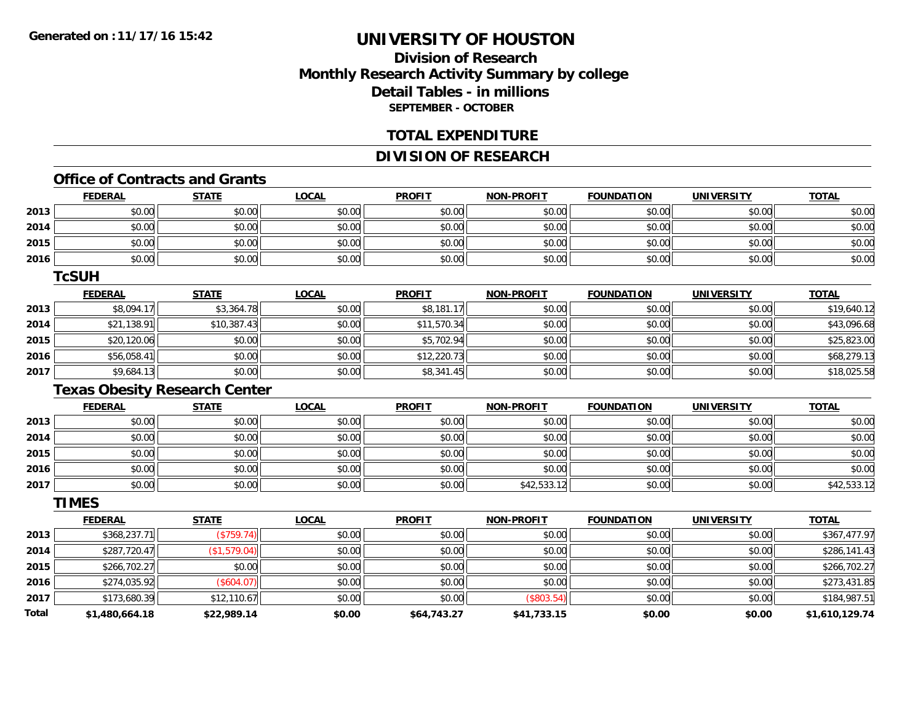## **Division of ResearchMonthly Research Activity Summary by college Detail Tables - in millions SEPTEMBER - OCTOBER**

#### **TOTAL EXPENDITURE**

### **DIVISION OF RESEARCH**

#### **Office of Contracts and Grants**

|              | <b>FEDERAL</b> | <b>STATE</b>                         | <b>LOCAL</b> | <b>PROFIT</b> | <b>NON-PROFIT</b> | <b>FOUNDATION</b> | <u>UNIVERSITY</u> | <b>TOTAL</b>   |
|--------------|----------------|--------------------------------------|--------------|---------------|-------------------|-------------------|-------------------|----------------|
| 2013         | \$0.00         | \$0.00                               | \$0.00       | \$0.00        | \$0.00            | \$0.00            | \$0.00            | \$0.00         |
| 2014         | \$0.00         | \$0.00                               | \$0.00       | \$0.00        | \$0.00            | \$0.00            | \$0.00            | \$0.00         |
| 2015         | \$0.00         | \$0.00                               | \$0.00       | \$0.00        | \$0.00            | \$0.00            | \$0.00            | \$0.00         |
| 2016         | \$0.00         | \$0.00                               | \$0.00       | \$0.00        | \$0.00            | \$0.00            | \$0.00            | \$0.00         |
|              | <b>TcSUH</b>   |                                      |              |               |                   |                   |                   |                |
|              | <b>FEDERAL</b> | <b>STATE</b>                         | <b>LOCAL</b> | <b>PROFIT</b> | <b>NON-PROFIT</b> | <b>FOUNDATION</b> | <b>UNIVERSITY</b> | <b>TOTAL</b>   |
| 2013         | \$8,094.17     | \$3,364.78                           | \$0.00       | \$8,181.17    | \$0.00            | \$0.00            | \$0.00            | \$19,640.12    |
| 2014         | \$21,138.91    | \$10,387.43                          | \$0.00       | \$11,570.34   | \$0.00            | \$0.00            | \$0.00            | \$43,096.68    |
| 2015         | \$20,120.06    | \$0.00                               | \$0.00       | \$5,702.94    | \$0.00            | \$0.00            | \$0.00            | \$25,823.00    |
| 2016         | \$56,058.41    | \$0.00                               | \$0.00       | \$12,220.73   | \$0.00            | \$0.00            | \$0.00            | \$68,279.13    |
| 2017         | \$9,684.13     | \$0.00                               | \$0.00       | \$8,341.45    | \$0.00            | \$0.00            | \$0.00            | \$18,025.58    |
|              |                | <b>Texas Obesity Research Center</b> |              |               |                   |                   |                   |                |
|              | <b>FEDERAL</b> | <b>STATE</b>                         | <b>LOCAL</b> | <b>PROFIT</b> | <b>NON-PROFIT</b> | <b>FOUNDATION</b> | <b>UNIVERSITY</b> | <b>TOTAL</b>   |
| 2013         | \$0.00         | \$0.00                               | \$0.00       | \$0.00        | \$0.00            | \$0.00            | \$0.00            | \$0.00         |
| 2014         | \$0.00         | \$0.00                               | \$0.00       | \$0.00        | \$0.00            | \$0.00            | \$0.00            | \$0.00         |
| 2015         | \$0.00         | \$0.00                               | \$0.00       | \$0.00        | \$0.00            | \$0.00            | \$0.00            | \$0.00         |
| 2016         | \$0.00         | \$0.00                               | \$0.00       | \$0.00        | \$0.00            | \$0.00            | \$0.00            | \$0.00         |
| 2017         | \$0.00         | \$0.00                               | \$0.00       | \$0.00        | \$42,533.12       | \$0.00            | \$0.00            | \$42,533.12    |
|              | <b>TIMES</b>   |                                      |              |               |                   |                   |                   |                |
|              | <b>FEDERAL</b> | <b>STATE</b>                         | <b>LOCAL</b> | <b>PROFIT</b> | <b>NON-PROFIT</b> | <b>FOUNDATION</b> | <b>UNIVERSITY</b> | <b>TOTAL</b>   |
| 2013         | \$368,237.71   | (\$759.74)                           | \$0.00       | \$0.00        | \$0.00            | \$0.00            | \$0.00            | \$367,477.97   |
| 2014         | \$287,720.47   | (\$1,579.04)                         | \$0.00       | \$0.00        | \$0.00            | \$0.00            | \$0.00            | \$286,141.43   |
| 2015         | \$266,702.27   | \$0.00                               | \$0.00       | \$0.00        | \$0.00            | \$0.00            | \$0.00            | \$266,702.27   |
| 2016         | \$274,035.92   | (\$604.07)                           | \$0.00       | \$0.00        | \$0.00            | \$0.00            | \$0.00            | \$273,431.85   |
| 2017         | \$173,680.39   | \$12,110.67                          | \$0.00       | \$0.00        | (\$803.54)        | \$0.00            | \$0.00            | \$184,987.51   |
| <b>Total</b> | \$1,480,664.18 | \$22,989.14                          | \$0.00       | \$64,743.27   | \$41,733.15       | \$0.00            | \$0.00            | \$1,610,129.74 |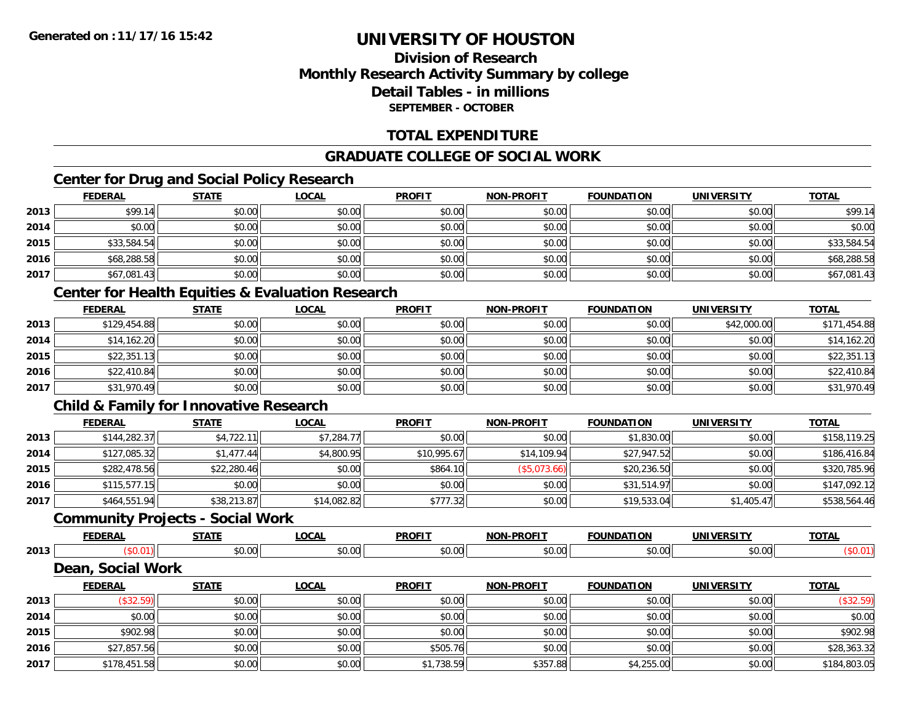## **Division of ResearchMonthly Research Activity Summary by college Detail Tables - in millionsSEPTEMBER - OCTOBER**

### **TOTAL EXPENDITURE**

### **GRADUATE COLLEGE OF SOCIAL WORK**

## **Center for Drug and Social Policy Research**

|      | <b>FEDERAL</b> | <b>STATE</b> | <b>LOCAL</b> | <b>PROFIT</b> | <b>NON-PROFIT</b> | <b>FOUNDATION</b> | <b>UNIVERSITY</b> | <b>TOTAL</b> |
|------|----------------|--------------|--------------|---------------|-------------------|-------------------|-------------------|--------------|
| 2013 | \$99.14        | \$0.00       | \$0.00       | \$0.00        | \$0.00            | \$0.00            | \$0.00            | \$99.14      |
| 2014 | \$0.00         | \$0.00       | \$0.00       | \$0.00        | \$0.00            | \$0.00            | \$0.00            | \$0.00       |
| 2015 | \$33,584.54    | \$0.00       | \$0.00       | \$0.00        | \$0.00            | \$0.00            | \$0.00            | \$33,584.54  |
| 2016 | \$68,288.58    | \$0.00       | \$0.00       | \$0.00        | \$0.00            | \$0.00            | \$0.00            | \$68,288.58  |
| 2017 | \$67,081.43    | \$0.00       | \$0.00       | \$0.00        | \$0.00            | \$0.00            | \$0.00            | \$67,081.43  |

## **Center for Health Equities & Evaluation Research**

|      | <u>FEDERAL</u> | <b>STATE</b> | <b>LOCAL</b> | <b>PROFIT</b> | <b>NON-PROFIT</b> | <b>FOUNDATION</b> | <b>UNIVERSITY</b> | <b>TOTAL</b> |
|------|----------------|--------------|--------------|---------------|-------------------|-------------------|-------------------|--------------|
| 2013 | \$129,454.88   | \$0.00       | \$0.00       | \$0.00        | \$0.00            | \$0.00            | \$42,000.00       | \$171,454.88 |
| 2014 | \$14,162.20    | \$0.00       | \$0.00       | \$0.00        | \$0.00            | \$0.00            | \$0.00            | \$14,162.20  |
| 2015 | \$22,351.13    | \$0.00       | \$0.00       | \$0.00        | \$0.00            | \$0.00            | \$0.00            | \$22,351.13  |
| 2016 | \$22,410.84    | \$0.00       | \$0.00       | \$0.00        | \$0.00            | \$0.00            | \$0.00            | \$22,410.84  |
| 2017 | \$31,970.49    | \$0.00       | \$0.00       | \$0.00        | \$0.00            | \$0.00            | \$0.00            | \$31,970.49  |

## **Child & Family for Innovative Research**

|      | <b>FEDERAL</b> | <u>STATE</u> | <b>LOCAL</b> | <b>PROFIT</b> | <b>NON-PROFIT</b> | <b>FOUNDATION</b> | <b>UNIVERSITY</b> | <b>TOTAL</b> |
|------|----------------|--------------|--------------|---------------|-------------------|-------------------|-------------------|--------------|
| 2013 | \$144,282.37   | \$4,722.11   | \$7,284.77   | \$0.00        | \$0.00            | \$1,830.00        | \$0.00            | \$158,119.25 |
| 2014 | \$127,085.32   | \$1,477.44   | \$4,800.95   | \$10,995.67   | \$14,109.94       | \$27,947.52       | \$0.00            | \$186,416.84 |
| 2015 | \$282,478.56   | \$22,280.46  | \$0.00       | \$864.10      | (S5,073.66)       | \$20,236.50       | \$0.00            | \$320,785.96 |
| 2016 | \$115,577.15   | \$0.00       | \$0.00       | \$0.00        | \$0.00            | \$31,514.97       | \$0.00            | \$147,092.12 |
| 2017 | \$464,551.94   | \$38,213.87  | \$14,082.82  | \$777.32      | \$0.00            | \$19,533.04       | \$1,405.47        | \$538,564.46 |

#### **Community Projects - Social Work**

|      | <u>FEDERAL</u>             | <b>STATE</b> | <u>LOCAL</u> | <b>PROFIT</b> | <b>NON-PROFIT</b> | <b>FOUNDATION</b> | <b>UNIVERSITY</b> | <b>TOTAL</b> |
|------|----------------------------|--------------|--------------|---------------|-------------------|-------------------|-------------------|--------------|
| 2013 |                            | \$0.00       | \$0.00       | \$0.00        | \$0.00            | \$0.00            | \$0.00            | (\$0.01)     |
|      | <b>Social Work</b><br>Dean |              |              |               |                   |                   |                   |              |
|      | <b>FEDERAL</b>             | <u>STATE</u> | <u>LOCAL</u> | <b>PROFIT</b> | <b>NON-PROFIT</b> | <b>FOUNDATION</b> | <b>UNIVERSITY</b> | <b>TOTAL</b> |

| 2013 | (\$32.59)    | \$0.00 | \$0.00 | \$0.00     | \$0.00   | \$0.00     | \$0.00 | (\$32.59)    |
|------|--------------|--------|--------|------------|----------|------------|--------|--------------|
| 2014 | \$0.00       | \$0.00 | \$0.00 | \$0.00     | \$0.00   | \$0.00     | \$0.00 | \$0.00       |
| 2015 | \$902.98     | \$0.00 | \$0.00 | \$0.00     | \$0.00   | \$0.00     | \$0.00 | \$902.98     |
| 2016 | \$27,857.56  | \$0.00 | \$0.00 | \$505.76   | \$0.00   | \$0.00     | \$0.00 | \$28,363.32  |
| 2017 | \$178,451.58 | \$0.00 | \$0.00 | \$1,738.59 | \$357.88 | \$4,255.00 | \$0.00 | \$184,803.05 |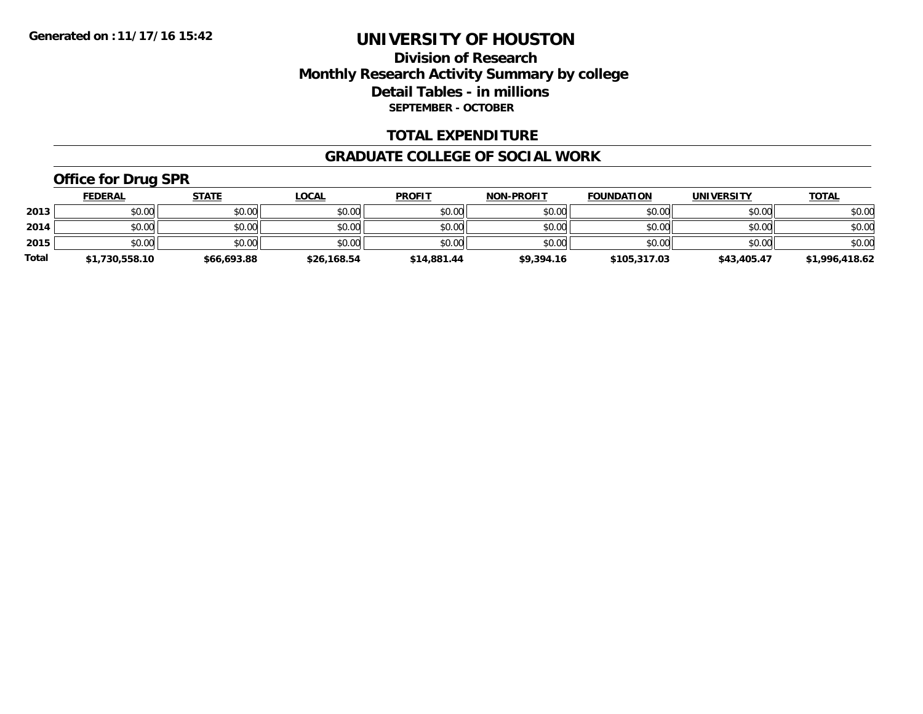### **Division of Research Monthly Research Activity Summary by college Detail Tables - in millions SEPTEMBER - OCTOBER**

#### **TOTAL EXPENDITURE**

#### **GRADUATE COLLEGE OF SOCIAL WORK**

# **Office for Drug SPR**

|              | <b>FEDERAL</b> | <u>STATE</u> | <u>LOCAL</u> | <b>PROFIT</b> | <b>NON-PROFIT</b> | <b>FOUNDATION</b> | <b>UNIVERSITY</b> | <b>TOTAL</b>   |
|--------------|----------------|--------------|--------------|---------------|-------------------|-------------------|-------------------|----------------|
| 2013         | \$0.00         | \$0.00       | \$0.00       | \$0.00        | \$0.00            | \$0.00            | \$0.00            | \$0.00         |
| 2014         | \$0.00         | \$0.00       | \$0.00       | \$0.00        | \$0.00            | \$0.00            | \$0.00            | \$0.00         |
| 2015         | \$0.00         | \$0.00       | \$0.00       | \$0.00        | \$0.00            | \$0.00            | \$0.00            | \$0.00         |
| <b>Total</b> | \$1,730,558.10 | \$66,693.88  | \$26,168.54  | \$14,881.44   | \$9,394.16        | \$105,317.03      | \$43,405.47       | \$1,996,418.62 |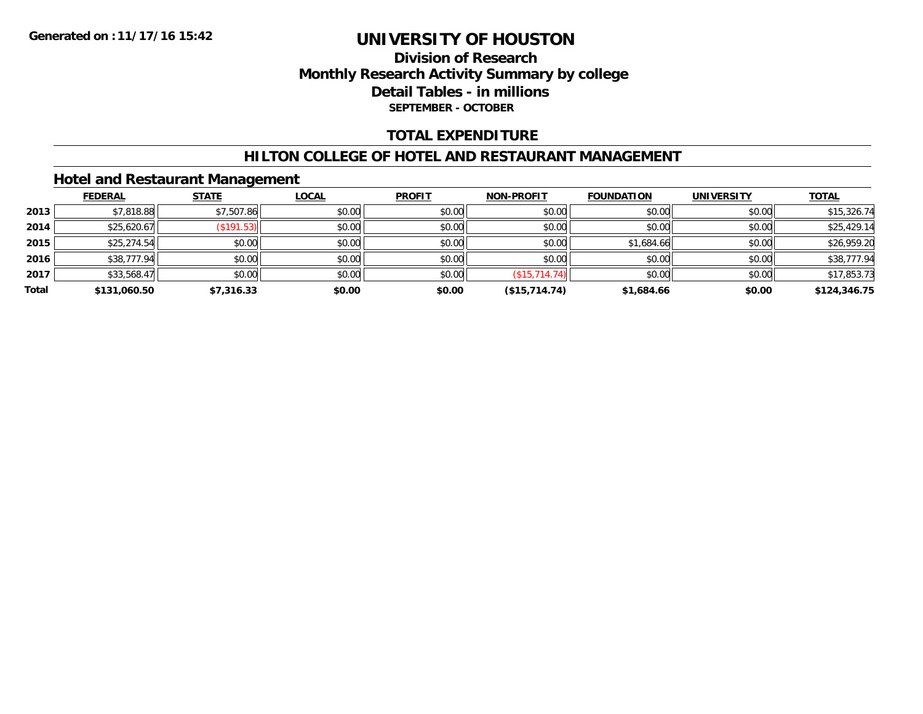### **Division of Research Monthly Research Activity Summary by college Detail Tables - in millions SEPTEMBER - OCTOBER**

#### **TOTAL EXPENDITURE**

#### **HILTON COLLEGE OF HOTEL AND RESTAURANT MANAGEMENT**

#### **Hotel and Restaurant Management**

|       | <b>FEDERAL</b> | <b>STATE</b> | <b>LOCAL</b> | <b>PROFIT</b> | <b>NON-PROFIT</b> | <b>FOUNDATION</b> | <b>UNIVERSITY</b> | <b>TOTAL</b> |
|-------|----------------|--------------|--------------|---------------|-------------------|-------------------|-------------------|--------------|
| 2013  | \$7,818.88     | \$7,507.86   | \$0.00       | \$0.00        | \$0.00            | \$0.00            | \$0.00            | \$15,326.74  |
| 2014  | \$25,620.67    | (S191.53)    | \$0.00       | \$0.00        | \$0.00            | \$0.00            | \$0.00            | \$25,429.14  |
| 2015  | \$25,274.54    | \$0.00       | \$0.00       | \$0.00        | \$0.00            | \$1,684.66        | \$0.00            | \$26,959.20  |
| 2016  | \$38,777.94    | \$0.00       | \$0.00       | \$0.00        | \$0.00            | \$0.00            | \$0.00            | \$38,777.94  |
| 2017  | \$33,568.47    | \$0.00       | \$0.00       | \$0.00        | (\$15,714.74)     | \$0.00            | \$0.00            | \$17,853.73  |
| Total | \$131,060.50   | \$7,316.33   | \$0.00       | \$0.00        | (\$15,714.74)     | \$1,684.66        | \$0.00            | \$124,346.75 |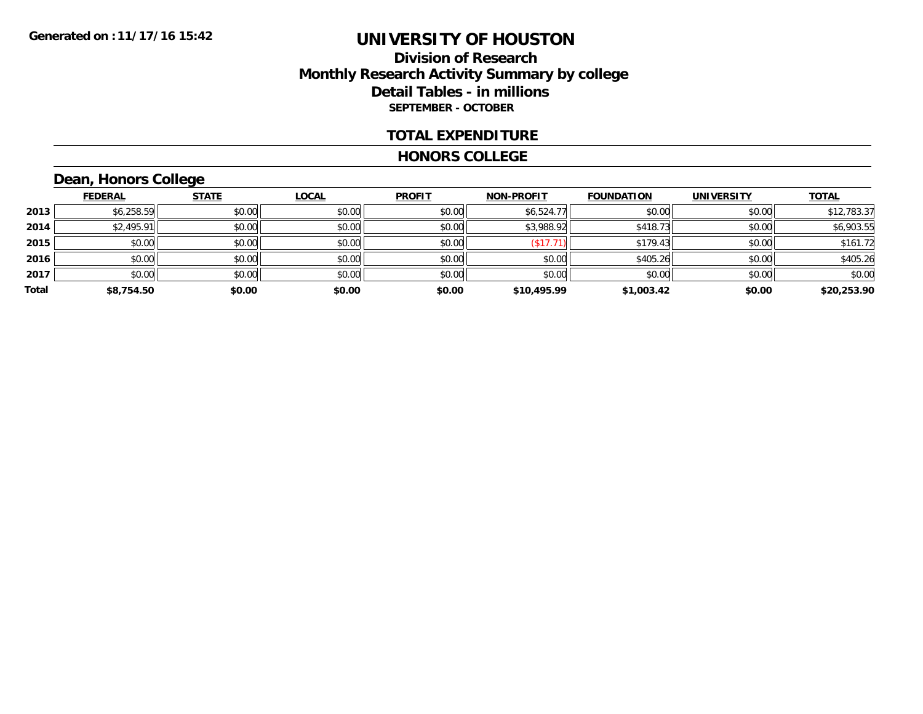### **Division of Research Monthly Research Activity Summary by college Detail Tables - in millions SEPTEMBER - OCTOBER**

#### **TOTAL EXPENDITURE**

#### **HONORS COLLEGE**

# **Dean, Honors College**

|       | <b>FEDERAL</b> | <b>STATE</b> | <b>LOCAL</b> | <b>PROFIT</b> | <b>NON-PROFIT</b> | <b>FOUNDATION</b> | <b>UNIVERSITY</b> | <b>TOTAL</b> |
|-------|----------------|--------------|--------------|---------------|-------------------|-------------------|-------------------|--------------|
| 2013  | \$6,258.59     | \$0.00       | \$0.00       | \$0.00        | \$6,524.77        | \$0.00            | \$0.00            | \$12,783.37  |
| 2014  | \$2,495.91     | \$0.00       | \$0.00       | \$0.00        | \$3,988.92        | \$418.73          | \$0.00            | \$6,903.55   |
| 2015  | \$0.00         | \$0.00       | \$0.00       | \$0.00        | (\$17.71)         | \$179.43          | \$0.00            | \$161.72     |
| 2016  | \$0.00         | \$0.00       | \$0.00       | \$0.00        | \$0.00            | \$405.26          | \$0.00            | \$405.26     |
| 2017  | \$0.00         | \$0.00       | \$0.00       | \$0.00        | \$0.00            | \$0.00            | \$0.00            | \$0.00       |
| Total | \$8,754.50     | \$0.00       | \$0.00       | \$0.00        | \$10,495.99       | \$1,003.42        | \$0.00            | \$20,253.90  |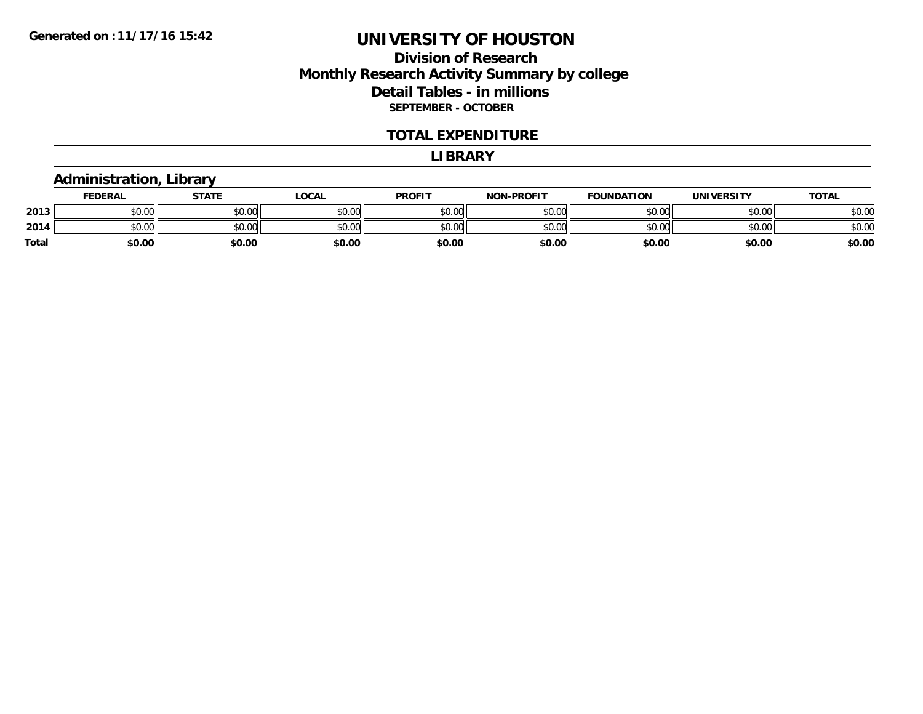### **Division of Research Monthly Research Activity Summary by college Detail Tables - in millions SEPTEMBER - OCTOBER**

#### **TOTAL EXPENDITURE**

#### **LIBRARY**

### **Administration, Library**

|       | <b>FEDERAL</b>     | <b>STATE</b> | LOCAL  | <b>PROFIT</b> | <b>NON-PROFIT</b> | <b>FOUNDATION</b> | <b>UNIVERSITY</b> | <u>TOTAL</u> |
|-------|--------------------|--------------|--------|---------------|-------------------|-------------------|-------------------|--------------|
| 2013  | \$0.00             | \$0.00       | \$0.00 | \$0.00        | \$0.00            | \$0.00            | \$0.00            | \$0.00       |
| 2014  | $\sim$ 00<br>DU.UU | \$0.00       | \$0.00 | \$0.00        | \$0.00            | \$0.00            | \$0.00            | \$0.00       |
| Total | \$0.00             | \$0.00       | \$0.00 | \$0.00        | \$0.00            | \$0.00            | \$0.00            | \$0.00       |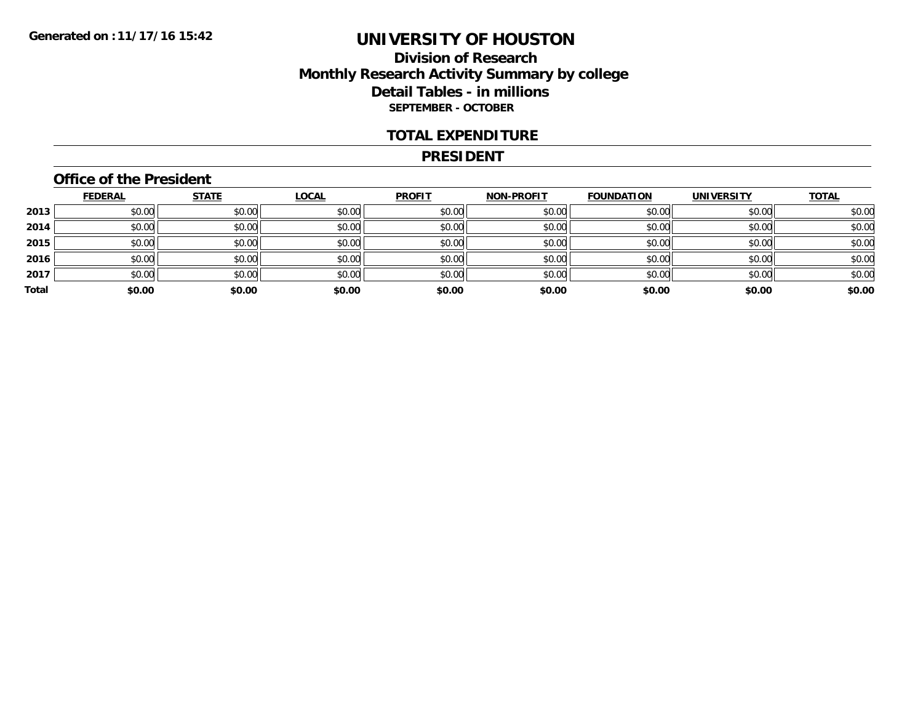### **Division of Research Monthly Research Activity Summary by college Detail Tables - in millions SEPTEMBER - OCTOBER**

#### **TOTAL EXPENDITURE**

#### **PRESIDENT**

### **Office of the President**

|       | <b>FEDERAL</b> | <b>STATE</b> | <b>LOCAL</b> | <b>PROFIT</b> | <b>NON-PROFIT</b> | <b>FOUNDATION</b> | <b>UNIVERSITY</b> | <b>TOTAL</b> |
|-------|----------------|--------------|--------------|---------------|-------------------|-------------------|-------------------|--------------|
| 2013  | \$0.00         | \$0.00       | \$0.00       | \$0.00        | \$0.00            | \$0.00            | \$0.00            | \$0.00       |
| 2014  | \$0.00         | \$0.00       | \$0.00       | \$0.00        | \$0.00            | \$0.00            | \$0.00            | \$0.00       |
| 2015  | \$0.00         | \$0.00       | \$0.00       | \$0.00        | \$0.00            | \$0.00            | \$0.00            | \$0.00       |
| 2016  | \$0.00         | \$0.00       | \$0.00       | \$0.00        | \$0.00            | \$0.00            | \$0.00            | \$0.00       |
| 2017  | \$0.00         | \$0.00       | \$0.00       | \$0.00        | \$0.00            | \$0.00            | \$0.00            | \$0.00       |
| Total | \$0.00         | \$0.00       | \$0.00       | \$0.00        | \$0.00            | \$0.00            | \$0.00            | \$0.00       |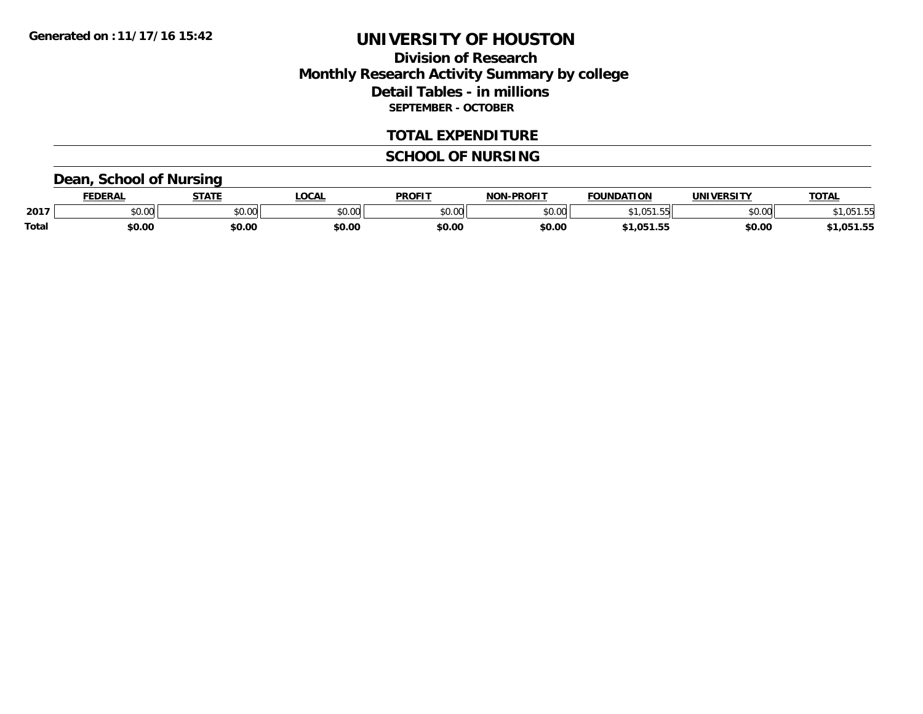### **Division of Research Monthly Research Activity Summary by college Detail Tables - in millions SEPTEMBER - OCTOBER**

#### **TOTAL EXPENDITURE**

## **SCHOOL OF NURSING**

### **Dean, School of Nursing**

|       | <b>EDERAL</b>  | <b>STATE</b> | <b>LOCAL</b>   | <b>PROFIT</b>                  | -PROFIT<br><b>NON</b> | <b>FOUNDATION</b> | <b>UNIVERSITY</b> | <b>TOTAL</b> |
|-------|----------------|--------------|----------------|--------------------------------|-----------------------|-------------------|-------------------|--------------|
| 2017  | 40.00<br>DU.UU | \$0.00       | 60.00<br>JU.UU | $\circ$ $\circ$ $\circ$<br>,uu | \$0.00                |                   | 0000<br>DU.UU     | .UJ          |
| Total | \$0.00         | \$0.00       | \$0.00         | \$0.00                         | \$0.00                | .051.55           | \$0.00            | .,051.55     |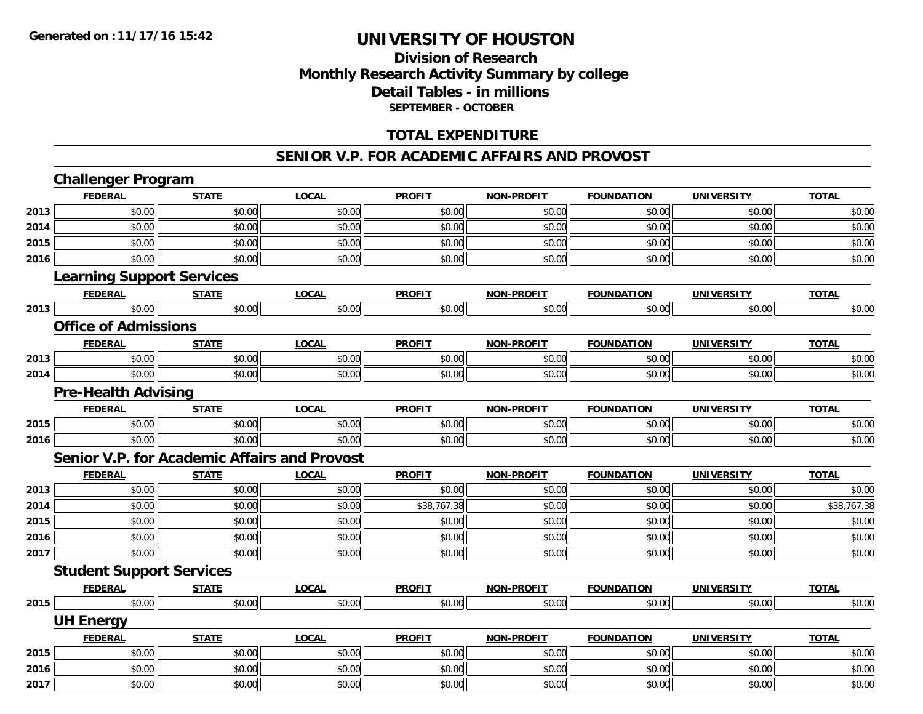## **Division of ResearchMonthly Research Activity Summary by college Detail Tables - in millions SEPTEMBER - OCTOBER**

### **TOTAL EXPENDITURE**

#### **SENIOR V.P. FOR ACADEMIC AFFAIRS AND PROVOST**

|      | <b>Challenger Program</b>                           |              |              |               |                   |                   |                   |              |
|------|-----------------------------------------------------|--------------|--------------|---------------|-------------------|-------------------|-------------------|--------------|
|      | <b>FEDERAL</b>                                      | <b>STATE</b> | <b>LOCAL</b> | <b>PROFIT</b> | <b>NON-PROFIT</b> | <b>FOUNDATION</b> | <b>UNIVERSITY</b> | <b>TOTAL</b> |
| 2013 | \$0.00                                              | \$0.00       | \$0.00       | \$0.00        | \$0.00            | \$0.00            | \$0.00            | \$0.00       |
| 2014 | \$0.00                                              | \$0.00       | \$0.00       | \$0.00        | \$0.00            | \$0.00            | \$0.00            | \$0.00       |
| 2015 | \$0.00                                              | \$0.00       | \$0.00       | \$0.00        | \$0.00            | \$0.00            | \$0.00            | \$0.00       |
| 2016 | \$0.00                                              | \$0.00       | \$0.00       | \$0.00        | \$0.00            | \$0.00            | \$0.00            | \$0.00       |
|      | <b>Learning Support Services</b>                    |              |              |               |                   |                   |                   |              |
|      | <b>FEDERAL</b>                                      | <b>STATE</b> | <b>LOCAL</b> | <b>PROFIT</b> | NON-PROFIT        | <b>FOUNDATION</b> | <b>UNIVERSITY</b> | <b>TOTAL</b> |
| 2013 | \$0.00                                              | \$0.00       | \$0.00       | \$0.00        | \$0.00            | \$0.00            | \$0.00            | \$0.00       |
|      | <b>Office of Admissions</b>                         |              |              |               |                   |                   |                   |              |
|      | <b>FEDERAL</b>                                      | <b>STATE</b> | <b>LOCAL</b> | <b>PROFIT</b> | <b>NON-PROFIT</b> | <b>FOUNDATION</b> | <b>UNIVERSITY</b> | <b>TOTAL</b> |
| 2013 | \$0.00                                              | \$0.00       | \$0.00       | \$0.00        | \$0.00            | \$0.00            | \$0.00            | \$0.00       |
| 2014 | \$0.00                                              | \$0.00       | \$0.00       | \$0.00        | \$0.00            | \$0.00            | \$0.00            | \$0.00       |
|      | <b>Pre-Health Advising</b>                          |              |              |               |                   |                   |                   |              |
|      | <b>FEDERAL</b>                                      | <b>STATE</b> | <b>LOCAL</b> | <b>PROFIT</b> | <b>NON-PROFIT</b> | <b>FOUNDATION</b> | <b>UNIVERSITY</b> | <b>TOTAL</b> |
| 2015 | \$0.00                                              | \$0.00       | \$0.00       | \$0.00        | \$0.00            | \$0.00            | \$0.00            | \$0.00       |
| 2016 | \$0.00                                              | \$0.00       | \$0.00       | \$0.00        | \$0.00            | \$0.00            | \$0.00            | \$0.00       |
|      | <b>Senior V.P. for Academic Affairs and Provost</b> |              |              |               |                   |                   |                   |              |
|      | <b>FEDERAL</b>                                      | <b>STATE</b> | <b>LOCAL</b> | <b>PROFIT</b> | <b>NON-PROFIT</b> | <b>FOUNDATION</b> | <b>UNIVERSITY</b> | <b>TOTAL</b> |
| 2013 | \$0.00                                              | \$0.00       | \$0.00       | \$0.00        | \$0.00            | \$0.00            | \$0.00            | \$0.00       |
| 2014 | \$0.00                                              | \$0.00       | \$0.00       | \$38,767.38   | \$0.00            | \$0.00            | \$0.00            | \$38,767.38  |
| 2015 | \$0.00                                              | \$0.00       | \$0.00       | \$0.00        | \$0.00            | \$0.00            | \$0.00            | \$0.00       |
| 2016 | \$0.00                                              | \$0.00       | \$0.00       | \$0.00        | \$0.00            | \$0.00            | \$0.00            | \$0.00       |
| 2017 | \$0.00                                              | \$0.00       | \$0.00       | \$0.00        | \$0.00            | \$0.00            | \$0.00            | \$0.00       |
|      | <b>Student Support Services</b>                     |              |              |               |                   |                   |                   |              |
|      | <b>FEDERAL</b>                                      | <b>STATE</b> | <b>LOCAL</b> | <b>PROFIT</b> | <b>NON-PROFIT</b> | <b>FOUNDATION</b> | <b>UNIVERSITY</b> | <b>TOTAL</b> |
| 2015 | \$0.00                                              | \$0.00       | \$0.00       | \$0.00        | \$0.00            | \$0.00            | \$0.00            | \$0.00       |
|      | <b>UH Energy</b>                                    |              |              |               |                   |                   |                   |              |
|      | <b>FEDERAL</b>                                      | <b>STATE</b> | <b>LOCAL</b> | <b>PROFIT</b> | <b>NON-PROFIT</b> | <b>FOUNDATION</b> | <b>UNIVERSITY</b> | <b>TOTAL</b> |
| 2015 | \$0.00                                              | \$0.00       | \$0.00       | \$0.00        | \$0.00            | \$0.00            | \$0.00            | \$0.00       |
| 2016 | \$0.00                                              | \$0.00       | \$0.00       | \$0.00        | \$0.00            | \$0.00            | \$0.00            | \$0.00       |
| 2017 | \$0.00                                              | \$0.00       | \$0.00       | \$0.00        | \$0.00            | \$0.00            | \$0.00            | \$0.00       |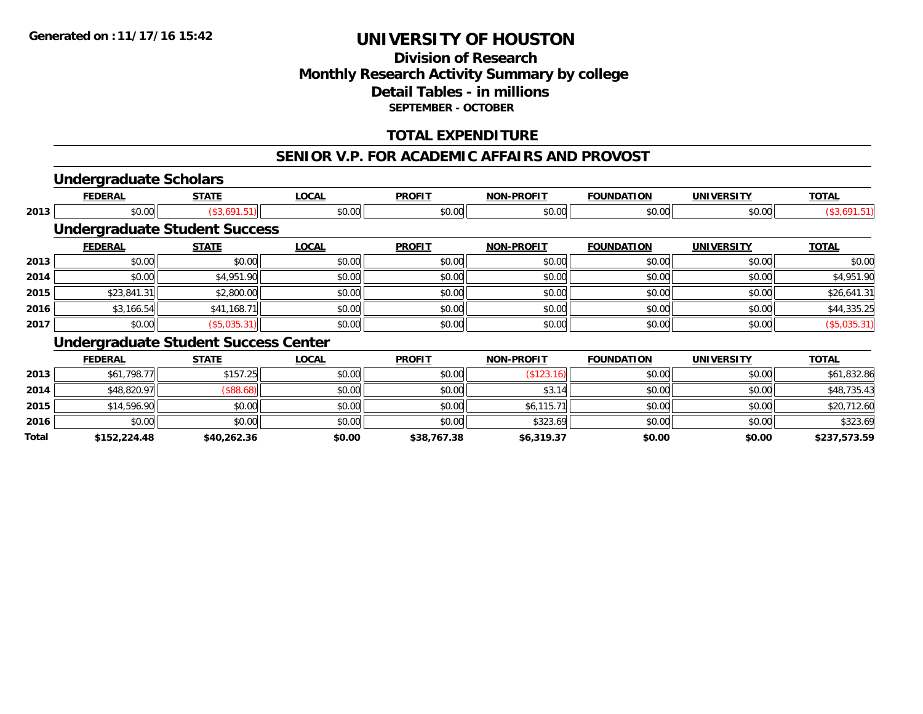### **Division of Research Monthly Research Activity Summary by college Detail Tables - in millions SEPTEMBER - OCTOBER**

### **TOTAL EXPENDITURE**

#### **SENIOR V.P. FOR ACADEMIC AFFAIRS AND PROVOST**

### **Undergraduate Scholars**

|      | <b>FEDERAL</b>                              | <b>STATE</b>                         | <b>LOCAL</b> | <b>PROFIT</b> | <b>NON-PROFIT</b> | <b>FOUNDATION</b> | <b>UNIVERSITY</b> | <b>TOTAL</b>    |  |  |  |
|------|---------------------------------------------|--------------------------------------|--------------|---------------|-------------------|-------------------|-------------------|-----------------|--|--|--|
| 2013 | \$0.00                                      | (\$3,691.51)                         | \$0.00       | \$0.00        | \$0.00            | \$0.00            | \$0.00            | (\$3,691.51)    |  |  |  |
|      |                                             | <b>Undergraduate Student Success</b> |              |               |                   |                   |                   |                 |  |  |  |
|      | <b>FEDERAL</b>                              | <b>STATE</b>                         | <b>LOCAL</b> | <b>PROFIT</b> | <b>NON-PROFIT</b> | <b>FOUNDATION</b> | <b>UNIVERSITY</b> | <b>TOTAL</b>    |  |  |  |
| 2013 | \$0.00                                      | \$0.00                               | \$0.00       | \$0.00        | \$0.00            | \$0.00            | \$0.00            | \$0.00          |  |  |  |
| 2014 | \$0.00                                      | \$4,951.90                           | \$0.00       | \$0.00        | \$0.00            | \$0.00            | \$0.00            | \$4,951.90      |  |  |  |
| 2015 | \$23,841.31                                 | \$2,800.00                           | \$0.00       | \$0.00        | \$0.00            | \$0.00            | \$0.00            | \$26,641.31     |  |  |  |
| 2016 | \$3,166.54                                  | \$41,168.71                          | \$0.00       | \$0.00        | \$0.00            | \$0.00            | \$0.00            | \$44,335.25     |  |  |  |
| 2017 | \$0.00                                      | (\$5,035.31)                         | \$0.00       | \$0.00        | \$0.00            | \$0.00            | \$0.00            | $($ \$5,035.31) |  |  |  |
|      | <b>Undergraduate Student Success Center</b> |                                      |              |               |                   |                   |                   |                 |  |  |  |
|      | <b>FEDERAL</b>                              | <b>STATE</b>                         | <b>LOCAL</b> | <b>PROFIT</b> | <b>NON-PROFIT</b> | <b>FOUNDATION</b> | <b>UNIVERSITY</b> | <b>TOTAL</b>    |  |  |  |
|      |                                             |                                      |              |               |                   |                   |                   |                 |  |  |  |

| Total | \$152,224.48 | \$40,262.36          | \$0.00 | \$38,767.38 | \$6,319.37 | \$0.00 | \$0.00 | \$237,573.59 |
|-------|--------------|----------------------|--------|-------------|------------|--------|--------|--------------|
| 2016  | \$0.00       | \$0.00               | \$0.00 | \$0.00      | \$323.69   | \$0.00 | \$0.00 | \$323.69     |
| 2015  | \$14,596.90  | \$0.00               | \$0.00 | \$0.00      | \$6,115.71 | \$0.00 | \$0.00 | \$20,712.60  |
| 2014  | \$48,820.97  | $($ \$88.68) $\vert$ | \$0.00 | \$0.00      | \$3.14     | \$0.00 | \$0.00 | \$48,735.43  |
| 2013  | \$61,798.77  | \$157.25             | \$0.00 | \$0.00      |            | \$0.00 | \$0.00 | \$61,832.86  |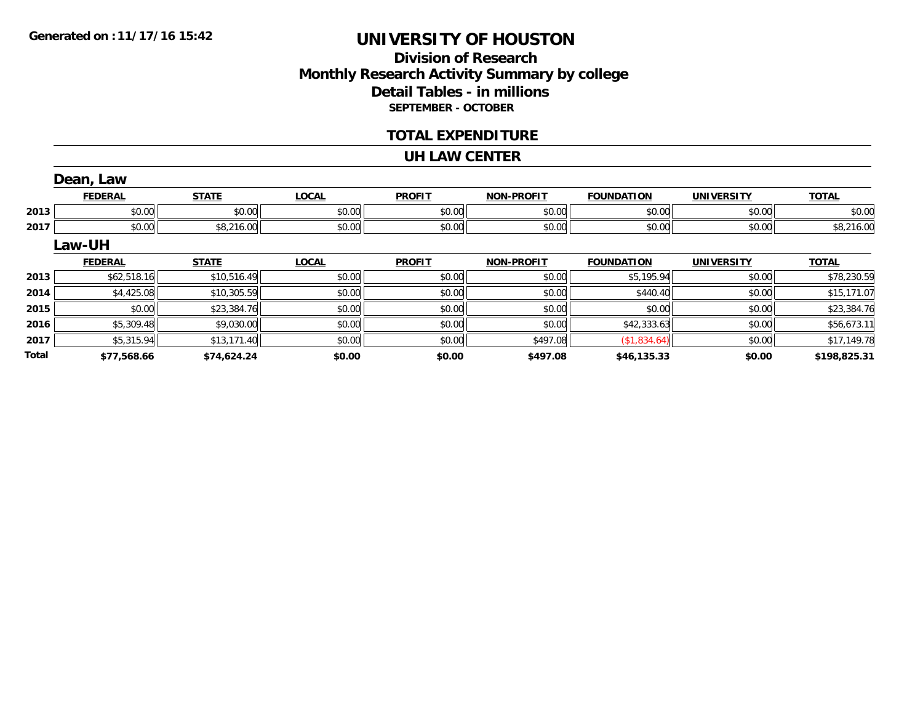## **Division of ResearchMonthly Research Activity Summary by college Detail Tables - in millions SEPTEMBER - OCTOBER**

#### **TOTAL EXPENDITURE**

#### **UH LAW CENTER**

|       | Dean, Law      |              |              |               |                   |                   |                   |              |
|-------|----------------|--------------|--------------|---------------|-------------------|-------------------|-------------------|--------------|
|       | <b>FEDERAL</b> | <b>STATE</b> | <b>LOCAL</b> | <b>PROFIT</b> | <b>NON-PROFIT</b> | <b>FOUNDATION</b> | <b>UNIVERSITY</b> | <b>TOTAL</b> |
| 2013  | \$0.00         | \$0.00       | \$0.00       | \$0.00        | \$0.00            | \$0.00            | \$0.00            | \$0.00       |
| 2017  | \$0.00         | \$8,216.00   | \$0.00       | \$0.00        | \$0.00            | \$0.00            | \$0.00            | \$8,216.00   |
|       | Law-UH         |              |              |               |                   |                   |                   |              |
|       | <b>FEDERAL</b> | <b>STATE</b> | <b>LOCAL</b> | <b>PROFIT</b> | <b>NON-PROFIT</b> | <b>FOUNDATION</b> | <b>UNIVERSITY</b> | <b>TOTAL</b> |
| 2013  | \$62,518.16    | \$10,516.49  | \$0.00       | \$0.00        | \$0.00            | \$5,195.94        | \$0.00            | \$78,230.59  |
| 2014  | \$4,425.08     | \$10,305.59  | \$0.00       | \$0.00        | \$0.00            | \$440.40          | \$0.00            | \$15,171.07  |
| 2015  | \$0.00         | \$23,384.76  | \$0.00       | \$0.00        | \$0.00            | \$0.00            | \$0.00            | \$23,384.76  |
| 2016  | \$5,309.48     | \$9,030.00   | \$0.00       | \$0.00        | \$0.00            | \$42,333.63       | \$0.00            | \$56,673.11  |
| 2017  | \$5,315.94     | \$13,171.40  | \$0.00       | \$0.00        | \$497.08          | (\$1,834.64)      | \$0.00            | \$17,149.78  |
| Total | \$77,568.66    | \$74,624.24  | \$0.00       | \$0.00        | \$497.08          | \$46,135.33       | \$0.00            | \$198,825.31 |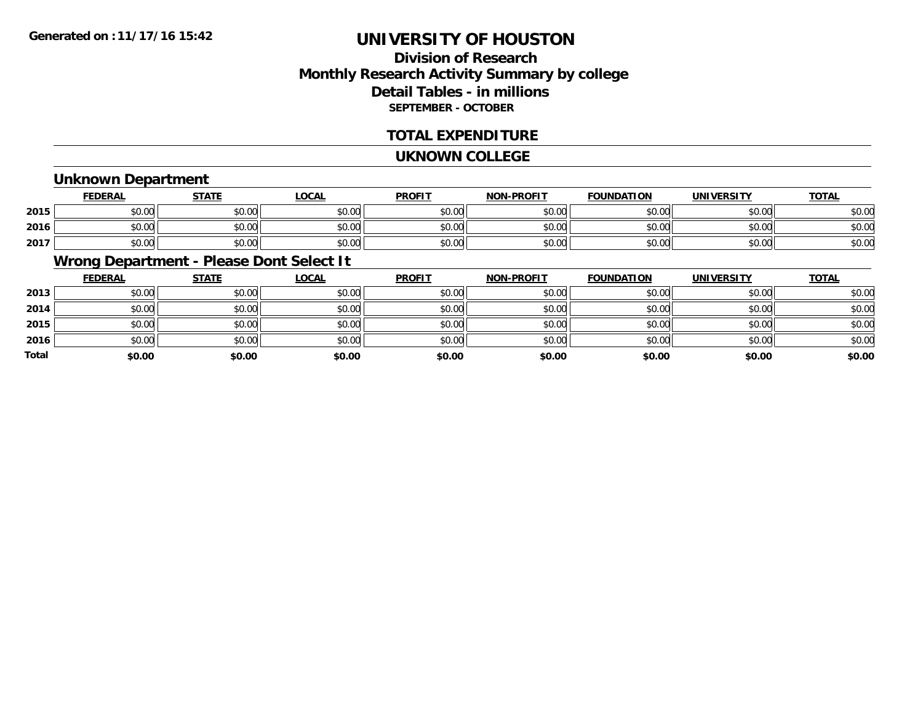## **Division of ResearchMonthly Research Activity Summary by college Detail Tables - in millions SEPTEMBER - OCTOBER**

#### **TOTAL EXPENDITURE**

#### **UKNOWN COLLEGE**

### **Unknown Department**

|      | FEDERAL | <b>STATE</b>          | LOCAI  | <b>PROFIT</b> | <b>NON-PROFIT</b> | <b>FOUNDATION</b> | UNIVERSITY | <b>TOTAL</b> |
|------|---------|-----------------------|--------|---------------|-------------------|-------------------|------------|--------------|
| 2015 | \$0.00  | \$0.00                | \$0.00 | \$0.00        | \$0.00            | \$0.00            | \$0.00     | \$0.00       |
| 2016 | \$0.00  | <b>AO OO</b><br>JU.UU | \$0.00 | \$0.00        | \$0.00            | \$0.00            | \$0.00     | \$0.00       |
| 2017 | \$0.00  | \$0.00                | \$0.00 | \$0.00        | \$0.00            | \$0.00            | \$0.00     | \$0.00       |

## **Wrong Department - Please Dont Select It**

|              | <u>FEDERAL</u> | <b>STATE</b> | <u>LOCAL</u> | <b>PROFIT</b> | <b>NON-PROFIT</b> | <b>FOUNDATION</b> | <b>UNIVERSITY</b> | <b>TOTAL</b> |
|--------------|----------------|--------------|--------------|---------------|-------------------|-------------------|-------------------|--------------|
| 2013         | \$0.00         | \$0.00       | \$0.00       | \$0.00        | \$0.00            | \$0.00            | \$0.00            | \$0.00       |
| 2014         | \$0.00         | \$0.00       | \$0.00       | \$0.00        | \$0.00            | \$0.00            | \$0.00            | \$0.00       |
| 2015         | \$0.00         | \$0.00       | \$0.00       | \$0.00        | \$0.00            | \$0.00            | \$0.00            | \$0.00       |
| 2016         | \$0.00         | \$0.00       | \$0.00       | \$0.00        | \$0.00            | \$0.00            | \$0.00            | \$0.00       |
| <b>Total</b> | \$0.00         | \$0.00       | \$0.00       | \$0.00        | \$0.00            | \$0.00            | \$0.00            | \$0.00       |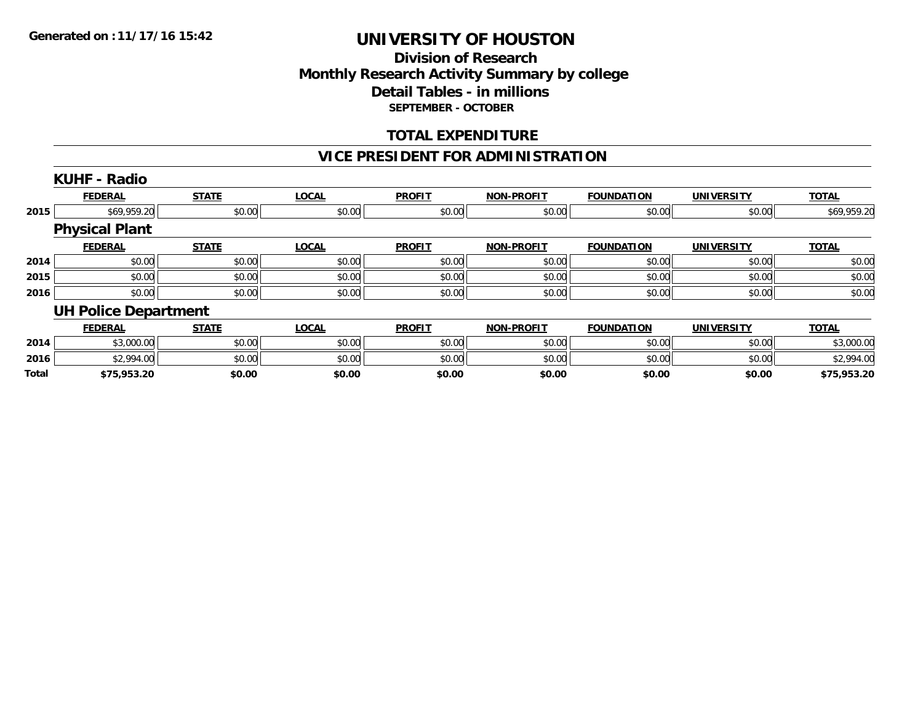### **Division of Research Monthly Research Activity Summary by college Detail Tables - in millions SEPTEMBER - OCTOBER**

### **TOTAL EXPENDITURE**

### **VICE PRESIDENT FOR ADMINISTRATION**

|              | <b>KUHF - Radio</b>         |              |              |               |                   |                   |                   |              |
|--------------|-----------------------------|--------------|--------------|---------------|-------------------|-------------------|-------------------|--------------|
|              | <b>FEDERAL</b>              | <b>STATE</b> | <b>LOCAL</b> | <b>PROFIT</b> | <b>NON-PROFIT</b> | <b>FOUNDATION</b> | <b>UNIVERSITY</b> | <b>TOTAL</b> |
| 2015         | \$69,959.20                 | \$0.00       | \$0.00       | \$0.00        | \$0.00            | \$0.00            | \$0.00            | \$69,959.20  |
|              | <b>Physical Plant</b>       |              |              |               |                   |                   |                   |              |
|              | <b>FEDERAL</b>              | <b>STATE</b> | <b>LOCAL</b> | <b>PROFIT</b> | <b>NON-PROFIT</b> | <b>FOUNDATION</b> | <b>UNIVERSITY</b> | <b>TOTAL</b> |
| 2014         | \$0.00                      | \$0.00       | \$0.00       | \$0.00        | \$0.00            | \$0.00            | \$0.00            | \$0.00       |
| 2015         | \$0.00                      | \$0.00       | \$0.00       | \$0.00        | \$0.00            | \$0.00            | \$0.00            | \$0.00       |
| 2016         | \$0.00                      | \$0.00       | \$0.00       | \$0.00        | \$0.00            | \$0.00            | \$0.00            | \$0.00       |
|              | <b>UH Police Department</b> |              |              |               |                   |                   |                   |              |
|              | <b>FEDERAL</b>              | <b>STATE</b> | <b>LOCAL</b> | <b>PROFIT</b> | <b>NON-PROFIT</b> | <b>FOUNDATION</b> | <b>UNIVERSITY</b> | <b>TOTAL</b> |
| 2014         | \$3,000.00                  | \$0.00       | \$0.00       | \$0.00        | \$0.00            | \$0.00            | \$0.00            | \$3,000.00   |
| 2016         | \$2,994.00                  | \$0.00       | \$0.00       | \$0.00        | \$0.00            | \$0.00            | \$0.00            | \$2,994.00   |
| <b>Total</b> | \$75,953.20                 | \$0.00       | \$0.00       | \$0.00        | \$0.00            | \$0.00            | \$0.00            | \$75,953.20  |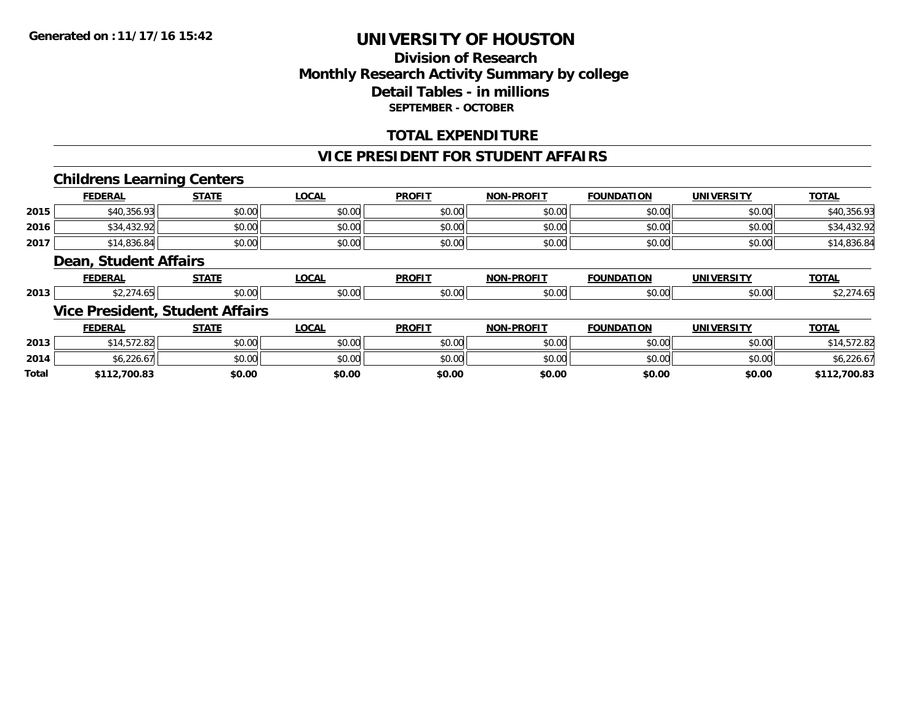### **Division of Research Monthly Research Activity Summary by college Detail Tables - in millions SEPTEMBER - OCTOBER**

### **TOTAL EXPENDITURE**

#### **VICE PRESIDENT FOR STUDENT AFFAIRS**

### **Childrens Learning Centers**

|       | <b>FEDERAL</b>        | <b>STATE</b>                           | <b>LOCAL</b> | <b>PROFIT</b> | <b>NON-PROFIT</b> | <b>FOUNDATION</b> | <b>UNIVERSITY</b> | <b>TOTAL</b> |
|-------|-----------------------|----------------------------------------|--------------|---------------|-------------------|-------------------|-------------------|--------------|
| 2015  | \$40,356.93           | \$0.00                                 | \$0.00       | \$0.00        | \$0.00            | \$0.00            | \$0.00            | \$40,356.93  |
| 2016  | \$34,432.92           | \$0.00                                 | \$0.00       | \$0.00        | \$0.00            | \$0.00            | \$0.00            | \$34,432.92  |
| 2017  | \$14,836.84           | \$0.00                                 | \$0.00       | \$0.00        | \$0.00            | \$0.00            | \$0.00            | \$14,836.84  |
|       | Dean, Student Affairs |                                        |              |               |                   |                   |                   |              |
|       | <b>FEDERAL</b>        | <b>STATE</b>                           | <b>LOCAL</b> | <b>PROFIT</b> | <b>NON-PROFIT</b> | <b>FOUNDATION</b> | <b>UNIVERSITY</b> | <b>TOTAL</b> |
| 2013  | \$2,274.65            | \$0.00                                 | \$0.00       | \$0.00        | \$0.00            | \$0.00            | \$0.00            | \$2,274.65   |
|       |                       | <b>Vice President, Student Affairs</b> |              |               |                   |                   |                   |              |
|       | <b>FEDERAL</b>        | <b>STATE</b>                           | <b>LOCAL</b> | <b>PROFIT</b> | <b>NON-PROFIT</b> | <b>FOUNDATION</b> | <b>UNIVERSITY</b> | <b>TOTAL</b> |
| 2013  | \$14,572.82           | \$0.00                                 | \$0.00       | \$0.00        | \$0.00            | \$0.00            | \$0.00            | \$14,572.82  |
| 2014  | \$6,226.67            | \$0.00                                 | \$0.00       | \$0.00        | \$0.00            | \$0.00            | \$0.00            | \$6,226.67   |
| Total | \$112,700.83          | \$0.00                                 | \$0.00       | \$0.00        | \$0.00            | \$0.00            | \$0.00            | \$112,700.83 |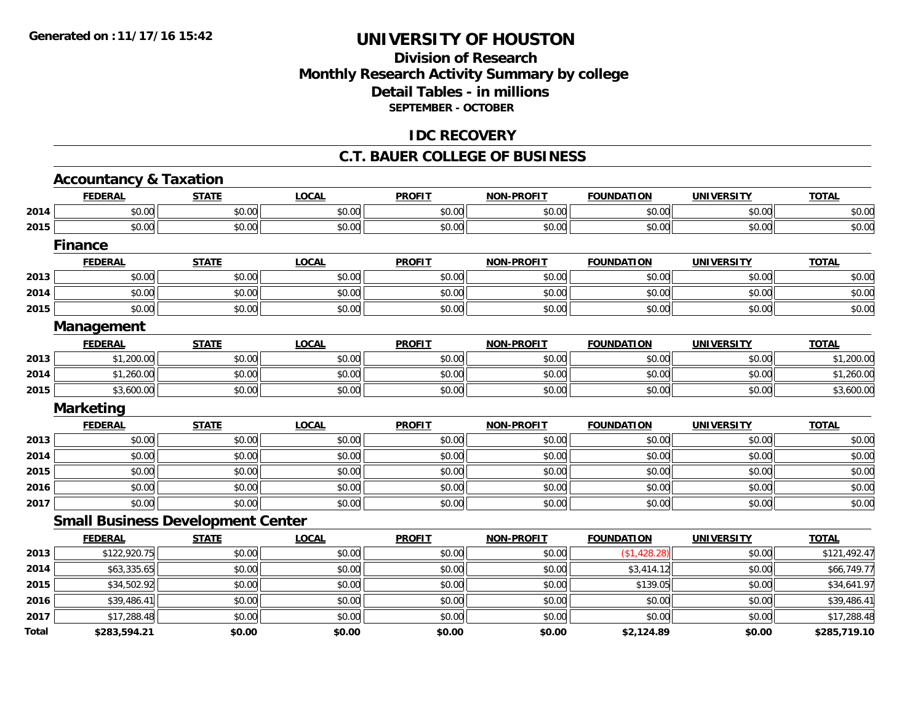### **Division of Research Monthly Research Activity Summary by college Detail Tables - in millions SEPTEMBER - OCTOBER**

#### **IDC RECOVERY**

#### **C.T. BAUER COLLEGE OF BUSINESS**

|       | <b>Accountancy &amp; Taxation</b>        |              |              |               |                   |                   |                   |              |
|-------|------------------------------------------|--------------|--------------|---------------|-------------------|-------------------|-------------------|--------------|
|       | <b>FEDERAL</b>                           | <b>STATE</b> | <b>LOCAL</b> | <b>PROFIT</b> | <b>NON-PROFIT</b> | <b>FOUNDATION</b> | <b>UNIVERSITY</b> | <b>TOTAL</b> |
| 2014  | \$0.00                                   | \$0.00       | \$0.00       | \$0.00        | \$0.00            | \$0.00            | \$0.00            | \$0.00       |
| 2015  | \$0.00                                   | \$0.00       | \$0.00       | \$0.00        | \$0.00            | \$0.00            | \$0.00            | \$0.00       |
|       | <b>Finance</b>                           |              |              |               |                   |                   |                   |              |
|       | <b>FEDERAL</b>                           | <b>STATE</b> | <b>LOCAL</b> | <b>PROFIT</b> | <b>NON-PROFIT</b> | <b>FOUNDATION</b> | <b>UNIVERSITY</b> | <b>TOTAL</b> |
| 2013  | \$0.00                                   | \$0.00       | \$0.00       | \$0.00        | \$0.00            | \$0.00            | \$0.00            | \$0.00       |
| 2014  | \$0.00                                   | \$0.00       | \$0.00       | \$0.00        | \$0.00            | \$0.00            | \$0.00            | \$0.00       |
| 2015  | \$0.00                                   | \$0.00       | \$0.00       | \$0.00        | \$0.00            | \$0.00            | \$0.00            | \$0.00       |
|       | <b>Management</b>                        |              |              |               |                   |                   |                   |              |
|       | <b>FEDERAL</b>                           | <b>STATE</b> | <b>LOCAL</b> | <b>PROFIT</b> | <b>NON-PROFIT</b> | <b>FOUNDATION</b> | <b>UNIVERSITY</b> | <b>TOTAL</b> |
| 2013  | \$1,200.00                               | \$0.00       | \$0.00       | \$0.00        | \$0.00            | \$0.00            | \$0.00            | \$1,200.00   |
| 2014  | \$1,260.00                               | \$0.00       | \$0.00       | \$0.00        | \$0.00            | \$0.00            | \$0.00            | \$1,260.00   |
| 2015  | \$3,600.00                               | \$0.00       | \$0.00       | \$0.00        | \$0.00            | \$0.00            | \$0.00            | \$3,600.00   |
|       | <b>Marketing</b>                         |              |              |               |                   |                   |                   |              |
|       | <b>FEDERAL</b>                           | <b>STATE</b> | <b>LOCAL</b> | <b>PROFIT</b> | <b>NON-PROFIT</b> | <b>FOUNDATION</b> | <b>UNIVERSITY</b> | <b>TOTAL</b> |
| 2013  | \$0.00                                   | \$0.00       | \$0.00       | \$0.00        | \$0.00            | \$0.00            | \$0.00            | \$0.00       |
| 2014  | \$0.00                                   | \$0.00       | \$0.00       | \$0.00        | \$0.00            | \$0.00            | \$0.00            | \$0.00       |
| 2015  | \$0.00                                   | \$0.00       | \$0.00       | \$0.00        | \$0.00            | \$0.00            | \$0.00            | \$0.00       |
| 2016  | \$0.00                                   | \$0.00       | \$0.00       | \$0.00        | \$0.00            | \$0.00            | \$0.00            | \$0.00       |
| 2017  | \$0.00                                   | \$0.00       | \$0.00       | \$0.00        | \$0.00            | \$0.00            | \$0.00            | \$0.00       |
|       | <b>Small Business Development Center</b> |              |              |               |                   |                   |                   |              |
|       | <b>FEDERAL</b>                           | <b>STATE</b> | <b>LOCAL</b> | <b>PROFIT</b> | <b>NON-PROFIT</b> | <b>FOUNDATION</b> | <b>UNIVERSITY</b> | <b>TOTAL</b> |
| 2013  | \$122,920.75                             | \$0.00       | \$0.00       | \$0.00        | \$0.00            | (\$1,428.28)      | \$0.00            | \$121,492.47 |
| 2014  | \$63,335.65                              | \$0.00       | \$0.00       | \$0.00        | \$0.00            | \$3,414.12        | \$0.00            | \$66,749.77  |
| 2015  | \$34,502.92                              | \$0.00       | \$0.00       | \$0.00        | \$0.00            | \$139.05          | \$0.00            | \$34,641.97  |
| 2016  | \$39,486.41                              | \$0.00       | \$0.00       | \$0.00        | \$0.00            | \$0.00            | \$0.00            | \$39,486.41  |
| 2017  | \$17,288.48                              | \$0.00       | \$0.00       | \$0.00        | \$0.00            | \$0.00            | \$0.00            | \$17,288.48  |
| Total | \$283,594.21                             | \$0.00       | \$0.00       | \$0.00        | \$0.00            | \$2,124.89        | \$0.00            | \$285,719.10 |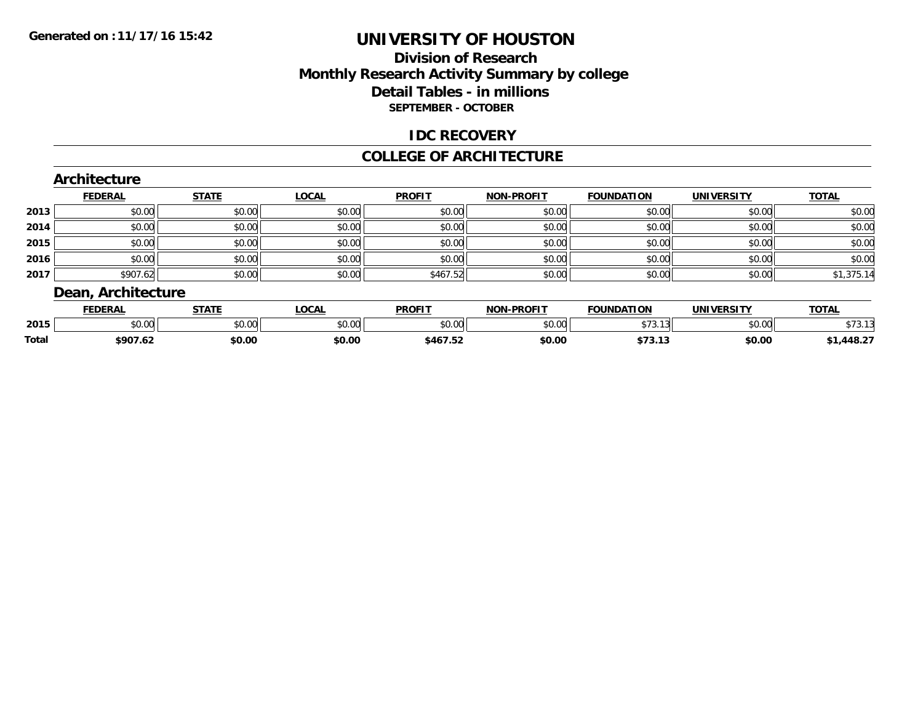### **Division of Research Monthly Research Activity Summary by college Detail Tables - in millions SEPTEMBER - OCTOBER**

#### **IDC RECOVERY**

#### **COLLEGE OF ARCHITECTURE**

|      | <b>FEDERAL</b> | <b>STATE</b> | <b>LOCAL</b> | <b>PROFIT</b> | <b>NON-PROFIT</b> | <b>FOUNDATION</b> | <b>UNIVERSITY</b> | <b>TOTAL</b> |
|------|----------------|--------------|--------------|---------------|-------------------|-------------------|-------------------|--------------|
| 2013 | \$0.00         | \$0.00       | \$0.00       | \$0.00        | \$0.00            | \$0.00            | \$0.00            | \$0.00       |
| 2014 | \$0.00         | \$0.00       | \$0.00       | \$0.00        | \$0.00            | \$0.00            | \$0.00            | \$0.00       |
| 2015 | \$0.00         | \$0.00       | \$0.00       | \$0.00        | \$0.00            | \$0.00            | \$0.00            | \$0.00       |
| 2016 | \$0.00         | \$0.00       | \$0.00       | \$0.00        | \$0.00            | \$0.00            | \$0.00            | \$0.00       |
| 2017 | \$907.62       | \$0.00       | \$0.00       | \$467.52      | \$0.00            | \$0.00            | \$0.00            | \$1,375.14   |

|       | <b>FEDERAL</b> | <b>STATE</b>         | $\sim$<br>UUAI | <b>PROFIT</b>            | <b>J-PROFIT</b><br><b>ארות</b> | <b>FOUNDATION</b>      | <b>IINIVEDSITV</b> | <b>TOTA</b><br>101 <sub>h</sub> |
|-------|----------------|----------------------|----------------|--------------------------|--------------------------------|------------------------|--------------------|---------------------------------|
| 2015  | ሶስ ሰሰ<br>JU.UU | 0000<br><b>JU.UU</b> | JU.UU          | 0000<br>JU.UU            | 0000<br>JU.UUL                 | $+ - -$<br>$-1$ $-1$ . | 0000<br>JU.UU      |                                 |
| Total | \$907.62       | \$0.00               | \$0.00         | . <i>.</i><br>— \$467.5⊾ | \$0.00                         | ሖ ግጣ<br>313.IJ         | \$0.00             | $,448.2^{-}$                    |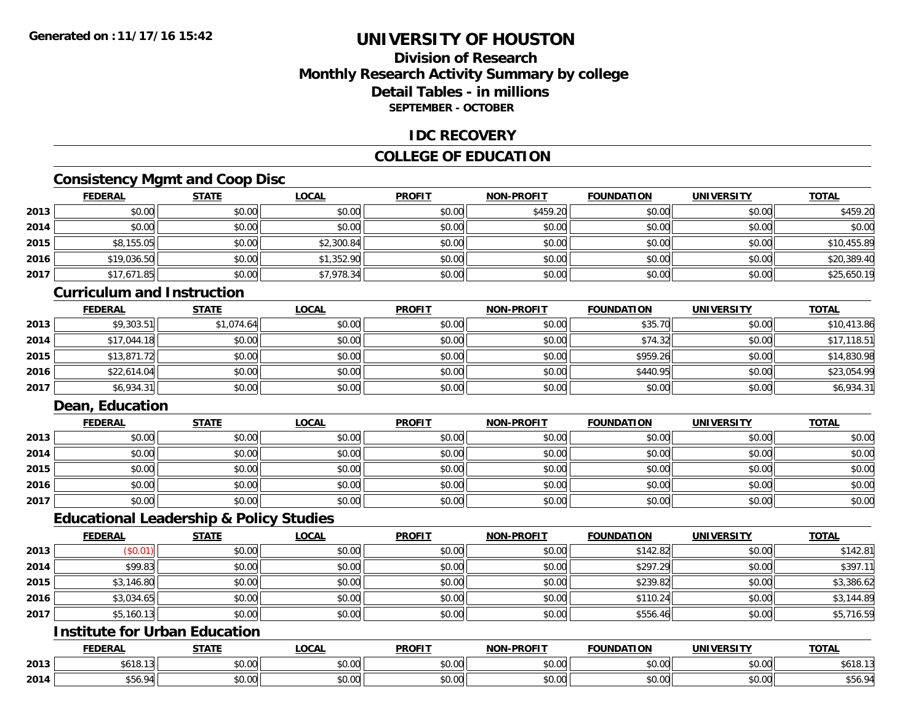## **Division of ResearchMonthly Research Activity Summary by college Detail Tables - in millionsSEPTEMBER - OCTOBER**

#### **IDC RECOVERY**

### **COLLEGE OF EDUCATION**

## **Consistency Mgmt and Coop Disc**

|      | <b>FEDERAL</b> | <b>STATE</b> | <u>LOCAL</u> | <b>PROFIT</b> | <b>NON-PROFIT</b> | <b>FOUNDATION</b> | <b>UNIVERSITY</b> | <b>TOTAL</b> |
|------|----------------|--------------|--------------|---------------|-------------------|-------------------|-------------------|--------------|
| 2013 | \$0.00         | \$0.00       | \$0.00       | \$0.00        | \$459.20          | \$0.00            | \$0.00            | \$459.20     |
| 2014 | \$0.00         | \$0.00       | \$0.00       | \$0.00        | \$0.00            | \$0.00            | \$0.00            | \$0.00       |
| 2015 | \$8,155.05     | \$0.00       | \$2,300.84   | \$0.00        | \$0.00            | \$0.00            | \$0.00            | \$10,455.89  |
| 2016 | \$19,036.50    | \$0.00       | \$1,352.90   | \$0.00        | \$0.00            | \$0.00            | \$0.00            | \$20,389.40  |
| 2017 | \$17,671.85    | \$0.00       | \$7,978.34   | \$0.00        | \$0.00            | \$0.00            | \$0.00            | \$25,650.19  |

#### **Curriculum and Instruction**

|      | <b>FEDERAL</b> | <b>STATE</b> | <u>LOCAL</u> | <b>PROFIT</b> | <b>NON-PROFIT</b> | <b>FOUNDATION</b> | <b>UNIVERSITY</b> | <b>TOTAL</b> |
|------|----------------|--------------|--------------|---------------|-------------------|-------------------|-------------------|--------------|
| 2013 | \$9,303.51     | \$1,074.64   | \$0.00       | \$0.00        | \$0.00            | \$35.70           | \$0.00            | \$10,413.86  |
| 2014 | \$17,044.18    | \$0.00       | \$0.00       | \$0.00        | \$0.00            | \$74.32           | \$0.00            | \$17,118.51  |
| 2015 | \$13,871.72    | \$0.00       | \$0.00       | \$0.00        | \$0.00            | \$959.26          | \$0.00            | \$14,830.98  |
| 2016 | \$22,614.04    | \$0.00       | \$0.00       | \$0.00        | \$0.00            | \$440.95          | \$0.00            | \$23,054.99  |
| 2017 | \$6,934.31     | \$0.00       | \$0.00       | \$0.00        | \$0.00            | \$0.00            | \$0.00            | \$6,934.31   |

### **Dean, Education**

|      | <b>FEDERAL</b> | <b>STATE</b> | <b>LOCAL</b> | <b>PROFIT</b> | <b>NON-PROFIT</b> | <b>FOUNDATION</b> | <b>UNIVERSITY</b> | <b>TOTAL</b> |
|------|----------------|--------------|--------------|---------------|-------------------|-------------------|-------------------|--------------|
| 2013 | \$0.00         | \$0.00       | \$0.00       | \$0.00        | \$0.00            | \$0.00            | \$0.00            | \$0.00       |
| 2014 | \$0.00         | \$0.00       | \$0.00       | \$0.00        | \$0.00            | \$0.00            | \$0.00            | \$0.00       |
| 2015 | \$0.00         | \$0.00       | \$0.00       | \$0.00        | \$0.00            | \$0.00            | \$0.00            | \$0.00       |
| 2016 | \$0.00         | \$0.00       | \$0.00       | \$0.00        | \$0.00            | \$0.00            | \$0.00            | \$0.00       |
| 2017 | \$0.00         | \$0.00       | \$0.00       | \$0.00        | \$0.00            | \$0.00            | \$0.00            | \$0.00       |

## **Educational Leadership & Policy Studies**

|      | <b>FEDERAL</b> | <b>STATE</b> | <u>LOCAL</u> | <b>PROFIT</b> | <b>NON-PROFIT</b> | <b>FOUNDATION</b> | <b>UNIVERSITY</b> | <b>TOTAL</b> |
|------|----------------|--------------|--------------|---------------|-------------------|-------------------|-------------------|--------------|
| 2013 | (\$0.01)       | \$0.00       | \$0.00       | \$0.00        | \$0.00            | \$142.82          | \$0.00            | \$142.81     |
| 2014 | \$99.83        | \$0.00       | \$0.00       | \$0.00        | \$0.00            | \$297.29          | \$0.00            | \$397.1      |
| 2015 | \$3,146.80     | \$0.00       | \$0.00       | \$0.00        | \$0.00            | \$239.82          | \$0.00            | \$3,386.62   |
| 2016 | \$3,034.65     | \$0.00       | \$0.00       | \$0.00        | \$0.00            | \$110.24          | \$0.00            | \$3,144.89   |
| 2017 | \$5,160.13     | \$0.00       | \$0.00       | \$0.00        | \$0.00            | \$556.46          | \$0.00            | \$5,716.59   |

## **Institute for Urban Education**

|      | <b>FEDERAL</b>                                 | <b>CTATI</b>        | <b>_OCAL</b>       | <b>PROFIT</b> | <b>-PROFIT</b><br><b>NIONI</b> | <b>FOUNDATION</b> | <b>UNIVERSITY</b> | <b>TOTAL</b>       |
|------|------------------------------------------------|---------------------|--------------------|---------------|--------------------------------|-------------------|-------------------|--------------------|
| 2013 | $A$ , $A$ ,                                    | ሖ ヘ<br>טט.          | $\sim$ 00<br>DU.UU | 0000<br>JU.UU | 0000<br><b>JU.UU</b>           | JU.UU             | 0.001<br>JUJ.UU,  | A/A<br>\$618.I     |
| 2014 | $\overline{a}$ $\overline{a}$<br>01<br>JJ U. Z | $\triangle$<br>JU.U | $\sim$ 00<br>JU.UU | 0000<br>JU.UU | 0.00<br><b>JU.UU</b>           | JU.UU             | 0.00<br>PO.OO     | O A<br><b>DOC4</b> |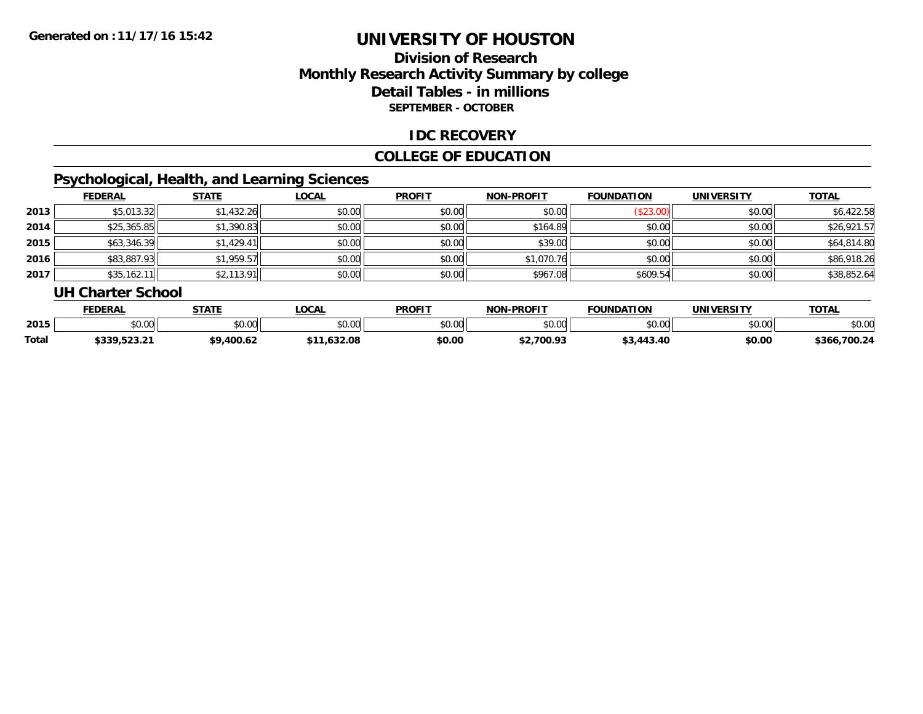## **Division of ResearchMonthly Research Activity Summary by college Detail Tables - in millions SEPTEMBER - OCTOBER**

### **IDC RECOVERY**

### **COLLEGE OF EDUCATION**

# **Psychological, Health, and Learning Sciences**

|      | <b>FEDERAL</b> | <b>STATE</b> | <b>LOCAL</b> | <b>PROFIT</b> | <b>NON-PROFIT</b> | <b>FOUNDATION</b> | <b>UNIVERSITY</b> | <b>TOTAL</b> |
|------|----------------|--------------|--------------|---------------|-------------------|-------------------|-------------------|--------------|
| 2013 | \$5,013.32     | \$1,432.26   | \$0.00       | \$0.00        | \$0.00            | (\$23.00)         | \$0.00            | \$6,422.58   |
| 2014 | \$25,365.85    | \$1,390.83   | \$0.00       | \$0.00        | \$164.89          | \$0.00            | \$0.00            | \$26,921.57  |
| 2015 | \$63,346.39    | \$1,429.41   | \$0.00       | \$0.00        | \$39.00           | \$0.00            | \$0.00            | \$64,814.80  |
| 2016 | \$83,887.93    | \$1,959.57   | \$0.00       | \$0.00        | \$1,070.76        | \$0.00            | \$0.00            | \$86,918.26  |
| 2017 | \$35,162.11    | \$2,113.91   | \$0.00       | \$0.00        | \$967.08          | \$609.54          | \$0.00            | \$38,852.64  |

#### **UH Charter School**

|       | <b>FEDERAL</b>      | <b>STATE</b> | <b>OCAL</b> | <b>PROFIT</b> | <b>NON-PROFIT</b> | <b>FOUNDATION</b> | UNIVERSITY | <b>TOTAL</b>    |
|-------|---------------------|--------------|-------------|---------------|-------------------|-------------------|------------|-----------------|
| 2015  | ሶስ ስስ<br>ט.טע       | \$0.00       | \$0.00      | \$0.00        | 0000<br>JU.UU     | \$0.00            | \$0.00     | \$0.00          |
| Total | <b>JUUT, JZJ.Z.</b> | 400.62<br>ሖ  | 632.08      | \$0.00        | .700.93           | \$3.443.<br>43.40 | \$0.00     | 700.24<br>\$366 |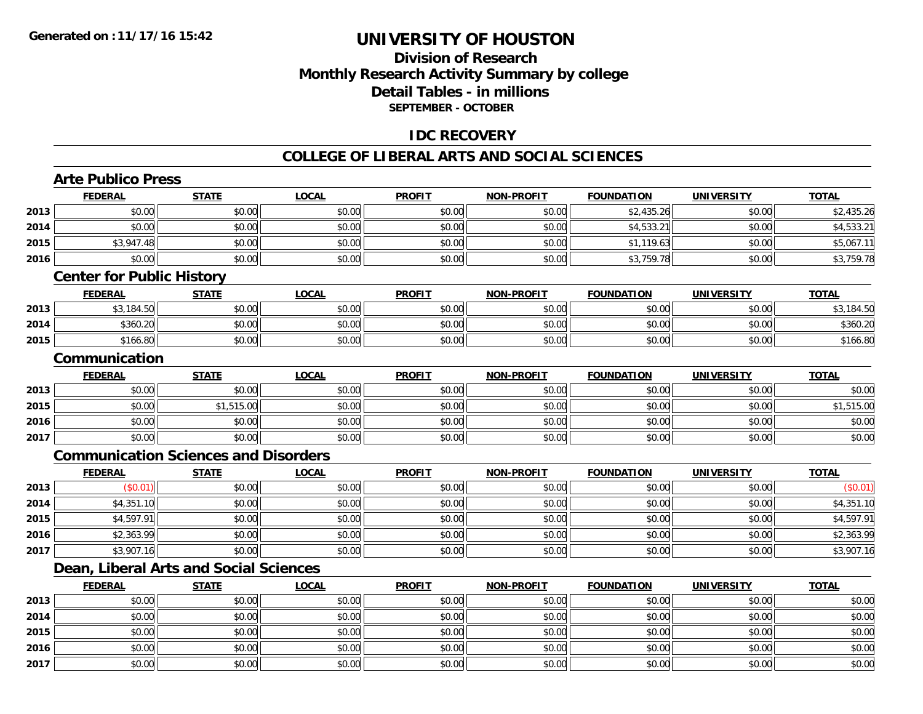## **Division of ResearchMonthly Research Activity Summary by college Detail Tables - in millions SEPTEMBER - OCTOBER**

### **IDC RECOVERY**

#### **COLLEGE OF LIBERAL ARTS AND SOCIAL SCIENCES**

# **Arte Publico Press**

**2015**

**2016**

**2017**

|      | <b>FEDERAL</b>                   | <b>STATE</b>                                | <b>LOCAL</b> | <b>PROFIT</b> | <b>NON-PROFIT</b> | <b>FOUNDATION</b> | <b>UNIVERSITY</b> | <b>TOTAL</b> |  |  |
|------|----------------------------------|---------------------------------------------|--------------|---------------|-------------------|-------------------|-------------------|--------------|--|--|
| 2013 | \$0.00                           | \$0.00                                      | \$0.00       | \$0.00        | \$0.00            | \$2,435.26        | \$0.00            | \$2,435.26   |  |  |
| 2014 | \$0.00                           | \$0.00                                      | \$0.00       | \$0.00        | \$0.00            | \$4,533.21        | \$0.00            | \$4,533.21   |  |  |
| 2015 | \$3,947.48                       | \$0.00                                      | \$0.00       | \$0.00        | \$0.00            | \$1,119.63        | \$0.00            | \$5,067.11   |  |  |
| 2016 | \$0.00                           | \$0.00                                      | \$0.00       | \$0.00        | \$0.00            | \$3,759.78        | \$0.00            | \$3,759.78   |  |  |
|      | <b>Center for Public History</b> |                                             |              |               |                   |                   |                   |              |  |  |
|      | <b>FEDERAL</b>                   | <b>STATE</b>                                | <b>LOCAL</b> | <b>PROFIT</b> | <b>NON-PROFIT</b> | <b>FOUNDATION</b> | <b>UNIVERSITY</b> | <b>TOTAL</b> |  |  |
| 2013 | \$3,184.50                       | \$0.00                                      | \$0.00       | \$0.00        | \$0.00            | \$0.00            | \$0.00            | \$3,184.50   |  |  |
| 2014 | \$360.20                         | \$0.00                                      | \$0.00       | \$0.00        | \$0.00            | \$0.00            | \$0.00            | \$360.20     |  |  |
| 2015 | \$166.80                         | \$0.00                                      | \$0.00       | \$0.00        | \$0.00            | \$0.00            | \$0.00            | \$166.80     |  |  |
|      | Communication                    |                                             |              |               |                   |                   |                   |              |  |  |
|      | <b>FEDERAL</b>                   | <b>STATE</b>                                | <b>LOCAL</b> | <b>PROFIT</b> | <b>NON-PROFIT</b> | <b>FOUNDATION</b> | <b>UNIVERSITY</b> | <b>TOTAL</b> |  |  |
| 2013 | \$0.00                           | \$0.00                                      | \$0.00       | \$0.00        | \$0.00            | \$0.00            | \$0.00            | \$0.00       |  |  |
| 2015 | \$0.00                           | \$1,515.00                                  | \$0.00       | \$0.00        | \$0.00            | \$0.00            | \$0.00            | \$1,515.00   |  |  |
| 2016 | \$0.00                           | \$0.00                                      | \$0.00       | \$0.00        | \$0.00            | \$0.00            | \$0.00            | \$0.00       |  |  |
| 2017 | \$0.00                           | \$0.00                                      | \$0.00       | \$0.00        | \$0.00            | \$0.00            | \$0.00            | \$0.00       |  |  |
|      |                                  | <b>Communication Sciences and Disorders</b> |              |               |                   |                   |                   |              |  |  |
|      | <b>FEDERAL</b>                   | <b>STATE</b>                                | <b>LOCAL</b> | <b>PROFIT</b> | <b>NON-PROFIT</b> | <b>FOUNDATION</b> | <b>UNIVERSITY</b> | <b>TOTAL</b> |  |  |
| 2013 | (S0.01)                          | \$0.00                                      | \$0.00       | \$0.00        | \$0.00            | \$0.00            | \$0.00            | (\$0.01)     |  |  |
| 2014 | \$4,351.10                       | \$0.00                                      | \$0.00       | \$0.00        | \$0.00            | \$0.00            | \$0.00            | \$4,351.10   |  |  |
| 2015 | \$4,597.91                       | \$0.00                                      | \$0.00       | \$0.00        | \$0.00            | \$0.00            | \$0.00            | \$4,597.91   |  |  |
| 2016 | \$2,363.99                       | \$0.00                                      | \$0.00       | \$0.00        | \$0.00            | \$0.00            | \$0.00            | \$2,363.99   |  |  |
| 2017 | \$3,907.16                       | \$0.00                                      | \$0.00       | \$0.00        | \$0.00            | \$0.00            | \$0.00            | \$3,907.16   |  |  |
|      |                                  | Dean, Liberal Arts and Social Sciences      |              |               |                   |                   |                   |              |  |  |
|      | <b>FEDERAL</b>                   | <b>STATE</b>                                | <b>LOCAL</b> | <b>PROFIT</b> | <b>NON-PROFIT</b> | <b>FOUNDATION</b> | <b>UNIVERSITY</b> | <b>TOTAL</b> |  |  |
| 2013 | \$0.00                           | \$0.00                                      | \$0.00       | \$0.00        | \$0.00            | \$0.00            | \$0.00            | \$0.00       |  |  |
| 2014 | \$0.00                           | \$0.00                                      | \$0.00       | \$0.00        | \$0.00            | \$0.00            | \$0.00            | \$0.00       |  |  |

\$0.00 \$0.00 \$0.00 \$0.00 \$0.00 \$0.00 \$0.00 \$0.00

\$0.00 \$0.00 \$0.00 \$0.00 \$0.00 \$0.00 \$0.00 \$0.00

7 | \$0.00 \$0.00 \$0.00 \$0.00 \$0.00 \$0.00 \$0.00 \$0.00 \$0.00 \$0.00 \$0.00 \$0.00 \$0.00 \$0.00 \$0.00 \$0.00 \$0.00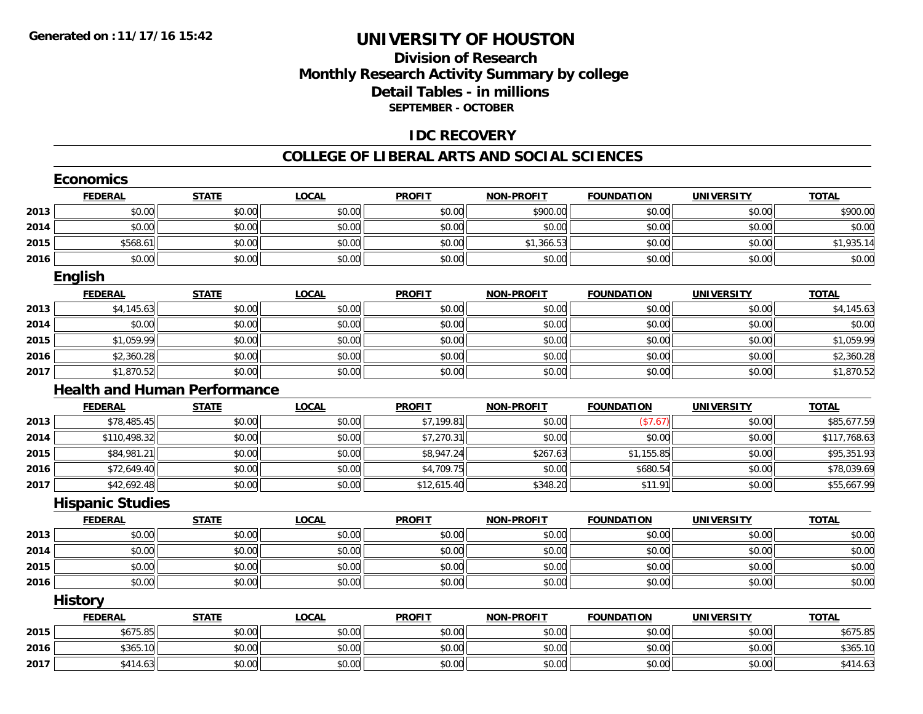## **Division of ResearchMonthly Research Activity Summary by college Detail Tables - in millions SEPTEMBER - OCTOBER**

### **IDC RECOVERY**

#### **COLLEGE OF LIBERAL ARTS AND SOCIAL SCIENCES**

|      | <b>Economics</b>                    |              |              |               |                   |                   |                   |              |
|------|-------------------------------------|--------------|--------------|---------------|-------------------|-------------------|-------------------|--------------|
|      | <b>FEDERAL</b>                      | <b>STATE</b> | <b>LOCAL</b> | <b>PROFIT</b> | <b>NON-PROFIT</b> | <b>FOUNDATION</b> | <b>UNIVERSITY</b> | <b>TOTAL</b> |
| 2013 | \$0.00                              | \$0.00       | \$0.00       | \$0.00        | \$900.00          | \$0.00            | \$0.00            | \$900.00     |
| 2014 | \$0.00                              | \$0.00       | \$0.00       | \$0.00        | \$0.00            | \$0.00            | \$0.00            | \$0.00       |
| 2015 | \$568.61                            | \$0.00       | \$0.00       | \$0.00        | \$1,366.53        | \$0.00            | \$0.00            | \$1,935.14   |
| 2016 | \$0.00                              | \$0.00       | \$0.00       | \$0.00        | \$0.00            | \$0.00            | \$0.00            | \$0.00       |
|      | <b>English</b>                      |              |              |               |                   |                   |                   |              |
|      | <b>FEDERAL</b>                      | <b>STATE</b> | <b>LOCAL</b> | <b>PROFIT</b> | <b>NON-PROFIT</b> | <b>FOUNDATION</b> | <b>UNIVERSITY</b> | <b>TOTAL</b> |
| 2013 | \$4,145.63                          | \$0.00       | \$0.00       | \$0.00        | \$0.00            | \$0.00            | \$0.00            | \$4,145.63   |
| 2014 | \$0.00                              | \$0.00       | \$0.00       | \$0.00        | \$0.00            | \$0.00            | \$0.00            | \$0.00       |
| 2015 | \$1,059.99                          | \$0.00       | \$0.00       | \$0.00        | \$0.00            | \$0.00            | \$0.00            | \$1,059.99   |
| 2016 | \$2,360.28                          | \$0.00       | \$0.00       | \$0.00        | \$0.00            | \$0.00            | \$0.00            | \$2,360.28   |
| 2017 | \$1,870.52                          | \$0.00       | \$0.00       | \$0.00        | \$0.00            | \$0.00            | \$0.00            | \$1,870.52   |
|      | <b>Health and Human Performance</b> |              |              |               |                   |                   |                   |              |
|      | <b>FEDERAL</b>                      | <b>STATE</b> | <b>LOCAL</b> | <b>PROFIT</b> | <b>NON-PROFIT</b> | <b>FOUNDATION</b> | <b>UNIVERSITY</b> | <b>TOTAL</b> |
| 2013 | \$78,485.45                         | \$0.00       | \$0.00       | \$7,199.81    | \$0.00            | (\$7.67)          | \$0.00            | \$85,677.59  |
| 2014 | \$110,498.32                        | \$0.00       | \$0.00       | \$7,270.31    | \$0.00            | \$0.00            | \$0.00            | \$117,768.63 |
| 2015 | \$84,981.21                         | \$0.00       | \$0.00       | \$8,947.24    | \$267.63          | \$1,155.85        | \$0.00            | \$95,351.93  |
| 2016 | \$72,649.40                         | \$0.00       | \$0.00       | \$4,709.75    | \$0.00            | \$680.54          | \$0.00            | \$78,039.69  |
| 2017 | \$42,692.48                         | \$0.00       | \$0.00       | \$12,615.40   | \$348.20          | \$11.91           | \$0.00            | \$55,667.99  |
|      | <b>Hispanic Studies</b>             |              |              |               |                   |                   |                   |              |
|      | <b>FEDERAL</b>                      | <b>STATE</b> | <b>LOCAL</b> | <b>PROFIT</b> | <b>NON-PROFIT</b> | <b>FOUNDATION</b> | <b>UNIVERSITY</b> | <b>TOTAL</b> |
| 2013 | \$0.00                              | \$0.00       | \$0.00       | \$0.00        | \$0.00            | \$0.00            | \$0.00            | \$0.00       |
| 2014 | \$0.00                              | \$0.00       | \$0.00       | \$0.00        | \$0.00            | \$0.00            | \$0.00            | \$0.00       |
| 2015 | \$0.00                              | \$0.00       | \$0.00       | \$0.00        | \$0.00            | \$0.00            | \$0.00            | \$0.00       |
| 2016 | \$0.00                              | \$0.00       | \$0.00       | \$0.00        | \$0.00            | \$0.00            | \$0.00            | \$0.00       |
|      | <b>History</b>                      |              |              |               |                   |                   |                   |              |
|      | <b>FEDERAL</b>                      | <b>STATE</b> | <b>LOCAL</b> | <b>PROFIT</b> | <b>NON-PROFIT</b> | <b>FOUNDATION</b> | <b>UNIVERSITY</b> | <b>TOTAL</b> |
| 2015 | \$675.85                            | \$0.00       | \$0.00       | \$0.00        | \$0.00            | \$0.00            | \$0.00            | \$675.85     |
| 2016 | \$365.10                            | \$0.00       | \$0.00       | \$0.00        | \$0.00            | \$0.00            | \$0.00            | \$365.10     |
| 2017 | \$414.63                            | \$0.00       | \$0.00       | \$0.00        | \$0.00            | \$0.00            | \$0.00            | \$414.63     |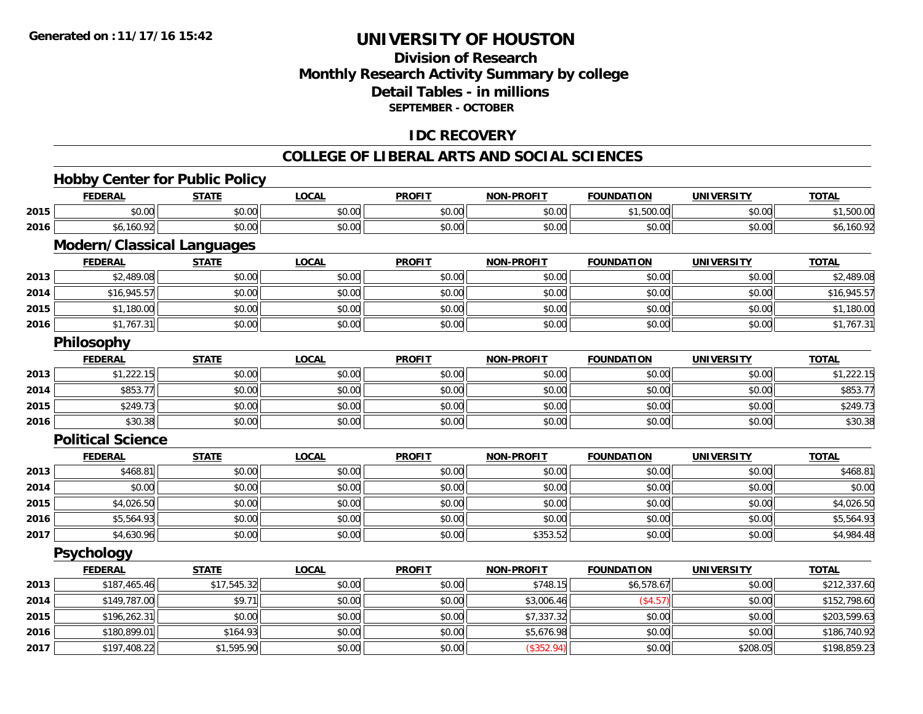## **Division of ResearchMonthly Research Activity Summary by college Detail Tables - in millions SEPTEMBER - OCTOBER**

## **IDC RECOVERY**

#### **COLLEGE OF LIBERAL ARTS AND SOCIAL SCIENCES**

# **Hobby Center for Public Policy**

|      | <b>FEDERAL</b>                    | <b>STATE</b> | <b>LOCAL</b> | <b>PROFIT</b> | <b>NON-PROFIT</b> | <b>FOUNDATION</b> | <b>UNIVERSITY</b> | <b>TOTAL</b> |
|------|-----------------------------------|--------------|--------------|---------------|-------------------|-------------------|-------------------|--------------|
| 2015 | \$0.00                            | \$0.00       | \$0.00       | \$0.00        | \$0.00            | \$1,500.00        | \$0.00            | \$1,500.00   |
| 2016 | \$6,160.92                        | \$0.00       | \$0.00       | \$0.00        | \$0.00            | \$0.00            | \$0.00            | \$6,160.92   |
|      | <b>Modern/Classical Languages</b> |              |              |               |                   |                   |                   |              |
|      | <b>FEDERAL</b>                    | <b>STATE</b> | <b>LOCAL</b> | <b>PROFIT</b> | <b>NON-PROFIT</b> | <b>FOUNDATION</b> | <b>UNIVERSITY</b> | <b>TOTAL</b> |
| 2013 | \$2,489.08                        | \$0.00       | \$0.00       | \$0.00        | \$0.00            | \$0.00            | \$0.00            | \$2,489.08   |
| 2014 | \$16,945.57                       | \$0.00       | \$0.00       | \$0.00        | \$0.00            | \$0.00            | \$0.00            | \$16,945.57  |
| 2015 | \$1,180.00                        | \$0.00       | \$0.00       | \$0.00        | \$0.00            | \$0.00            | \$0.00            | \$1,180.00   |
| 2016 | \$1,767.31                        | \$0.00       | \$0.00       | \$0.00        | \$0.00            | \$0.00            | \$0.00            | \$1,767.31   |
|      | Philosophy                        |              |              |               |                   |                   |                   |              |
|      | <b>FEDERAL</b>                    | <b>STATE</b> | <b>LOCAL</b> | <b>PROFIT</b> | <b>NON-PROFIT</b> | <b>FOUNDATION</b> | <b>UNIVERSITY</b> | <b>TOTAL</b> |
| 2013 | \$1,222.15                        | \$0.00       | \$0.00       | \$0.00        | \$0.00            | \$0.00            | \$0.00            | \$1,222.15   |
| 2014 | \$853.77                          | \$0.00       | \$0.00       | \$0.00        | \$0.00            | \$0.00            | \$0.00            | \$853.77     |
| 2015 | \$249.73                          | \$0.00       | \$0.00       | \$0.00        | \$0.00            | \$0.00            | \$0.00            | \$249.73     |
| 2016 | \$30.38                           | \$0.00       | \$0.00       | \$0.00        | \$0.00            | \$0.00            | \$0.00            | \$30.38      |
|      | <b>Political Science</b>          |              |              |               |                   |                   |                   |              |
|      | <b>FEDERAL</b>                    | <b>STATE</b> | <b>LOCAL</b> | <b>PROFIT</b> | <b>NON-PROFIT</b> | <b>FOUNDATION</b> | <b>UNIVERSITY</b> | <b>TOTAL</b> |
| 2013 | \$468.81                          | \$0.00       | \$0.00       | \$0.00        | \$0.00            | \$0.00            | \$0.00            | \$468.81     |
| 2014 | \$0.00                            | \$0.00       | \$0.00       | \$0.00        | \$0.00            | \$0.00            | \$0.00            | \$0.00       |
| 2015 | \$4,026.50                        | \$0.00       | \$0.00       | \$0.00        | \$0.00            | \$0.00            | \$0.00            | \$4,026.50   |
| 2016 | \$5,564.93                        | \$0.00       | \$0.00       | \$0.00        | \$0.00            | \$0.00            | \$0.00            | \$5,564.93   |
| 2017 | \$4,630.96                        | \$0.00       | \$0.00       | \$0.00        | \$353.52          | \$0.00            | \$0.00            | \$4,984.48   |
|      | <b>Psychology</b>                 |              |              |               |                   |                   |                   |              |
|      | <b>FEDERAL</b>                    | <b>STATE</b> | <b>LOCAL</b> | <b>PROFIT</b> | <b>NON-PROFIT</b> | <b>FOUNDATION</b> | <b>UNIVERSITY</b> | <b>TOTAL</b> |
| 2013 | \$187,465.46                      | \$17,545.32  | \$0.00       | \$0.00        | \$748.15          | \$6,578.67        | \$0.00            | \$212,337.60 |
| 2014 | \$149,787.00                      | \$9.71       | \$0.00       | \$0.00        | \$3,006.46        | (\$4.57)          | \$0.00            | \$152,798.60 |
| 2015 | \$196,262.31                      | \$0.00       | \$0.00       | \$0.00        | \$7,337.32        | \$0.00            | \$0.00            | \$203,599.63 |
| 2016 | \$180,899.01                      | \$164.93     | \$0.00       | \$0.00        | \$5,676.98        | \$0.00            | \$0.00            | \$186,740.92 |
| 2017 | \$197,408.22                      | \$1,595.90   | \$0.00       | \$0.00        | (\$352.94)        | \$0.00            | \$208.05          | \$198,859.23 |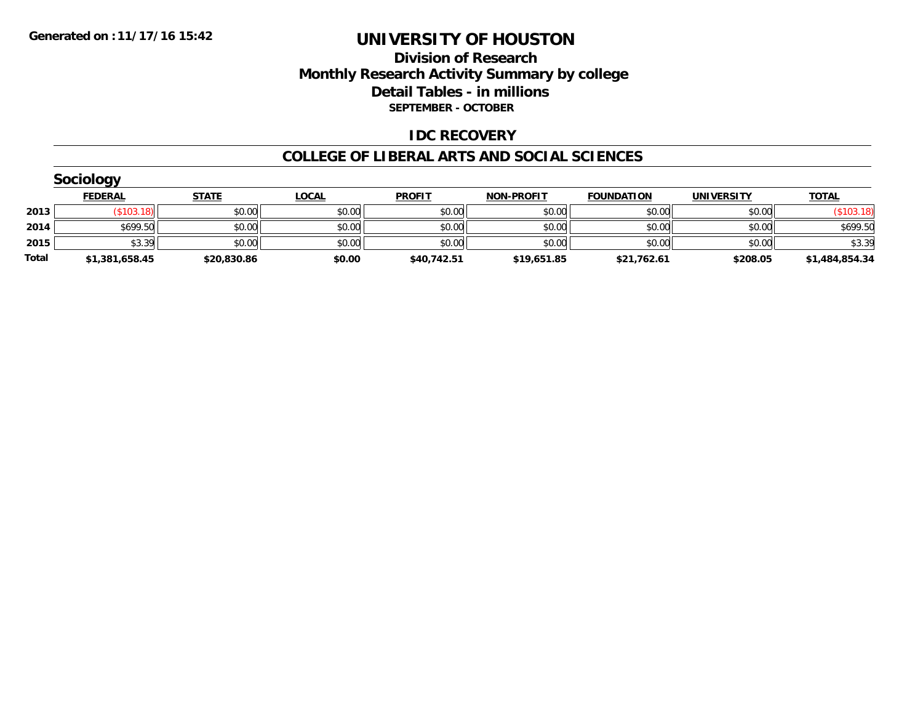### **Division of Research Monthly Research Activity Summary by college Detail Tables - in millions SEPTEMBER - OCTOBER**

#### **IDC RECOVERY**

#### **COLLEGE OF LIBERAL ARTS AND SOCIAL SCIENCES**

|       | Sociology      |              |              |               |                   |                   |                   |                |  |  |  |  |
|-------|----------------|--------------|--------------|---------------|-------------------|-------------------|-------------------|----------------|--|--|--|--|
|       | <b>FEDERAL</b> | <b>STATE</b> | <b>LOCAL</b> | <b>PROFIT</b> | <b>NON-PROFIT</b> | <b>FOUNDATION</b> | <b>UNIVERSITY</b> | <b>TOTAL</b>   |  |  |  |  |
| 2013  | \$103.18       | \$0.00       | \$0.00       | \$0.00        | \$0.00            | \$0.00            | \$0.00            | (\$103.18)     |  |  |  |  |
| 2014  | \$699.50       | \$0.00       | \$0.00       | \$0.00        | \$0.00            | \$0.00            | \$0.00            | \$699.50       |  |  |  |  |
| 2015  | \$3.39         | \$0.00       | \$0.00       | \$0.00        | \$0.00            | \$0.00            | \$0.00            | \$3.39         |  |  |  |  |
| Total | \$1,381,658.45 | \$20,830.86  | \$0.00       | \$40,742.51   | \$19,651.85       | \$21,762.61       | \$208.05          | \$1,484,854.34 |  |  |  |  |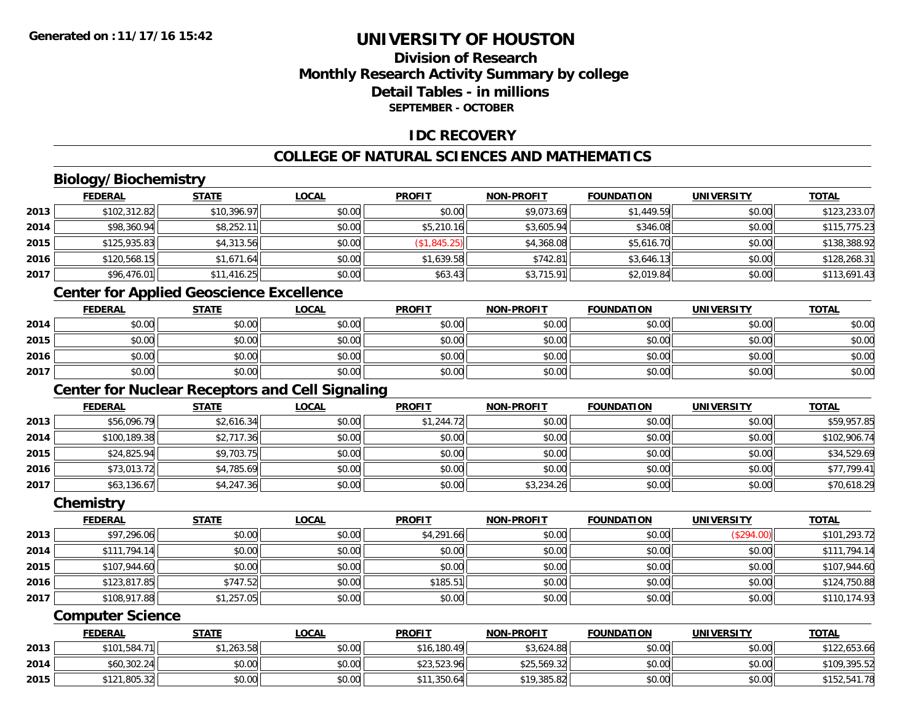## **Division of ResearchMonthly Research Activity Summary by college Detail Tables - in millionsSEPTEMBER - OCTOBER**

### **IDC RECOVERY**

## **COLLEGE OF NATURAL SCIENCES AND MATHEMATICS**

## **Biology/Biochemistry**

|      | <b>FEDERAL</b> | <b>STATE</b> | <b>LOCAL</b> | <b>PROFIT</b> | <b>NON-PROFIT</b> | <b>FOUNDATION</b> | <b>UNIVERSITY</b> | <b>TOTAL</b> |
|------|----------------|--------------|--------------|---------------|-------------------|-------------------|-------------------|--------------|
| 2013 | \$102,312.82   | \$10,396.97  | \$0.00       | \$0.00        | \$9,073.69        | \$1,449.59        | \$0.00            | \$123,233.07 |
| 2014 | \$98,360.94    | \$8,252.11   | \$0.00       | \$5,210.16    | \$3,605.94        | \$346.08          | \$0.00            | \$115,775.23 |
| 2015 | \$125,935.83   | \$4,313.56   | \$0.00       | (\$1,845.25)  | \$4,368.08        | \$5,616.70        | \$0.00            | \$138,388.92 |
| 2016 | \$120,568.15   | \$1,671.64   | \$0.00       | \$1,639.58    | \$742.81          | \$3,646.13        | \$0.00            | \$128,268.31 |
| 2017 | \$96,476.01    | \$11,416.25  | \$0.00       | \$63.43       | \$3,715.91        | \$2,019.84        | \$0.00            | \$113,691.43 |
|      |                |              |              |               |                   |                   |                   |              |

### **Center for Applied Geoscience Excellence**

|      | <b>FEDERAL</b> | <u>STATE</u> | <b>LOCAL</b> | <b>PROFIT</b> | <b>NON-PROFIT</b> | <b>FOUNDATION</b> | <b>UNIVERSITY</b> | <u>TOTAL</u> |
|------|----------------|--------------|--------------|---------------|-------------------|-------------------|-------------------|--------------|
| 2014 | \$0.00         | \$0.00       | \$0.00       | \$0.00        | \$0.00            | \$0.00            | \$0.00            | \$0.00       |
| 2015 | \$0.00         | \$0.00       | \$0.00       | \$0.00        | \$0.00            | \$0.00            | \$0.00            | \$0.00       |
| 2016 | \$0.00         | \$0.00       | \$0.00       | \$0.00        | \$0.00            | \$0.00            | \$0.00            | \$0.00       |
| 2017 | \$0.00         | \$0.00       | \$0.00       | \$0.00        | \$0.00            | \$0.00            | \$0.00            | \$0.00       |

## **Center for Nuclear Receptors and Cell Signaling**

|      | <b>FEDERAL</b> | <u>STATE</u> | <u>LOCAL</u> | <b>PROFIT</b> | <b>NON-PROFIT</b> | <b>FOUNDATION</b> | <b>UNIVERSITY</b> | <b>TOTAL</b> |
|------|----------------|--------------|--------------|---------------|-------------------|-------------------|-------------------|--------------|
| 2013 | \$56,096.79    | \$2,616.34   | \$0.00       | \$1,244.72    | \$0.00            | \$0.00            | \$0.00            | \$59,957.85  |
| 2014 | \$100,189.38   | \$2,717.36   | \$0.00       | \$0.00        | \$0.00            | \$0.00            | \$0.00            | \$102,906.74 |
| 2015 | \$24,825.94    | \$9,703.75   | \$0.00       | \$0.00        | \$0.00            | \$0.00            | \$0.00            | \$34,529.69  |
| 2016 | \$73,013.72    | \$4,785.69   | \$0.00       | \$0.00        | \$0.00            | \$0.00            | \$0.00            | \$77,799.41  |
| 2017 | \$63,136.67    | \$4,247.36   | \$0.00       | \$0.00        | \$3,234.26        | \$0.00            | \$0.00            | \$70,618.29  |

#### **Chemistry**

|      | <b>FEDERAL</b> | <b>STATE</b> | <u>LOCAL</u> | <b>PROFIT</b> | <b>NON-PROFIT</b> | <b>FOUNDATION</b> | <b>UNIVERSITY</b> | <b>TOTAL</b> |
|------|----------------|--------------|--------------|---------------|-------------------|-------------------|-------------------|--------------|
| 2013 | \$97,296.06    | \$0.00       | \$0.00       | \$4,291.66    | \$0.00            | \$0.00            | (\$294.00)        | \$101,293.72 |
| 2014 | \$111,794.14   | \$0.00       | \$0.00       | \$0.00        | \$0.00            | \$0.00            | \$0.00            | \$111,794.14 |
| 2015 | \$107,944.60   | \$0.00       | \$0.00       | \$0.00        | \$0.00            | \$0.00            | \$0.00            | \$107,944.60 |
| 2016 | \$123,817.85   | \$747.52     | \$0.00       | \$185.51      | \$0.00            | \$0.00            | \$0.00            | \$124,750.88 |
| 2017 | \$108,917.88   | \$1,257.05   | \$0.00       | \$0.00        | \$0.00            | \$0.00            | \$0.00            | \$110,174.93 |

#### **Computer Science**

|      | <b>FEDERAL</b>      | <u>STATE</u> | <b>LOCAL</b> | <b>PROFIT</b> | <b>NON-PROFIT</b> | <b>FOUNDATION</b> | <b>UNIVERSITY</b> | <b>TOTAL</b> |
|------|---------------------|--------------|--------------|---------------|-------------------|-------------------|-------------------|--------------|
| 2013 | \$101,584.7<br>'1lı | \$1,263.58   | \$0.00       | \$16,180.49   | \$3,624.88        | \$0.00            | \$0.00            | \$122,653.66 |
| 2014 | \$60,302.24         | \$0.00       | \$0.00       | \$23,523.96   | \$25,569.32       | \$0.00            | \$0.00            | \$109,395.52 |
| 2015 | \$121,805.32        | \$0.00       | \$0.00       | \$11,350.64   | \$19,385.82       | \$0.00            | \$0.00            | \$152,541.78 |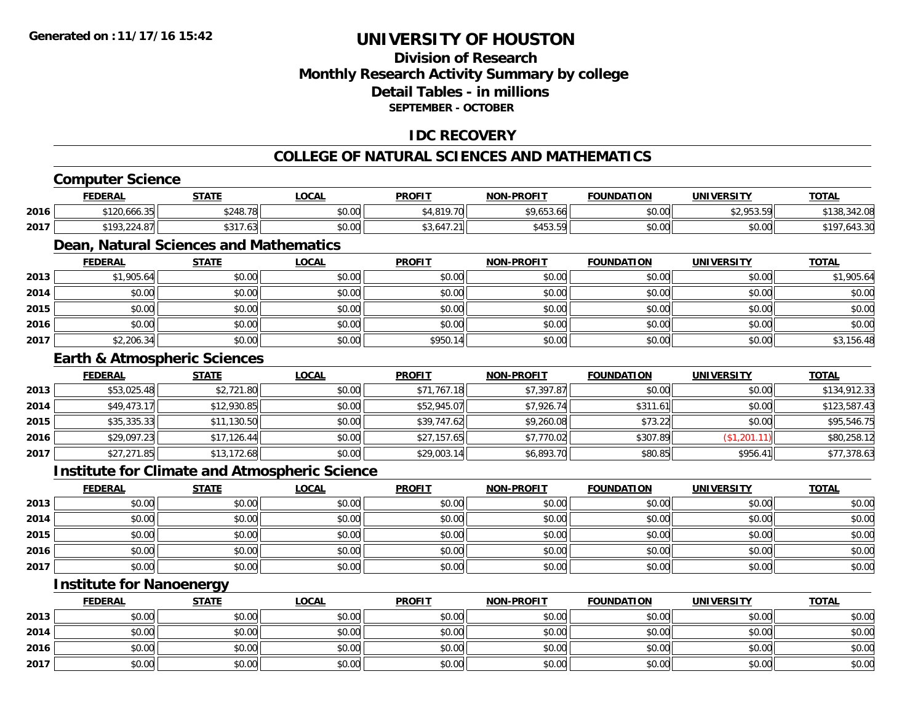## **Division of ResearchMonthly Research Activity Summary by college Detail Tables - in millions SEPTEMBER - OCTOBER**

### **IDC RECOVERY**

#### **COLLEGE OF NATURAL SCIENCES AND MATHEMATICS**

# **Computer Science**

|      | <b>FEDERAL</b>                          | <b>STATE</b> | <b>LOCAL</b>                                         | <b>PROFIT</b> | <b>NON-PROFIT</b> | <b>FOUNDATION</b> | <b>UNIVERSITY</b> | <b>TOTAL</b> |
|------|-----------------------------------------|--------------|------------------------------------------------------|---------------|-------------------|-------------------|-------------------|--------------|
| 2016 | \$120,666.35                            | \$248.78     | \$0.00                                               | \$4,819.70    | \$9,653.66        | \$0.00            | \$2,953.59        | \$138,342.08 |
| 2017 | \$193,224.87                            | \$317.63     | \$0.00                                               | \$3,647.21    | \$453.59          | \$0.00            | \$0.00            | \$197,643.30 |
|      | Dean, Natural Sciences and Mathematics  |              |                                                      |               |                   |                   |                   |              |
|      | <b>FEDERAL</b>                          | <b>STATE</b> | <b>LOCAL</b>                                         | <b>PROFIT</b> | <b>NON-PROFIT</b> | <b>FOUNDATION</b> | <b>UNIVERSITY</b> | <b>TOTAL</b> |
| 2013 | \$1,905.64                              | \$0.00       | \$0.00                                               | \$0.00        | \$0.00            | \$0.00            | \$0.00            | \$1,905.64   |
| 2014 | \$0.00                                  | \$0.00       | \$0.00                                               | \$0.00        | \$0.00            | \$0.00            | \$0.00            | \$0.00       |
| 2015 | \$0.00                                  | \$0.00       | \$0.00                                               | \$0.00        | \$0.00            | \$0.00            | \$0.00            | \$0.00       |
| 2016 | \$0.00                                  | \$0.00       | \$0.00                                               | \$0.00        | \$0.00            | \$0.00            | \$0.00            | \$0.00       |
| 2017 | \$2,206.34                              | \$0.00       | \$0.00                                               | \$950.14      | \$0.00            | \$0.00            | \$0.00            | \$3,156.48   |
|      | <b>Earth &amp; Atmospheric Sciences</b> |              |                                                      |               |                   |                   |                   |              |
|      | <b>FEDERAL</b>                          | <b>STATE</b> | <b>LOCAL</b>                                         | <b>PROFIT</b> | <b>NON-PROFIT</b> | <b>FOUNDATION</b> | <b>UNIVERSITY</b> | <b>TOTAL</b> |
| 2013 | \$53,025.48                             | \$2,721.80   | \$0.00                                               | \$71,767.18   | \$7,397.87        | \$0.00            | \$0.00            | \$134,912.33 |
| 2014 | \$49,473.17                             | \$12,930.85  | \$0.00                                               | \$52,945.07   | \$7,926.74        | \$311.61          | \$0.00            | \$123,587.43 |
| 2015 | \$35,335.33                             | \$11,130.50  | \$0.00                                               | \$39,747.62   | \$9,260.08        | \$73.22           | \$0.00            | \$95,546.75  |
| 2016 | \$29,097.23                             | \$17,126.44  | \$0.00                                               | \$27,157.65   | \$7,770.02        | \$307.89          | (\$1,201.11)      | \$80,258.12  |
| 2017 | \$27,271.85                             | \$13,172.68  | \$0.00                                               | \$29,003.14   | \$6,893.70        | \$80.85           | \$956.41          | \$77,378.63  |
|      |                                         |              | <b>Institute for Climate and Atmospheric Science</b> |               |                   |                   |                   |              |
|      | <b>FEDERAL</b>                          | <b>STATE</b> | <b>LOCAL</b>                                         | <b>PROFIT</b> | <b>NON-PROFIT</b> | <b>FOUNDATION</b> | <b>UNIVERSITY</b> | <b>TOTAL</b> |
| 2013 | \$0.00                                  | \$0.00       | \$0.00                                               | \$0.00        | \$0.00            | \$0.00            | \$0.00            | \$0.00       |
| 2014 | \$0.00                                  | \$0.00       | \$0.00                                               | \$0.00        | \$0.00            | \$0.00            | \$0.00            | \$0.00       |

|      | EEDEDAL                         | <b>CTATE</b> | 1001   | <b>DDAEIT</b> | NON DDOELT | <b>EQUINIDATION</b> | <b>IINIIVEDCITV</b> | <b>TOTAL</b> |
|------|---------------------------------|--------------|--------|---------------|------------|---------------------|---------------------|--------------|
|      | <b>Institute for Nanoenergy</b> |              |        |               |            |                     |                     |              |
| 2017 | \$0.00                          | \$0.00       | \$0.00 | \$0.00        | \$0.00     | \$0.00              | \$0.00              | \$0.00       |
| 2016 | \$0.00                          | \$0.00       | \$0.00 | \$0.00        | \$0.00     | \$0.00              | \$0.00              | \$0.00       |
| 2015 | \$0.00                          | \$0.00       | \$0.00 | \$0.00        | \$0.00     | \$0.00              | \$0.00              | \$0.00       |

|      | <u>FEDERAL</u> | <b>STATE</b> | <u>LOCAL</u> | PROFIT | <b>NON-PROFIT</b> | <b>FOUNDATION</b> | UNIVERSITY | <u>TOTAL</u> |
|------|----------------|--------------|--------------|--------|-------------------|-------------------|------------|--------------|
| 2013 | \$0.00         | \$0.00       | \$0.00       | \$0.00 | \$0.00            | \$0.00            | \$0.00     | \$0.00       |
| 2014 | \$0.00         | \$0.00       | \$0.00       | \$0.00 | \$0.00            | \$0.00            | \$0.00     | \$0.00       |
| 2016 | \$0.00         | \$0.00       | \$0.00       | \$0.00 | \$0.00            | \$0.00            | \$0.00     | \$0.00       |
| 2017 | \$0.00         | \$0.00       | \$0.00       | \$0.00 | \$0.00            | \$0.00            | \$0.00     | \$0.00       |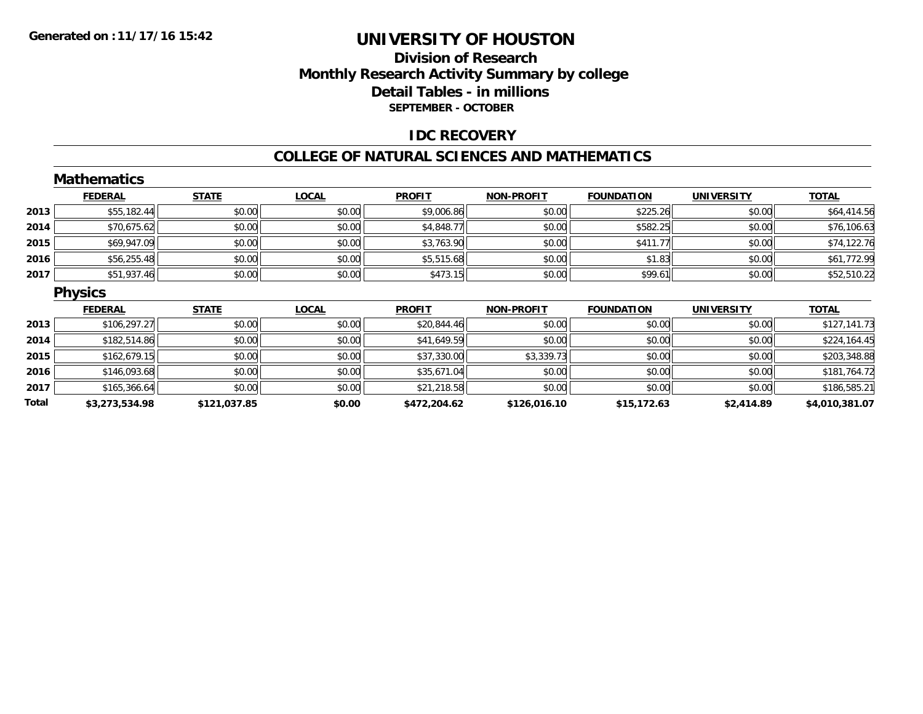### **Division of Research Monthly Research Activity Summary by college Detail Tables - in millions SEPTEMBER - OCTOBER**

#### **IDC RECOVERY**

#### **COLLEGE OF NATURAL SCIENCES AND MATHEMATICS**

|       | <b>Mathematics</b> |              |              |               |                   |                   |                   |                |
|-------|--------------------|--------------|--------------|---------------|-------------------|-------------------|-------------------|----------------|
|       | <b>FEDERAL</b>     | <b>STATE</b> | <b>LOCAL</b> | <b>PROFIT</b> | <b>NON-PROFIT</b> | <b>FOUNDATION</b> | <b>UNIVERSITY</b> | <b>TOTAL</b>   |
| 2013  | \$55,182.44        | \$0.00       | \$0.00       | \$9,006.86    | \$0.00            | \$225.26          | \$0.00            | \$64,414.56    |
| 2014  | \$70,675.62        | \$0.00       | \$0.00       | \$4,848.77    | \$0.00            | \$582.25          | \$0.00            | \$76,106.63    |
| 2015  | \$69,947.09        | \$0.00       | \$0.00       | \$3,763.90    | \$0.00            | \$411.77          | \$0.00            | \$74,122.76    |
| 2016  | \$56,255.48        | \$0.00       | \$0.00       | \$5,515.68    | \$0.00            | \$1.83            | \$0.00            | \$61,772.99    |
| 2017  | \$51,937.46        | \$0.00       | \$0.00       | \$473.15      | \$0.00            | \$99.61           | \$0.00            | \$52,510.22    |
|       | <b>Physics</b>     |              |              |               |                   |                   |                   |                |
|       | <b>FEDERAL</b>     | <b>STATE</b> | <b>LOCAL</b> | <b>PROFIT</b> | <b>NON-PROFIT</b> | <b>FOUNDATION</b> | <b>UNIVERSITY</b> | <b>TOTAL</b>   |
| 2013  | \$106,297.27       | \$0.00       | \$0.00       | \$20,844.46   | \$0.00            | \$0.00            | \$0.00            | \$127,141.73   |
| 2014  | \$182,514.86       | \$0.00       | \$0.00       | \$41,649.59   | \$0.00            | \$0.00            | \$0.00            | \$224,164.45   |
| 2015  | \$162,679.15       | \$0.00       | \$0.00       | \$37,330.00   | \$3,339.73        | \$0.00            | \$0.00            | \$203,348.88   |
| 2016  | \$146,093.68       | \$0.00       | \$0.00       | \$35,671.04   | \$0.00            | \$0.00            | \$0.00            | \$181,764.72   |
| 2017  | \$165,366.64       | \$0.00       | \$0.00       | \$21,218.58   | \$0.00            | \$0.00            | \$0.00            | \$186,585.21   |
| Total | \$3,273,534.98     | \$121,037.85 | \$0.00       | \$472,204.62  | \$126,016.10      | \$15,172.63       | \$2,414.89        | \$4,010,381.07 |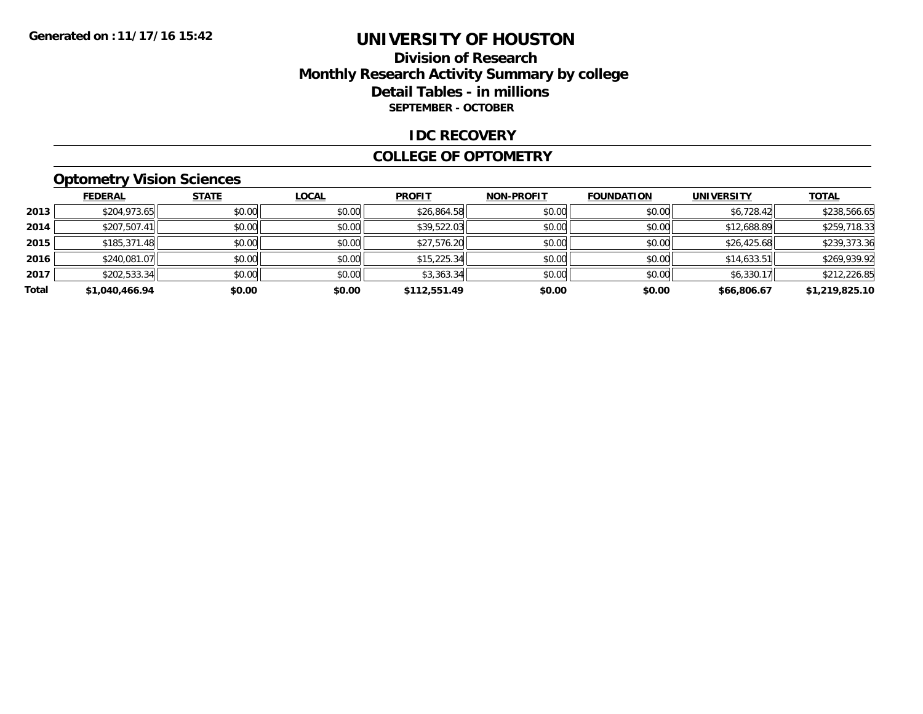### **Division of Research Monthly Research Activity Summary by college Detail Tables - in millions SEPTEMBER - OCTOBER**

#### **IDC RECOVERY**

#### **COLLEGE OF OPTOMETRY**

## **Optometry Vision Sciences**

|       | <b>FEDERAL</b> | <b>STATE</b> | <b>LOCAL</b> | <b>PROFIT</b> | <b>NON-PROFIT</b> | <b>FOUNDATION</b> | <b>UNIVERSITY</b> | <b>TOTAL</b>   |
|-------|----------------|--------------|--------------|---------------|-------------------|-------------------|-------------------|----------------|
| 2013  | \$204,973.65   | \$0.00       | \$0.00       | \$26,864.58   | \$0.00            | \$0.00            | \$6,728.42        | \$238,566.65   |
| 2014  | \$207,507.41   | \$0.00       | \$0.00       | \$39,522.03   | \$0.00            | \$0.00            | \$12,688.89       | \$259,718.33   |
| 2015  | \$185,371.48   | \$0.00       | \$0.00       | \$27,576.20   | \$0.00            | \$0.00            | \$26,425.68       | \$239,373.36   |
| 2016  | \$240,081.07   | \$0.00       | \$0.00       | \$15,225.34   | \$0.00            | \$0.00            | \$14,633.51       | \$269,939.92   |
| 2017  | \$202,533.34   | \$0.00       | \$0.00       | \$3,363.34    | \$0.00            | \$0.00            | \$6,330.17        | \$212,226.85   |
| Total | \$1,040,466.94 | \$0.00       | \$0.00       | \$112,551.49  | \$0.00            | \$0.00            | \$66,806.67       | \$1,219,825.10 |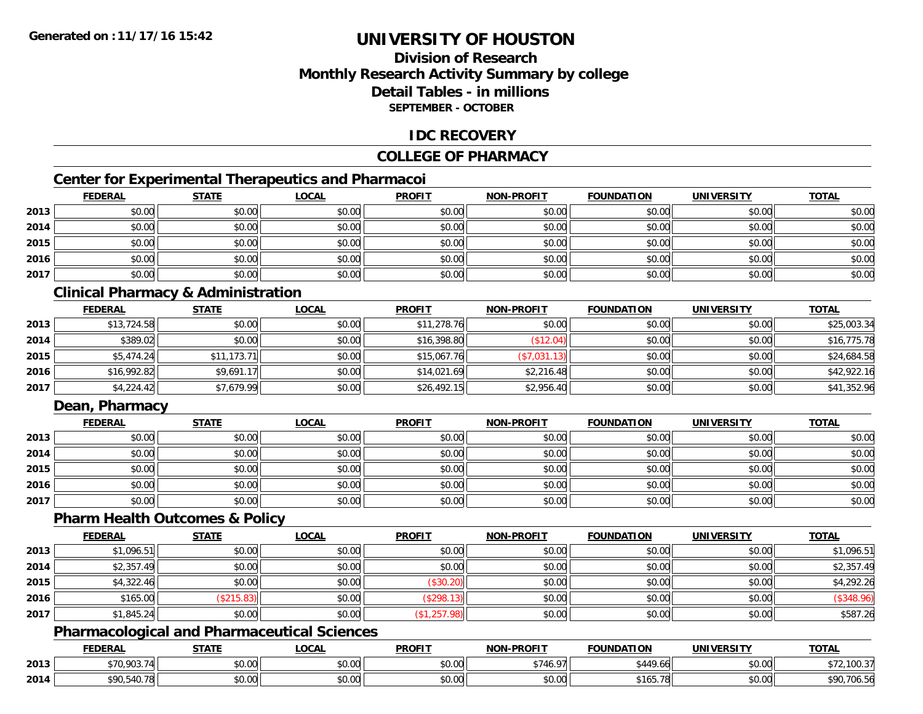## **Division of ResearchMonthly Research Activity Summary by college Detail Tables - in millionsSEPTEMBER - OCTOBER**

### **IDC RECOVERY**

### **COLLEGE OF PHARMACY**

## **Center for Experimental Therapeutics and Pharmacoi**

|      | <b>FEDERAL</b> | <b>STATE</b> | <b>LOCAL</b> | <b>PROFIT</b> | <b>NON-PROFIT</b> | <b>FOUNDATION</b> | <b>UNIVERSITY</b> | <b>TOTAL</b> |
|------|----------------|--------------|--------------|---------------|-------------------|-------------------|-------------------|--------------|
| 2013 | \$0.00         | \$0.00       | \$0.00       | \$0.00        | \$0.00            | \$0.00            | \$0.00            | \$0.00       |
| 2014 | \$0.00         | \$0.00       | \$0.00       | \$0.00        | \$0.00            | \$0.00            | \$0.00            | \$0.00       |
| 2015 | \$0.00         | \$0.00       | \$0.00       | \$0.00        | \$0.00            | \$0.00            | \$0.00            | \$0.00       |
| 2016 | \$0.00         | \$0.00       | \$0.00       | \$0.00        | \$0.00            | \$0.00            | \$0.00            | \$0.00       |
| 2017 | \$0.00         | \$0.00       | \$0.00       | \$0.00        | \$0.00            | \$0.00            | \$0.00            | \$0.00       |

## **Clinical Pharmacy & Administration**

|      | <b>FEDERAL</b> | <b>STATE</b> | <u>LOCAL</u> | <b>PROFIT</b> | <b>NON-PROFIT</b> | <b>FOUNDATION</b> | <b>UNIVERSITY</b> | <b>TOTAL</b> |
|------|----------------|--------------|--------------|---------------|-------------------|-------------------|-------------------|--------------|
| 2013 | \$13,724.58    | \$0.00       | \$0.00       | \$11,278.76   | \$0.00            | \$0.00            | \$0.00            | \$25,003.34  |
| 2014 | \$389.02       | \$0.00       | \$0.00       | \$16,398.80   | \$12.04)          | \$0.00            | \$0.00            | \$16,775.78  |
| 2015 | \$5,474.24     | \$11,173.71  | \$0.00       | \$15,067.76   | (\$7,031.13)      | \$0.00            | \$0.00            | \$24,684.58  |
| 2016 | \$16,992.82    | \$9,691.17   | \$0.00       | \$14,021.69   | \$2,216.48        | \$0.00            | \$0.00            | \$42,922.16  |
| 2017 | \$4,224.42     | \$7,679.99   | \$0.00       | \$26,492.15   | \$2,956.40        | \$0.00            | \$0.00            | \$41,352.96  |

### **Dean, Pharmacy**

|      | <b>FEDERAL</b> | <b>STATE</b> | <u>LOCAL</u> | <b>PROFIT</b> | <b>NON-PROFIT</b> | <b>FOUNDATION</b> | <b>UNIVERSITY</b> | <b>TOTAL</b> |
|------|----------------|--------------|--------------|---------------|-------------------|-------------------|-------------------|--------------|
| 2013 | \$0.00         | \$0.00       | \$0.00       | \$0.00        | \$0.00            | \$0.00            | \$0.00            | \$0.00       |
| 2014 | \$0.00         | \$0.00       | \$0.00       | \$0.00        | \$0.00            | \$0.00            | \$0.00            | \$0.00       |
| 2015 | \$0.00         | \$0.00       | \$0.00       | \$0.00        | \$0.00            | \$0.00            | \$0.00            | \$0.00       |
| 2016 | \$0.00         | \$0.00       | \$0.00       | \$0.00        | \$0.00            | \$0.00            | \$0.00            | \$0.00       |
| 2017 | \$0.00         | \$0.00       | \$0.00       | \$0.00        | \$0.00            | \$0.00            | \$0.00            | \$0.00       |

#### **Pharm Health Outcomes & Policy**

|      | <b>FEDERAL</b> | <b>STATE</b> | <b>LOCAL</b> | <b>PROFIT</b> | <b>NON-PROFIT</b> | <b>FOUNDATION</b> | <b>UNIVERSITY</b> | <b>TOTAL</b> |
|------|----------------|--------------|--------------|---------------|-------------------|-------------------|-------------------|--------------|
| 2013 | \$1,096.51     | \$0.00       | \$0.00       | \$0.00        | \$0.00            | \$0.00            | \$0.00            | \$1,096.51   |
| 2014 | \$2,357.49     | \$0.00       | \$0.00       | \$0.00        | \$0.00            | \$0.00            | \$0.00            | \$2,357.49   |
| 2015 | \$4,322.46     | \$0.00       | \$0.00       | (\$30.20)     | \$0.00            | \$0.00            | \$0.00            | \$4,292.26   |
| 2016 | \$165.00       | (\$215.83)   | \$0.00       | (\$298.13)    | \$0.00            | \$0.00            | \$0.00            | $(\$348.96)$ |
| 2017 | \$1,845.24     | \$0.00       | \$0.00       | (\$1,257.98)  | \$0.00            | \$0.00            | \$0.00            | \$587.26     |

## **Pharmacological and Pharmaceutical Sciences**

|      | <b>FEDERAL</b> | <b>STATE</b><br>,,,,,, | <b>_OCAL</b>       | <b>PROFIT</b> | <b>NON-PROFIT</b>              | <b>FOUNDATION</b> | <b>UNIVERSITY</b>     | <b>TOTAL</b>     |
|------|----------------|------------------------|--------------------|---------------|--------------------------------|-------------------|-----------------------|------------------|
| 2013 | \$70,903.74    | Ψ.<br>וטטוע            | $\sim$ 00<br>DU.UU | 0.00<br>JU.UU | 471607<br>- . TU. <i>. .</i> . | \$449.66          | 0.001<br><b>JU.UU</b> | $-100.37$        |
| 2014 | ¢∩∩            | ስ ለሰ<br>JU.UU          | nn nn<br>JU.UU     | 0.00<br>JU.UU | 0000<br><b>JU.UU</b>           | \$165.78          | 0.001<br><b>JU.UU</b> | ,706.56<br>\$90. |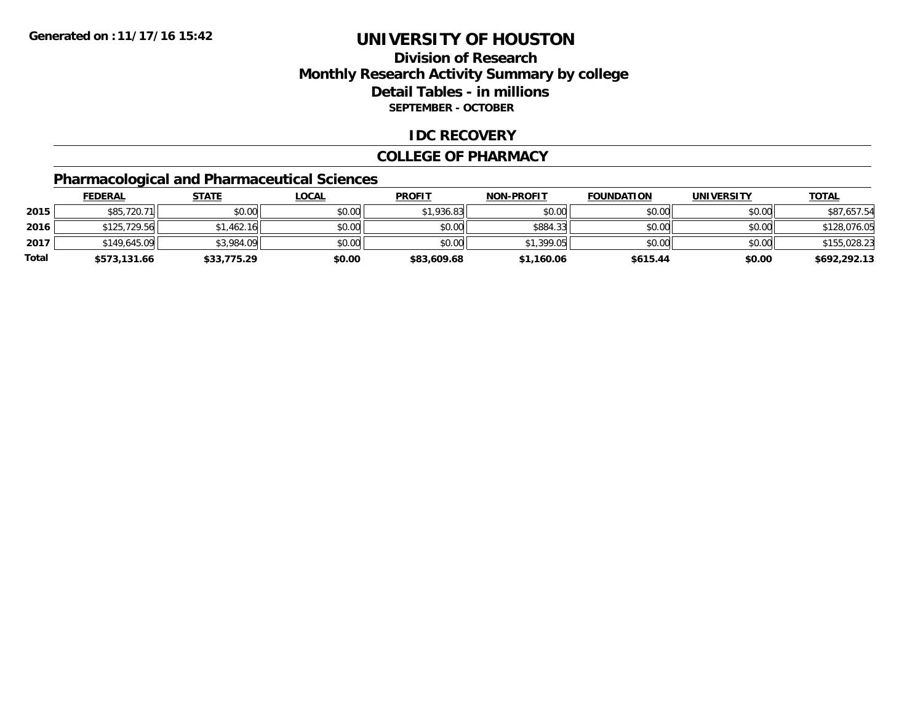## **Division of ResearchMonthly Research Activity Summary by college Detail Tables - in millions SEPTEMBER - OCTOBER**

#### **IDC RECOVERY**

#### **COLLEGE OF PHARMACY**

## **Pharmacological and Pharmaceutical Sciences**

|       | <u>FEDERAL</u> | <b>STATE</b> | <u>LOCAL</u> | <b>PROFIT</b> | <b>NON-PROFIT</b> | <b>FOUNDATION</b> | <b>UNIVERSITY</b> | <b>TOTAL</b> |
|-------|----------------|--------------|--------------|---------------|-------------------|-------------------|-------------------|--------------|
| 2015  | \$85,720.71    | \$0.00       | \$0.00       | \$1,936.83    | \$0.00            | \$0.00            | \$0.00            | \$87,657.54  |
| 2016  | \$125,729.56   | \$1,462.16   | \$0.00       | \$0.00        | \$884.33          | \$0.00            | \$0.00            | \$128,076.05 |
| 2017  | \$149,645.09   | \$3,984.09   | \$0.00       | \$0.00        | \$1,399.05        | \$0.00            | \$0.00            | \$155,028.23 |
| Total | \$573,131.66   | \$33,775.29  | \$0.00       | \$83,609.68   | \$1,160.06        | \$615.44          | \$0.00            | \$692,292.13 |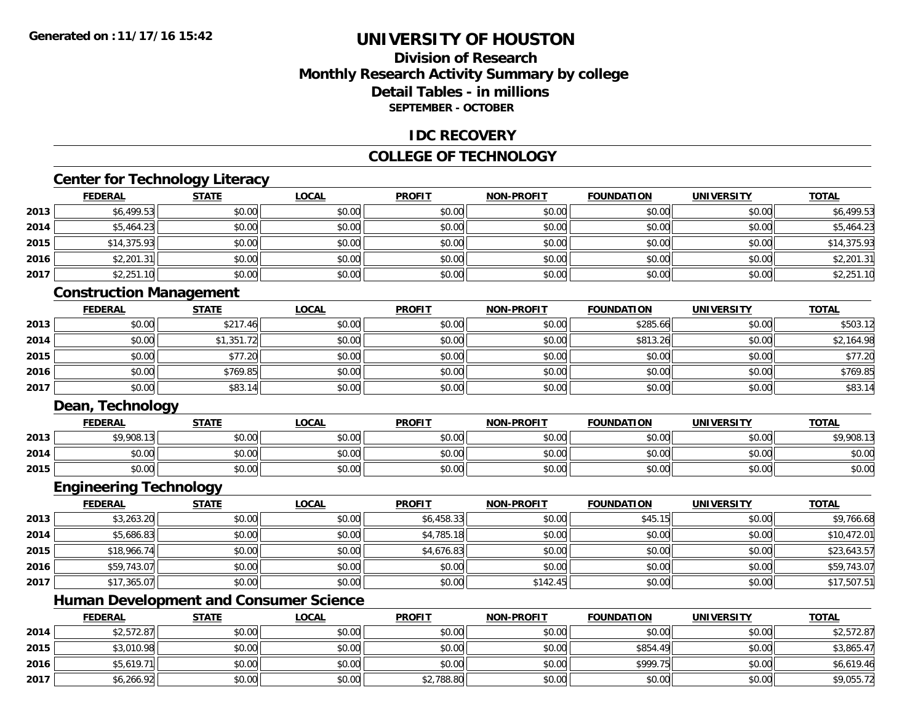## **Division of ResearchMonthly Research Activity Summary by college Detail Tables - in millionsSEPTEMBER - OCTOBER**

#### **IDC RECOVERY**

### **COLLEGE OF TECHNOLOGY**

### **Center for Technology Literacy**

|      | <b>FEDERAL</b> | <b>STATE</b> | <b>LOCAL</b> | <b>PROFIT</b> | <b>NON-PROFIT</b> | <b>FOUNDATION</b> | <b>UNIVERSITY</b> | <b>TOTAL</b> |
|------|----------------|--------------|--------------|---------------|-------------------|-------------------|-------------------|--------------|
| 2013 | \$6,499.53     | \$0.00       | \$0.00       | \$0.00        | \$0.00            | \$0.00            | \$0.00            | \$6,499.53   |
| 2014 | \$5,464.23     | \$0.00       | \$0.00       | \$0.00        | \$0.00            | \$0.00            | \$0.00            | \$5,464.23   |
| 2015 | \$14,375.93    | \$0.00       | \$0.00       | \$0.00        | \$0.00            | \$0.00            | \$0.00            | \$14,375.93  |
| 2016 | \$2,201.31     | \$0.00       | \$0.00       | \$0.00        | \$0.00            | \$0.00            | \$0.00            | \$2,201.31   |
| 2017 | \$2,251.10     | \$0.00       | \$0.00       | \$0.00        | \$0.00            | \$0.00            | \$0.00            | \$2,251.10   |

### **Construction Management**

|      | <b>FEDERAL</b> | <b>STATE</b> | <u>LOCAL</u> | <b>PROFIT</b> | <b>NON-PROFIT</b> | <b>FOUNDATION</b> | <b>UNIVERSITY</b> | <b>TOTAL</b> |
|------|----------------|--------------|--------------|---------------|-------------------|-------------------|-------------------|--------------|
| 2013 | \$0.00         | \$217.46     | \$0.00       | \$0.00        | \$0.00            | \$285.66          | \$0.00            | \$503.12     |
| 2014 | \$0.00         | \$1,351.72   | \$0.00       | \$0.00        | \$0.00            | \$813.26          | \$0.00            | \$2,164.98   |
| 2015 | \$0.00         | \$77.20      | \$0.00       | \$0.00        | \$0.00            | \$0.00            | \$0.00            | \$77.20      |
| 2016 | \$0.00         | \$769.85     | \$0.00       | \$0.00        | \$0.00            | \$0.00            | \$0.00            | \$769.85     |
| 2017 | \$0.00         | \$83.14      | \$0.00       | \$0.00        | \$0.00            | \$0.00            | \$0.00            | \$83.14      |

#### **Dean, Technology**

|      | <b>FEDERAL</b> | <b>STATE</b> | <u>LOCAL</u> | <b>PROFIT</b> | <b>NON-PROFIT</b> | <b>FOUNDATION</b> | <b>UNIVERSITY</b> | <b>TOTAL</b> |
|------|----------------|--------------|--------------|---------------|-------------------|-------------------|-------------------|--------------|
| 2013 | \$9,908.13     | \$0.00       | \$0.00       | \$0.00        | \$0.00            | en uu<br>JU.UU    | \$0.00            | 1,908.13     |
| 2014 | \$0.00         | \$0.00       | \$0.00       | \$0.00        | \$0.00            | \$0.00            | \$0.00            | \$0.00       |
| 2015 | \$0.00         | \$0.00       | \$0.00       | \$0.00        | \$0.00            | \$0.00            | \$0.00            | \$0.00       |

## **Engineering Technology**

|      | <u>FEDERAL</u> | <u>STATE</u> | <u>LOCAL</u> | <b>PROFIT</b> | <b>NON-PROFIT</b> | <b>FOUNDATION</b> | <b>UNIVERSITY</b> | <b>TOTAL</b> |
|------|----------------|--------------|--------------|---------------|-------------------|-------------------|-------------------|--------------|
| 2013 | \$3,263.20     | \$0.00       | \$0.00       | \$6,458.33    | \$0.00            | \$45.15           | \$0.00            | \$9,766.68   |
| 2014 | \$5,686.83     | \$0.00       | \$0.00       | \$4,785.18    | \$0.00            | \$0.00            | \$0.00            | \$10,472.01  |
| 2015 | \$18,966.74    | \$0.00       | \$0.00       | \$4,676.83    | \$0.00            | \$0.00            | \$0.00            | \$23,643.57  |
| 2016 | \$59,743.07    | \$0.00       | \$0.00       | \$0.00        | \$0.00            | \$0.00            | \$0.00            | \$59,743.07  |
| 2017 | \$17,365.07    | \$0.00       | \$0.00       | \$0.00        | \$142.45          | \$0.00            | \$0.00            | \$17,507.51  |

## **Human Development and Consumer Science**

|      | <b>FEDERAL</b> | <u>STATE</u> | <b>LOCAL</b> | <b>PROFIT</b> | <b>NON-PROFIT</b> | <b>FOUNDATION</b> | UNIVERSITY | <b>TOTAL</b> |
|------|----------------|--------------|--------------|---------------|-------------------|-------------------|------------|--------------|
| 2014 | \$2,572.87     | \$0.00       | \$0.00       | \$0.00        | \$0.00            | \$0.00            | \$0.00     | \$2,572.87   |
| 2015 | \$3,010.98     | \$0.00       | \$0.00       | \$0.00        | \$0.00            | \$854.49          | \$0.00     | \$3,865.47   |
| 2016 | \$5,619.71     | \$0.00       | \$0.00       | \$0.00        | \$0.00            | \$999.75          | \$0.00     | \$6,619.46   |
| 2017 | \$6,266.92     | \$0.00       | \$0.00       | \$2,788.80    | \$0.00            | \$0.00            | \$0.00     | \$9,055.72   |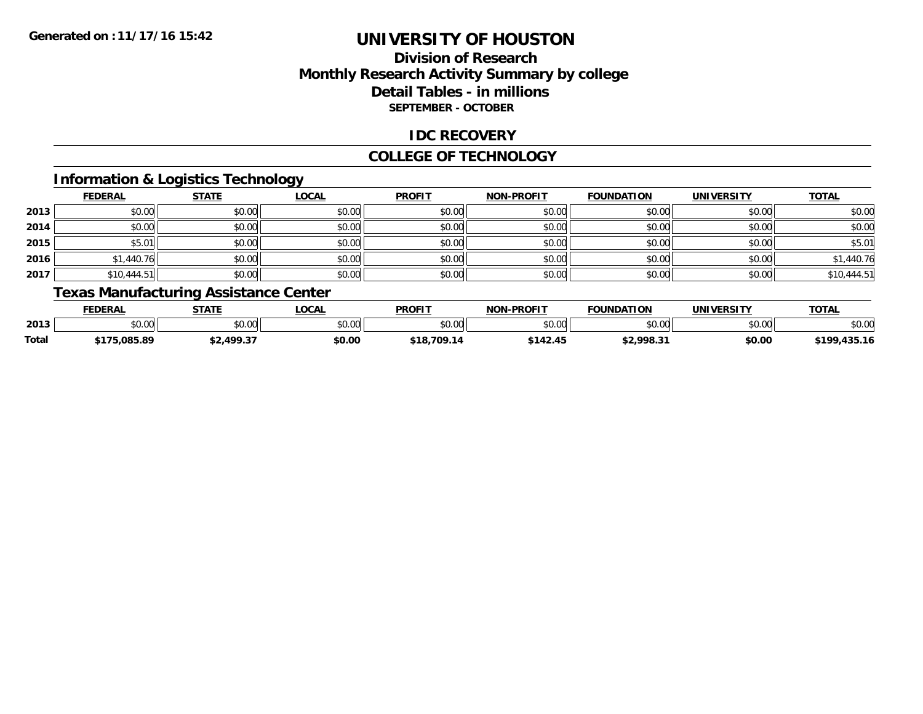## **Division of ResearchMonthly Research Activity Summary by college Detail Tables - in millions SEPTEMBER - OCTOBER**

### **IDC RECOVERY**

#### **COLLEGE OF TECHNOLOGY**

## **Information & Logistics Technology**

|      | <b>FEDERAL</b> | <b>STATE</b> | <b>LOCAL</b> | <b>PROFIT</b> | <b>NON-PROFIT</b> | <b>FOUNDATION</b> | <b>UNIVERSITY</b> | <b>TOTAL</b> |
|------|----------------|--------------|--------------|---------------|-------------------|-------------------|-------------------|--------------|
| 2013 | \$0.00         | \$0.00       | \$0.00       | \$0.00        | \$0.00            | \$0.00            | \$0.00            | \$0.00       |
| 2014 | \$0.00         | \$0.00       | \$0.00       | \$0.00        | \$0.00            | \$0.00            | \$0.00            | \$0.00       |
| 2015 | \$5.01         | \$0.00       | \$0.00       | \$0.00        | \$0.00            | \$0.00            | \$0.00            | \$5.01       |
| 2016 | \$1,440.76     | \$0.00       | \$0.00       | \$0.00        | \$0.00            | \$0.00            | \$0.00            | \$1,440.76   |
| 2017 | \$10,444.51    | \$0.00       | \$0.00       | \$0.00        | \$0.00            | \$0.00            | \$0.00            | \$10,444.51  |

## **Texas Manufacturing Assistance Center**

|       | <b>FEDERAL</b>                    | <b>STATE</b>          | .OCAL  | <b>PROFIT</b> | <b>-PROFIT</b><br>NOM. | <b>FOUNDATION</b> | <b>'INIVERSITY</b>                | <b>TOTA</b><br>O I A          |
|-------|-----------------------------------|-----------------------|--------|---------------|------------------------|-------------------|-----------------------------------|-------------------------------|
| 2013  | <b>↑∩</b><br>$\sim$ $\sim$<br>ט.ט | 0.00<br>vv.vv         | \$0.00 | \$0.00        | nn na<br>ט.טע          | nn nn<br>טט.טע    | $\uparrow$ $\sim$ $\sim$<br>PU.UU | \$0.00                        |
| Total | .085.89                           | ∵د ۱۵۵. د<br>$\cdots$ | \$0.00 | 709.1.<br>518 | 142.43                 | \$2.998.3         | \$0.00                            | $A \cap F$ $A$<br><b>¢100</b> |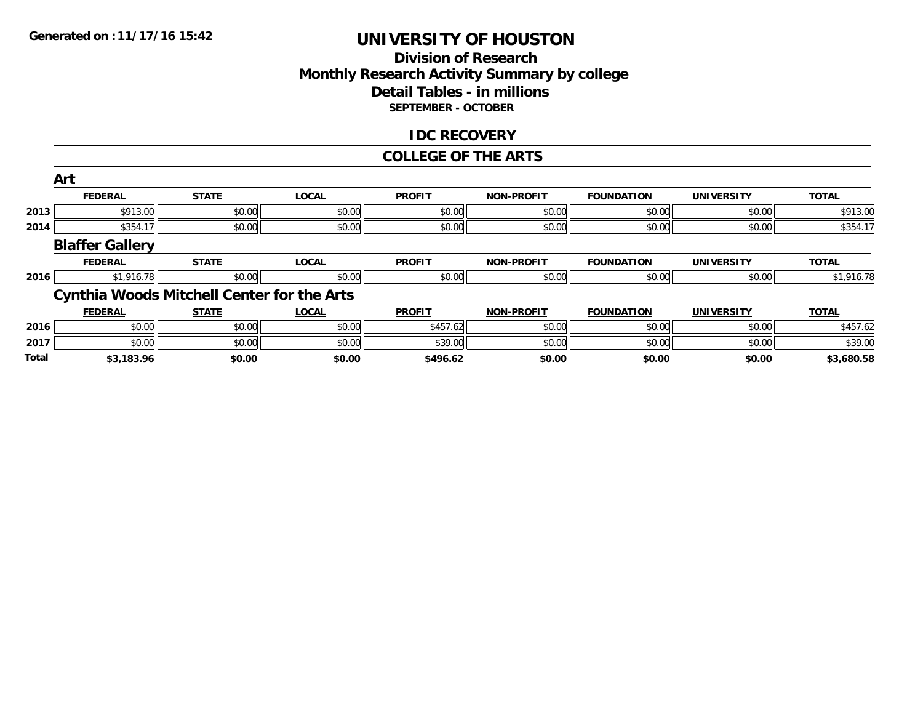### **Division of Research Monthly Research Activity Summary by college Detail Tables - in millions SEPTEMBER - OCTOBER**

#### **IDC RECOVERY**

#### **COLLEGE OF THE ARTS**

|       | Art                                               |              |              |               |                   |                   |                   |              |
|-------|---------------------------------------------------|--------------|--------------|---------------|-------------------|-------------------|-------------------|--------------|
|       | <b>FEDERAL</b>                                    | <b>STATE</b> | <b>LOCAL</b> | <b>PROFIT</b> | <b>NON-PROFIT</b> | <b>FOUNDATION</b> | <b>UNIVERSITY</b> | <b>TOTAL</b> |
| 2013  | \$913.00                                          | \$0.00       | \$0.00       | \$0.00        | \$0.00            | \$0.00            | \$0.00            | \$913.00     |
| 2014  | \$354.17                                          | \$0.00       | \$0.00       | \$0.00        | \$0.00            | \$0.00            | \$0.00            | \$354.17     |
|       | <b>Blaffer Gallery</b>                            |              |              |               |                   |                   |                   |              |
|       | <b>FEDERAL</b>                                    | <b>STATE</b> | <b>LOCAL</b> | <b>PROFIT</b> | <b>NON-PROFIT</b> | <b>FOUNDATION</b> | <b>UNIVERSITY</b> | <b>TOTAL</b> |
| 2016  | \$1,916.78                                        | \$0.00       | \$0.00       | \$0.00        | \$0.00            | \$0.00            | \$0.00            | \$1,916.78   |
|       | <b>Cynthia Woods Mitchell Center for the Arts</b> |              |              |               |                   |                   |                   |              |
|       | <b>FEDERAL</b>                                    | <b>STATE</b> | <b>LOCAL</b> | <b>PROFIT</b> | <b>NON-PROFIT</b> | <b>FOUNDATION</b> | <b>UNIVERSITY</b> | <b>TOTAL</b> |
| 2016  | \$0.00                                            | \$0.00       | \$0.00       | \$457.62      | \$0.00            | \$0.00            | \$0.00            | \$457.62     |
| 2017  | \$0.00                                            | \$0.00       | \$0.00       | \$39.00       | \$0.00            | \$0.00            | \$0.00            | \$39.00      |
| Total | \$3,183.96                                        | \$0.00       | \$0.00       | \$496.62      | \$0.00            | \$0.00            | \$0.00            | \$3,680.58   |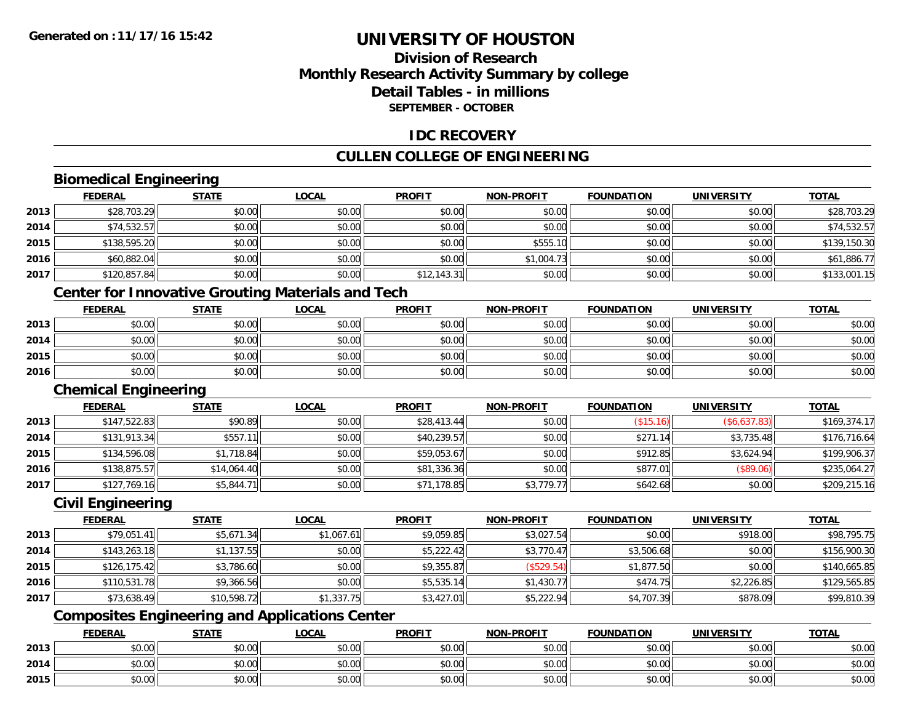## **Division of ResearchMonthly Research Activity Summary by college Detail Tables - in millionsSEPTEMBER - OCTOBER**

#### **IDC RECOVERY**

### **CULLEN COLLEGE OF ENGINEERING**

## **Biomedical Engineering**

|      | <b>FEDERAL</b> | <b>STATE</b> | <b>LOCAL</b> | <b>PROFIT</b> | <b>NON-PROFIT</b> | <b>FOUNDATION</b> | <b>UNIVERSITY</b> | <b>TOTAL</b> |
|------|----------------|--------------|--------------|---------------|-------------------|-------------------|-------------------|--------------|
| 2013 | \$28,703.29    | \$0.00       | \$0.00       | \$0.00        | \$0.00            | \$0.00            | \$0.00            | \$28,703.29  |
| 2014 | \$74,532.57    | \$0.00       | \$0.00       | \$0.00        | \$0.00            | \$0.00            | \$0.00            | \$74,532.57  |
| 2015 | \$138,595.20   | \$0.00       | \$0.00       | \$0.00        | \$555.10          | \$0.00            | \$0.00            | \$139,150.30 |
| 2016 | \$60,882.04    | \$0.00       | \$0.00       | \$0.00        | \$1,004.73        | \$0.00            | \$0.00            | \$61,886.77  |
| 2017 | \$120,857.84   | \$0.00       | \$0.00       | \$12,143.31   | \$0.00            | \$0.00            | \$0.00            | \$133,001.15 |

### **Center for Innovative Grouting Materials and Tech**

|      | <b>FEDERAL</b> | <b>STATE</b> | <u>LOCAL</u> | <b>PROFIT</b> | <b>NON-PROFIT</b> | <b>FOUNDATION</b> | <b>UNIVERSITY</b> | <b>TOTAL</b> |
|------|----------------|--------------|--------------|---------------|-------------------|-------------------|-------------------|--------------|
| 2013 | \$0.00         | \$0.00       | \$0.00       | \$0.00        | \$0.00            | \$0.00            | \$0.00            | \$0.00       |
| 2014 | \$0.00         | \$0.00       | \$0.00       | \$0.00        | \$0.00            | \$0.00            | \$0.00            | \$0.00       |
| 2015 | \$0.00         | \$0.00       | \$0.00       | \$0.00        | \$0.00            | \$0.00            | \$0.00            | \$0.00       |
| 2016 | \$0.00         | \$0.00       | \$0.00       | \$0.00        | \$0.00            | \$0.00            | \$0.00            | \$0.00       |

#### **Chemical Engineering**

|      | <b>FEDERAL</b> | <b>STATE</b> | <b>LOCAL</b> | <b>PROFIT</b> | <b>NON-PROFIT</b> | <b>FOUNDATION</b> | UNIVERSITY   | <b>TOTAL</b> |
|------|----------------|--------------|--------------|---------------|-------------------|-------------------|--------------|--------------|
| 2013 | \$147,522.83   | \$90.89      | \$0.00       | \$28,413.44   | \$0.00            | (\$15.16)         | (\$6,637.83) | \$169,374.17 |
| 2014 | \$131,913.34   | \$557.11     | \$0.00       | \$40,239.57   | \$0.00            | \$271.14          | \$3,735.48   | \$176,716.64 |
| 2015 | \$134,596.08   | \$1,718.84   | \$0.00       | \$59,053.67   | \$0.00            | \$912.85          | \$3.624.94   | \$199,906.37 |
| 2016 | \$138,875.57   | \$14,064.40  | \$0.00       | \$81,336.36   | \$0.00            | \$877.01          | (S89.06)     | \$235,064.27 |
| 2017 | \$127,769.16   | \$5,844.71   | \$0.00       | \$71,178.85   | \$3,779.77        | \$642.68          | \$0.00       | \$209,215.16 |

#### **Civil Engineering**

|      | <b>FEDERAL</b> | <b>STATE</b> | <b>LOCAL</b> | <b>PROFIT</b> | <b>NON-PROFIT</b> | <b>FOUNDATION</b> | <b>UNIVERSITY</b> | <b>TOTAL</b> |
|------|----------------|--------------|--------------|---------------|-------------------|-------------------|-------------------|--------------|
| 2013 | \$79,051.41    | \$5,671.34   | \$1,067.61   | \$9,059.85    | \$3,027.54        | \$0.00            | \$918.00          | \$98,795.75  |
| 2014 | \$143,263.18   | \$1,137.55   | \$0.00       | \$5,222.42    | \$3,770.47        | \$3,506.68        | \$0.00            | \$156,900.30 |
| 2015 | \$126,175.42   | \$3,786.60   | \$0.00       | \$9,355.87    | (\$529.54)        | \$1,877.50        | \$0.00            | \$140,665.85 |
| 2016 | \$110,531.78   | \$9,366.56   | \$0.00       | \$5,535.14    | \$1,430.77        | \$474.75          | \$2,226.85        | \$129,565.85 |
| 2017 | \$73,638.49    | \$10,598.72  | \$1,337.75   | \$3,427.01    | \$5,222.94        | \$4,707.39        | \$878.09          | \$99,810.39  |

## **Composites Engineering and Applications Center**

|      | <b>FEDERAL</b> | <b>STATE</b> | <b>_OCAL</b>  | <b>PROFIT</b> | <b>NON-PROFIT</b>                                  | <b>FOUNDATION</b> | <b>UNIVERSITY</b> | <b>TOTAL</b> |
|------|----------------|--------------|---------------|---------------|----------------------------------------------------|-------------------|-------------------|--------------|
| 2013 | 0000<br>vu.vu  | \$0.00       | 0000<br>JU.UU | \$0.00        | \$0.00                                             | \$0.00            | \$0.00            | \$0.00       |
| 2014 | PU.UU          | \$0.00       | 0000<br>DU.UG | \$0.00        | 40.00<br><b>DU.UU</b>                              | \$0.00            | \$0.00            | \$0.00       |
| 2015 | ልስ ለሰ<br>pu.uu | \$0.00       | 0000<br>ง∪.∪บ | \$0.00        | $\mathsf{A}\cap\mathsf{A}\cap\mathsf{A}$<br>\$0.00 | \$0.00            | \$0.00            | \$0.00       |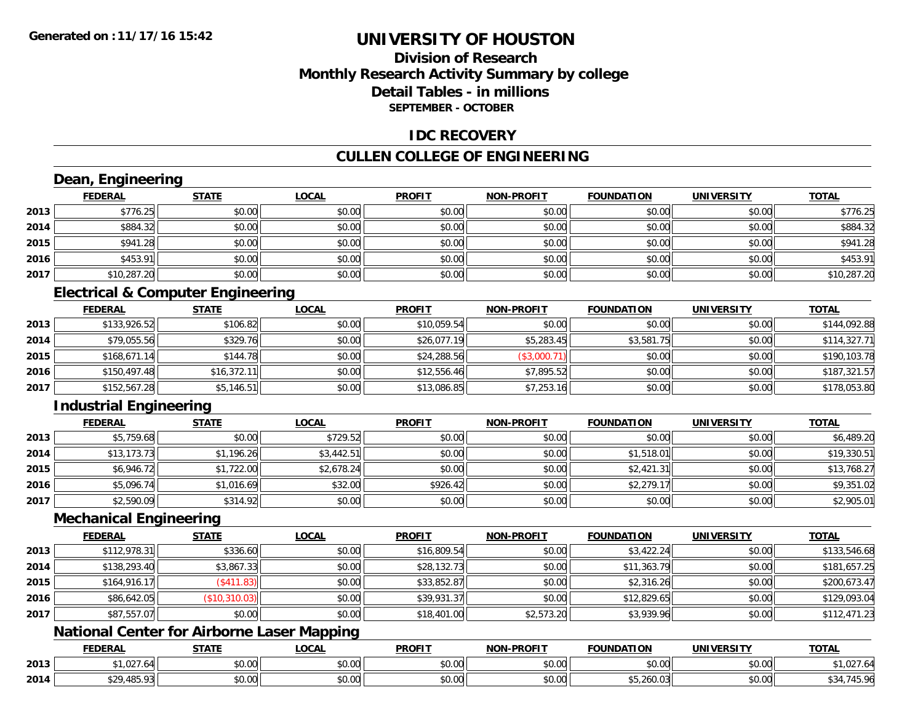## **Division of ResearchMonthly Research Activity Summary by college Detail Tables - in millionsSEPTEMBER - OCTOBER**

#### **IDC RECOVERY**

## **CULLEN COLLEGE OF ENGINEERING**

## **Dean, Engineering**

|      | <b>FEDERAL</b> | <b>STATE</b> | <b>LOCAL</b> | <b>PROFIT</b> | <b>NON-PROFIT</b> | <b>FOUNDATION</b> | <b>UNIVERSITY</b> | <b>TOTAL</b> |
|------|----------------|--------------|--------------|---------------|-------------------|-------------------|-------------------|--------------|
| 2013 | \$776.25       | \$0.00       | \$0.00       | \$0.00        | \$0.00            | \$0.00            | \$0.00            | \$776.25     |
| 2014 | \$884.32       | \$0.00       | \$0.00       | \$0.00        | \$0.00            | \$0.00            | \$0.00            | \$884.32     |
| 2015 | \$941.28       | \$0.00       | \$0.00       | \$0.00        | \$0.00            | \$0.00            | \$0.00            | \$941.28     |
| 2016 | \$453.91       | \$0.00       | \$0.00       | \$0.00        | \$0.00            | \$0.00            | \$0.00            | \$453.91     |
| 2017 | \$10,287.20    | \$0.00       | \$0.00       | \$0.00        | \$0.00            | \$0.00            | \$0.00            | \$10,287.20  |

## **Electrical & Computer Engineering**

|      | <b>FEDERAL</b> | <b>STATE</b> | <u>LOCAL</u> | <b>PROFIT</b> | <b>NON-PROFIT</b> | <b>FOUNDATION</b> | <b>UNIVERSITY</b> | <b>TOTAL</b> |
|------|----------------|--------------|--------------|---------------|-------------------|-------------------|-------------------|--------------|
| 2013 | \$133,926.52   | \$106.82     | \$0.00       | \$10,059.54   | \$0.00            | \$0.00            | \$0.00            | \$144,092.88 |
| 2014 | \$79,055.56    | \$329.76     | \$0.00       | \$26,077.19   | \$5,283.45        | \$3,581.75        | \$0.00            | \$114,327.71 |
| 2015 | \$168,671.14   | \$144.78     | \$0.00       | \$24,288.56   | (\$3,000.71)      | \$0.00            | \$0.00            | \$190,103.78 |
| 2016 | \$150,497.48   | \$16,372.11  | \$0.00       | \$12,556.46   | \$7,895.52        | \$0.00            | \$0.00            | \$187,321.57 |
| 2017 | \$152,567.28   | \$5,146.51   | \$0.00       | \$13,086.85   | \$7,253.16        | \$0.00            | \$0.00            | \$178,053.80 |

## **Industrial Engineering**

|      | <u>FEDERAL</u> | <b>STATE</b> | <u>LOCAL</u> | <b>PROFIT</b> | <b>NON-PROFIT</b> | <b>FOUNDATION</b> | <b>UNIVERSITY</b> | <b>TOTAL</b> |
|------|----------------|--------------|--------------|---------------|-------------------|-------------------|-------------------|--------------|
| 2013 | \$5,759.68     | \$0.00       | \$729.52     | \$0.00        | \$0.00            | \$0.00            | \$0.00            | \$6,489.20   |
| 2014 | \$13, 173.73   | \$1,196.26   | \$3,442.51   | \$0.00        | \$0.00            | \$1,518.01        | \$0.00            | \$19,330.51  |
| 2015 | \$6,946.72     | \$1,722.00   | \$2,678.24   | \$0.00        | \$0.00            | \$2,421.31        | \$0.00            | \$13,768.27  |
| 2016 | \$5,096.74     | \$1,016.69   | \$32.00      | \$926.42      | \$0.00            | \$2,279.1         | \$0.00            | \$9,351.02   |
| 2017 | \$2,590.09     | \$314.92     | \$0.00       | \$0.00        | \$0.00            | \$0.00            | \$0.00            | \$2,905.01   |

#### **Mechanical Engineering**

|      | <b>FEDERAL</b> | <b>STATE</b>  | <b>LOCAL</b> | <b>PROFIT</b> | <b>NON-PROFIT</b> | <b>FOUNDATION</b> | <b>UNIVERSITY</b> | <b>TOTAL</b> |
|------|----------------|---------------|--------------|---------------|-------------------|-------------------|-------------------|--------------|
| 2013 | \$112,978.31   | \$336.60      | \$0.00       | \$16,809.54   | \$0.00            | \$3,422.24        | \$0.00            | \$133,546.68 |
| 2014 | \$138,293.40   | \$3,867.33    | \$0.00       | \$28,132.73   | \$0.00            | \$11,363.79       | \$0.00            | \$181,657.25 |
| 2015 | \$164,916.17   | \$411.83      | \$0.00       | \$33,852.87   | \$0.00            | \$2,316.26        | \$0.00            | \$200,673.47 |
| 2016 | \$86,642.05    | (\$10,310.03) | \$0.00       | \$39,931.37   | \$0.00            | \$12,829.65       | \$0.00            | \$129,093.04 |
| 2017 | \$87,557.07    | \$0.00        | \$0.00       | \$18,401.00   | \$2,573.20        | \$3,939.96        | \$0.00            | \$112,471.23 |

## **National Center for Airborne Laser Mapping**

|      | <b>EENEDA</b><br>.DERA | <b>STATI</b>                                         | .OCAI                      | <b>PROFIT</b>           | <b>DDAEIT</b><br><b>NION</b> | <b>ATION</b><br>DА     | UNIVERSITY           | <b>TOTAL</b>                                             |
|------|------------------------|------------------------------------------------------|----------------------------|-------------------------|------------------------------|------------------------|----------------------|----------------------------------------------------------|
| 2013 | . -<br>$\sim$          | $\uparrow$ $\uparrow$ $\uparrow$ $\uparrow$<br>JU.UL | $\sim$ 00<br>DU.UU         | $\sim$ $\sim$<br>vv.vv. | $\sim$ $\sim$<br>vu.vu       | 0.001<br><b>JU.UU.</b> | 0.00<br>JU.UU        | $\cap$ <sup>-</sup><br>- • • • • •<br>7 <i>L</i> J J J J |
| 2014 | <b>AOE</b><br>ー・・・・・・  | <b>↑∩</b><br>JU.UU                                   | $*$ $\cap$ $\cap$<br>PU.UU | 0.00<br>JU.UU           | 0.00<br><b>JU.UU</b>         | ಾ⊃.∠OU.∪ت              | 0000<br><b>JU.UU</b> |                                                          |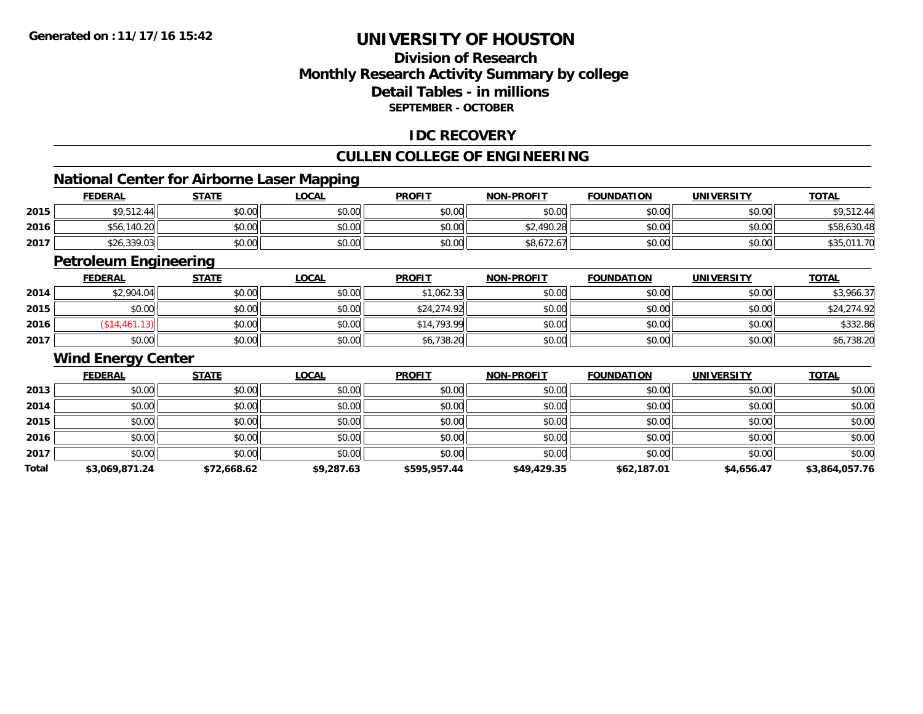## **Division of ResearchMonthly Research Activity Summary by college Detail Tables - in millionsSEPTEMBER - OCTOBER**

### **IDC RECOVERY**

## **CULLEN COLLEGE OF ENGINEERING**

## **National Center for Airborne Laser Mapping**

|      |                |              | National Center for Airborne Laser Mapping |               |                   |                   |            |              |
|------|----------------|--------------|--------------------------------------------|---------------|-------------------|-------------------|------------|--------------|
|      | <b>FEDERAL</b> | <u>STATE</u> | <u>_OCAL</u>                               | <b>PROFIT</b> | <b>NON-PROFIT</b> | <b>FOUNDATION</b> | UNIVERSITY | <b>TOTAL</b> |
| 2015 | \$9,512.44     | \$0.00       | \$0.00                                     | \$0.00        | \$0.00            | \$0.00            | \$0.00     | \$9,512.44   |
| 2016 | \$56,140.20    | \$0.00       | \$0.00                                     | \$0.00        | \$2,490.28        | \$0.00            | \$0.00     | \$58,630.48  |
| 2017 | \$26,339.03    | \$0.00       | \$0.00                                     | \$0.00        | \$8,672.67        | \$0.00            | \$0.00     | \$35,011.70  |

<u> 1989 - Johann Stoff, amerikansk politiker (d. 1989)</u>

## **Petroleum Engineering**

|      | <b>FEDERAL</b> | <b>STATE</b> | <u>LOCAL</u> | <b>PROFIT</b> | <b>NON-PROFIT</b> | <b>FOUNDATION</b> | <b>UNIVERSITY</b> | <b>TOTAL</b> |
|------|----------------|--------------|--------------|---------------|-------------------|-------------------|-------------------|--------------|
| 2014 | \$2,904.04     | \$0.00       | \$0.00       | \$1,062.33    | \$0.00            | \$0.00            | \$0.00            | \$3,966.37   |
| 2015 | \$0.00         | \$0.00       | \$0.00       | \$24,274.92   | \$0.00            | \$0.00            | \$0.00            | \$24,274.92  |
| 2016 | \$14,461.13    | \$0.00       | \$0.00       | \$14,793.99   | \$0.00            | \$0.00            | \$0.00            | \$332.86     |
| 2017 | \$0.00         | \$0.00       | \$0.00       | \$6,738.20    | \$0.00            | \$0.00            | \$0.00            | \$6,738.20   |

#### **Wind Energy Center**

|       | <b>FEDERAL</b> | <b>STATE</b> | <b>LOCAL</b> | <b>PROFIT</b> | <b>NON-PROFIT</b> | <b>FOUNDATION</b> | <b>UNIVERSITY</b> | <b>TOTAL</b>   |
|-------|----------------|--------------|--------------|---------------|-------------------|-------------------|-------------------|----------------|
| 2013  | \$0.00         | \$0.00       | \$0.00       | \$0.00        | \$0.00            | \$0.00            | \$0.00            | \$0.00         |
| 2014  | \$0.00         | \$0.00       | \$0.00       | \$0.00        | \$0.00            | \$0.00            | \$0.00            | \$0.00         |
| 2015  | \$0.00         | \$0.00       | \$0.00       | \$0.00        | \$0.00            | \$0.00            | \$0.00            | \$0.00         |
| 2016  | \$0.00         | \$0.00       | \$0.00       | \$0.00        | \$0.00            | \$0.00            | \$0.00            | \$0.00         |
| 2017  | \$0.00         | \$0.00       | \$0.00       | \$0.00        | \$0.00            | \$0.00            | \$0.00            | \$0.00         |
| Total | \$3,069,871.24 | \$72,668.62  | \$9,287.63   | \$595,957.44  | \$49,429.35       | \$62,187.01       | \$4,656.47        | \$3,864,057.76 |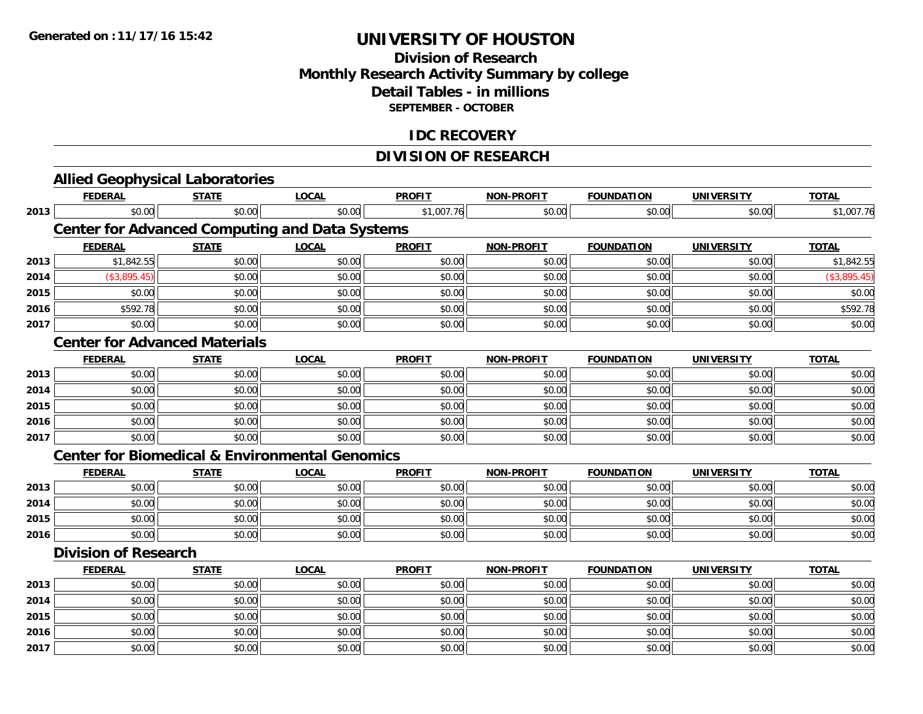## **Division of Research Monthly Research Activity Summary by college Detail Tables - in millions SEPTEMBER - OCTOBER**

#### **IDC RECOVERY**

## **DIVISION OF RESEARCH**

|      | <b>Allied Geophysical Laboratories</b>                    |              |              |               |                   |                   |                   |              |
|------|-----------------------------------------------------------|--------------|--------------|---------------|-------------------|-------------------|-------------------|--------------|
|      | <b>FEDERAL</b>                                            | <b>STATE</b> | <b>LOCAL</b> | <b>PROFIT</b> | <b>NON-PROFIT</b> | <b>FOUNDATION</b> | <b>UNIVERSITY</b> | <b>TOTAL</b> |
| 2013 | \$0.00                                                    | \$0.00       | \$0.00       | \$1,007.76    | \$0.00            | \$0.00            | \$0.00            | \$1,007.76   |
|      | <b>Center for Advanced Computing and Data Systems</b>     |              |              |               |                   |                   |                   |              |
|      | <b>FEDERAL</b>                                            | <b>STATE</b> | <b>LOCAL</b> | <b>PROFIT</b> | <b>NON-PROFIT</b> | <b>FOUNDATION</b> | <b>UNIVERSITY</b> | <b>TOTAL</b> |
| 2013 | \$1,842.55                                                | \$0.00       | \$0.00       | \$0.00        | \$0.00            | \$0.00            | \$0.00            | \$1,842.55   |
| 2014 | (\$3,895.45)                                              | \$0.00       | \$0.00       | \$0.00        | \$0.00            | \$0.00            | \$0.00            | (\$3,895.45) |
| 2015 | \$0.00                                                    | \$0.00       | \$0.00       | \$0.00        | \$0.00            | \$0.00            | \$0.00            | \$0.00       |
| 2016 | \$592.78                                                  | \$0.00       | \$0.00       | \$0.00        | \$0.00            | \$0.00            | \$0.00            | \$592.78     |
| 2017 | \$0.00                                                    | \$0.00       | \$0.00       | \$0.00        | \$0.00            | \$0.00            | \$0.00            | \$0.00       |
|      | <b>Center for Advanced Materials</b>                      |              |              |               |                   |                   |                   |              |
|      | <b>FEDERAL</b>                                            | <b>STATE</b> | <b>LOCAL</b> | <b>PROFIT</b> | <b>NON-PROFIT</b> | <b>FOUNDATION</b> | <b>UNIVERSITY</b> | <b>TOTAL</b> |
| 2013 | \$0.00                                                    | \$0.00       | \$0.00       | \$0.00        | \$0.00            | \$0.00            | \$0.00            | \$0.00       |
| 2014 | \$0.00                                                    | \$0.00       | \$0.00       | \$0.00        | \$0.00            | \$0.00            | \$0.00            | \$0.00       |
| 2015 | \$0.00                                                    | \$0.00       | \$0.00       | \$0.00        | \$0.00            | \$0.00            | \$0.00            | \$0.00       |
| 2016 | \$0.00                                                    | \$0.00       | \$0.00       | \$0.00        | \$0.00            | \$0.00            | \$0.00            | \$0.00       |
| 2017 | \$0.00                                                    | \$0.00       | \$0.00       | \$0.00        | \$0.00            | \$0.00            | \$0.00            | \$0.00       |
|      | <b>Center for Biomedical &amp; Environmental Genomics</b> |              |              |               |                   |                   |                   |              |
|      | <b>FEDERAL</b>                                            | <b>STATE</b> | <b>LOCAL</b> | <b>PROFIT</b> | <b>NON-PROFIT</b> | <b>FOUNDATION</b> | <b>UNIVERSITY</b> | <b>TOTAL</b> |
| 2013 | \$0.00                                                    | \$0.00       | \$0.00       | \$0.00        | \$0.00            | \$0.00            | \$0.00            | \$0.00       |
| 2014 | \$0.00                                                    | \$0.00       | \$0.00       | \$0.00        | \$0.00            | \$0.00            | \$0.00            | \$0.00       |
| 2015 | \$0.00                                                    | \$0.00       | \$0.00       | \$0.00        | \$0.00            | \$0.00            | \$0.00            | \$0.00       |
| 2016 | \$0.00                                                    | \$0.00       | \$0.00       | \$0.00        | \$0.00            | \$0.00            | \$0.00            | \$0.00       |
|      | <b>Division of Research</b>                               |              |              |               |                   |                   |                   |              |
|      | <b>FEDERAL</b>                                            | <b>STATE</b> | <b>LOCAL</b> | <b>PROFIT</b> | <b>NON-PROFIT</b> | <b>FOUNDATION</b> | <b>UNIVERSITY</b> | <b>TOTAL</b> |
| 2013 | \$0.00                                                    | \$0.00       | \$0.00       | \$0.00        | \$0.00            | \$0.00            | \$0.00            | \$0.00       |
| 2014 | \$0.00                                                    | \$0.00       | \$0.00       | \$0.00        | \$0.00            | \$0.00            | \$0.00            | \$0.00       |
| 2015 | \$0.00                                                    | \$0.00       | \$0.00       | \$0.00        | \$0.00            | \$0.00            | \$0.00            | \$0.00       |
| 2016 | \$0.00                                                    | \$0.00       | \$0.00       | \$0.00        | \$0.00            | \$0.00            | \$0.00            | \$0.00       |
| 2017 | \$0.00                                                    | \$0.00       | \$0.00       | \$0.00        | \$0.00            | \$0.00            | \$0.00            | \$0.00       |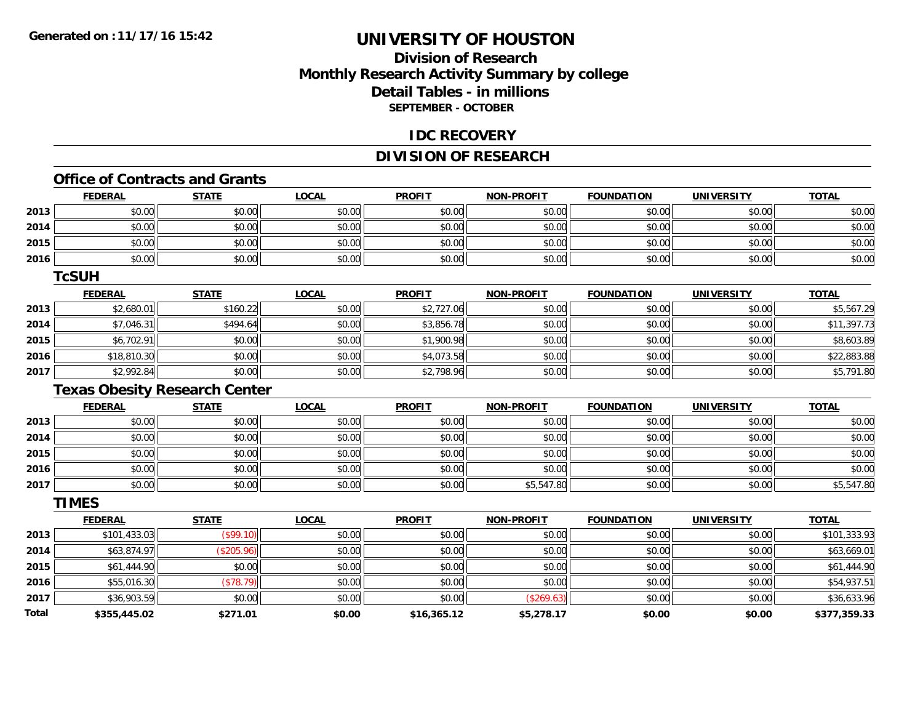## **Division of ResearchMonthly Research Activity Summary by college Detail Tables - in millions SEPTEMBER - OCTOBER**

#### **IDC RECOVERY**

### **DIVISION OF RESEARCH**

#### **Office of Contracts and Grants**

|              | <u>FEDERAL</u>                       | <b>STATE</b> | <u>LOCAL</u> | <b>PROFIT</b> | <u>NON-PROFIT</u> | <u>FOUNDATION</u> | <u>UNIVERSITY</u> | <u>TOTAL</u> |
|--------------|--------------------------------------|--------------|--------------|---------------|-------------------|-------------------|-------------------|--------------|
| 2013         | \$0.00                               | \$0.00       | \$0.00       | \$0.00        | \$0.00            | \$0.00            | \$0.00            | \$0.00       |
| 2014         | \$0.00                               | \$0.00       | \$0.00       | \$0.00        | \$0.00            | \$0.00            | \$0.00            | \$0.00       |
| 2015         | \$0.00                               | \$0.00       | \$0.00       | \$0.00        | \$0.00            | \$0.00            | \$0.00            | \$0.00       |
| 2016         | \$0.00                               | \$0.00       | \$0.00       | \$0.00        | \$0.00            | \$0.00            | \$0.00            | \$0.00       |
|              | <b>TcSUH</b>                         |              |              |               |                   |                   |                   |              |
|              | <b>FEDERAL</b>                       | <b>STATE</b> | <b>LOCAL</b> | <b>PROFIT</b> | <b>NON-PROFIT</b> | <b>FOUNDATION</b> | <b>UNIVERSITY</b> | <b>TOTAL</b> |
| 2013         | \$2,680.01                           | \$160.22     | \$0.00       | \$2,727.06    | \$0.00            | \$0.00            | \$0.00            | \$5,567.29   |
| 2014         | \$7,046.31                           | \$494.64     | \$0.00       | \$3,856.78    | \$0.00            | \$0.00            | \$0.00            | \$11,397.73  |
| 2015         | \$6,702.91                           | \$0.00       | \$0.00       | \$1,900.98    | \$0.00            | \$0.00            | \$0.00            | \$8,603.89   |
| 2016         | \$18,810.30                          | \$0.00       | \$0.00       | \$4,073.58    | \$0.00            | \$0.00            | \$0.00            | \$22,883.88  |
| 2017         | \$2,992.84                           | \$0.00       | \$0.00       | \$2,798.96    | \$0.00            | \$0.00            | \$0.00            | \$5,791.80   |
|              | <b>Texas Obesity Research Center</b> |              |              |               |                   |                   |                   |              |
|              | <b>FEDERAL</b>                       | <b>STATE</b> | <b>LOCAL</b> | <b>PROFIT</b> | <b>NON-PROFIT</b> | <b>FOUNDATION</b> | <b>UNIVERSITY</b> | <b>TOTAL</b> |
| 2013         | \$0.00                               | \$0.00       | \$0.00       | \$0.00        | \$0.00            | \$0.00            | \$0.00            | \$0.00       |
| 2014         | \$0.00                               | \$0.00       | \$0.00       | \$0.00        | \$0.00            | \$0.00            | \$0.00            | \$0.00       |
| 2015         | \$0.00                               | \$0.00       | \$0.00       | \$0.00        | \$0.00            | \$0.00            | \$0.00            | \$0.00       |
| 2016         | \$0.00                               | \$0.00       | \$0.00       | \$0.00        | \$0.00            | \$0.00            | \$0.00            | \$0.00       |
| 2017         | \$0.00                               | \$0.00       | \$0.00       | \$0.00        | \$5,547.80        | \$0.00            | \$0.00            | \$5,547.80   |
|              | <b>TIMES</b>                         |              |              |               |                   |                   |                   |              |
|              | <b>FEDERAL</b>                       | <b>STATE</b> | <b>LOCAL</b> | <b>PROFIT</b> | <b>NON-PROFIT</b> | <b>FOUNDATION</b> | <b>UNIVERSITY</b> | <b>TOTAL</b> |
| 2013         | \$101,433.03                         | (\$99.10)    | \$0.00       | \$0.00        | \$0.00            | \$0.00            | \$0.00            | \$101,333.93 |
| 2014         | \$63,874.97                          | (\$205.96)   | \$0.00       | \$0.00        | \$0.00            | \$0.00            | \$0.00            | \$63,669.01  |
| 2015         | \$61,444.90                          | \$0.00       | \$0.00       | \$0.00        | \$0.00            | \$0.00            | \$0.00            | \$61,444.90  |
| 2016         | \$55,016.30                          | (\$78.79)    | \$0.00       | \$0.00        | \$0.00            | \$0.00            | \$0.00            | \$54,937.51  |
| 2017         | \$36,903.59                          | \$0.00       | \$0.00       | \$0.00        | (\$269.63)        | \$0.00            | \$0.00            | \$36,633.96  |
| <b>Total</b> | \$355,445.02                         | \$271.01     | \$0.00       | \$16,365.12   | \$5,278.17        | \$0.00            | \$0.00            | \$377,359.33 |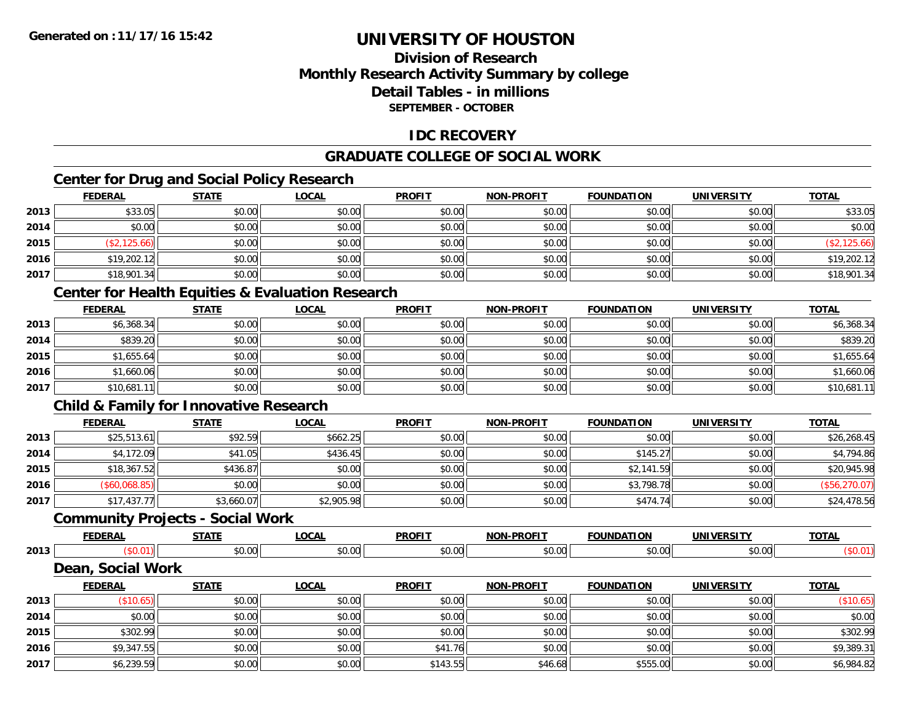# **Division of ResearchMonthly Research Activity Summary by college Detail Tables - in millionsSEPTEMBER - OCTOBER**

## **IDC RECOVERY**

# **GRADUATE COLLEGE OF SOCIAL WORK**

# **Center for Drug and Social Policy Research**

|      | <b>FEDERAL</b> | <b>STATE</b> | <b>LOCAL</b> | <b>PROFIT</b> | <b>NON-PROFIT</b> | <b>FOUNDATION</b> | <b>UNIVERSITY</b> | <b>TOTAL</b> |
|------|----------------|--------------|--------------|---------------|-------------------|-------------------|-------------------|--------------|
| 2013 | \$33.05        | \$0.00       | \$0.00       | \$0.00        | \$0.00            | \$0.00            | \$0.00            | \$33.05      |
| 2014 | \$0.00         | \$0.00       | \$0.00       | \$0.00        | \$0.00            | \$0.00            | \$0.00            | \$0.00       |
| 2015 | \$2,125.66     | \$0.00       | \$0.00       | \$0.00        | \$0.00            | \$0.00            | \$0.00            | (\$2,125.66) |
| 2016 | \$19,202.12    | \$0.00       | \$0.00       | \$0.00        | \$0.00            | \$0.00            | \$0.00            | \$19,202.12  |
| 2017 | \$18,901.34    | \$0.00       | \$0.00       | \$0.00        | \$0.00            | \$0.00            | \$0.00            | \$18,901.34  |

# **Center for Health Equities & Evaluation Research**

|      | <u>FEDERAL</u> | <b>STATE</b> | <u>LOCAL</u> | <b>PROFIT</b> | <b>NON-PROFIT</b> | <b>FOUNDATION</b> | <b>UNIVERSITY</b> | <b>TOTAL</b> |
|------|----------------|--------------|--------------|---------------|-------------------|-------------------|-------------------|--------------|
| 2013 | \$6,368.34     | \$0.00       | \$0.00       | \$0.00        | \$0.00            | \$0.00            | \$0.00            | \$6,368.34   |
| 2014 | \$839.20       | \$0.00       | \$0.00       | \$0.00        | \$0.00            | \$0.00            | \$0.00            | \$839.20     |
| 2015 | \$1,655.64     | \$0.00       | \$0.00       | \$0.00        | \$0.00            | \$0.00            | \$0.00            | \$1,655.64   |
| 2016 | \$1,660.06     | \$0.00       | \$0.00       | \$0.00        | \$0.00            | \$0.00            | \$0.00            | \$1,660.06   |
| 2017 | \$10,681.11    | \$0.00       | \$0.00       | \$0.00        | \$0.00            | \$0.00            | \$0.00            | \$10,681.11  |

# **Child & Family for Innovative Research**

|      | <b>FEDERAL</b> | <u>STATE</u> | <u>LOCAL</u> | <b>PROFIT</b> | <b>NON-PROFIT</b> | <b>FOUNDATION</b> | <b>UNIVERSITY</b> | <b>TOTAL</b>  |
|------|----------------|--------------|--------------|---------------|-------------------|-------------------|-------------------|---------------|
| 2013 | \$25,513.61    | \$92.59      | \$662.25     | \$0.00        | \$0.00            | \$0.00            | \$0.00            | \$26,268.45   |
| 2014 | \$4,172.09     | \$41.05      | \$436.45     | \$0.00        | \$0.00            | \$145.27          | \$0.00            | \$4,794.86    |
| 2015 | \$18,367.52    | \$436.87     | \$0.00       | \$0.00        | \$0.00            | \$2,141.59        | \$0.00            | \$20,945.98   |
| 2016 | (\$60,068.85)  | \$0.00       | \$0.00       | \$0.00        | \$0.00            | \$3,798.78        | \$0.00            | (\$56,270.07) |
| 2017 | \$17,437.77    | \$3,660.07   | \$2,905.98   | \$0.00        | \$0.00            | \$474.74          | \$0.00            | \$24,478.56   |

### **Community Projects - Social Work**

|      | EEDEDAI<br>ERM             | <b>CTATE</b>   | 0 <sup>n</sup><br>vuri | <b>PROFIT</b> | <b>DDAEIT</b><br><b>AIOR</b> | ---<br><b>EOLINDAT</b> | <b>IINIVEDSITV</b>            | <b>TOTAL</b> |
|------|----------------------------|----------------|------------------------|---------------|------------------------------|------------------------|-------------------------------|--------------|
| 2013 |                            | ልስ ስስ<br>JU.UU | $\sim$ 00<br>pu.uu     | 0.00<br>JU.UU | 0.00<br>JU.UU                | ტი იი<br>JU.UU         | $\sim$ $\sim$<br><b>PU.UU</b> |              |
|      | Casial Mark<br><b>Doop</b> |                |                        |               |                              |                        |                               |              |

#### **Dean, Social Work**

|      | <b>FEDERAL</b> | <b>STATE</b> | <u>LOCAL</u> | <b>PROFIT</b> | <b>NON-PROFIT</b> | <b>FOUNDATION</b> | <b>UNIVERSITY</b> | <b>TOTAL</b> |
|------|----------------|--------------|--------------|---------------|-------------------|-------------------|-------------------|--------------|
| 2013 | (\$10.65)      | \$0.00       | \$0.00       | \$0.00        | \$0.00            | \$0.00            | \$0.00            | (\$10.65)    |
| 2014 | \$0.00         | \$0.00       | \$0.00       | \$0.00        | \$0.00            | \$0.00            | \$0.00            | \$0.00       |
| 2015 | \$302.99       | \$0.00       | \$0.00       | \$0.00        | \$0.00            | \$0.00            | \$0.00            | \$302.99     |
| 2016 | \$9,347.55     | \$0.00       | \$0.00       | \$41.76       | \$0.00            | \$0.00            | \$0.00            | \$9,389.31   |
| 2017 | \$6,239.59     | \$0.00       | \$0.00       | \$143.55      | \$46.68           | \$555.00          | \$0.00            | \$6,984.82   |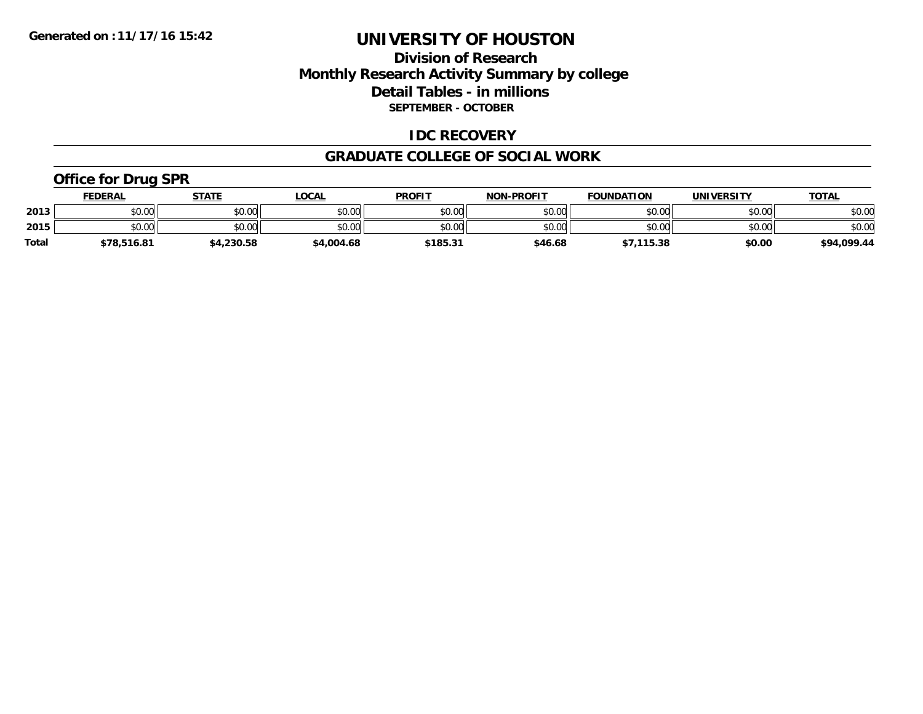## **Division of Research Monthly Research Activity Summary by college Detail Tables - in millions SEPTEMBER - OCTOBER**

### **IDC RECOVERY**

#### **GRADUATE COLLEGE OF SOCIAL WORK**

## **Office for Drug SPR**

|              | <b>FEDERAL</b> | <b>STATE</b> | _OCAL      | <b>PROFIT</b>    | <b>NON-PROFIT</b> | <b>FOUNDATION</b> | UNIVERSITY | <b>TOTAL</b> |
|--------------|----------------|--------------|------------|------------------|-------------------|-------------------|------------|--------------|
| 2013         | \$0.00         | \$0.00       | \$0.00     | \$0.00           | \$0.00            | \$0.00            | \$0.00     | \$0.00       |
| 2015         | \$0.00         | \$0.00       | \$0.00     | \$0.00           | \$0.00            | \$0.00            | \$0.00     | \$0.00       |
| <b>Total</b> | \$78,516.81    | ,230.58      | \$4,004.68 | $$185.3^{\circ}$ | \$46.68           | \$7,115.38        | \$0.00     | \$94,099.44  |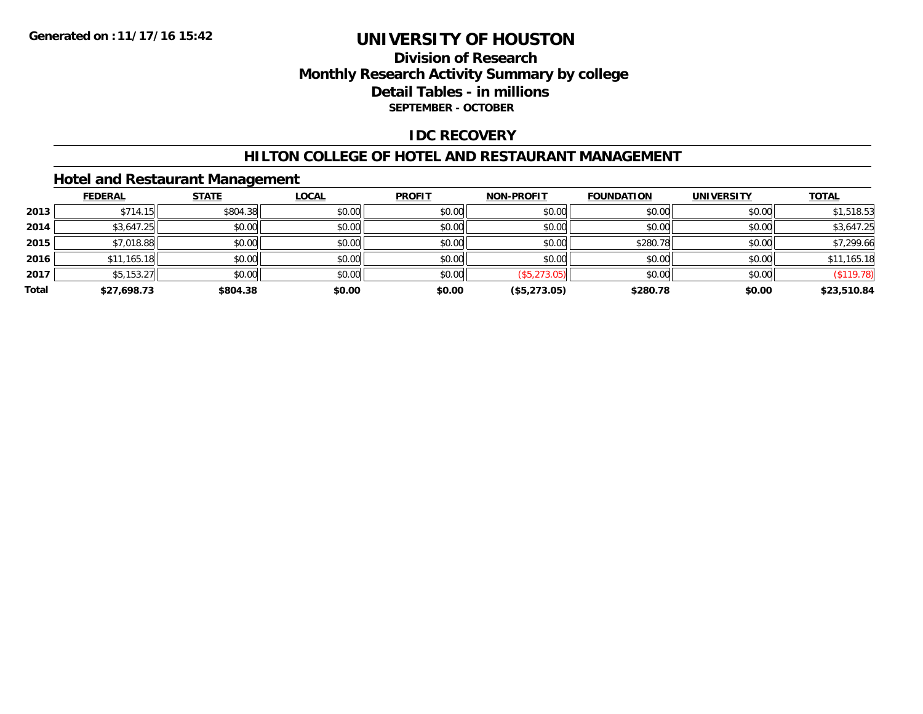## **Division of Research Monthly Research Activity Summary by college Detail Tables - in millions SEPTEMBER - OCTOBER**

### **IDC RECOVERY**

#### **HILTON COLLEGE OF HOTEL AND RESTAURANT MANAGEMENT**

### **Hotel and Restaurant Management**

|       | <b>FEDERAL</b> | <b>STATE</b> | <b>LOCAL</b> | <b>PROFIT</b> | NON-PROFIT   | <b>FOUNDATION</b> | <b>UNIVERSITY</b> | <b>TOTAL</b> |
|-------|----------------|--------------|--------------|---------------|--------------|-------------------|-------------------|--------------|
| 2013  | \$714.15       | \$804.38     | \$0.00       | \$0.00        | \$0.00       | \$0.00            | \$0.00            | \$1,518.53   |
| 2014  | \$3,647.25     | \$0.00       | \$0.00       | \$0.00        | \$0.00       | \$0.00            | \$0.00            | \$3,647.25   |
| 2015  | \$7,018.88     | \$0.00       | \$0.00       | \$0.00        | \$0.00       | \$280.78          | \$0.00            | \$7,299.66   |
| 2016  | \$11,165.18    | \$0.00       | \$0.00       | \$0.00        | \$0.00       | \$0.00            | \$0.00            | \$11,165.18  |
| 2017  | \$5,153.27     | \$0.00       | \$0.00       | \$0.00        | (\$5,273.05) | \$0.00            | \$0.00            | (\$119.78)   |
| Total | \$27,698.73    | \$804.38     | \$0.00       | \$0.00        | (\$5,273.05) | \$280.78          | \$0.00            | \$23,510.84  |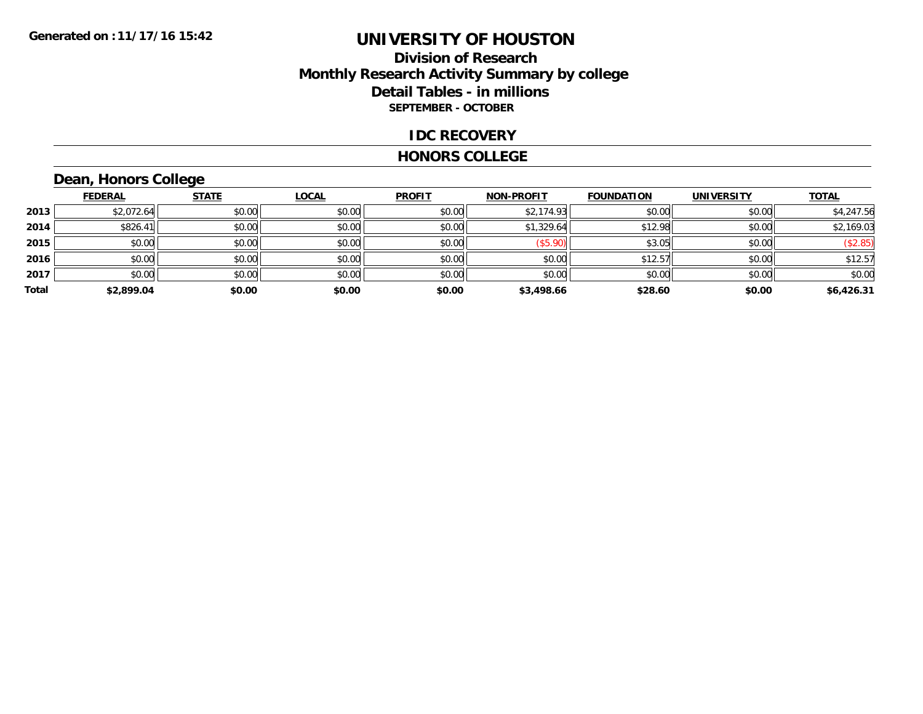## **Division of Research Monthly Research Activity Summary by college Detail Tables - in millions SEPTEMBER - OCTOBER**

### **IDC RECOVERY**

#### **HONORS COLLEGE**

# **Dean, Honors College**

|       | <b>FEDERAL</b> | <b>STATE</b> | <b>LOCAL</b> | <b>PROFIT</b> | <b>NON-PROFIT</b> | <b>FOUNDATION</b> | <b>UNIVERSITY</b> | <b>TOTAL</b> |
|-------|----------------|--------------|--------------|---------------|-------------------|-------------------|-------------------|--------------|
| 2013  | \$2,072.64     | \$0.00       | \$0.00       | \$0.00        | \$2,174.93        | \$0.00            | \$0.00            | \$4,247.56   |
| 2014  | \$826.41       | \$0.00       | \$0.00       | \$0.00        | \$1,329.64        | \$12.98           | \$0.00            | \$2,169.03   |
| 2015  | \$0.00         | \$0.00       | \$0.00       | \$0.00        | (\$5.90)          | \$3.05            | \$0.00            | (\$2.85)     |
| 2016  | \$0.00         | \$0.00       | \$0.00       | \$0.00        | \$0.00            | \$12.57           | \$0.00            | \$12.57      |
| 2017  | \$0.00         | \$0.00       | \$0.00       | \$0.00        | \$0.00            | \$0.00            | \$0.00            | \$0.00       |
| Total | \$2,899.04     | \$0.00       | \$0.00       | \$0.00        | \$3,498.66        | \$28.60           | \$0.00            | \$6,426.31   |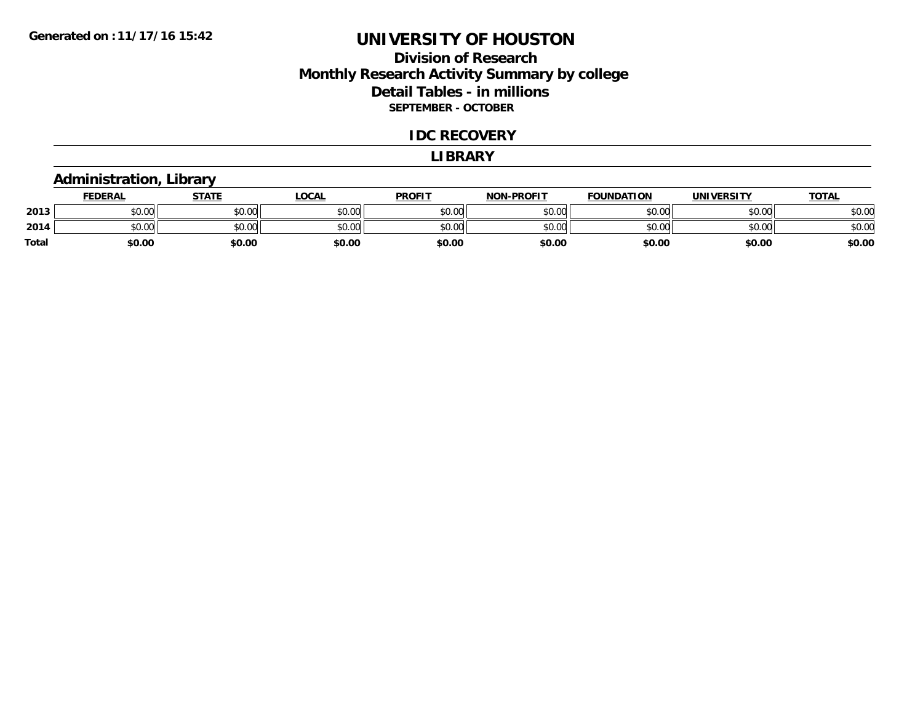## **Division of Research Monthly Research Activity Summary by college Detail Tables - in millions SEPTEMBER - OCTOBER**

#### **IDC RECOVERY**

#### **LIBRARY**

### **Administration, Library**

|       | <b>FEDERAL</b>             | <u>STATE</u> | LOCAL  | <b>PROFIT</b> | <b>NON-PROFIT</b> | <b>FOUNDATION</b> | <b>UNIVERSITY</b> | <u>TOTAL</u> |
|-------|----------------------------|--------------|--------|---------------|-------------------|-------------------|-------------------|--------------|
| 2013  | ሐሴ ሰሰ<br>JU.UU             | \$0.00       | \$0.00 | \$0.00        | \$0.00            | \$0.00            | \$0.00            | \$0.00       |
| 2014  | $*$ $\cap$ $\cap$<br>JU.UU | \$0.00       | \$0.00 | \$0.00        | \$0.00            | \$0.00            | \$0.00            | \$0.00       |
| Total | \$0.00                     | \$0.00       | \$0.00 | \$0.00        | \$0.00            | \$0.00            | \$0.00            | \$0.00       |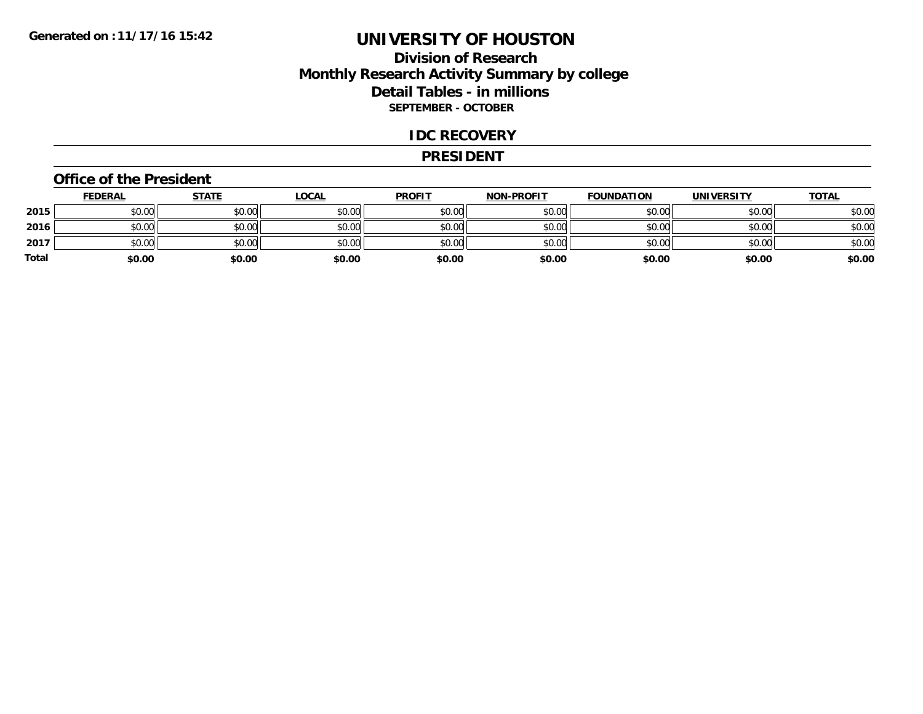## **Division of Research Monthly Research Activity Summary by college Detail Tables - in millions SEPTEMBER - OCTOBER**

#### **IDC RECOVERY**

#### **PRESIDENT**

#### **Office of the President**

|       | <b>FEDERAL</b> | <u>STATE</u> | <b>LOCAL</b> | <b>PROFIT</b> | <b>NON-PROFIT</b> | <b>FOUNDATION</b> | <b>UNIVERSITY</b> | <b>TOTAL</b> |
|-------|----------------|--------------|--------------|---------------|-------------------|-------------------|-------------------|--------------|
| 2015  | \$0.00         | \$0.00       | \$0.00       | \$0.00        | \$0.00            | \$0.00            | \$0.00            | \$0.00       |
| 2016  | \$0.00         | \$0.00       | \$0.00       | \$0.00        | \$0.00            | \$0.00            | \$0.00            | \$0.00       |
| 2017  | \$0.00         | \$0.00       | \$0.00       | \$0.00        | \$0.00            | \$0.00            | \$0.00            | \$0.00       |
| Total | \$0.00         | \$0.00       | \$0.00       | \$0.00        | \$0.00            | \$0.00            | \$0.00            | \$0.00       |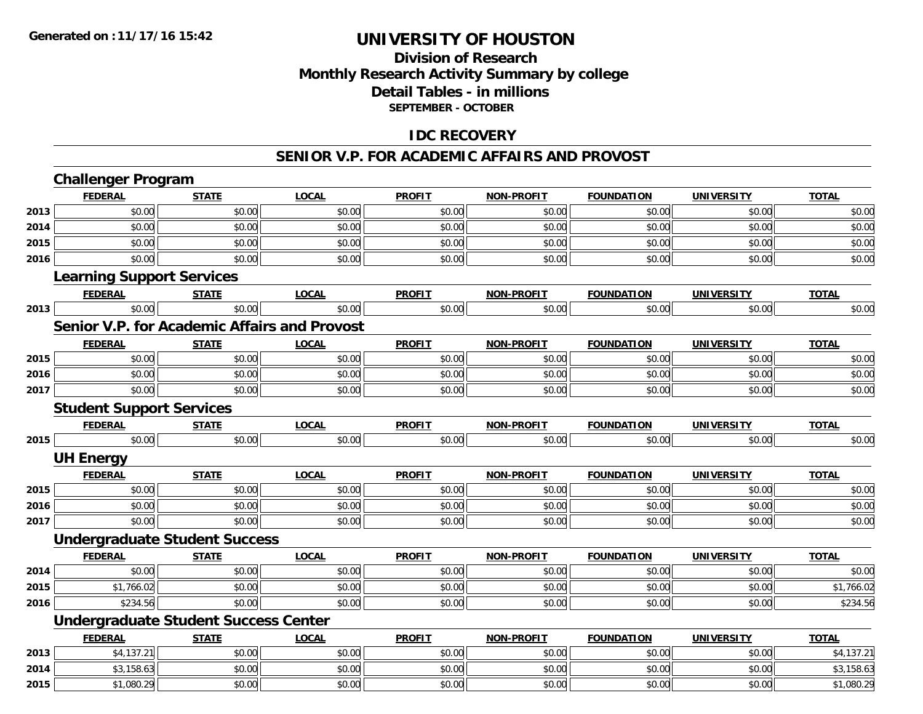## **Division of Research Monthly Research Activity Summary by college Detail Tables - in millions SEPTEMBER - OCTOBER**

## **IDC RECOVERY**

#### **SENIOR V.P. FOR ACADEMIC AFFAIRS AND PROVOST**

|      | <b>Challenger Program</b>                           |              |              |               |                   |                   |                   |              |
|------|-----------------------------------------------------|--------------|--------------|---------------|-------------------|-------------------|-------------------|--------------|
|      | <b>FEDERAL</b>                                      | <b>STATE</b> | <b>LOCAL</b> | <b>PROFIT</b> | <b>NON-PROFIT</b> | <b>FOUNDATION</b> | <b>UNIVERSITY</b> | <b>TOTAL</b> |
| 2013 | \$0.00                                              | \$0.00       | \$0.00       | \$0.00        | \$0.00            | \$0.00            | \$0.00            | \$0.00       |
| 2014 | \$0.00                                              | \$0.00       | \$0.00       | \$0.00        | \$0.00            | \$0.00            | \$0.00            | \$0.00       |
| 2015 | \$0.00                                              | \$0.00       | \$0.00       | \$0.00        | \$0.00            | \$0.00            | \$0.00            | \$0.00       |
| 2016 | \$0.00                                              | \$0.00       | \$0.00       | \$0.00        | \$0.00            | \$0.00            | \$0.00            | \$0.00       |
|      | <b>Learning Support Services</b>                    |              |              |               |                   |                   |                   |              |
|      | <b>FEDERAL</b>                                      | <b>STATE</b> | <b>LOCAL</b> | <b>PROFIT</b> | <b>NON-PROFIT</b> | <b>FOUNDATION</b> | <b>UNIVERSITY</b> | <b>TOTAL</b> |
| 2013 | \$0.00                                              | \$0.00       | \$0.00       | \$0.00        | \$0.00            | \$0.00            | \$0.00            | \$0.00       |
|      | <b>Senior V.P. for Academic Affairs and Provost</b> |              |              |               |                   |                   |                   |              |
|      | <b>FEDERAL</b>                                      | <b>STATE</b> | <b>LOCAL</b> | <b>PROFIT</b> | <b>NON-PROFIT</b> | <b>FOUNDATION</b> | <b>UNIVERSITY</b> | <b>TOTAL</b> |
| 2015 | \$0.00                                              | \$0.00       | \$0.00       | \$0.00        | \$0.00            | \$0.00            | \$0.00            | \$0.00       |
| 2016 | \$0.00                                              | \$0.00       | \$0.00       | \$0.00        | \$0.00            | \$0.00            | \$0.00            | \$0.00       |
| 2017 | \$0.00                                              | \$0.00       | \$0.00       | \$0.00        | \$0.00            | \$0.00            | \$0.00            | \$0.00       |
|      | <b>Student Support Services</b>                     |              |              |               |                   |                   |                   |              |
|      | <b>FEDERAL</b>                                      | <b>STATE</b> | <b>LOCAL</b> | <b>PROFIT</b> | <b>NON-PROFIT</b> | <b>FOUNDATION</b> | <b>UNIVERSITY</b> | <b>TOTAL</b> |
| 2015 | \$0.00                                              | \$0.00       | \$0.00       | \$0.00        | \$0.00            | \$0.00            | \$0.00            | \$0.00       |
|      | <b>UH Energy</b>                                    |              |              |               |                   |                   |                   |              |
|      | <b>FEDERAL</b>                                      | <b>STATE</b> | <b>LOCAL</b> | <b>PROFIT</b> | <b>NON-PROFIT</b> | <b>FOUNDATION</b> | <b>UNIVERSITY</b> | <b>TOTAL</b> |
| 2015 | \$0.00                                              | \$0.00       | \$0.00       | \$0.00        | \$0.00            | \$0.00            | \$0.00            | \$0.00       |
| 2016 | \$0.00                                              | \$0.00       | \$0.00       | \$0.00        | \$0.00            | \$0.00            | \$0.00            | \$0.00       |
| 2017 | \$0.00                                              | \$0.00       | \$0.00       | \$0.00        | \$0.00            | \$0.00            | \$0.00            | \$0.00       |
|      | <b>Undergraduate Student Success</b>                |              |              |               |                   |                   |                   |              |
|      | <b>FEDERAL</b>                                      | <b>STATE</b> | <b>LOCAL</b> | <b>PROFIT</b> | <b>NON-PROFIT</b> | <b>FOUNDATION</b> | <b>UNIVERSITY</b> | <b>TOTAL</b> |
| 2014 | \$0.00                                              | \$0.00       | \$0.00       | \$0.00        | \$0.00            | \$0.00            | \$0.00            | \$0.00       |
| 2015 | \$1,766.02                                          | \$0.00       | \$0.00       | \$0.00        | \$0.00            | \$0.00            | \$0.00            | \$1,766.02   |
| 2016 | \$234.56                                            | \$0.00       | \$0.00       | \$0.00        | \$0.00            | \$0.00            | \$0.00            | \$234.56     |
|      | <b>Undergraduate Student Success Center</b>         |              |              |               |                   |                   |                   |              |
|      | <b>FEDERAL</b>                                      | <b>STATE</b> | <b>LOCAL</b> | <b>PROFIT</b> | NON-PROFIT        | <b>FOUNDATION</b> | <b>UNIVERSITY</b> | <b>TOTAL</b> |
| 2013 | \$4,137.21                                          | \$0.00       | \$0.00       | \$0.00        | \$0.00            | \$0.00            | \$0.00            | \$4,137.21   |
| 2014 | \$3,158.63                                          | \$0.00       | \$0.00       | \$0.00        | \$0.00            | \$0.00            | \$0.00            | \$3,158.63   |
| 2015 | \$1,080.29                                          | \$0.00       | \$0.00       | \$0.00        | \$0.00            | \$0.00            | \$0.00            | \$1,080.29   |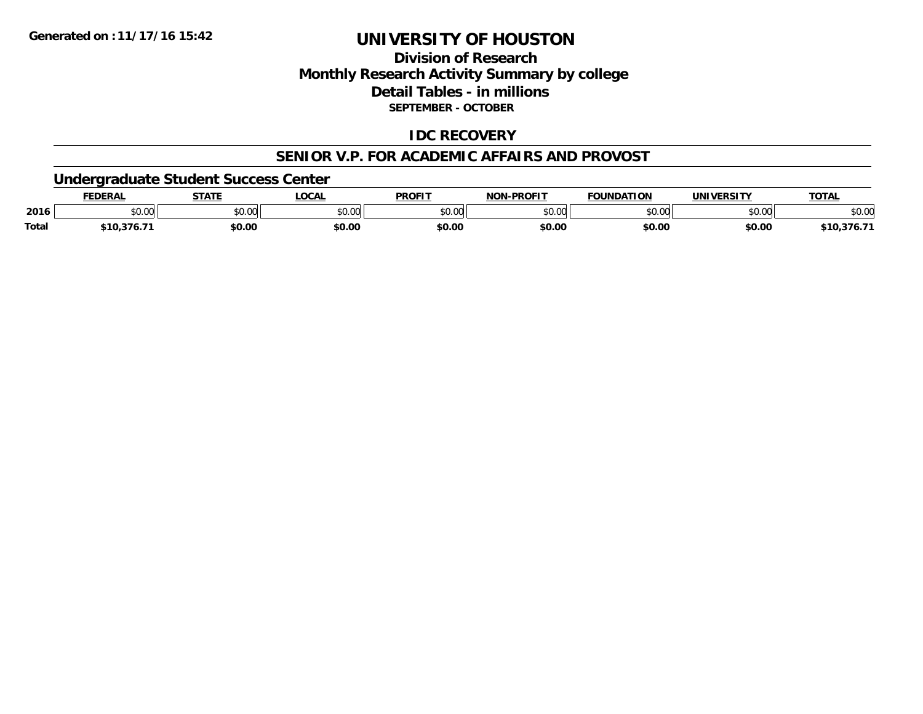# **Division of ResearchMonthly Research Activity Summary by college Detail Tables - in millions SEPTEMBER - OCTOBER**

### **IDC RECOVERY**

#### **SENIOR V.P. FOR ACADEMIC AFFAIRS AND PROVOST**

### **Undergraduate Student Success Center**

|       | <b>FEDERAL</b> | <b>STATE</b> | LOCAL  | <b>PROFIT</b>  | <b>NON-PROFIT</b> | <b>FOUNDATION</b> | <b>UNIVERSITY</b> | <b>TOTAL</b> |
|-------|----------------|--------------|--------|----------------|-------------------|-------------------|-------------------|--------------|
| 2016  | \$0.00         | \$0.00       | \$0.00 | nn no<br>JU.UU | \$0.00            | \$0.00            | \$0.00            | \$0.00       |
| Total | \$10,376.71    | \$0.00       | \$0.00 | \$0.00         | \$0.00            | \$0.00            | \$0.00            | \$10,376.7   |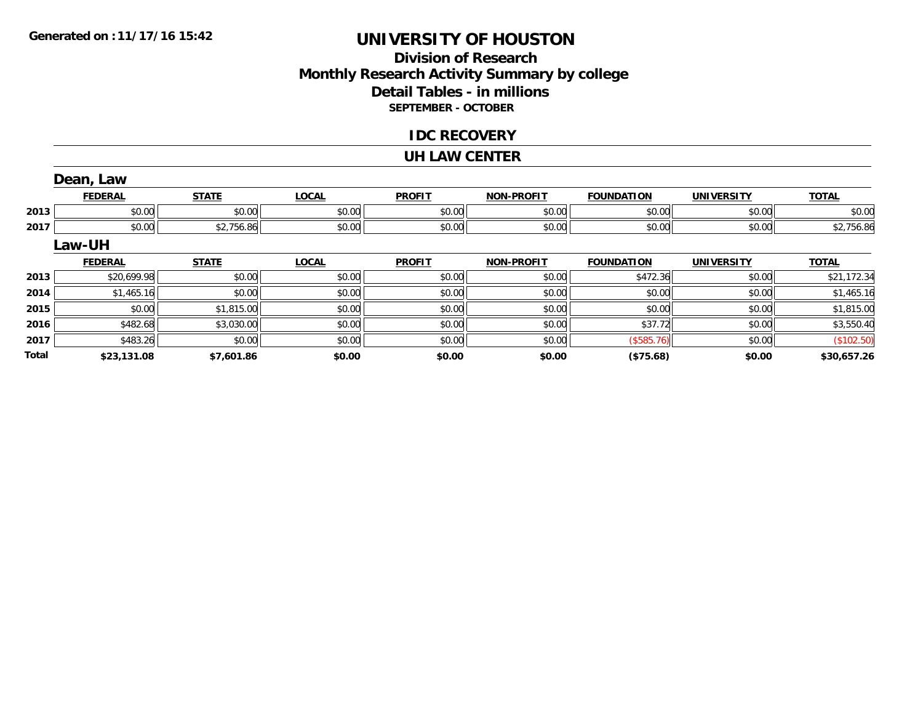# **Division of ResearchMonthly Research Activity Summary by college Detail Tables - in millions SEPTEMBER - OCTOBER**

### **IDC RECOVERY**

#### **UH LAW CENTER**

|       | Dean, Law      |              |              |               |                   |                   |                   |              |
|-------|----------------|--------------|--------------|---------------|-------------------|-------------------|-------------------|--------------|
|       | <b>FEDERAL</b> | <b>STATE</b> | <b>LOCAL</b> | <b>PROFIT</b> | <b>NON-PROFIT</b> | <b>FOUNDATION</b> | <b>UNIVERSITY</b> | <b>TOTAL</b> |
| 2013  | \$0.00         | \$0.00       | \$0.00       | \$0.00        | \$0.00            | \$0.00            | \$0.00            | \$0.00       |
| 2017  | \$0.00         | \$2,756.86   | \$0.00       | \$0.00        | \$0.00            | \$0.00            | \$0.00            | \$2,756.86   |
|       | Law-UH         |              |              |               |                   |                   |                   |              |
|       | <b>FEDERAL</b> | <b>STATE</b> | <b>LOCAL</b> | <b>PROFIT</b> | <b>NON-PROFIT</b> | <b>FOUNDATION</b> | <b>UNIVERSITY</b> | <b>TOTAL</b> |
| 2013  | \$20,699.98    | \$0.00       | \$0.00       | \$0.00        | \$0.00            | \$472.36          | \$0.00            | \$21,172.34  |
| 2014  | \$1,465.16     | \$0.00       | \$0.00       | \$0.00        | \$0.00            | \$0.00            | \$0.00            | \$1,465.16   |
| 2015  | \$0.00         | \$1,815.00   | \$0.00       | \$0.00        | \$0.00            | \$0.00            | \$0.00            | \$1,815.00   |
| 2016  | \$482.68       | \$3,030.00   | \$0.00       | \$0.00        | \$0.00            | \$37.72           | \$0.00            | \$3,550.40   |
| 2017  | \$483.26       | \$0.00       | \$0.00       | \$0.00        | \$0.00            | (\$585.76)        | \$0.00            | (\$102.50)   |
| Total | \$23,131.08    | \$7,601.86   | \$0.00       | \$0.00        | \$0.00            | (\$75.68)         | \$0.00            | \$30,657.26  |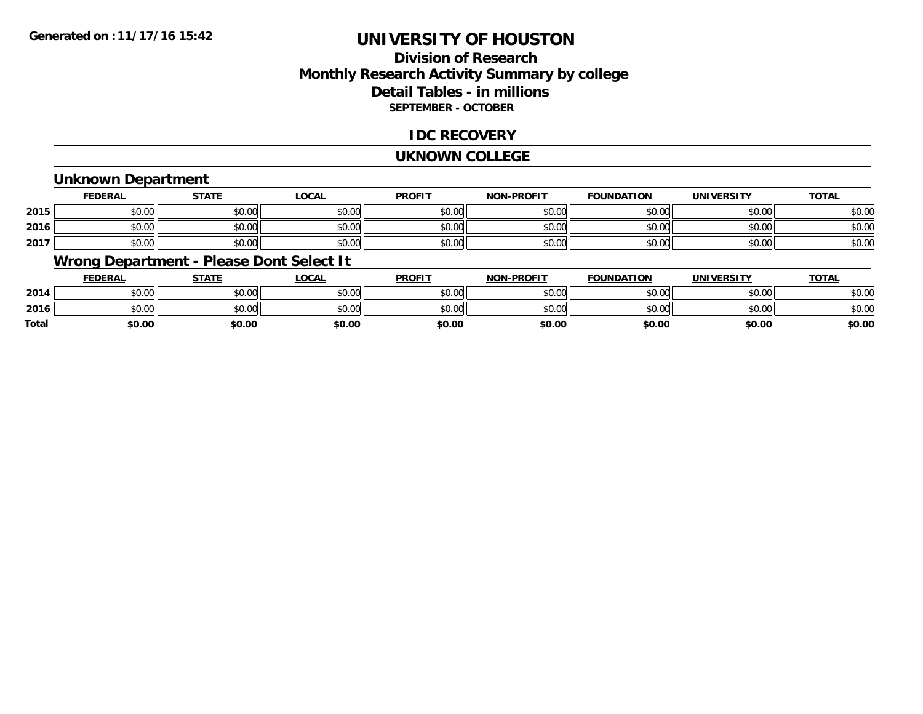# **Division of ResearchMonthly Research Activity Summary by college Detail Tables - in millions SEPTEMBER - OCTOBER**

### **IDC RECOVERY**

#### **UKNOWN COLLEGE**

### **Unknown Department**

|      | FEDERAL | <b>STATE</b> | <u>LOCAI</u> | <b>PROFIT</b> | <b>NON-PROFIT</b> | <b>FOUNDATION</b> | <b>UNIVERSITY</b> | <b>TOTAL</b> |
|------|---------|--------------|--------------|---------------|-------------------|-------------------|-------------------|--------------|
| 2015 | \$0.00  | \$0.00       | \$0.00       | \$0.00        | ደሰ ሰሰ<br>JU.UU    | \$0.00            | \$0.00            | \$0.00       |
| 2016 | \$0.00  | \$0.00       | \$0.00       | \$0.00        | ku uy<br>ง∪.∪บ    | \$0.00            | \$0.00            | \$0.00       |
| 2017 | \$0.00  | \$0.00       | \$0.00       | \$0.00        | \$0.00            | \$0.00            | \$0.00            | \$0.00       |

## **Wrong Department - Please Dont Select It**

|              | <b>FEDERAL</b> | <b>STATE</b> | <u>LOCAL</u> | <b>PROFIT</b> | <b>NON-PROFIT</b> | <b>FOUNDATION</b> | <b>UNIVERSITY</b> | <u>TOTAL</u> |
|--------------|----------------|--------------|--------------|---------------|-------------------|-------------------|-------------------|--------------|
| 2014         | \$0.00         | \$0.00       | \$0.00       | \$0.00        | \$0.00            | \$0.00            | \$0.00            | \$0.00       |
| 2016         | \$0.00         | \$0.00       | \$0.00       | \$0.00        | \$0.00            | \$0.00            | \$0.00            | \$0.00       |
| <b>Total</b> | \$0.00         | \$0.00       | \$0.00       | \$0.00        | \$0.00            | \$0.00            | \$0.00            | \$0.00       |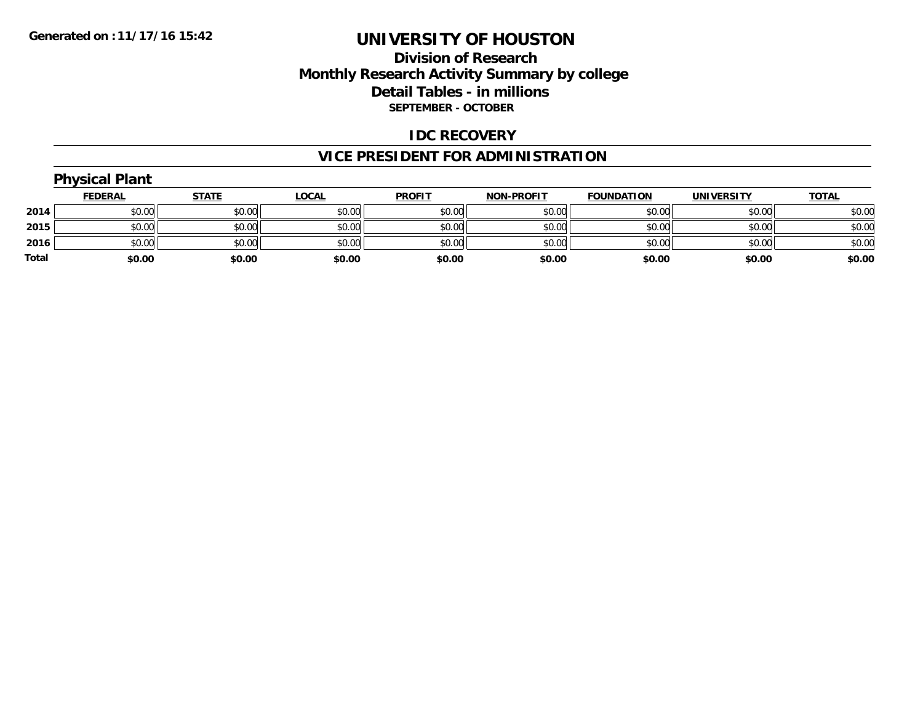## **Division of Research Monthly Research Activity Summary by college Detail Tables - in millions SEPTEMBER - OCTOBER**

### **IDC RECOVERY**

# **VICE PRESIDENT FOR ADMINISTRATION**

|       | <b>Physical Plant</b> |              |              |               |                   |                   |                   |              |
|-------|-----------------------|--------------|--------------|---------------|-------------------|-------------------|-------------------|--------------|
|       | <b>FEDERAL</b>        | <b>STATE</b> | <b>LOCAL</b> | <b>PROFIT</b> | <b>NON-PROFIT</b> | <b>FOUNDATION</b> | <b>UNIVERSITY</b> | <b>TOTAL</b> |
| 2014  | \$0.00                | \$0.00       | \$0.00       | \$0.00        | \$0.00            | \$0.00            | \$0.00            | \$0.00       |
| 2015  | \$0.00                | \$0.00       | \$0.00       | \$0.00        | \$0.00            | \$0.00            | \$0.00            | \$0.00       |
| 2016  | \$0.00                | \$0.00       | \$0.00       | \$0.00        | \$0.00            | \$0.00            | \$0.00            | \$0.00       |
| Total | \$0.00                | \$0.00       | \$0.00       | \$0.00        | \$0.00            | \$0.00            | \$0.00            | \$0.00       |